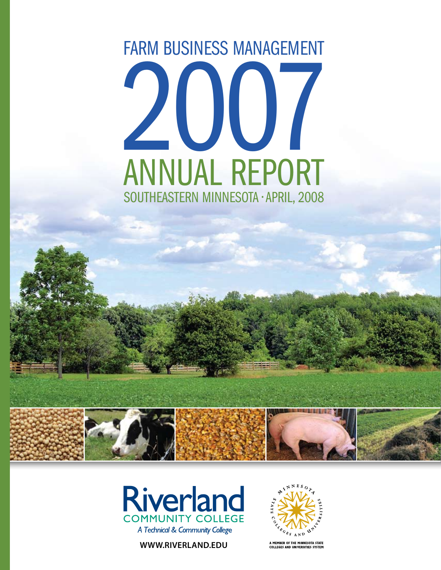# 2007 ANNUAL REPORT FARM BUSINESS MANAGEMENT SOUTHEASTERN MINNESOTA • APRIL, 2008



**www.riverland.edu**



A MEMBER OF THE MINNESOTA STATE<br>COLLEGES AND UNIVERSITIES SYSTEM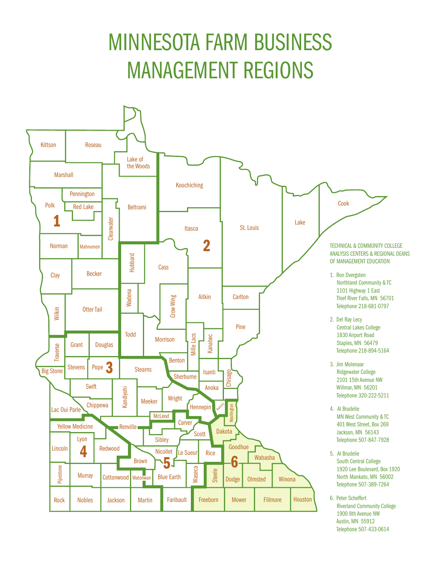# MINNESOTA FARM BUSINESS MANAGEMENT REGIONS

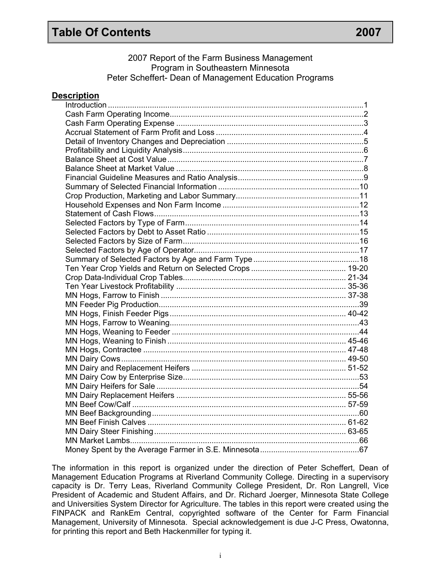#### **Table Of Contents 2007**

#### 2007 Report of the Farm Business Management Program in Southeastern Minnesota Peter Scheffert- Dean of Management Education Programs

#### **Description**

The information in this report is organized under the direction of Peter Scheffert, Dean of Management Education Programs at Riverland Community College. Directing in a supervisory capacity is Dr. Terry Leas, Riverland Community College President, Dr. Ron Langrell, Vice President of Academic and Student Affairs, and Dr. Richard Joerger, Minnesota State College and Universities System Director for Agriculture. The tables in this report were created using the FINPACK and RankEm Central, copyrighted software of the Center for Farm Financial Management, University of Minnesota. Special acknowledgement is due J-C Press, Owatonna, for printing this report and Beth Hackenmiller for typing it.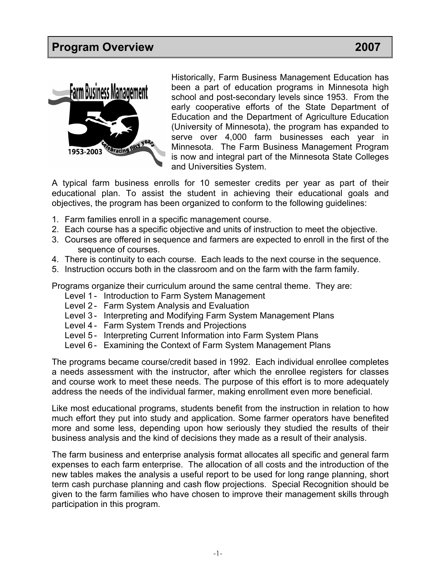

Historically, Farm Business Management Education has been a part of education programs in Minnesota high school and post-secondary levels since 1953. From the early cooperative efforts of the State Department of Education and the Department of Agriculture Education (University of Minnesota), the program has expanded to serve over 4,000 farm businesses each year in Minnesota. The Farm Business Management Program is now and integral part of the Minnesota State Colleges and Universities System.

A typical farm business enrolls for 10 semester credits per year as part of their educational plan. To assist the student in achieving their educational goals and objectives, the program has been organized to conform to the following guidelines:

- 1. Farm families enroll in a specific management course.
- 2. Each course has a specific objective and units of instruction to meet the objective.
- 3. Courses are offered in sequence and farmers are expected to enroll in the first of the sequence of courses.
- 4. There is continuity to each course. Each leads to the next course in the sequence.
- 5. Instruction occurs both in the classroom and on the farm with the farm family.

Programs organize their curriculum around the same central theme. They are:

- Level 1 Introduction to Farm System Management
- Level 2 Farm System Analysis and Evaluation
- Level 3- Interpreting and Modifying Farm System Management Plans
- Level 4 Farm System Trends and Projections
- Level 5- Interpreting Current Information into Farm System Plans
- Level 6 Examining the Context of Farm System Management Plans

The programs became course/credit based in 1992. Each individual enrollee completes a needs assessment with the instructor, after which the enrollee registers for classes and course work to meet these needs. The purpose of this effort is to more adequately address the needs of the individual farmer, making enrollment even more beneficial.

Like most educational programs, students benefit from the instruction in relation to how much effort they put into study and application. Some farmer operators have benefited more and some less, depending upon how seriously they studied the results of their business analysis and the kind of decisions they made as a result of their analysis.

The farm business and enterprise analysis format allocates all specific and general farm expenses to each farm enterprise. The allocation of all costs and the introduction of the new tables makes the analysis a useful report to be used for long range planning, short term cash purchase planning and cash flow projections. Special Recognition should be given to the farm families who have chosen to improve their management skills through participation in this program.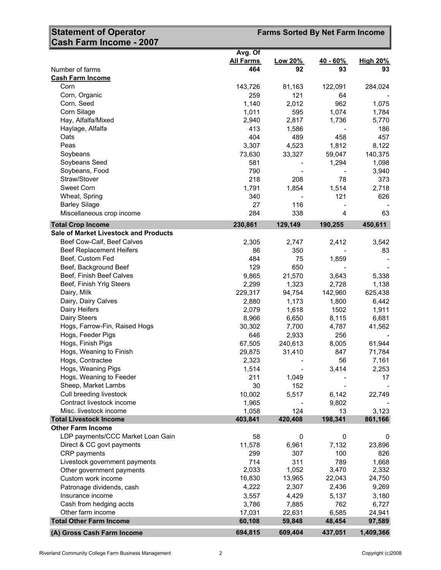| <b>Statement of Operator</b>                 | <b>Farms Sorted By Net Farm Income</b> |         |            |                 |
|----------------------------------------------|----------------------------------------|---------|------------|-----------------|
| Cash Farm Income - 2007                      |                                        |         |            |                 |
|                                              | Avg. Of                                |         |            |                 |
|                                              | <b>All Farms</b>                       | Low 20% | $40 - 60%$ | <b>High 20%</b> |
| Number of farms                              | 464                                    | 92      | 93         | 93              |
| <b>Cash Farm Income</b>                      |                                        |         |            |                 |
| Corn                                         | 143,726                                | 81,163  | 122,091    | 284,024         |
| Corn, Organic                                | 259                                    | 121     | 64         |                 |
| Corn, Seed                                   | 1,140                                  | 2,012   | 962        | 1,075           |
| Corn Silage                                  | 1,011                                  | 595     | 1,074      | 1,784           |
| Hay, Alfalfa/Mixed                           | 2,940                                  | 2,817   | 1,736      | 5,770           |
| Haylage, Alfalfa                             | 413                                    | 1,586   |            | 186             |
| Oats                                         | 404                                    | 489     | 458        | 457             |
| Peas                                         | 3,307                                  | 4,523   | 1,812      | 8,122           |
| Soybeans                                     | 73,630                                 | 33,327  | 59,047     | 140,375         |
| Soybeans Seed                                | 581                                    |         | 1,294      | 1,098           |
| Soybeans, Food                               | 790                                    |         |            | 3,940           |
| Straw/Stover                                 | 218                                    | 208     | 78         | 373             |
| Sweet Corn                                   | 1,791                                  | 1,854   | 1,514      | 2,718           |
| Wheat, Spring                                | 340                                    |         | 121        | 626             |
| <b>Barley Silage</b>                         | 27                                     | 116     |            |                 |
| Miscellaneous crop income                    | 284                                    | 338     | 4          | 63              |
| <b>Total Crop Income</b>                     | 230,861                                | 129,149 | 190,255    | 450,611         |
| <b>Sale of Market Livestock and Products</b> |                                        |         |            |                 |
| Beef Cow-Calf, Beef Calves                   | 2,305                                  | 2,747   | 2,412      | 3,542           |
| <b>Beef Replacement Heifers</b>              | 86                                     | 350     |            | 83              |
| Beef, Custom Fed                             | 484                                    | 75      | 1,859      |                 |
| Beef, Background Beef                        | 129                                    | 650     |            |                 |
| Beef, Finish Beef Calves                     | 9,865                                  | 21,570  | 3,643      | 5,338           |
| Beef, Finish Yrlg Steers                     | 2,299                                  | 1,323   | 2,728      | 1,138           |
| Dairy, Milk                                  | 229,317                                | 94,754  | 142,960    | 625,438         |
| Dairy, Dairy Calves                          | 2,880                                  | 1,173   | 1,800      | 6,442           |
| Dairy Heifers                                | 2,079                                  | 1,618   | 1502       | 1,911           |
| Dairy Steers                                 | 8,966                                  | 6,650   | 8,115      | 6,681           |
| Hogs, Farrow-Fin, Raised Hogs                | 30,302                                 | 7,700   | 4,787      | 41,562          |
| Hogs, Feeder Pigs                            | 646                                    | 2,933   | 256        |                 |
| Hogs, Finish Pigs                            | 67,505                                 | 240,613 | 8,005      | 61,944          |
| Hogs, Weaning to Finish                      | 29,875                                 | 31,410  | 847        | 71,784          |
| Hogs, Contractee                             | 2,323                                  |         | 56         | 7,161           |
| Hogs, Weaning Pigs                           | 1,514                                  |         | 3,414      | 2,253           |
| Hogs, Weaning to Feeder                      | 211                                    | 1,049   |            | 17              |
| Sheep, Market Lambs                          | 30                                     | 152     |            |                 |
| Cull breeding livestock                      | 10,002                                 | 5,517   | 6,142      | 22,749          |
| Contract livestock income                    | 1,965                                  |         | 9,802      |                 |
| Misc. livestock income                       | 1,058                                  | 124     | 13         | 3,123           |
| <b>Total Livestock Income</b>                | 403,841                                | 420,408 | 198,341    | 861,166         |
| <b>Other Farm Income</b>                     |                                        |         |            |                 |
| LDP payments/CCC Market Loan Gain            | 58                                     | 0       | 0          | 0               |
| Direct & CC govt payments                    | 11,578                                 | 6,961   | 7,132      | 23,896          |
| CRP payments                                 | 299                                    | 307     | 100        | 826             |
| Livestock government payments                | 714                                    | 311     | 789        | 1,668           |
| Other government payments                    | 2,033                                  | 1,052   | 3,470      | 2,332           |
| Custom work income                           | 16,830                                 | 13,965  | 22,043     | 24,750          |
| Patronage dividends, cash                    | 4,222                                  | 2,307   | 2,436      | 9,269           |
| Insurance income                             | 3,557                                  | 4,429   | 5,137      | 3,180           |
| Cash from hedging accts                      | 3,786                                  | 7,885   | 762        | 6,727           |
| Other farm income                            | 17,031                                 | 22,631  | 6,585      | 24,941          |
| <b>Total Other Farm Income</b>               | 60,108                                 | 59,848  | 48,454     | 97,589          |
| (A) Gross Cash Farm Income                   | 694,815                                | 609,404 | 437,051    | 1,409,366       |

#### Riverland Community College Farm Business Management 2 2 Copyright (c)2008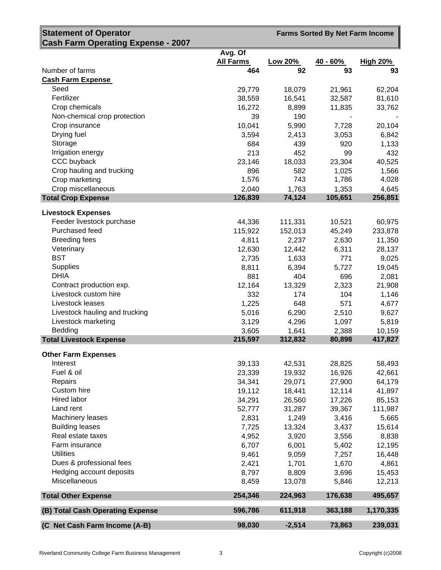| <b>Statement of Operator</b><br><b>Cash Farm Operating Expense - 2007</b> |                  |          | <b>Farms Sorted By Net Farm Income</b> |                 |
|---------------------------------------------------------------------------|------------------|----------|----------------------------------------|-----------------|
|                                                                           | Avg. Of          |          |                                        |                 |
|                                                                           | <b>All Farms</b> | Low 20%  | $40 - 60%$                             | <b>High 20%</b> |
| Number of farms                                                           | 464              | 92       | 93                                     | 93              |
| <b>Cash Farm Expense</b>                                                  |                  |          |                                        |                 |
| Seed                                                                      | 29,779           | 18,079   | 21,961                                 | 62,204          |
| Fertilizer                                                                | 38,559           | 16,541   | 32,587                                 | 81,610          |
| Crop chemicals                                                            | 16,272           | 8,899    | 11,835                                 | 33,762          |
| Non-chemical crop protection                                              | 39               | 190      |                                        |                 |
| Crop insurance                                                            | 10,041           | 5,990    | 7,728                                  | 20,104          |
| Drying fuel                                                               | 3,594            | 2,413    | 3,053                                  | 6,842           |
| Storage                                                                   | 684              | 439      | 920                                    | 1,133           |
| Irrigation energy                                                         | 213              | 452      | 99                                     | 432             |
| CCC buyback                                                               | 23,146           | 18,033   | 23,304                                 | 40,525          |
| Crop hauling and trucking                                                 | 896              | 582      | 1,025                                  | 1,566           |
| Crop marketing                                                            | 1,576            | 743      | 1,786                                  | 4,028           |
| Crop miscellaneous                                                        | 2,040            | 1,763    | 1,353                                  | 4,645           |
| <b>Total Crop Expense</b>                                                 | 126,839          | 74,124   | 105,651                                | 256,851         |
| <b>Livestock Expenses</b>                                                 |                  |          |                                        |                 |
| Feeder livestock purchase                                                 | 44,336           | 111,331  | 10,521                                 | 60,975          |
| Purchased feed                                                            | 115,922          | 152,013  | 45,249                                 | 233,878         |
| <b>Breeding fees</b>                                                      | 4,811            | 2,237    | 2,630                                  | 11,350          |
| Veterinary                                                                | 12,630           | 12,442   | 6,311                                  | 28,137          |
| <b>BST</b>                                                                | 2,735            | 1,633    | 771                                    | 9,025           |
| Supplies                                                                  | 8,811            | 6,394    | 5,727                                  | 19,045          |
| <b>DHIA</b>                                                               | 881              | 404      | 696                                    | 2,081           |
| Contract production exp.                                                  | 12,164           | 13,329   | 2,323                                  | 21,908          |
| Livestock custom hire                                                     | 332              | 174      | 104                                    | 1,146           |
| Livestock leases                                                          | 1,225            | 648      | 571                                    | 4,677           |
| Livestock hauling and trucking                                            | 5,016            | 6,290    | 2,510                                  | 9,627           |
| Livestock marketing                                                       | 3,129            | 4,296    | 1,097                                  | 5,819           |
| Bedding                                                                   | 3,605            | 1,641    | 2,388                                  | 10,159          |
| <b>Total Livestock Expense</b>                                            | 215,597          | 312,832  | 80,898                                 | 417,827         |
| <b>Other Farm Expenses</b>                                                |                  |          |                                        |                 |
| Interest                                                                  | 39,133           | 42,531   | 28,825                                 | 58,493          |
| Fuel & oil                                                                | 23,339           | 19,932   | 16,926                                 | 42,661          |
| Repairs                                                                   | 34,341           | 29,071   | 27,900                                 | 64,179          |
| Custom hire                                                               | 19,112           | 18,441   | 12,114                                 | 41,897          |
| Hired labor                                                               | 34,291           | 26,560   | 17,226                                 | 85,153          |
| Land rent                                                                 | 52,777           | 31,287   | 39,367                                 | 111,987         |
| Machinery leases                                                          | 2,831            | 1,249    | 3,416                                  | 5,665           |
| <b>Building leases</b>                                                    | 7,725            | 13,324   | 3,437                                  | 15,614          |
| Real estate taxes                                                         | 4,952            | 3,920    | 3,556                                  | 8,838           |
| Farm insurance                                                            | 6,707            | 6,001    | 5,402                                  | 12,195          |
| <b>Utilities</b>                                                          | 9,461            | 9,059    | 7,257                                  | 16,448          |
| Dues & professional fees                                                  | 2,421            | 1,701    | 1,670                                  | 4,861           |
| Hedging account deposits                                                  | 8,797            | 8,809    | 3,696                                  | 15,453          |
| Miscellaneous                                                             | 8,459            | 13,078   | 5,846                                  | 12,213          |
| <b>Total Other Expense</b>                                                | 254,346          | 224,963  | 176,638                                | 495,657         |
| (B) Total Cash Operating Expense                                          | 596,786          | 611,918  | 363,188                                | 1,170,335       |
| (C Net Cash Farm Income (A-B)                                             | 98,030           | $-2,514$ | 73,863                                 | 239,031         |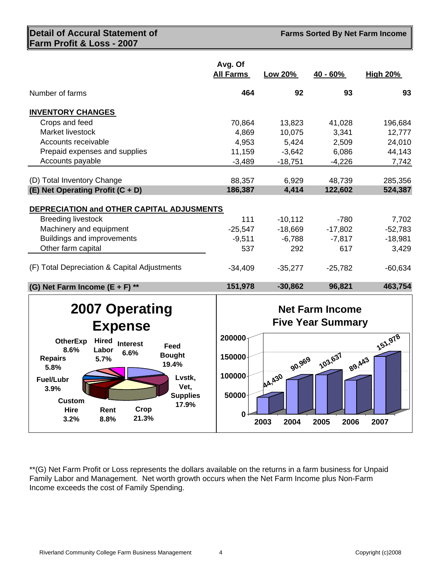#### **Detail of Accural Statement of Farm Profit & Loss - 2007**

**Farms Sorted By Net Farm Income** 

| <b>All Farms</b><br>40 - 60%<br>Low 20%<br><b>High 20%</b>                             |           |
|----------------------------------------------------------------------------------------|-----------|
| 464<br>92<br>93<br>Number of farms                                                     | 93        |
| <b>INVENTORY CHANGES</b>                                                               |           |
| Crops and feed<br>70,864<br>13,823<br>41,028                                           | 196,684   |
| Market livestock<br>4,869<br>3,341<br>10,075                                           | 12,777    |
| Accounts receivable<br>4,953<br>5,424<br>2,509                                         | 24,010    |
| 6,086<br>Prepaid expenses and supplies<br>11,159<br>$-3,642$                           | 44,143    |
| Accounts payable<br>$-3,489$<br>$-18,751$<br>$-4,226$                                  | 7,742     |
|                                                                                        |           |
| (D) Total Inventory Change<br>88,357<br>6,929<br>48,739                                | 285,356   |
| 4,414<br>(E) Net Operating Profit $(C + D)$<br>186,387<br>122,602                      | 524,387   |
| DEPRECIATION and OTHER CAPITAL ADJUSMENTS                                              |           |
| <b>Breeding livestock</b><br>111<br>$-780$<br>$-10,112$                                | 7,702     |
| Machinery and equipment<br>$-25,547$<br>$-17,802$<br>$-18,669$                         | $-52,783$ |
| <b>Buildings and improvements</b><br>$-9,511$<br>$-6,788$<br>$-7,817$                  | $-18,981$ |
| Other farm capital<br>292<br>617<br>537                                                | 3,429     |
| (F) Total Depreciation & Capital Adjustments<br>$-34,409$<br>$-35,277$<br>$-25,782$    | $-60,634$ |
| 151,978<br>$-30,862$<br>96,821<br>(G) Net Farm Income $(E + F)$ **                     | 463,754   |
| 2007 Operating<br><b>Net Farm Income</b><br><b>Five Year Summary</b><br><b>Expense</b> |           |
| 200000<br><b>OtherExp</b><br><b>Hired</b><br><b>Interest</b>                           | 151,978   |
| Feed<br>8.6%<br>Labor<br>6.6%<br><b>Bought</b>                                         |           |
| 103,637<br>150000<br><b>Repairs</b><br>5.7%<br>90,969<br>89.443<br>19.4%<br>5.8%       |           |
| 100000<br>44,430<br>Lvstk,<br><b>Fuel/Lubr</b><br>Vet,<br>3.9%                         |           |

\*\*(G) Net Farm Profit or Loss represents the dollars available on the returns in a farm business for Unpaid Family Labor and Management. Net worth growth occurs when the Net Farm Income plus Non-Farm Income exceeds the cost of Family Spending.

**0**

**2003 2004 2005 2006 2007**

**50000**

**Supplies 17.9%**

**Rent 8.8%**

**Crop 21.3%**

**Custom Hire 3.2%**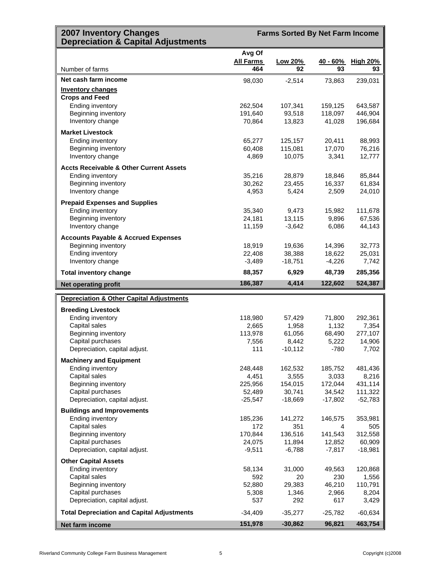#### **2007 Inventory Changes Depreciation & Capital Adjustments**

**Farms Sorted By Net Farm Income**

| 180                                                                  |                      |                        |                     |                      |
|----------------------------------------------------------------------|----------------------|------------------------|---------------------|----------------------|
|                                                                      | Avg Of               |                        |                     |                      |
|                                                                      | <b>All Farms</b>     | Low 20%                | $40 - 60%$          | <b>High 20%</b>      |
| Number of farms                                                      | 464                  | 92                     | 93                  | 93                   |
| Net cash farm income                                                 | 98,030               | $-2,514$               |                     | 239,031              |
|                                                                      |                      |                        | 73,863              |                      |
| <b>Inventory changes</b>                                             |                      |                        |                     |                      |
| <b>Crops and Feed</b>                                                |                      |                        |                     |                      |
| <b>Ending inventory</b>                                              | 262,504              | 107,341                | 159,125             | 643,587              |
| Beginning inventory                                                  | 191,640              | 93,518                 | 118,097             | 446,904              |
| Inventory change                                                     | 70,864               | 13,823                 | 41,028              | 196,684              |
| <b>Market Livestock</b>                                              |                      |                        |                     |                      |
| <b>Ending inventory</b>                                              | 65,277               | 125,157                | 20,411              | 88,993               |
| Beginning inventory                                                  | 60,408               | 115,081                | 17,070              | 76,216               |
| Inventory change                                                     | 4,869                | 10,075                 | 3,341               | 12,777               |
|                                                                      |                      |                        |                     |                      |
| <b>Accts Receivable &amp; Other Current Assets</b>                   |                      |                        |                     |                      |
| <b>Ending inventory</b>                                              | 35,216               | 28,879                 | 18,846              | 85,844               |
| Beginning inventory                                                  | 30,262               | 23,455                 | 16,337              | 61,834               |
| Inventory change                                                     | 4,953                | 5,424                  | 2,509               | 24,010               |
| <b>Prepaid Expenses and Supplies</b>                                 |                      |                        |                     |                      |
| <b>Ending inventory</b>                                              | 35,340               | 9,473                  | 15,982              | 111,678              |
| Beginning inventory                                                  | 24,181               | 13,115                 | 9,896               | 67,536               |
| Inventory change                                                     | 11,159               | $-3,642$               | 6,086               | 44,143               |
|                                                                      |                      |                        |                     |                      |
| <b>Accounts Payable &amp; Accrued Expenses</b>                       |                      |                        |                     |                      |
| Beginning inventory                                                  | 18,919               | 19,636                 | 14,396              | 32,773               |
| <b>Ending inventory</b>                                              | 22,408               | 38,388                 | 18,622              | 25,031               |
| Inventory change                                                     | $-3,489$             | $-18,751$              | $-4,226$            | 7,742                |
| <b>Total inventory change</b>                                        | 88,357               | 6,929                  | 48,739              | 285,356              |
| <b>Net operating profit</b>                                          | 186,387              | 4,414                  | 122,602             | 524,387              |
| Depreciation & Other Capital Adjustments                             |                      |                        |                     |                      |
|                                                                      |                      |                        |                     |                      |
| <b>Breeding Livestock</b>                                            |                      |                        |                     |                      |
| <b>Ending inventory</b>                                              | 118,980              | 57,429                 | 71,800              | 292,361              |
| Capital sales                                                        | 2,665                | 1,958                  | 1,132               | 7,354                |
| Beginning inventory                                                  | 113,978              | 61,056                 | 68,490              | 277,107              |
| Capital purchases                                                    | 7,556                | 8,442                  | 5,222               | 14,906               |
| Depreciation, capital adjust.                                        | 111                  | $-10,112$              | $-780$              | 7,702                |
| <b>Machinery and Equipment</b>                                       |                      |                        |                     |                      |
| Ending inventory                                                     | 248,448              | 162,532                | 185,752             | 481,436              |
| Capital sales                                                        | 4,451                | 3,555                  | 3,033               | 8,216                |
| Beginning inventory                                                  | 225,956              | 154,015                | 172,044             | 431,114              |
| Capital purchases                                                    | 52,489               | 30,741                 | 34,542              | 111,322              |
| Depreciation, capital adjust.                                        | $-25,547$            | $-18,669$              | $-17,802$           | $-52,783$            |
|                                                                      |                      |                        |                     |                      |
| <b>Buildings and Improvements</b>                                    |                      |                        |                     |                      |
| <b>Ending inventory</b><br>Capital sales                             | 185,236              | 141,272                | 146,575             | 353,981              |
| Beginning inventory                                                  | 172<br>170,844       | 351                    | 4                   | 505                  |
| Capital purchases                                                    |                      | 136,516                | 141,543             | 312,558              |
| Depreciation, capital adjust.                                        | 24,075<br>$-9,511$   | 11,894<br>$-6,788$     | 12,852<br>$-7,817$  | 60,909<br>$-18,981$  |
|                                                                      |                      |                        |                     |                      |
| <b>Other Capital Assets</b>                                          |                      |                        |                     |                      |
| <b>Ending inventory</b>                                              | 58,134               | 31,000                 | 49,563              | 120,868              |
| Capital sales                                                        | 592                  | 20                     | 230                 | 1,556                |
|                                                                      |                      |                        |                     |                      |
| Beginning inventory                                                  | 52,880               | 29,383                 | 46,210              | 110,791              |
| Capital purchases                                                    | 5,308                | 1,346                  | 2,966               | 8,204                |
| Depreciation, capital adjust.                                        | 537                  | 292                    | 617                 | 3,429                |
|                                                                      |                      |                        |                     |                      |
| <b>Total Depreciation and Capital Adjustments</b><br>Net farm income | $-34,409$<br>151,978 | $-35,277$<br>$-30,862$ | $-25,782$<br>96,821 | $-60,634$<br>463,754 |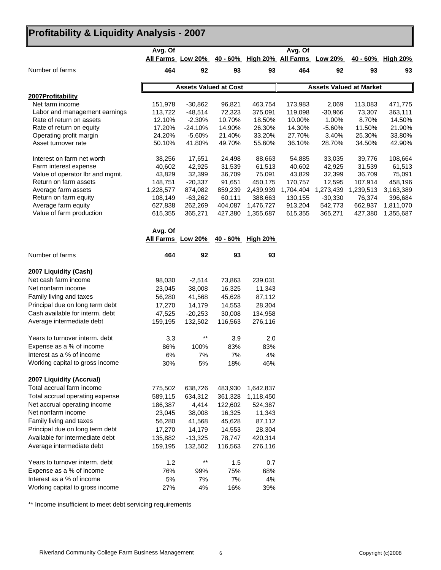# **Profitability & Liquidity Analysis - 2007**

| Avg. Of<br>Avg. Of                                                                                         |                      |
|------------------------------------------------------------------------------------------------------------|----------------------|
| Low 20%<br>All Farms Low 20%<br><u>40 - 60%</u><br>High 20% All Farms<br>40 - 60%                          | <b>High 20%</b>      |
| Number of farms<br>464<br>92<br>93<br>93<br>464<br>92                                                      | 93<br>93             |
| <b>Assets Valued at Cost</b><br><b>Assets Valued at Market</b>                                             |                      |
| 2007Profitability                                                                                          |                      |
| Net farm income<br>151,978<br>$-30,862$<br>96,821<br>463,754<br>173,983<br>2,069                           | 113,083<br>471,775   |
| Labor and management earnings<br>113,722<br>$-48,514$<br>72,323<br>375,091<br>119,098<br>$-30,966$         | 73,307<br>363,111    |
| Rate of return on assets<br>10.70%<br>12.10%<br>$-2.30%$<br>18.50%<br>10.00%<br>1.00%                      | 8.70%<br>14.50%      |
| Rate of return on equity<br>17.20%<br>$-24.10%$<br>14.90%<br>26.30%<br>14.30%<br>$-5.60%$                  | 11.50%<br>21.90%     |
| 33.20%<br>3.40%<br>Operating profit margin<br>24.20%<br>$-5.60%$<br>21.40%<br>27.70%                       | 25.30%<br>33.80%     |
| Asset turnover rate<br>50.10%<br>41.80%<br>49.70%<br>55.60%<br>36.10%<br>28.70%                            | 34.50%<br>42.90%     |
| Interest on farm net worth<br>38,256<br>17,651<br>24,498<br>88,663<br>54,885<br>33,035                     | 39,776<br>108,664    |
| Farm interest expense<br>42,925<br>61,513<br>40,602<br>31,539<br>40,602<br>42,925                          | 31,539<br>61,513     |
| Value of operator lbr and mgmt.<br>43,829<br>32,399<br>36,709<br>75,091<br>43,829<br>32,399                | 36,709<br>75,091     |
| Return on farm assets<br>148,751<br>$-20,337$<br>91,651<br>450,175<br>170,757<br>12,595                    | 107,914<br>458,196   |
| Average farm assets<br>1,228,577<br>874,082<br>859,239<br>2,439,939<br>1,704,404<br>1,273,439<br>1,239,513 | 3,163,389            |
| Return on farm equity<br>108,149<br>$-63,262$<br>60,111<br>388,663<br>130,155<br>$-30,330$                 | 76,374<br>396,684    |
| Average farm equity<br>262,269<br>627,838<br>404,087<br>1,476,727<br>913,204<br>542,773                    | 662,937<br>1,811,070 |
| Value of farm production<br>365,271<br>615,355<br>365,271<br>427,380<br>1,355,687<br>615,355               | 1,355,687<br>427,380 |
| Avg. Of                                                                                                    |                      |
| All Farms Low 20% 40 - 60% High 20%                                                                        |                      |
| 464<br>92<br>93<br>93<br>Number of farms                                                                   |                      |
| 2007 Liquidity (Cash)                                                                                      |                      |
| Net cash farm income<br>98,030<br>$-2,514$<br>73,863<br>239,031                                            |                      |
| Net nonfarm income<br>23,045<br>38,008<br>16,325<br>11,343                                                 |                      |
| Family living and taxes<br>45,628<br>56,280<br>41,568<br>87,112                                            |                      |
| Principal due on long term debt<br>17,270<br>28,304<br>14,179<br>14,553                                    |                      |
| Cash available for interm. debt<br>47,525<br>30,008<br>134,958<br>$-20,253$                                |                      |
| Average intermediate debt<br>132,502<br>276,116<br>159,195<br>116,563                                      |                      |
| **<br>Years to turnover interm. debt<br>3.9<br>2.0<br>3.3                                                  |                      |
| Expense as a % of income<br>86%<br>100%<br>83%<br>83%                                                      |                      |
| Interest as a % of income<br>6%<br>7%<br>7%<br>4%                                                          |                      |
| Working capital to gross income<br>30%<br>5%<br>18%<br>46%                                                 |                      |
| 2007 Liquidity (Accrual)                                                                                   |                      |
| Total accrual farm income<br>775,502<br>638,726<br>483,930<br>1,642,837                                    |                      |
| Total accrual operating expense<br>589,115<br>1,118,450<br>634,312<br>361,328                              |                      |
| Net accrual operating income<br>186,387<br>4,414<br>122,602<br>524,387                                     |                      |
| Net nonfarm income<br>23,045<br>38,008<br>16,325<br>11,343                                                 |                      |
| Family living and taxes<br>56,280<br>45,628<br>87,112<br>41,568                                            |                      |
| Principal due on long term debt<br>28,304<br>17,270<br>14,179<br>14,553                                    |                      |
| Available for intermediate debt<br>135,882<br>$-13,325$<br>78,747<br>420,314                               |                      |
| Average intermediate debt<br>159,195<br>132,502<br>116,563<br>276,116                                      |                      |
| **<br>Years to turnover interm. debt<br>1.2<br>1.5<br>0.7                                                  |                      |
| Expense as a % of income<br>76%<br>75%<br>99%<br>68%                                                       |                      |
| Interest as a % of income<br>5%<br>7%<br>7%<br>4%                                                          |                      |
| Working capital to gross income<br>27%<br>4%<br>16%<br>39%                                                 |                      |

\*\* Income insufficient to meet debt servicing requirements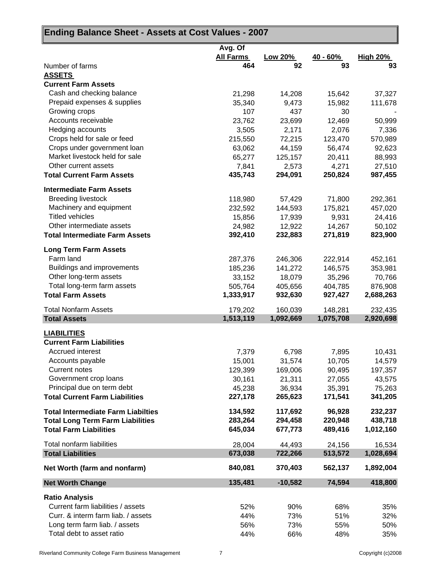| <b>Ending Balance Sheet - Assets at Cost Values - 2007</b>   |                      |                      |                      |                      |
|--------------------------------------------------------------|----------------------|----------------------|----------------------|----------------------|
|                                                              | Avg. Of              |                      |                      |                      |
|                                                              | <b>All Farms</b>     | Low 20%              | 40 - 60%             | <b>High 20%</b>      |
| Number of farms                                              | 464                  | 92                   | 93                   | 93                   |
| <b>ASSETS</b>                                                |                      |                      |                      |                      |
| <b>Current Farm Assets</b>                                   |                      |                      |                      |                      |
| Cash and checking balance                                    | 21,298               | 14,208               | 15,642               | 37,327               |
| Prepaid expenses & supplies<br>Growing crops                 | 35,340               | 9,473<br>437         | 15,982               | 111,678              |
| Accounts receivable                                          | 107<br>23,762        | 23,699               | 30<br>12,469         |                      |
| Hedging accounts                                             | 3,505                | 2,171                | 2,076                | 50,999<br>7,336      |
| Crops held for sale or feed                                  | 215,550              | 72,215               | 123,470              | 570,989              |
| Crops under government loan                                  | 63,062               | 44,159               | 56,474               | 92,623               |
| Market livestock held for sale                               | 65,277               | 125,157              | 20,411               | 88,993               |
| Other current assets                                         | 7,841                | 2,573                | 4,271                | 27,510               |
| <b>Total Current Farm Assets</b>                             | 435,743              | 294,091              | 250,824              | 987,455              |
|                                                              |                      |                      |                      |                      |
| <b>Intermediate Farm Assets</b><br><b>Breeding livestock</b> | 118,980              | 57,429               | 71,800               | 292,361              |
| Machinery and equipment                                      | 232,592              | 144,593              | 175,821              | 457,020              |
| <b>Titled vehicles</b>                                       | 15,856               | 17,939               | 9,931                | 24,416               |
| Other intermediate assets                                    | 24,982               | 12,922               | 14,267               | 50,102               |
| <b>Total Intermediate Farm Assets</b>                        | 392,410              | 232,883              | 271,819              | 823,900              |
|                                                              |                      |                      |                      |                      |
| <b>Long Term Farm Assets</b><br>Farm land                    |                      |                      |                      |                      |
| Buildings and improvements                                   | 287,376<br>185,236   | 246,306<br>141,272   | 222,914<br>146,575   | 452,161<br>353,981   |
| Other long-term assets                                       | 33,152               | 18,079               | 35,296               | 70,766               |
| Total long-term farm assets                                  | 505,764              | 405,656              | 404,785              | 876,908              |
| <b>Total Farm Assets</b>                                     | 1,333,917            | 932,630              | 927,427              | 2,688,263            |
|                                                              |                      |                      |                      |                      |
| <b>Total Nonfarm Assets</b><br><b>Total Assets</b>           | 179,202<br>1,513,119 | 160,039<br>1,092,669 | 148,281<br>1,075,708 | 232,435<br>2,920,698 |
|                                                              |                      |                      |                      |                      |
| <b>LIABILITIES</b><br><b>Current Farm Liabilities</b>        |                      |                      |                      |                      |
| Accrued interest                                             |                      | 6,798                |                      |                      |
| Accounts payable                                             | 7,379<br>15,001      | 31,574               | 7,895<br>10,705      | 10,431<br>14,579     |
| <b>Current notes</b>                                         | 129,399              | 169,006              | 90,495               | 197,357              |
| Government crop loans                                        | 30,161               | 21,311               | 27,055               | 43,575               |
| Principal due on term debt                                   | 45,238               | 36,934               | 35,391               | 75,263               |
| <b>Total Current Farm Liabilities</b>                        | 227,178              | 265,623              | 171,541              | 341,205              |
| <b>Total Intermediate Farm Liabilties</b>                    | 134,592              | 117,692              | 96,928               | 232,237              |
| <b>Total Long Term Farm Liabilities</b>                      | 283,264              | 294,458              | 220,948              | 438,718              |
| <b>Total Farm Liabilities</b>                                | 645,034              | 677,773              | 489,416              | 1,012,160            |
|                                                              |                      |                      |                      |                      |
| Total nonfarm liabilities<br><b>Total Liabilities</b>        | 28,004<br>673,038    | 44,493<br>722,266    | 24,156<br>513,572    | 16,534<br>1,028,694  |
|                                                              |                      |                      |                      |                      |
| Net Worth (farm and nonfarm)                                 | 840,081              | 370,403              | 562,137              | 1,892,004            |
| <b>Net Worth Change</b>                                      | 135,481              | $-10,582$            | 74,594               | 418,800              |
| <b>Ratio Analysis</b>                                        |                      |                      |                      |                      |
| Current farm liabilities / assets                            | 52%                  | 90%                  | 68%                  | 35%                  |
| Curr. & interm farm liab. / assets                           | 44%                  | 73%                  | 51%                  | 32%                  |
| Long term farm liab. / assets                                | 56%                  | 73%                  | 55%                  | 50%                  |
| Total debt to asset ratio                                    | 44%                  | 66%                  | 48%                  | 35%                  |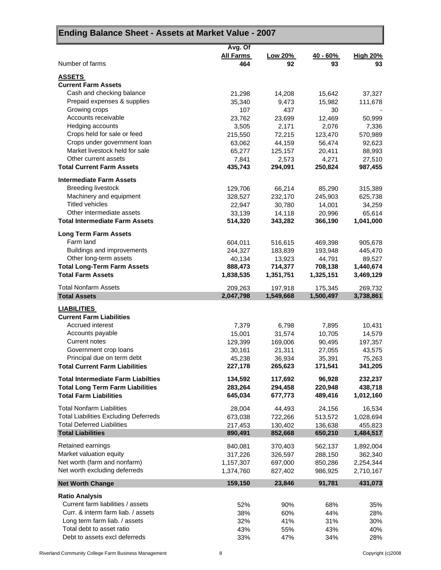| Ending Balance Sheet - Assets at Market Value - 2007 |                         |               |                  |                       |
|------------------------------------------------------|-------------------------|---------------|------------------|-----------------------|
|                                                      | Avg. Of                 |               |                  |                       |
| Number of farms                                      | <b>All Farms</b><br>464 | Low 20%<br>92 | $40 - 60%$<br>93 | <b>High 20%</b><br>93 |
| <b>ASSETS</b>                                        |                         |               |                  |                       |
| <b>Current Farm Assets</b>                           |                         |               |                  |                       |
| Cash and checking balance                            | 21,298                  | 14,208        | 15,642           | 37,327                |
| Prepaid expenses & supplies                          | 35,340                  | 9,473         | 15,982           | 111,678               |
| Growing crops                                        | 107                     | 437           | 30               |                       |
| Accounts receivable                                  | 23,762                  | 23,699        | 12,469           | 50,999                |
| Hedging accounts                                     | 3,505                   | 2,171         | 2,076            | 7,336                 |
| Crops held for sale or feed                          | 215,550                 | 72,215        | 123,470          | 570,989               |
| Crops under government loan                          | 63,062                  | 44,159        | 56,474           | 92,623                |
| Market livestock held for sale                       | 65,277                  | 125,157       | 20,411           | 88,993                |
| Other current assets                                 | 7,841                   | 2,573         | 4,271            | 27,510                |
| <b>Total Current Farm Assets</b>                     | 435,743                 | 294,091       | 250,824          | 987,455               |
| <b>Intermediate Farm Assets</b>                      |                         |               |                  |                       |
| <b>Breeding livestock</b>                            | 129,706                 | 66,214        | 85,290           | 315,389               |
| Machinery and equipment                              | 328,527                 | 232,170       | 245,903          | 625,738               |
| <b>Titled vehicles</b>                               | 22.947                  | 30,780        | 14,001           | 34,259                |
| Other intermediate assets                            | 33,139                  | 14,118        | 20,996           | 65,614                |
| <b>Total Intermediate Farm Assets</b>                | 514,320                 | 343,282       | 366,190          | 1,041,000             |
| <b>Long Term Farm Assets</b>                         |                         |               |                  |                       |
| Farm land                                            | 604,011                 | 516,615       | 469,398          | 905,678               |
| Buildings and improvements                           | 244,327                 | 183,839       | 193,948          | 445,470               |
| Other long-term assets                               | 40,134                  | 13,923        | 44,791           | 89,527                |
| <b>Total Long-Term Farm Assets</b>                   | 888,473                 | 714,377       | 708,138          | 1,440,674             |
| <b>Total Farm Assets</b>                             | 1,838,535               | 1,351,751     | 1,325,151        | 3,469,129             |
| <b>Total Nonfarm Assets</b>                          | 209,263                 | 197,918       | 175,345          | 269,732               |
| <b>Total Assets</b>                                  | 2,047,798               | 1,549,668     | 1,500,497        | 3,738,861             |
| <b>LIABILITIES</b>                                   |                         |               |                  |                       |
| <b>Current Farm Liabilities</b>                      |                         |               |                  |                       |
| Accrued interest                                     | 7,379                   | 6,798         | 7,895            | 10,431                |
| Accounts payable                                     | 15,001                  | 31,574        | 10,705           | 14,579                |
| Current notes                                        | 129,399                 | 169,006       | 90,495           | 197,357               |
| Government crop loans                                | 30,161                  | 21,311        | 27,055           | 43,575                |
| Principal due on term debt                           | 45,238                  | 36,934        | 35,391           | 75,263                |
| <b>Total Current Farm Liabilities</b>                | 227,178                 | 265,623       | 171,541          | 341,205               |
| <b>Total Intermediate Farm Liabilties</b>            | 134,592                 | 117,692       | 96,928           | 232,237               |
| <b>Total Long Term Farm Liabilities</b>              | 283,264                 | 294,458       | 220,948          | 438,718               |
| <b>Total Farm Liabilities</b>                        | 645,034                 | 677,773       | 489,416          | 1,012,160             |
| <b>Total Nonfarm Liabilities</b>                     | 28,004                  | 44,493        | 24,156           | 16,534                |
| <b>Total Liabilities Excluding Deferreds</b>         | 673,038                 | 722,266       | 513,572          | 1,028,694             |
| <b>Total Deferred Liabilities</b>                    | 217,453                 | 130,402       | 136,638          | 455,823               |
| <b>Total Liabilities</b>                             | 890,491                 | 852,668       | 650,210          | 1,484,517             |
| Retained earnings                                    | 840,081                 | 370,403       | 562,137          | 1,892,004             |
| Market valuation equity                              | 317,226                 | 326,597       | 288,150          | 362,340               |
| Net worth (farm and nonfarm)                         | 1,157,307               | 697,000       | 850,286          | 2,254,344             |
| Net worth excluding deferreds                        | 1,374,760               | 827,402       | 986,925          | 2,710,167             |
| <b>Net Worth Change</b>                              | 159,150                 | 23,846        | 91,781           | 431,073               |
| <b>Ratio Analysis</b>                                |                         |               |                  |                       |
| Current farm liabilities / assets                    | 52%                     | 90%           | 68%              | 35%                   |
| Curr. & interm farm liab. / assets                   | 38%                     | 60%           | 44%              | 28%                   |
| Long term farm liab. / assets                        | 32%                     | 41%           | 31%              | 30%                   |
| Total debt to asset ratio                            | 43%                     | 55%           | 43%              | 40%                   |
| Debt to assets excl deferreds                        | 33%                     | 47%           | 34%              | 28%                   |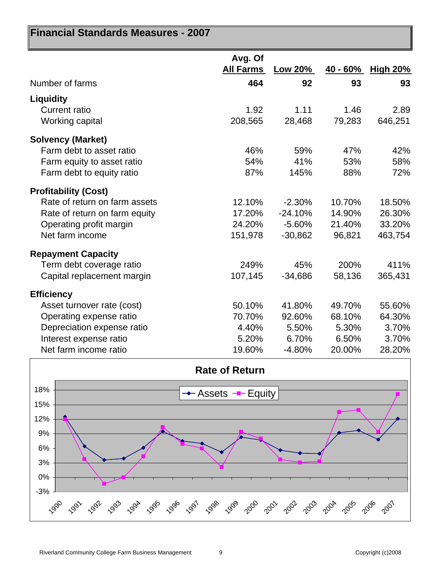| Financial Standards Measures - 2007 |                             |                |            |                 |
|-------------------------------------|-----------------------------|----------------|------------|-----------------|
|                                     | Avg. Of<br><b>All Farms</b> | <b>Low 20%</b> | $40 - 60%$ | <b>High 20%</b> |
| Number of farms                     | 464                         | 92             | 93         | 93              |
| <b>Liquidity</b>                    |                             |                |            |                 |
| <b>Current ratio</b>                | 1.92                        | 1.11           | 1.46       | 2.89            |
| Working capital                     | 208,565                     | 28,468         | 79,283     | 646,251         |
| <b>Solvency (Market)</b>            |                             |                |            |                 |
| Farm debt to asset ratio            | 46%                         | 59%            | 47%        | 42%             |
| Farm equity to asset ratio          | 54%                         | 41%            | 53%        | 58%             |
| Farm debt to equity ratio           | 87%                         | 145%           | 88%        | 72%             |
| <b>Profitability (Cost)</b>         |                             |                |            |                 |
| Rate of return on farm assets       | 12.10%                      | $-2.30%$       | 10.70%     | 18.50%          |
| Rate of return on farm equity       | 17.20%                      | $-24.10%$      | 14.90%     | 26.30%          |
| Operating profit margin             | 24.20%                      | $-5.60%$       | 21.40%     | 33.20%          |
| Net farm income                     | 151,978                     | $-30,862$      | 96,821     | 463,754         |
| <b>Repayment Capacity</b>           |                             |                |            |                 |
| Term debt coverage ratio            | 249%                        | 45%            | 200%       | 411%            |
| Capital replacement margin          | 107,145                     | $-34,686$      | 58,136     | 365,431         |
| <b>Efficiency</b>                   |                             |                |            |                 |
| Asset turnover rate (cost)          | 50.10%                      | 41.80%         | 49.70%     | 55.60%          |
| Operating expense ratio             | 70.70%                      | 92.60%         | 68.10%     | 64.30%          |
| Depreciation expense ratio          | 4.40%                       | 5.50%          | 5.30%      | 3.70%           |
| Interest expense ratio              | 5.20%                       | 6.70%          | 6.50%      | 3.70%           |
| Net farm income ratio               | 19.60%                      | $-4.80%$       | 20.00%     | 28.20%          |

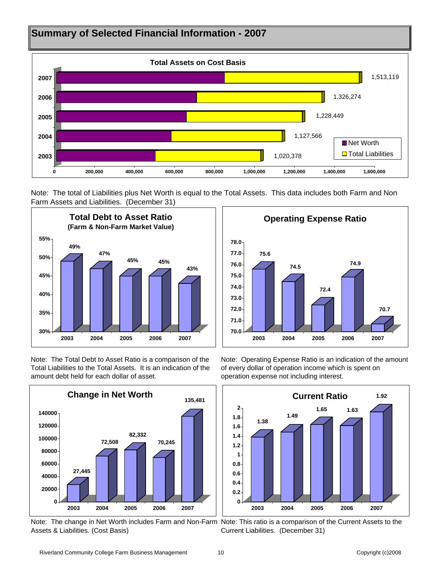

Note: The total of Liabilities plus Net Worth is equal to the Total Assets. This data includes both Farm and Non Farm Assets and Liabilities. (December 31)



Note: The Total Debt to Asset Ratio is a comparison of the Total Liabilities to the Total Assets. It is an indication of the amount debt held for each dollar of asset.



Assets & Liabilities. (Cost Basis)

**75.6 74.5 72.4 74.9 70.7 70.0 71.0 72.0 73.0 74.0 75.0 76.0 77.0 78.0 2003 2004 2005 2006 2007 Operating Expense Ratio**

Note: Operating Expense Ratio is an indication of the amount of every dollar of operation income which is spent on operation expense not including interest.



Note: The change in Net Worth includes Farm and Non-Farm Note: This ratio is a comparison of the Current Assets to the Current Liabilities. (December 31)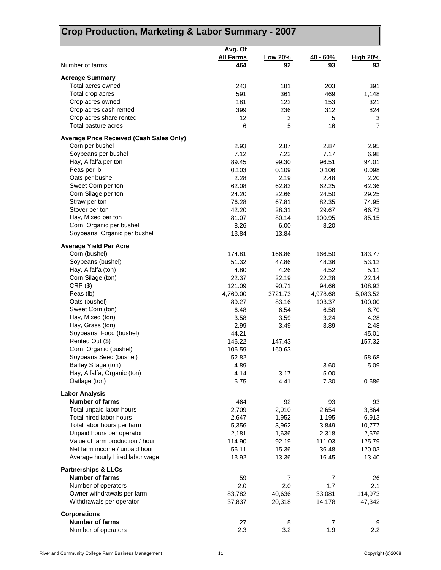# **Crop Production, Marketing & Labor Summary - 2007**

|                                                 | Avg. Of          |          |          |                     |
|-------------------------------------------------|------------------|----------|----------|---------------------|
|                                                 | <b>All Farms</b> | Low 20%  | 40 - 60% | <b>High 20%</b>     |
| Number of farms                                 | 464              | 92       | 93       | 93                  |
|                                                 |                  |          |          |                     |
| <b>Acreage Summary</b>                          |                  |          |          |                     |
| Total acres owned                               | 243              | 181      | 203      | 391                 |
| Total crop acres                                | 591              | 361      | 469      | 1,148               |
| Crop acres owned                                | 181              | 122      | 153      | 321                 |
| Crop acres cash rented                          | 399              | 236      | 312      | 824                 |
| Crop acres share rented<br>Total pasture acres  | 12<br>6          | 3<br>5   | 5<br>16  | 3<br>$\overline{7}$ |
|                                                 |                  |          |          |                     |
| <b>Average Price Received (Cash Sales Only)</b> |                  |          |          |                     |
| Corn per bushel                                 | 2.93             | 2.87     | 2.87     | 2.95                |
| Soybeans per bushel                             | 7.12             | 7.23     | 7.17     | 6.98                |
| Hay, Alfalfa per ton                            | 89.45            | 99.30    | 96.51    | 94.01               |
| Peas per lb                                     | 0.103            | 0.109    | 0.106    | 0.098               |
| Oats per bushel                                 | 2.28             | 2.19     | 2.48     | 2.20                |
| Sweet Corn per ton                              | 62.08            | 62.83    | 62.25    | 62.36               |
| Corn Silage per ton                             | 24.20            | 22.66    | 24.50    | 29.25               |
| Straw per ton                                   | 76.28            | 67.81    | 82.35    | 74.95               |
| Stover per ton                                  | 42.20            | 28.31    | 29.67    | 66.73               |
| Hay, Mixed per ton                              | 81.07            | 80.14    | 100.95   | 85.15               |
| Corn, Organic per bushel                        | 8.26             | 6.00     | 8.20     |                     |
| Soybeans, Organic per bushel                    | 13.84            | 13.84    |          |                     |
| <b>Average Yield Per Acre</b>                   |                  |          |          |                     |
| Corn (bushel)                                   | 174.81           | 166.86   | 166.50   | 183.77              |
| Soybeans (bushel)                               | 51.32            | 47.86    | 48.36    | 53.12               |
| Hay, Alfalfa (ton)                              | 4.80             | 4.26     | 4.52     | 5.11                |
| Corn Silage (ton)                               | 22.37            | 22.19    | 22.28    | 22.14               |
| $CRP($ \$)                                      | 121.09           | 90.71    | 94.66    | 108.92              |
| Peas (lb)                                       | 4,760.00         | 3721.73  | 4,978.68 | 5,083.52            |
| Oats (bushel)                                   | 89.27            | 83.16    | 103.37   | 100.00              |
| Sweet Corn (ton)                                | 6.48             | 6.54     | 6.58     | 6.70                |
| Hay, Mixed (ton)                                | 3.58             | 3.59     | 3.24     | 4.28                |
| Hay, Grass (ton)                                | 2.99             | 3.49     | 3.89     | 2.48                |
| Soybeans, Food (bushel)                         | 44.21            |          |          | 45.01               |
| Rented Out (\$)                                 |                  |          |          |                     |
| Corn, Organic (bushel)                          | 146.22           | 147.43   |          | 157.32              |
| Soybeans Seed (bushel)                          | 106.59           | 160.63   |          |                     |
|                                                 | 52.82            |          |          | 58.68               |
| Barley Silage (ton)                             | 4.89             |          | 3.60     | 5.09                |
| Hay, Alfalfa, Organic (ton)                     | 4.14             | 3.17     | 5.00     |                     |
| Oatlage (ton)                                   | 5.75             | 4.41     | 7.30     | 0.686               |
| <b>Labor Analysis</b>                           |                  |          |          |                     |
| <b>Number of farms</b>                          | 464              | 92       | 93       | 93                  |
| Total unpaid labor hours                        | 2,709            | 2,010    | 2,654    | 3,864               |
| Total hired labor hours                         | 2,647            | 1,952    | 1,195    | 6,913               |
| Total labor hours per farm                      | 5,356            | 3,962    | 3,849    | 10,777              |
| Unpaid hours per operator                       | 2,181            | 1,636    | 2,318    | 2,576               |
| Value of farm production / hour                 | 114.90           | 92.19    | 111.03   | 125.79              |
| Net farm income / unpaid hour                   | 56.11            | $-15.36$ | 36.48    | 120.03              |
| Average hourly hired labor wage                 | 13.92            | 13.36    | 16.45    | 13.40               |
| <b>Partnerships &amp; LLCs</b>                  |                  |          |          |                     |
| <b>Number of farms</b>                          | 59               | 7        | 7        | 26                  |
| Number of operators                             | 2.0              | 2.0      | 1.7      | 2.1                 |
| Owner withdrawals per farm                      | 83,782           | 40,636   | 33,081   | 114,973             |
| Withdrawals per operator                        | 37,837           | 20,318   | 14,178   | 47,342              |
| <b>Corporations</b>                             |                  |          |          |                     |
| <b>Number of farms</b>                          | 27               | 5        | 7        |                     |
| Number of operators                             | 2.3              | 3.2      | 1.9      | 2.2                 |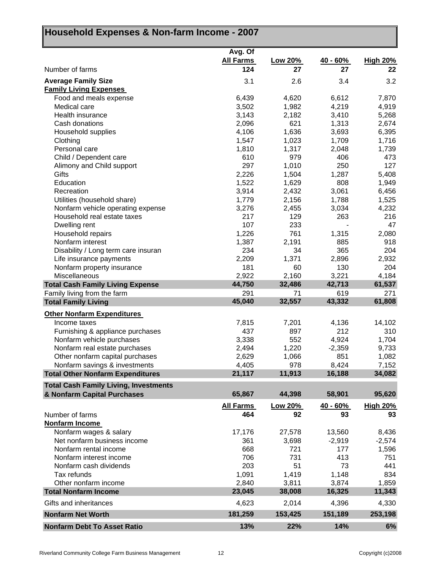|                                                                  | Avg. Of<br><b>All Farms</b> | <b>Low 20%</b> | <u>40 - 60%</u> | <b>High 20%</b>        |
|------------------------------------------------------------------|-----------------------------|----------------|-----------------|------------------------|
| Number of farms                                                  | 124                         | 27             | 27              | 22                     |
| <b>Average Family Size</b>                                       | 3.1                         | 2.6            | 3.4             | 3.2                    |
| <b>Family Living Expenses</b>                                    |                             |                |                 |                        |
| Food and meals expense                                           | 6,439                       | 4,620          | 6,612           | 7,870                  |
| Medical care                                                     | 3,502                       | 1,982          | 4,219           | 4,919                  |
| Health insurance                                                 | 3,143                       | 2,182          | 3,410           | 5,268                  |
| Cash donations                                                   | 2,096                       | 621            | 1,313           | 2,674                  |
| Household supplies                                               | 4,106                       | 1,636          | 3,693           | 6,395                  |
| Clothing                                                         | 1,547                       | 1,023          | 1,709           | 1,716                  |
| Personal care                                                    | 1,810                       | 1,317          | 2,048           | 1,739                  |
| Child / Dependent care                                           | 610                         | 979            | 406             | 473                    |
| Alimony and Child support                                        | 297                         | 1,010          | 250             | 127                    |
| Gifts<br>Education                                               | 2,226<br>1,522              | 1,504<br>1,629 | 1,287<br>808    | 5,408<br>1,949         |
| Recreation                                                       | 3,914                       |                | 3,061           | 6,456                  |
|                                                                  | 1,779                       | 2,432          |                 | 1,525                  |
| Utilities (household share)<br>Nonfarm vehicle operating expense | 3,276                       | 2,156<br>2,455 | 1,788<br>3,034  | 4,232                  |
| Household real estate taxes                                      | 217                         | 129            | 263             | 216                    |
| Dwelling rent                                                    | 107                         | 233            |                 | 47                     |
| Household repairs                                                | 1,226                       | 761            | 1,315           | 2,080                  |
| Nonfarm interest                                                 | 1,387                       | 2,191          | 885             | 918                    |
| Disability / Long term care insuran                              | 234                         | 34             | 365             | 204                    |
| Life insurance payments                                          | 2,209                       | 1,371          | 2,896           | 2,932                  |
| Nonfarm property insurance                                       | 181                         | 60             | 130             | 204                    |
| Miscellaneous                                                    | 2,922                       | 2,160          | 3,221           | 4,184                  |
| <b>Total Cash Family Living Expense</b>                          | 44,750                      | 32,486         | 42,713          | 61,537                 |
| Family living from the farm                                      | 291                         | 71             | 619             | 271                    |
| <b>Total Family Living</b>                                       | 45,040                      | 32,557         | 43,332          | 61,808                 |
| <b>Other Nonfarm Expenditures</b>                                |                             |                |                 |                        |
| Income taxes                                                     | 7,815                       | 7,201          | 4,136           | 14,102                 |
| Furnishing & appliance purchases                                 | 437                         | 897            | 212             | 310                    |
| Nonfarm vehicle purchases                                        | 3,338                       | 552            | 4,924           | 1,704                  |
| Nonfarm real estate purchases                                    | 2,494                       | 1,220          | $-2,359$        | 9,733                  |
| Other nonfarm capital purchases                                  | 2,629                       | 1,066          | 851             | 1,082                  |
| Nonfarm savings & investments                                    | 4,405                       | 978            | 8,424           | 7,152                  |
| <b>Total Other Nonfarm Expenditures</b>                          | 21,117                      | 11,913         | 16,188          | 34,082                 |
| <b>Total Cash Family Living, Investments</b>                     |                             |                |                 |                        |
| & Nonfarm Capital Purchases                                      | 65,867                      | 44,398         | 58,901          | 95,620                 |
|                                                                  | <b>All Farms</b>            | Low 20%        | <u>40 - 60%</u> | <b>High 20%</b>        |
| Number of farms                                                  | 464                         | 92             | 93              | 93                     |
| Nonfarm Income                                                   |                             |                |                 |                        |
| Nonfarm wages & salary                                           | 17,176                      | 27,578         | 13,560          | 8,436                  |
| Net nonfarm business income                                      | 361                         | 3,698          | $-2,919$        | $-2,574$               |
| Nonfarm rental income                                            | 668                         | 721            | 177             | 1,596                  |
|                                                                  | 706                         | 731            | 413             | 751                    |
| Nonfarm interest income                                          |                             |                |                 |                        |
| Nonfarm cash dividends                                           | 203                         | 51             | 73              | 441                    |
| Tax refunds                                                      | 1,091                       | 1,419          | 1,148           | 834                    |
| Other nonfarm income                                             | 2,840                       | 3,811          | 3,874           | 1,859                  |
| <b>Total Nonfarm Income</b>                                      | 23,045                      | 38,008         | 16,325          | 11,343                 |
| Gifts and inheritances                                           | 4,623                       | 2,014          | 4,396           |                        |
| <b>Nonfarm Net Worth</b><br><b>Nonfarm Debt To Asset Ratio</b>   | 181,259<br>13%              | 153,425<br>22% | 151,189<br>14%  | 4,330<br>253,198<br>6% |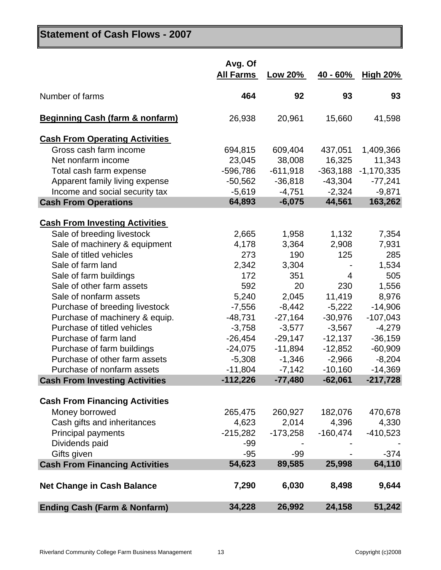### **Statement of Cash Flows - 2007**

|                                            | Avg. Of<br><b>All Farms</b> | <u>Low 20%</u> | 40 - 60%   | <b>High 20%</b> |
|--------------------------------------------|-----------------------------|----------------|------------|-----------------|
| Number of farms                            | 464                         | 92             | 93         | 93              |
| <b>Beginning Cash (farm &amp; nonfarm)</b> | 26,938                      | 20,961         | 15,660     | 41,598          |
| <b>Cash From Operating Activities</b>      |                             |                |            |                 |
| Gross cash farm income                     | 694,815                     | 609,404        | 437,051    | 1,409,366       |
| Net nonfarm income                         | 23,045                      | 38,008         | 16,325     | 11,343          |
| Total cash farm expense                    | -596,786                    | $-611,918$     | $-363,188$ | $-1,170,335$    |
| Apparent family living expense             | $-50,562$                   | $-36,818$      | $-43,304$  | $-77,241$       |
| Income and social security tax             | $-5,619$                    | $-4,751$       | $-2,324$   | $-9,871$        |
| <b>Cash From Operations</b>                | 64,893                      | $-6,075$       | 44,561     | 163,262         |
| <b>Cash From Investing Activities</b>      |                             |                |            |                 |
| Sale of breeding livestock                 | 2,665                       | 1,958          | 1,132      | 7,354           |
| Sale of machinery & equipment              | 4,178                       | 3,364          | 2,908      | 7,931           |
| Sale of titled vehicles                    | 273                         | 190            | 125        | 285             |
| Sale of farm land                          | 2,342                       | 3,304          |            | 1,534           |
| Sale of farm buildings                     | 172                         | 351            | 4          | 505             |
| Sale of other farm assets                  | 592                         | 20             | 230        | 1,556           |
| Sale of nonfarm assets                     | 5,240                       | 2,045          | 11,419     | 8,976           |
| Purchase of breeding livestock             | $-7,556$                    | $-8,442$       | $-5,222$   | $-14,906$       |
| Purchase of machinery & equip.             | $-48,731$                   | $-27,164$      | $-30,976$  | $-107,043$      |
| Purchase of titled vehicles                | $-3,758$                    | $-3,577$       | $-3,567$   | $-4,279$        |
| Purchase of farm land                      | $-26,454$                   | $-29,147$      | $-12,137$  | $-36,159$       |
| Purchase of farm buildings                 | $-24,075$                   | $-11,894$      | $-12,852$  | $-60,909$       |
| Purchase of other farm assets              | $-5,308$                    | $-1,346$       | $-2,966$   | $-8,204$        |
| Purchase of nonfarm assets                 | $-11,804$                   | $-7,142$       | $-10,160$  | $-14,369$       |
| <b>Cash From Investing Activities</b>      | $-112,226$                  | $-77,480$      | $-62,061$  | $-217,728$      |
| <b>Cash From Financing Activities</b>      |                             |                |            |                 |
| Money borrowed                             | 265,475                     | 260,927        | 182,076    | 470,678         |
| Cash gifts and inheritances                | 4,623                       | 2,014          | 4,396      | 4,330           |
| <b>Principal payments</b>                  | $-215,282$                  | $-173,258$     | $-160,474$ | $-410,523$      |
| Dividends paid                             | $-99$                       |                |            |                 |
| Gifts given                                | $-95$                       | -99            |            | $-374$          |
| <b>Cash From Financing Activities</b>      | 54,623                      | 89,585         | 25,998     | 64,110          |
| <b>Net Change in Cash Balance</b>          | 7,290                       | 6,030          | 8,498      | 9,644           |
| <b>Ending Cash (Farm &amp; Nonfarm)</b>    | 34,228                      | 26,992         | 24,158     | 51,242          |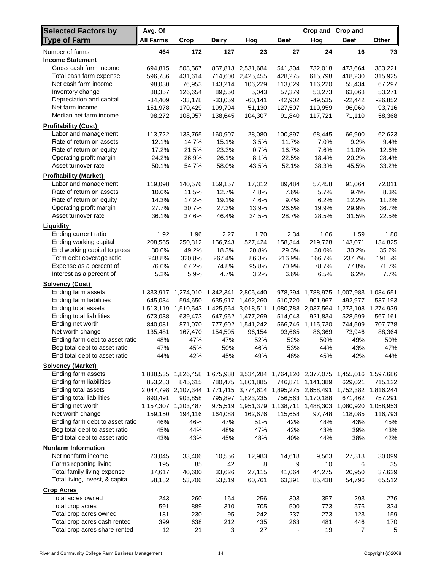| <b>All Farms</b><br>Type of Farm<br>Crop<br><b>Dairy</b><br><b>Beef</b><br>Hog<br><b>Beef</b><br>Other<br>Hog<br>464<br>172<br>127<br>23<br>27<br>24<br>16<br>73<br>Number of farms<br><b>Income Statement</b><br>Gross cash farm income<br>694,815<br>508,567<br>857,813<br>2,531,684<br>541,304<br>732,018<br>473,664<br>383,221<br>Total cash farm expense<br>596,786<br>431,614<br>714,600<br>2,425,455<br>428,275<br>615,798<br>418,230<br>315,925<br>Net cash farm income<br>67,297<br>98,030<br>76,953<br>143,214<br>106,229<br>113,029<br>116,220<br>55,434<br>Inventory change<br>88,357<br>126,654<br>89,550<br>57,379<br>53,273<br>63,068<br>53,271<br>5,043<br>Depreciation and capital<br>$-34,409$<br>$-33,178$<br>$-33,059$<br>$-60,141$<br>$-42,902$<br>$-49,535$<br>$-22,442$<br>$-26,852$<br>Net farm income<br>93,716<br>151,978<br>170,429<br>199,704<br>51,130<br>127,507<br>119,959<br>96,060<br>Median net farm income<br>98,272<br>108,057<br>104,307<br>91,840<br>117,721<br>71,110<br>58,368<br>138,645<br><b>Profitability (Cost)</b><br>Labor and management<br>113,722<br>133,765<br>160,907<br>$-28,080$<br>100,897<br>68,445<br>66,900<br>62,623<br>Rate of return on assets<br>14.7%<br>3.5%<br>11.7%<br>9.2%<br>12.1%<br>15.1%<br>7.0%<br>9.4%<br>Rate of return on equity<br>12.6%<br>17.2%<br>21.5%<br>23.3%<br>0.7%<br>16.7%<br>7.6%<br>11.0%<br>Operating profit margin<br>24.2%<br>26.9%<br>26.1%<br>8.1%<br>22.5%<br>18.4%<br>20.2%<br>28.4%<br>Asset turnover rate<br>50.1%<br>54.7%<br>58.0%<br>43.5%<br>52.1%<br>38.3%<br>45.5%<br>33.2%<br><b>Profitability (Market)</b><br>Labor and management<br>119,098<br>140,576<br>159,157<br>89,484<br>57,458<br>91,064<br>72,011<br>17,312<br>Rate of return on assets<br>4.8%<br>8.3%<br>10.0%<br>11.5%<br>12.7%<br>7.6%<br>5.7%<br>9.4%<br>Rate of return on equity<br>14.3%<br>17.2%<br>19.1%<br>4.6%<br>9.4%<br>6.2%<br>12.2%<br>11.2%<br>Operating profit margin<br>27.7%<br>30.7%<br>27.3%<br>13.9%<br>26.5%<br>19.9%<br>29.9%<br>36.7%<br>Asset turnover rate<br>36.1%<br>37.6%<br>46.4%<br>34.5%<br>28.7%<br>28.5%<br>31.5%<br>22.5%<br>Liquidity<br>Ending current ratio<br>1.92<br>1.96<br>2.27<br>1.70<br>2.34<br>1.66<br>1.59<br>1.80<br>Ending working capital<br>208,565<br>250,312<br>156,743<br>219,728<br>134,825<br>527,424<br>158,344<br>143,071<br>End working capital to gross<br>49.2%<br>18.3%<br>29.3%<br>30.2%<br>35.2%<br>30.0%<br>20.8%<br>30.0%<br>Term debt coverage ratio<br>191.5%<br>248.8%<br>320.8%<br>267.4%<br>86.3%<br>216.9%<br>166.7%<br>237.7%<br>Expense as a percent of<br>67.2%<br>74.8%<br>78.7%<br>77.8%<br>71.7%<br>76.0%<br>95.8%<br>70.9%<br>Interest as a percent of<br>5.2%<br>5.9%<br>4.7%<br>3.2%<br>6.6%<br>6.5%<br>6.2%<br>7.7%<br><b>Solvency (Cost)</b><br>Ending farm assets<br>1,333,917<br>1,274,010<br>1,342,341<br>2,805,440<br>978,294<br>1,788,975<br>1,007,983<br>1,084,651<br>Ending farm liabilities<br>645,034<br>594,650<br>635,917<br>1,462,260<br>510,720<br>492,977<br>537,193<br>901,967<br>Ending total assets<br>2,037,564<br>1,513,119<br>1,510,543<br>1,425,554<br>3,018,511<br>1,080,788<br>1,273,108<br>1,274,939<br>Ending total liabilities<br>673,038<br>639,473<br>514,043<br>921,834<br>528,599<br>647,952 1,477,269<br>567,161<br>Ending net worth<br>840,081<br>871,070<br>777,602 1,541,242<br>566,746<br>1,115,730<br>744,509<br>707,778<br>Net worth change<br>88,364<br>135,481<br>167,470<br>154,505<br>96,154<br>93,665<br>86,369<br>73,946<br>Ending farm debt to asset ratio<br>52%<br>52%<br>48%<br>47%<br>47%<br>50%<br>49%<br>50%<br>45%<br>43%<br>47%<br>Beg total debt to asset ratio<br>47%<br>50%<br>46%<br>53%<br>44%<br>End total debt to asset ratio<br>44%<br>42%<br>45%<br>49%<br>48%<br>45%<br>42%<br>44%<br><b>Solvency (Market)</b><br>Ending farm assets<br>1,838,535<br>1,826,458<br>1,675,988<br>3,534,284<br>1,764,120<br>2,377,075<br>1,455,016<br>1,597,686<br>Ending farm liabilities<br>845,615<br>853,283<br>780,475<br>1,801,885<br>746,871<br>1,141,389<br>629,021<br>715,122<br>Ending total assets<br>2,047,798 2,107,344<br>1,771,415<br>3,774,614<br>1,895,275<br>2,658,491<br>1,752,382<br>1,816,244<br>Ending total liabilities<br>903,858<br>671,462<br>890,491<br>795,897 1,823,235<br>756,563<br>1,170,188<br>757,291<br>Ending net worth<br>1,157,307<br>1,203,487<br>1,951,379 1,138,711<br>1,488,303<br>1,080,920 1,058,953<br>975,519<br>Net worth change<br>162,676<br>115,658<br>118,085<br>116,793<br>159,150<br>194,116<br>164,088<br>97,748<br>Ending farm debt to asset ratio<br>46%<br>46%<br>47%<br>51%<br>42%<br>48%<br>43%<br>45%<br>Beg total debt to asset ratio<br>44%<br>42%<br>45%<br>48%<br>47%<br>43%<br>39%<br>43%<br>End total debt to asset ratio<br>43%<br>43%<br>45%<br>48%<br>40%<br>44%<br>38%<br>42%<br><b>Nonfarm Information</b><br>Net nonfarm income<br>23,045<br>10,556<br>30,099<br>33,406<br>12,983<br>14,618<br>9,563<br>27,313<br>Farms reporting living<br>195<br>42<br>10<br>85<br>8<br>9<br>6<br>35<br>Total family living expense<br>37,617<br>40,600<br>33,626<br>44,275<br>37,629<br>27,115<br>41,064<br>20,950<br>Total living, invest, & capital<br>58,182<br>53,706<br>53,519<br>60,761<br>63,391<br>54,796<br>65,512<br>85,438<br><b>Crop Acres</b><br>Total acres owned<br>243<br>164<br>256<br>303<br>357<br>293<br>276<br>260<br>Total crop acres<br>591<br>889<br>310<br>705<br>500<br>773<br>576<br>334<br>Total crop acres owned<br>230<br>273<br>123<br>181<br>95<br>242<br>237<br>159<br>Total crop acres cash rented<br>399<br>638<br>212<br>435<br>263<br>481<br>446<br>170 | Selected Factors by           | Avg. Of |    |   |    | Crop and Crop and |                |   |
|-----------------------------------------------------------------------------------------------------------------------------------------------------------------------------------------------------------------------------------------------------------------------------------------------------------------------------------------------------------------------------------------------------------------------------------------------------------------------------------------------------------------------------------------------------------------------------------------------------------------------------------------------------------------------------------------------------------------------------------------------------------------------------------------------------------------------------------------------------------------------------------------------------------------------------------------------------------------------------------------------------------------------------------------------------------------------------------------------------------------------------------------------------------------------------------------------------------------------------------------------------------------------------------------------------------------------------------------------------------------------------------------------------------------------------------------------------------------------------------------------------------------------------------------------------------------------------------------------------------------------------------------------------------------------------------------------------------------------------------------------------------------------------------------------------------------------------------------------------------------------------------------------------------------------------------------------------------------------------------------------------------------------------------------------------------------------------------------------------------------------------------------------------------------------------------------------------------------------------------------------------------------------------------------------------------------------------------------------------------------------------------------------------------------------------------------------------------------------------------------------------------------------------------------------------------------------------------------------------------------------------------------------------------------------------------------------------------------------------------------------------------------------------------------------------------------------------------------------------------------------------------------------------------------------------------------------------------------------------------------------------------------------------------------------------------------------------------------------------------------------------------------------------------------------------------------------------------------------------------------------------------------------------------------------------------------------------------------------------------------------------------------------------------------------------------------------------------------------------------------------------------------------------------------------------------------------------------------------------------------------------------------------------------------------------------------------------------------------------------------------------------------------------------------------------------------------------------------------------------------------------------------------------------------------------------------------------------------------------------------------------------------------------------------------------------------------------------------------------------------------------------------------------------------------------------------------------------------------------------------------------------------------------------------------------------------------------------------------------------------------------------------------------------------------------------------------------------------------------------------------------------------------------------------------------------------------------------------------------------------------------------------------------------------------------------------------------------------------------------------------------------------------------------------------------------------------------------------------------------------------------------------------------------------------------------------------------------------------------------------------------------------------------------------------------------------------------------------------------------------------------------------------------------------------------------------------------------------------------------------------------------------------------------------------------------------------------------------------------------------------------------------------------------------------------------------------------------------------------------------------------------------------------------------------------------------------------------------------------------------------------------------------------------|-------------------------------|---------|----|---|----|-------------------|----------------|---|
|                                                                                                                                                                                                                                                                                                                                                                                                                                                                                                                                                                                                                                                                                                                                                                                                                                                                                                                                                                                                                                                                                                                                                                                                                                                                                                                                                                                                                                                                                                                                                                                                                                                                                                                                                                                                                                                                                                                                                                                                                                                                                                                                                                                                                                                                                                                                                                                                                                                                                                                                                                                                                                                                                                                                                                                                                                                                                                                                                                                                                                                                                                                                                                                                                                                                                                                                                                                                                                                                                                                                                                                                                                                                                                                                                                                                                                                                                                                                                                                                                                                                                                                                                                                                                                                                                                                                                                                                                                                                                                                                                                                                                                                                                                                                                                                                                                                                                                                                                                                                                                                                                                                                                                                                                                                                                                                                                                                                                                                                                                                                                                                                                                                           |                               |         |    |   |    |                   |                |   |
|                                                                                                                                                                                                                                                                                                                                                                                                                                                                                                                                                                                                                                                                                                                                                                                                                                                                                                                                                                                                                                                                                                                                                                                                                                                                                                                                                                                                                                                                                                                                                                                                                                                                                                                                                                                                                                                                                                                                                                                                                                                                                                                                                                                                                                                                                                                                                                                                                                                                                                                                                                                                                                                                                                                                                                                                                                                                                                                                                                                                                                                                                                                                                                                                                                                                                                                                                                                                                                                                                                                                                                                                                                                                                                                                                                                                                                                                                                                                                                                                                                                                                                                                                                                                                                                                                                                                                                                                                                                                                                                                                                                                                                                                                                                                                                                                                                                                                                                                                                                                                                                                                                                                                                                                                                                                                                                                                                                                                                                                                                                                                                                                                                                           |                               |         |    |   |    |                   |                |   |
|                                                                                                                                                                                                                                                                                                                                                                                                                                                                                                                                                                                                                                                                                                                                                                                                                                                                                                                                                                                                                                                                                                                                                                                                                                                                                                                                                                                                                                                                                                                                                                                                                                                                                                                                                                                                                                                                                                                                                                                                                                                                                                                                                                                                                                                                                                                                                                                                                                                                                                                                                                                                                                                                                                                                                                                                                                                                                                                                                                                                                                                                                                                                                                                                                                                                                                                                                                                                                                                                                                                                                                                                                                                                                                                                                                                                                                                                                                                                                                                                                                                                                                                                                                                                                                                                                                                                                                                                                                                                                                                                                                                                                                                                                                                                                                                                                                                                                                                                                                                                                                                                                                                                                                                                                                                                                                                                                                                                                                                                                                                                                                                                                                                           |                               |         |    |   |    |                   |                |   |
|                                                                                                                                                                                                                                                                                                                                                                                                                                                                                                                                                                                                                                                                                                                                                                                                                                                                                                                                                                                                                                                                                                                                                                                                                                                                                                                                                                                                                                                                                                                                                                                                                                                                                                                                                                                                                                                                                                                                                                                                                                                                                                                                                                                                                                                                                                                                                                                                                                                                                                                                                                                                                                                                                                                                                                                                                                                                                                                                                                                                                                                                                                                                                                                                                                                                                                                                                                                                                                                                                                                                                                                                                                                                                                                                                                                                                                                                                                                                                                                                                                                                                                                                                                                                                                                                                                                                                                                                                                                                                                                                                                                                                                                                                                                                                                                                                                                                                                                                                                                                                                                                                                                                                                                                                                                                                                                                                                                                                                                                                                                                                                                                                                                           |                               |         |    |   |    |                   |                |   |
|                                                                                                                                                                                                                                                                                                                                                                                                                                                                                                                                                                                                                                                                                                                                                                                                                                                                                                                                                                                                                                                                                                                                                                                                                                                                                                                                                                                                                                                                                                                                                                                                                                                                                                                                                                                                                                                                                                                                                                                                                                                                                                                                                                                                                                                                                                                                                                                                                                                                                                                                                                                                                                                                                                                                                                                                                                                                                                                                                                                                                                                                                                                                                                                                                                                                                                                                                                                                                                                                                                                                                                                                                                                                                                                                                                                                                                                                                                                                                                                                                                                                                                                                                                                                                                                                                                                                                                                                                                                                                                                                                                                                                                                                                                                                                                                                                                                                                                                                                                                                                                                                                                                                                                                                                                                                                                                                                                                                                                                                                                                                                                                                                                                           |                               |         |    |   |    |                   |                |   |
|                                                                                                                                                                                                                                                                                                                                                                                                                                                                                                                                                                                                                                                                                                                                                                                                                                                                                                                                                                                                                                                                                                                                                                                                                                                                                                                                                                                                                                                                                                                                                                                                                                                                                                                                                                                                                                                                                                                                                                                                                                                                                                                                                                                                                                                                                                                                                                                                                                                                                                                                                                                                                                                                                                                                                                                                                                                                                                                                                                                                                                                                                                                                                                                                                                                                                                                                                                                                                                                                                                                                                                                                                                                                                                                                                                                                                                                                                                                                                                                                                                                                                                                                                                                                                                                                                                                                                                                                                                                                                                                                                                                                                                                                                                                                                                                                                                                                                                                                                                                                                                                                                                                                                                                                                                                                                                                                                                                                                                                                                                                                                                                                                                                           |                               |         |    |   |    |                   |                |   |
|                                                                                                                                                                                                                                                                                                                                                                                                                                                                                                                                                                                                                                                                                                                                                                                                                                                                                                                                                                                                                                                                                                                                                                                                                                                                                                                                                                                                                                                                                                                                                                                                                                                                                                                                                                                                                                                                                                                                                                                                                                                                                                                                                                                                                                                                                                                                                                                                                                                                                                                                                                                                                                                                                                                                                                                                                                                                                                                                                                                                                                                                                                                                                                                                                                                                                                                                                                                                                                                                                                                                                                                                                                                                                                                                                                                                                                                                                                                                                                                                                                                                                                                                                                                                                                                                                                                                                                                                                                                                                                                                                                                                                                                                                                                                                                                                                                                                                                                                                                                                                                                                                                                                                                                                                                                                                                                                                                                                                                                                                                                                                                                                                                                           |                               |         |    |   |    |                   |                |   |
|                                                                                                                                                                                                                                                                                                                                                                                                                                                                                                                                                                                                                                                                                                                                                                                                                                                                                                                                                                                                                                                                                                                                                                                                                                                                                                                                                                                                                                                                                                                                                                                                                                                                                                                                                                                                                                                                                                                                                                                                                                                                                                                                                                                                                                                                                                                                                                                                                                                                                                                                                                                                                                                                                                                                                                                                                                                                                                                                                                                                                                                                                                                                                                                                                                                                                                                                                                                                                                                                                                                                                                                                                                                                                                                                                                                                                                                                                                                                                                                                                                                                                                                                                                                                                                                                                                                                                                                                                                                                                                                                                                                                                                                                                                                                                                                                                                                                                                                                                                                                                                                                                                                                                                                                                                                                                                                                                                                                                                                                                                                                                                                                                                                           |                               |         |    |   |    |                   |                |   |
|                                                                                                                                                                                                                                                                                                                                                                                                                                                                                                                                                                                                                                                                                                                                                                                                                                                                                                                                                                                                                                                                                                                                                                                                                                                                                                                                                                                                                                                                                                                                                                                                                                                                                                                                                                                                                                                                                                                                                                                                                                                                                                                                                                                                                                                                                                                                                                                                                                                                                                                                                                                                                                                                                                                                                                                                                                                                                                                                                                                                                                                                                                                                                                                                                                                                                                                                                                                                                                                                                                                                                                                                                                                                                                                                                                                                                                                                                                                                                                                                                                                                                                                                                                                                                                                                                                                                                                                                                                                                                                                                                                                                                                                                                                                                                                                                                                                                                                                                                                                                                                                                                                                                                                                                                                                                                                                                                                                                                                                                                                                                                                                                                                                           |                               |         |    |   |    |                   |                |   |
|                                                                                                                                                                                                                                                                                                                                                                                                                                                                                                                                                                                                                                                                                                                                                                                                                                                                                                                                                                                                                                                                                                                                                                                                                                                                                                                                                                                                                                                                                                                                                                                                                                                                                                                                                                                                                                                                                                                                                                                                                                                                                                                                                                                                                                                                                                                                                                                                                                                                                                                                                                                                                                                                                                                                                                                                                                                                                                                                                                                                                                                                                                                                                                                                                                                                                                                                                                                                                                                                                                                                                                                                                                                                                                                                                                                                                                                                                                                                                                                                                                                                                                                                                                                                                                                                                                                                                                                                                                                                                                                                                                                                                                                                                                                                                                                                                                                                                                                                                                                                                                                                                                                                                                                                                                                                                                                                                                                                                                                                                                                                                                                                                                                           |                               |         |    |   |    |                   |                |   |
|                                                                                                                                                                                                                                                                                                                                                                                                                                                                                                                                                                                                                                                                                                                                                                                                                                                                                                                                                                                                                                                                                                                                                                                                                                                                                                                                                                                                                                                                                                                                                                                                                                                                                                                                                                                                                                                                                                                                                                                                                                                                                                                                                                                                                                                                                                                                                                                                                                                                                                                                                                                                                                                                                                                                                                                                                                                                                                                                                                                                                                                                                                                                                                                                                                                                                                                                                                                                                                                                                                                                                                                                                                                                                                                                                                                                                                                                                                                                                                                                                                                                                                                                                                                                                                                                                                                                                                                                                                                                                                                                                                                                                                                                                                                                                                                                                                                                                                                                                                                                                                                                                                                                                                                                                                                                                                                                                                                                                                                                                                                                                                                                                                                           |                               |         |    |   |    |                   |                |   |
|                                                                                                                                                                                                                                                                                                                                                                                                                                                                                                                                                                                                                                                                                                                                                                                                                                                                                                                                                                                                                                                                                                                                                                                                                                                                                                                                                                                                                                                                                                                                                                                                                                                                                                                                                                                                                                                                                                                                                                                                                                                                                                                                                                                                                                                                                                                                                                                                                                                                                                                                                                                                                                                                                                                                                                                                                                                                                                                                                                                                                                                                                                                                                                                                                                                                                                                                                                                                                                                                                                                                                                                                                                                                                                                                                                                                                                                                                                                                                                                                                                                                                                                                                                                                                                                                                                                                                                                                                                                                                                                                                                                                                                                                                                                                                                                                                                                                                                                                                                                                                                                                                                                                                                                                                                                                                                                                                                                                                                                                                                                                                                                                                                                           |                               |         |    |   |    |                   |                |   |
|                                                                                                                                                                                                                                                                                                                                                                                                                                                                                                                                                                                                                                                                                                                                                                                                                                                                                                                                                                                                                                                                                                                                                                                                                                                                                                                                                                                                                                                                                                                                                                                                                                                                                                                                                                                                                                                                                                                                                                                                                                                                                                                                                                                                                                                                                                                                                                                                                                                                                                                                                                                                                                                                                                                                                                                                                                                                                                                                                                                                                                                                                                                                                                                                                                                                                                                                                                                                                                                                                                                                                                                                                                                                                                                                                                                                                                                                                                                                                                                                                                                                                                                                                                                                                                                                                                                                                                                                                                                                                                                                                                                                                                                                                                                                                                                                                                                                                                                                                                                                                                                                                                                                                                                                                                                                                                                                                                                                                                                                                                                                                                                                                                                           |                               |         |    |   |    |                   |                |   |
|                                                                                                                                                                                                                                                                                                                                                                                                                                                                                                                                                                                                                                                                                                                                                                                                                                                                                                                                                                                                                                                                                                                                                                                                                                                                                                                                                                                                                                                                                                                                                                                                                                                                                                                                                                                                                                                                                                                                                                                                                                                                                                                                                                                                                                                                                                                                                                                                                                                                                                                                                                                                                                                                                                                                                                                                                                                                                                                                                                                                                                                                                                                                                                                                                                                                                                                                                                                                                                                                                                                                                                                                                                                                                                                                                                                                                                                                                                                                                                                                                                                                                                                                                                                                                                                                                                                                                                                                                                                                                                                                                                                                                                                                                                                                                                                                                                                                                                                                                                                                                                                                                                                                                                                                                                                                                                                                                                                                                                                                                                                                                                                                                                                           |                               |         |    |   |    |                   |                |   |
|                                                                                                                                                                                                                                                                                                                                                                                                                                                                                                                                                                                                                                                                                                                                                                                                                                                                                                                                                                                                                                                                                                                                                                                                                                                                                                                                                                                                                                                                                                                                                                                                                                                                                                                                                                                                                                                                                                                                                                                                                                                                                                                                                                                                                                                                                                                                                                                                                                                                                                                                                                                                                                                                                                                                                                                                                                                                                                                                                                                                                                                                                                                                                                                                                                                                                                                                                                                                                                                                                                                                                                                                                                                                                                                                                                                                                                                                                                                                                                                                                                                                                                                                                                                                                                                                                                                                                                                                                                                                                                                                                                                                                                                                                                                                                                                                                                                                                                                                                                                                                                                                                                                                                                                                                                                                                                                                                                                                                                                                                                                                                                                                                                                           |                               |         |    |   |    |                   |                |   |
|                                                                                                                                                                                                                                                                                                                                                                                                                                                                                                                                                                                                                                                                                                                                                                                                                                                                                                                                                                                                                                                                                                                                                                                                                                                                                                                                                                                                                                                                                                                                                                                                                                                                                                                                                                                                                                                                                                                                                                                                                                                                                                                                                                                                                                                                                                                                                                                                                                                                                                                                                                                                                                                                                                                                                                                                                                                                                                                                                                                                                                                                                                                                                                                                                                                                                                                                                                                                                                                                                                                                                                                                                                                                                                                                                                                                                                                                                                                                                                                                                                                                                                                                                                                                                                                                                                                                                                                                                                                                                                                                                                                                                                                                                                                                                                                                                                                                                                                                                                                                                                                                                                                                                                                                                                                                                                                                                                                                                                                                                                                                                                                                                                                           |                               |         |    |   |    |                   |                |   |
|                                                                                                                                                                                                                                                                                                                                                                                                                                                                                                                                                                                                                                                                                                                                                                                                                                                                                                                                                                                                                                                                                                                                                                                                                                                                                                                                                                                                                                                                                                                                                                                                                                                                                                                                                                                                                                                                                                                                                                                                                                                                                                                                                                                                                                                                                                                                                                                                                                                                                                                                                                                                                                                                                                                                                                                                                                                                                                                                                                                                                                                                                                                                                                                                                                                                                                                                                                                                                                                                                                                                                                                                                                                                                                                                                                                                                                                                                                                                                                                                                                                                                                                                                                                                                                                                                                                                                                                                                                                                                                                                                                                                                                                                                                                                                                                                                                                                                                                                                                                                                                                                                                                                                                                                                                                                                                                                                                                                                                                                                                                                                                                                                                                           |                               |         |    |   |    |                   |                |   |
|                                                                                                                                                                                                                                                                                                                                                                                                                                                                                                                                                                                                                                                                                                                                                                                                                                                                                                                                                                                                                                                                                                                                                                                                                                                                                                                                                                                                                                                                                                                                                                                                                                                                                                                                                                                                                                                                                                                                                                                                                                                                                                                                                                                                                                                                                                                                                                                                                                                                                                                                                                                                                                                                                                                                                                                                                                                                                                                                                                                                                                                                                                                                                                                                                                                                                                                                                                                                                                                                                                                                                                                                                                                                                                                                                                                                                                                                                                                                                                                                                                                                                                                                                                                                                                                                                                                                                                                                                                                                                                                                                                                                                                                                                                                                                                                                                                                                                                                                                                                                                                                                                                                                                                                                                                                                                                                                                                                                                                                                                                                                                                                                                                                           |                               |         |    |   |    |                   |                |   |
|                                                                                                                                                                                                                                                                                                                                                                                                                                                                                                                                                                                                                                                                                                                                                                                                                                                                                                                                                                                                                                                                                                                                                                                                                                                                                                                                                                                                                                                                                                                                                                                                                                                                                                                                                                                                                                                                                                                                                                                                                                                                                                                                                                                                                                                                                                                                                                                                                                                                                                                                                                                                                                                                                                                                                                                                                                                                                                                                                                                                                                                                                                                                                                                                                                                                                                                                                                                                                                                                                                                                                                                                                                                                                                                                                                                                                                                                                                                                                                                                                                                                                                                                                                                                                                                                                                                                                                                                                                                                                                                                                                                                                                                                                                                                                                                                                                                                                                                                                                                                                                                                                                                                                                                                                                                                                                                                                                                                                                                                                                                                                                                                                                                           |                               |         |    |   |    |                   |                |   |
|                                                                                                                                                                                                                                                                                                                                                                                                                                                                                                                                                                                                                                                                                                                                                                                                                                                                                                                                                                                                                                                                                                                                                                                                                                                                                                                                                                                                                                                                                                                                                                                                                                                                                                                                                                                                                                                                                                                                                                                                                                                                                                                                                                                                                                                                                                                                                                                                                                                                                                                                                                                                                                                                                                                                                                                                                                                                                                                                                                                                                                                                                                                                                                                                                                                                                                                                                                                                                                                                                                                                                                                                                                                                                                                                                                                                                                                                                                                                                                                                                                                                                                                                                                                                                                                                                                                                                                                                                                                                                                                                                                                                                                                                                                                                                                                                                                                                                                                                                                                                                                                                                                                                                                                                                                                                                                                                                                                                                                                                                                                                                                                                                                                           |                               |         |    |   |    |                   |                |   |
|                                                                                                                                                                                                                                                                                                                                                                                                                                                                                                                                                                                                                                                                                                                                                                                                                                                                                                                                                                                                                                                                                                                                                                                                                                                                                                                                                                                                                                                                                                                                                                                                                                                                                                                                                                                                                                                                                                                                                                                                                                                                                                                                                                                                                                                                                                                                                                                                                                                                                                                                                                                                                                                                                                                                                                                                                                                                                                                                                                                                                                                                                                                                                                                                                                                                                                                                                                                                                                                                                                                                                                                                                                                                                                                                                                                                                                                                                                                                                                                                                                                                                                                                                                                                                                                                                                                                                                                                                                                                                                                                                                                                                                                                                                                                                                                                                                                                                                                                                                                                                                                                                                                                                                                                                                                                                                                                                                                                                                                                                                                                                                                                                                                           |                               |         |    |   |    |                   |                |   |
|                                                                                                                                                                                                                                                                                                                                                                                                                                                                                                                                                                                                                                                                                                                                                                                                                                                                                                                                                                                                                                                                                                                                                                                                                                                                                                                                                                                                                                                                                                                                                                                                                                                                                                                                                                                                                                                                                                                                                                                                                                                                                                                                                                                                                                                                                                                                                                                                                                                                                                                                                                                                                                                                                                                                                                                                                                                                                                                                                                                                                                                                                                                                                                                                                                                                                                                                                                                                                                                                                                                                                                                                                                                                                                                                                                                                                                                                                                                                                                                                                                                                                                                                                                                                                                                                                                                                                                                                                                                                                                                                                                                                                                                                                                                                                                                                                                                                                                                                                                                                                                                                                                                                                                                                                                                                                                                                                                                                                                                                                                                                                                                                                                                           |                               |         |    |   |    |                   |                |   |
|                                                                                                                                                                                                                                                                                                                                                                                                                                                                                                                                                                                                                                                                                                                                                                                                                                                                                                                                                                                                                                                                                                                                                                                                                                                                                                                                                                                                                                                                                                                                                                                                                                                                                                                                                                                                                                                                                                                                                                                                                                                                                                                                                                                                                                                                                                                                                                                                                                                                                                                                                                                                                                                                                                                                                                                                                                                                                                                                                                                                                                                                                                                                                                                                                                                                                                                                                                                                                                                                                                                                                                                                                                                                                                                                                                                                                                                                                                                                                                                                                                                                                                                                                                                                                                                                                                                                                                                                                                                                                                                                                                                                                                                                                                                                                                                                                                                                                                                                                                                                                                                                                                                                                                                                                                                                                                                                                                                                                                                                                                                                                                                                                                                           |                               |         |    |   |    |                   |                |   |
|                                                                                                                                                                                                                                                                                                                                                                                                                                                                                                                                                                                                                                                                                                                                                                                                                                                                                                                                                                                                                                                                                                                                                                                                                                                                                                                                                                                                                                                                                                                                                                                                                                                                                                                                                                                                                                                                                                                                                                                                                                                                                                                                                                                                                                                                                                                                                                                                                                                                                                                                                                                                                                                                                                                                                                                                                                                                                                                                                                                                                                                                                                                                                                                                                                                                                                                                                                                                                                                                                                                                                                                                                                                                                                                                                                                                                                                                                                                                                                                                                                                                                                                                                                                                                                                                                                                                                                                                                                                                                                                                                                                                                                                                                                                                                                                                                                                                                                                                                                                                                                                                                                                                                                                                                                                                                                                                                                                                                                                                                                                                                                                                                                                           |                               |         |    |   |    |                   |                |   |
|                                                                                                                                                                                                                                                                                                                                                                                                                                                                                                                                                                                                                                                                                                                                                                                                                                                                                                                                                                                                                                                                                                                                                                                                                                                                                                                                                                                                                                                                                                                                                                                                                                                                                                                                                                                                                                                                                                                                                                                                                                                                                                                                                                                                                                                                                                                                                                                                                                                                                                                                                                                                                                                                                                                                                                                                                                                                                                                                                                                                                                                                                                                                                                                                                                                                                                                                                                                                                                                                                                                                                                                                                                                                                                                                                                                                                                                                                                                                                                                                                                                                                                                                                                                                                                                                                                                                                                                                                                                                                                                                                                                                                                                                                                                                                                                                                                                                                                                                                                                                                                                                                                                                                                                                                                                                                                                                                                                                                                                                                                                                                                                                                                                           |                               |         |    |   |    |                   |                |   |
|                                                                                                                                                                                                                                                                                                                                                                                                                                                                                                                                                                                                                                                                                                                                                                                                                                                                                                                                                                                                                                                                                                                                                                                                                                                                                                                                                                                                                                                                                                                                                                                                                                                                                                                                                                                                                                                                                                                                                                                                                                                                                                                                                                                                                                                                                                                                                                                                                                                                                                                                                                                                                                                                                                                                                                                                                                                                                                                                                                                                                                                                                                                                                                                                                                                                                                                                                                                                                                                                                                                                                                                                                                                                                                                                                                                                                                                                                                                                                                                                                                                                                                                                                                                                                                                                                                                                                                                                                                                                                                                                                                                                                                                                                                                                                                                                                                                                                                                                                                                                                                                                                                                                                                                                                                                                                                                                                                                                                                                                                                                                                                                                                                                           |                               |         |    |   |    |                   |                |   |
|                                                                                                                                                                                                                                                                                                                                                                                                                                                                                                                                                                                                                                                                                                                                                                                                                                                                                                                                                                                                                                                                                                                                                                                                                                                                                                                                                                                                                                                                                                                                                                                                                                                                                                                                                                                                                                                                                                                                                                                                                                                                                                                                                                                                                                                                                                                                                                                                                                                                                                                                                                                                                                                                                                                                                                                                                                                                                                                                                                                                                                                                                                                                                                                                                                                                                                                                                                                                                                                                                                                                                                                                                                                                                                                                                                                                                                                                                                                                                                                                                                                                                                                                                                                                                                                                                                                                                                                                                                                                                                                                                                                                                                                                                                                                                                                                                                                                                                                                                                                                                                                                                                                                                                                                                                                                                                                                                                                                                                                                                                                                                                                                                                                           |                               |         |    |   |    |                   |                |   |
|                                                                                                                                                                                                                                                                                                                                                                                                                                                                                                                                                                                                                                                                                                                                                                                                                                                                                                                                                                                                                                                                                                                                                                                                                                                                                                                                                                                                                                                                                                                                                                                                                                                                                                                                                                                                                                                                                                                                                                                                                                                                                                                                                                                                                                                                                                                                                                                                                                                                                                                                                                                                                                                                                                                                                                                                                                                                                                                                                                                                                                                                                                                                                                                                                                                                                                                                                                                                                                                                                                                                                                                                                                                                                                                                                                                                                                                                                                                                                                                                                                                                                                                                                                                                                                                                                                                                                                                                                                                                                                                                                                                                                                                                                                                                                                                                                                                                                                                                                                                                                                                                                                                                                                                                                                                                                                                                                                                                                                                                                                                                                                                                                                                           |                               |         |    |   |    |                   |                |   |
|                                                                                                                                                                                                                                                                                                                                                                                                                                                                                                                                                                                                                                                                                                                                                                                                                                                                                                                                                                                                                                                                                                                                                                                                                                                                                                                                                                                                                                                                                                                                                                                                                                                                                                                                                                                                                                                                                                                                                                                                                                                                                                                                                                                                                                                                                                                                                                                                                                                                                                                                                                                                                                                                                                                                                                                                                                                                                                                                                                                                                                                                                                                                                                                                                                                                                                                                                                                                                                                                                                                                                                                                                                                                                                                                                                                                                                                                                                                                                                                                                                                                                                                                                                                                                                                                                                                                                                                                                                                                                                                                                                                                                                                                                                                                                                                                                                                                                                                                                                                                                                                                                                                                                                                                                                                                                                                                                                                                                                                                                                                                                                                                                                                           |                               |         |    |   |    |                   |                |   |
|                                                                                                                                                                                                                                                                                                                                                                                                                                                                                                                                                                                                                                                                                                                                                                                                                                                                                                                                                                                                                                                                                                                                                                                                                                                                                                                                                                                                                                                                                                                                                                                                                                                                                                                                                                                                                                                                                                                                                                                                                                                                                                                                                                                                                                                                                                                                                                                                                                                                                                                                                                                                                                                                                                                                                                                                                                                                                                                                                                                                                                                                                                                                                                                                                                                                                                                                                                                                                                                                                                                                                                                                                                                                                                                                                                                                                                                                                                                                                                                                                                                                                                                                                                                                                                                                                                                                                                                                                                                                                                                                                                                                                                                                                                                                                                                                                                                                                                                                                                                                                                                                                                                                                                                                                                                                                                                                                                                                                                                                                                                                                                                                                                                           |                               |         |    |   |    |                   |                |   |
|                                                                                                                                                                                                                                                                                                                                                                                                                                                                                                                                                                                                                                                                                                                                                                                                                                                                                                                                                                                                                                                                                                                                                                                                                                                                                                                                                                                                                                                                                                                                                                                                                                                                                                                                                                                                                                                                                                                                                                                                                                                                                                                                                                                                                                                                                                                                                                                                                                                                                                                                                                                                                                                                                                                                                                                                                                                                                                                                                                                                                                                                                                                                                                                                                                                                                                                                                                                                                                                                                                                                                                                                                                                                                                                                                                                                                                                                                                                                                                                                                                                                                                                                                                                                                                                                                                                                                                                                                                                                                                                                                                                                                                                                                                                                                                                                                                                                                                                                                                                                                                                                                                                                                                                                                                                                                                                                                                                                                                                                                                                                                                                                                                                           |                               |         |    |   |    |                   |                |   |
|                                                                                                                                                                                                                                                                                                                                                                                                                                                                                                                                                                                                                                                                                                                                                                                                                                                                                                                                                                                                                                                                                                                                                                                                                                                                                                                                                                                                                                                                                                                                                                                                                                                                                                                                                                                                                                                                                                                                                                                                                                                                                                                                                                                                                                                                                                                                                                                                                                                                                                                                                                                                                                                                                                                                                                                                                                                                                                                                                                                                                                                                                                                                                                                                                                                                                                                                                                                                                                                                                                                                                                                                                                                                                                                                                                                                                                                                                                                                                                                                                                                                                                                                                                                                                                                                                                                                                                                                                                                                                                                                                                                                                                                                                                                                                                                                                                                                                                                                                                                                                                                                                                                                                                                                                                                                                                                                                                                                                                                                                                                                                                                                                                                           |                               |         |    |   |    |                   |                |   |
|                                                                                                                                                                                                                                                                                                                                                                                                                                                                                                                                                                                                                                                                                                                                                                                                                                                                                                                                                                                                                                                                                                                                                                                                                                                                                                                                                                                                                                                                                                                                                                                                                                                                                                                                                                                                                                                                                                                                                                                                                                                                                                                                                                                                                                                                                                                                                                                                                                                                                                                                                                                                                                                                                                                                                                                                                                                                                                                                                                                                                                                                                                                                                                                                                                                                                                                                                                                                                                                                                                                                                                                                                                                                                                                                                                                                                                                                                                                                                                                                                                                                                                                                                                                                                                                                                                                                                                                                                                                                                                                                                                                                                                                                                                                                                                                                                                                                                                                                                                                                                                                                                                                                                                                                                                                                                                                                                                                                                                                                                                                                                                                                                                                           |                               |         |    |   |    |                   |                |   |
|                                                                                                                                                                                                                                                                                                                                                                                                                                                                                                                                                                                                                                                                                                                                                                                                                                                                                                                                                                                                                                                                                                                                                                                                                                                                                                                                                                                                                                                                                                                                                                                                                                                                                                                                                                                                                                                                                                                                                                                                                                                                                                                                                                                                                                                                                                                                                                                                                                                                                                                                                                                                                                                                                                                                                                                                                                                                                                                                                                                                                                                                                                                                                                                                                                                                                                                                                                                                                                                                                                                                                                                                                                                                                                                                                                                                                                                                                                                                                                                                                                                                                                                                                                                                                                                                                                                                                                                                                                                                                                                                                                                                                                                                                                                                                                                                                                                                                                                                                                                                                                                                                                                                                                                                                                                                                                                                                                                                                                                                                                                                                                                                                                                           |                               |         |    |   |    |                   |                |   |
|                                                                                                                                                                                                                                                                                                                                                                                                                                                                                                                                                                                                                                                                                                                                                                                                                                                                                                                                                                                                                                                                                                                                                                                                                                                                                                                                                                                                                                                                                                                                                                                                                                                                                                                                                                                                                                                                                                                                                                                                                                                                                                                                                                                                                                                                                                                                                                                                                                                                                                                                                                                                                                                                                                                                                                                                                                                                                                                                                                                                                                                                                                                                                                                                                                                                                                                                                                                                                                                                                                                                                                                                                                                                                                                                                                                                                                                                                                                                                                                                                                                                                                                                                                                                                                                                                                                                                                                                                                                                                                                                                                                                                                                                                                                                                                                                                                                                                                                                                                                                                                                                                                                                                                                                                                                                                                                                                                                                                                                                                                                                                                                                                                                           |                               |         |    |   |    |                   |                |   |
|                                                                                                                                                                                                                                                                                                                                                                                                                                                                                                                                                                                                                                                                                                                                                                                                                                                                                                                                                                                                                                                                                                                                                                                                                                                                                                                                                                                                                                                                                                                                                                                                                                                                                                                                                                                                                                                                                                                                                                                                                                                                                                                                                                                                                                                                                                                                                                                                                                                                                                                                                                                                                                                                                                                                                                                                                                                                                                                                                                                                                                                                                                                                                                                                                                                                                                                                                                                                                                                                                                                                                                                                                                                                                                                                                                                                                                                                                                                                                                                                                                                                                                                                                                                                                                                                                                                                                                                                                                                                                                                                                                                                                                                                                                                                                                                                                                                                                                                                                                                                                                                                                                                                                                                                                                                                                                                                                                                                                                                                                                                                                                                                                                                           |                               |         |    |   |    |                   |                |   |
|                                                                                                                                                                                                                                                                                                                                                                                                                                                                                                                                                                                                                                                                                                                                                                                                                                                                                                                                                                                                                                                                                                                                                                                                                                                                                                                                                                                                                                                                                                                                                                                                                                                                                                                                                                                                                                                                                                                                                                                                                                                                                                                                                                                                                                                                                                                                                                                                                                                                                                                                                                                                                                                                                                                                                                                                                                                                                                                                                                                                                                                                                                                                                                                                                                                                                                                                                                                                                                                                                                                                                                                                                                                                                                                                                                                                                                                                                                                                                                                                                                                                                                                                                                                                                                                                                                                                                                                                                                                                                                                                                                                                                                                                                                                                                                                                                                                                                                                                                                                                                                                                                                                                                                                                                                                                                                                                                                                                                                                                                                                                                                                                                                                           |                               |         |    |   |    |                   |                |   |
|                                                                                                                                                                                                                                                                                                                                                                                                                                                                                                                                                                                                                                                                                                                                                                                                                                                                                                                                                                                                                                                                                                                                                                                                                                                                                                                                                                                                                                                                                                                                                                                                                                                                                                                                                                                                                                                                                                                                                                                                                                                                                                                                                                                                                                                                                                                                                                                                                                                                                                                                                                                                                                                                                                                                                                                                                                                                                                                                                                                                                                                                                                                                                                                                                                                                                                                                                                                                                                                                                                                                                                                                                                                                                                                                                                                                                                                                                                                                                                                                                                                                                                                                                                                                                                                                                                                                                                                                                                                                                                                                                                                                                                                                                                                                                                                                                                                                                                                                                                                                                                                                                                                                                                                                                                                                                                                                                                                                                                                                                                                                                                                                                                                           |                               |         |    |   |    |                   |                |   |
|                                                                                                                                                                                                                                                                                                                                                                                                                                                                                                                                                                                                                                                                                                                                                                                                                                                                                                                                                                                                                                                                                                                                                                                                                                                                                                                                                                                                                                                                                                                                                                                                                                                                                                                                                                                                                                                                                                                                                                                                                                                                                                                                                                                                                                                                                                                                                                                                                                                                                                                                                                                                                                                                                                                                                                                                                                                                                                                                                                                                                                                                                                                                                                                                                                                                                                                                                                                                                                                                                                                                                                                                                                                                                                                                                                                                                                                                                                                                                                                                                                                                                                                                                                                                                                                                                                                                                                                                                                                                                                                                                                                                                                                                                                                                                                                                                                                                                                                                                                                                                                                                                                                                                                                                                                                                                                                                                                                                                                                                                                                                                                                                                                                           |                               |         |    |   |    |                   |                |   |
|                                                                                                                                                                                                                                                                                                                                                                                                                                                                                                                                                                                                                                                                                                                                                                                                                                                                                                                                                                                                                                                                                                                                                                                                                                                                                                                                                                                                                                                                                                                                                                                                                                                                                                                                                                                                                                                                                                                                                                                                                                                                                                                                                                                                                                                                                                                                                                                                                                                                                                                                                                                                                                                                                                                                                                                                                                                                                                                                                                                                                                                                                                                                                                                                                                                                                                                                                                                                                                                                                                                                                                                                                                                                                                                                                                                                                                                                                                                                                                                                                                                                                                                                                                                                                                                                                                                                                                                                                                                                                                                                                                                                                                                                                                                                                                                                                                                                                                                                                                                                                                                                                                                                                                                                                                                                                                                                                                                                                                                                                                                                                                                                                                                           |                               |         |    |   |    |                   |                |   |
|                                                                                                                                                                                                                                                                                                                                                                                                                                                                                                                                                                                                                                                                                                                                                                                                                                                                                                                                                                                                                                                                                                                                                                                                                                                                                                                                                                                                                                                                                                                                                                                                                                                                                                                                                                                                                                                                                                                                                                                                                                                                                                                                                                                                                                                                                                                                                                                                                                                                                                                                                                                                                                                                                                                                                                                                                                                                                                                                                                                                                                                                                                                                                                                                                                                                                                                                                                                                                                                                                                                                                                                                                                                                                                                                                                                                                                                                                                                                                                                                                                                                                                                                                                                                                                                                                                                                                                                                                                                                                                                                                                                                                                                                                                                                                                                                                                                                                                                                                                                                                                                                                                                                                                                                                                                                                                                                                                                                                                                                                                                                                                                                                                                           |                               |         |    |   |    |                   |                |   |
|                                                                                                                                                                                                                                                                                                                                                                                                                                                                                                                                                                                                                                                                                                                                                                                                                                                                                                                                                                                                                                                                                                                                                                                                                                                                                                                                                                                                                                                                                                                                                                                                                                                                                                                                                                                                                                                                                                                                                                                                                                                                                                                                                                                                                                                                                                                                                                                                                                                                                                                                                                                                                                                                                                                                                                                                                                                                                                                                                                                                                                                                                                                                                                                                                                                                                                                                                                                                                                                                                                                                                                                                                                                                                                                                                                                                                                                                                                                                                                                                                                                                                                                                                                                                                                                                                                                                                                                                                                                                                                                                                                                                                                                                                                                                                                                                                                                                                                                                                                                                                                                                                                                                                                                                                                                                                                                                                                                                                                                                                                                                                                                                                                                           |                               |         |    |   |    |                   |                |   |
|                                                                                                                                                                                                                                                                                                                                                                                                                                                                                                                                                                                                                                                                                                                                                                                                                                                                                                                                                                                                                                                                                                                                                                                                                                                                                                                                                                                                                                                                                                                                                                                                                                                                                                                                                                                                                                                                                                                                                                                                                                                                                                                                                                                                                                                                                                                                                                                                                                                                                                                                                                                                                                                                                                                                                                                                                                                                                                                                                                                                                                                                                                                                                                                                                                                                                                                                                                                                                                                                                                                                                                                                                                                                                                                                                                                                                                                                                                                                                                                                                                                                                                                                                                                                                                                                                                                                                                                                                                                                                                                                                                                                                                                                                                                                                                                                                                                                                                                                                                                                                                                                                                                                                                                                                                                                                                                                                                                                                                                                                                                                                                                                                                                           |                               |         |    |   |    |                   |                |   |
|                                                                                                                                                                                                                                                                                                                                                                                                                                                                                                                                                                                                                                                                                                                                                                                                                                                                                                                                                                                                                                                                                                                                                                                                                                                                                                                                                                                                                                                                                                                                                                                                                                                                                                                                                                                                                                                                                                                                                                                                                                                                                                                                                                                                                                                                                                                                                                                                                                                                                                                                                                                                                                                                                                                                                                                                                                                                                                                                                                                                                                                                                                                                                                                                                                                                                                                                                                                                                                                                                                                                                                                                                                                                                                                                                                                                                                                                                                                                                                                                                                                                                                                                                                                                                                                                                                                                                                                                                                                                                                                                                                                                                                                                                                                                                                                                                                                                                                                                                                                                                                                                                                                                                                                                                                                                                                                                                                                                                                                                                                                                                                                                                                                           |                               |         |    |   |    |                   |                |   |
|                                                                                                                                                                                                                                                                                                                                                                                                                                                                                                                                                                                                                                                                                                                                                                                                                                                                                                                                                                                                                                                                                                                                                                                                                                                                                                                                                                                                                                                                                                                                                                                                                                                                                                                                                                                                                                                                                                                                                                                                                                                                                                                                                                                                                                                                                                                                                                                                                                                                                                                                                                                                                                                                                                                                                                                                                                                                                                                                                                                                                                                                                                                                                                                                                                                                                                                                                                                                                                                                                                                                                                                                                                                                                                                                                                                                                                                                                                                                                                                                                                                                                                                                                                                                                                                                                                                                                                                                                                                                                                                                                                                                                                                                                                                                                                                                                                                                                                                                                                                                                                                                                                                                                                                                                                                                                                                                                                                                                                                                                                                                                                                                                                                           |                               |         |    |   |    |                   |                |   |
|                                                                                                                                                                                                                                                                                                                                                                                                                                                                                                                                                                                                                                                                                                                                                                                                                                                                                                                                                                                                                                                                                                                                                                                                                                                                                                                                                                                                                                                                                                                                                                                                                                                                                                                                                                                                                                                                                                                                                                                                                                                                                                                                                                                                                                                                                                                                                                                                                                                                                                                                                                                                                                                                                                                                                                                                                                                                                                                                                                                                                                                                                                                                                                                                                                                                                                                                                                                                                                                                                                                                                                                                                                                                                                                                                                                                                                                                                                                                                                                                                                                                                                                                                                                                                                                                                                                                                                                                                                                                                                                                                                                                                                                                                                                                                                                                                                                                                                                                                                                                                                                                                                                                                                                                                                                                                                                                                                                                                                                                                                                                                                                                                                                           |                               |         |    |   |    |                   |                |   |
|                                                                                                                                                                                                                                                                                                                                                                                                                                                                                                                                                                                                                                                                                                                                                                                                                                                                                                                                                                                                                                                                                                                                                                                                                                                                                                                                                                                                                                                                                                                                                                                                                                                                                                                                                                                                                                                                                                                                                                                                                                                                                                                                                                                                                                                                                                                                                                                                                                                                                                                                                                                                                                                                                                                                                                                                                                                                                                                                                                                                                                                                                                                                                                                                                                                                                                                                                                                                                                                                                                                                                                                                                                                                                                                                                                                                                                                                                                                                                                                                                                                                                                                                                                                                                                                                                                                                                                                                                                                                                                                                                                                                                                                                                                                                                                                                                                                                                                                                                                                                                                                                                                                                                                                                                                                                                                                                                                                                                                                                                                                                                                                                                                                           |                               |         |    |   |    |                   |                |   |
|                                                                                                                                                                                                                                                                                                                                                                                                                                                                                                                                                                                                                                                                                                                                                                                                                                                                                                                                                                                                                                                                                                                                                                                                                                                                                                                                                                                                                                                                                                                                                                                                                                                                                                                                                                                                                                                                                                                                                                                                                                                                                                                                                                                                                                                                                                                                                                                                                                                                                                                                                                                                                                                                                                                                                                                                                                                                                                                                                                                                                                                                                                                                                                                                                                                                                                                                                                                                                                                                                                                                                                                                                                                                                                                                                                                                                                                                                                                                                                                                                                                                                                                                                                                                                                                                                                                                                                                                                                                                                                                                                                                                                                                                                                                                                                                                                                                                                                                                                                                                                                                                                                                                                                                                                                                                                                                                                                                                                                                                                                                                                                                                                                                           |                               |         |    |   |    |                   |                |   |
|                                                                                                                                                                                                                                                                                                                                                                                                                                                                                                                                                                                                                                                                                                                                                                                                                                                                                                                                                                                                                                                                                                                                                                                                                                                                                                                                                                                                                                                                                                                                                                                                                                                                                                                                                                                                                                                                                                                                                                                                                                                                                                                                                                                                                                                                                                                                                                                                                                                                                                                                                                                                                                                                                                                                                                                                                                                                                                                                                                                                                                                                                                                                                                                                                                                                                                                                                                                                                                                                                                                                                                                                                                                                                                                                                                                                                                                                                                                                                                                                                                                                                                                                                                                                                                                                                                                                                                                                                                                                                                                                                                                                                                                                                                                                                                                                                                                                                                                                                                                                                                                                                                                                                                                                                                                                                                                                                                                                                                                                                                                                                                                                                                                           |                               |         |    |   |    |                   |                |   |
|                                                                                                                                                                                                                                                                                                                                                                                                                                                                                                                                                                                                                                                                                                                                                                                                                                                                                                                                                                                                                                                                                                                                                                                                                                                                                                                                                                                                                                                                                                                                                                                                                                                                                                                                                                                                                                                                                                                                                                                                                                                                                                                                                                                                                                                                                                                                                                                                                                                                                                                                                                                                                                                                                                                                                                                                                                                                                                                                                                                                                                                                                                                                                                                                                                                                                                                                                                                                                                                                                                                                                                                                                                                                                                                                                                                                                                                                                                                                                                                                                                                                                                                                                                                                                                                                                                                                                                                                                                                                                                                                                                                                                                                                                                                                                                                                                                                                                                                                                                                                                                                                                                                                                                                                                                                                                                                                                                                                                                                                                                                                                                                                                                                           |                               |         |    |   |    |                   |                |   |
|                                                                                                                                                                                                                                                                                                                                                                                                                                                                                                                                                                                                                                                                                                                                                                                                                                                                                                                                                                                                                                                                                                                                                                                                                                                                                                                                                                                                                                                                                                                                                                                                                                                                                                                                                                                                                                                                                                                                                                                                                                                                                                                                                                                                                                                                                                                                                                                                                                                                                                                                                                                                                                                                                                                                                                                                                                                                                                                                                                                                                                                                                                                                                                                                                                                                                                                                                                                                                                                                                                                                                                                                                                                                                                                                                                                                                                                                                                                                                                                                                                                                                                                                                                                                                                                                                                                                                                                                                                                                                                                                                                                                                                                                                                                                                                                                                                                                                                                                                                                                                                                                                                                                                                                                                                                                                                                                                                                                                                                                                                                                                                                                                                                           |                               |         |    |   |    |                   |                |   |
|                                                                                                                                                                                                                                                                                                                                                                                                                                                                                                                                                                                                                                                                                                                                                                                                                                                                                                                                                                                                                                                                                                                                                                                                                                                                                                                                                                                                                                                                                                                                                                                                                                                                                                                                                                                                                                                                                                                                                                                                                                                                                                                                                                                                                                                                                                                                                                                                                                                                                                                                                                                                                                                                                                                                                                                                                                                                                                                                                                                                                                                                                                                                                                                                                                                                                                                                                                                                                                                                                                                                                                                                                                                                                                                                                                                                                                                                                                                                                                                                                                                                                                                                                                                                                                                                                                                                                                                                                                                                                                                                                                                                                                                                                                                                                                                                                                                                                                                                                                                                                                                                                                                                                                                                                                                                                                                                                                                                                                                                                                                                                                                                                                                           |                               |         |    |   |    |                   |                |   |
|                                                                                                                                                                                                                                                                                                                                                                                                                                                                                                                                                                                                                                                                                                                                                                                                                                                                                                                                                                                                                                                                                                                                                                                                                                                                                                                                                                                                                                                                                                                                                                                                                                                                                                                                                                                                                                                                                                                                                                                                                                                                                                                                                                                                                                                                                                                                                                                                                                                                                                                                                                                                                                                                                                                                                                                                                                                                                                                                                                                                                                                                                                                                                                                                                                                                                                                                                                                                                                                                                                                                                                                                                                                                                                                                                                                                                                                                                                                                                                                                                                                                                                                                                                                                                                                                                                                                                                                                                                                                                                                                                                                                                                                                                                                                                                                                                                                                                                                                                                                                                                                                                                                                                                                                                                                                                                                                                                                                                                                                                                                                                                                                                                                           |                               |         |    |   |    |                   |                |   |
|                                                                                                                                                                                                                                                                                                                                                                                                                                                                                                                                                                                                                                                                                                                                                                                                                                                                                                                                                                                                                                                                                                                                                                                                                                                                                                                                                                                                                                                                                                                                                                                                                                                                                                                                                                                                                                                                                                                                                                                                                                                                                                                                                                                                                                                                                                                                                                                                                                                                                                                                                                                                                                                                                                                                                                                                                                                                                                                                                                                                                                                                                                                                                                                                                                                                                                                                                                                                                                                                                                                                                                                                                                                                                                                                                                                                                                                                                                                                                                                                                                                                                                                                                                                                                                                                                                                                                                                                                                                                                                                                                                                                                                                                                                                                                                                                                                                                                                                                                                                                                                                                                                                                                                                                                                                                                                                                                                                                                                                                                                                                                                                                                                                           |                               |         |    |   |    |                   |                |   |
|                                                                                                                                                                                                                                                                                                                                                                                                                                                                                                                                                                                                                                                                                                                                                                                                                                                                                                                                                                                                                                                                                                                                                                                                                                                                                                                                                                                                                                                                                                                                                                                                                                                                                                                                                                                                                                                                                                                                                                                                                                                                                                                                                                                                                                                                                                                                                                                                                                                                                                                                                                                                                                                                                                                                                                                                                                                                                                                                                                                                                                                                                                                                                                                                                                                                                                                                                                                                                                                                                                                                                                                                                                                                                                                                                                                                                                                                                                                                                                                                                                                                                                                                                                                                                                                                                                                                                                                                                                                                                                                                                                                                                                                                                                                                                                                                                                                                                                                                                                                                                                                                                                                                                                                                                                                                                                                                                                                                                                                                                                                                                                                                                                                           |                               |         |    |   |    |                   |                |   |
|                                                                                                                                                                                                                                                                                                                                                                                                                                                                                                                                                                                                                                                                                                                                                                                                                                                                                                                                                                                                                                                                                                                                                                                                                                                                                                                                                                                                                                                                                                                                                                                                                                                                                                                                                                                                                                                                                                                                                                                                                                                                                                                                                                                                                                                                                                                                                                                                                                                                                                                                                                                                                                                                                                                                                                                                                                                                                                                                                                                                                                                                                                                                                                                                                                                                                                                                                                                                                                                                                                                                                                                                                                                                                                                                                                                                                                                                                                                                                                                                                                                                                                                                                                                                                                                                                                                                                                                                                                                                                                                                                                                                                                                                                                                                                                                                                                                                                                                                                                                                                                                                                                                                                                                                                                                                                                                                                                                                                                                                                                                                                                                                                                                           |                               |         |    |   |    |                   |                |   |
|                                                                                                                                                                                                                                                                                                                                                                                                                                                                                                                                                                                                                                                                                                                                                                                                                                                                                                                                                                                                                                                                                                                                                                                                                                                                                                                                                                                                                                                                                                                                                                                                                                                                                                                                                                                                                                                                                                                                                                                                                                                                                                                                                                                                                                                                                                                                                                                                                                                                                                                                                                                                                                                                                                                                                                                                                                                                                                                                                                                                                                                                                                                                                                                                                                                                                                                                                                                                                                                                                                                                                                                                                                                                                                                                                                                                                                                                                                                                                                                                                                                                                                                                                                                                                                                                                                                                                                                                                                                                                                                                                                                                                                                                                                                                                                                                                                                                                                                                                                                                                                                                                                                                                                                                                                                                                                                                                                                                                                                                                                                                                                                                                                                           |                               |         |    |   |    |                   |                |   |
|                                                                                                                                                                                                                                                                                                                                                                                                                                                                                                                                                                                                                                                                                                                                                                                                                                                                                                                                                                                                                                                                                                                                                                                                                                                                                                                                                                                                                                                                                                                                                                                                                                                                                                                                                                                                                                                                                                                                                                                                                                                                                                                                                                                                                                                                                                                                                                                                                                                                                                                                                                                                                                                                                                                                                                                                                                                                                                                                                                                                                                                                                                                                                                                                                                                                                                                                                                                                                                                                                                                                                                                                                                                                                                                                                                                                                                                                                                                                                                                                                                                                                                                                                                                                                                                                                                                                                                                                                                                                                                                                                                                                                                                                                                                                                                                                                                                                                                                                                                                                                                                                                                                                                                                                                                                                                                                                                                                                                                                                                                                                                                                                                                                           |                               |         |    |   |    |                   |                |   |
|                                                                                                                                                                                                                                                                                                                                                                                                                                                                                                                                                                                                                                                                                                                                                                                                                                                                                                                                                                                                                                                                                                                                                                                                                                                                                                                                                                                                                                                                                                                                                                                                                                                                                                                                                                                                                                                                                                                                                                                                                                                                                                                                                                                                                                                                                                                                                                                                                                                                                                                                                                                                                                                                                                                                                                                                                                                                                                                                                                                                                                                                                                                                                                                                                                                                                                                                                                                                                                                                                                                                                                                                                                                                                                                                                                                                                                                                                                                                                                                                                                                                                                                                                                                                                                                                                                                                                                                                                                                                                                                                                                                                                                                                                                                                                                                                                                                                                                                                                                                                                                                                                                                                                                                                                                                                                                                                                                                                                                                                                                                                                                                                                                                           |                               |         |    |   |    |                   |                |   |
|                                                                                                                                                                                                                                                                                                                                                                                                                                                                                                                                                                                                                                                                                                                                                                                                                                                                                                                                                                                                                                                                                                                                                                                                                                                                                                                                                                                                                                                                                                                                                                                                                                                                                                                                                                                                                                                                                                                                                                                                                                                                                                                                                                                                                                                                                                                                                                                                                                                                                                                                                                                                                                                                                                                                                                                                                                                                                                                                                                                                                                                                                                                                                                                                                                                                                                                                                                                                                                                                                                                                                                                                                                                                                                                                                                                                                                                                                                                                                                                                                                                                                                                                                                                                                                                                                                                                                                                                                                                                                                                                                                                                                                                                                                                                                                                                                                                                                                                                                                                                                                                                                                                                                                                                                                                                                                                                                                                                                                                                                                                                                                                                                                                           |                               |         |    |   |    |                   |                |   |
|                                                                                                                                                                                                                                                                                                                                                                                                                                                                                                                                                                                                                                                                                                                                                                                                                                                                                                                                                                                                                                                                                                                                                                                                                                                                                                                                                                                                                                                                                                                                                                                                                                                                                                                                                                                                                                                                                                                                                                                                                                                                                                                                                                                                                                                                                                                                                                                                                                                                                                                                                                                                                                                                                                                                                                                                                                                                                                                                                                                                                                                                                                                                                                                                                                                                                                                                                                                                                                                                                                                                                                                                                                                                                                                                                                                                                                                                                                                                                                                                                                                                                                                                                                                                                                                                                                                                                                                                                                                                                                                                                                                                                                                                                                                                                                                                                                                                                                                                                                                                                                                                                                                                                                                                                                                                                                                                                                                                                                                                                                                                                                                                                                                           | Total crop acres share rented | 12      | 21 | 3 | 27 | 19                | $\overline{7}$ | 5 |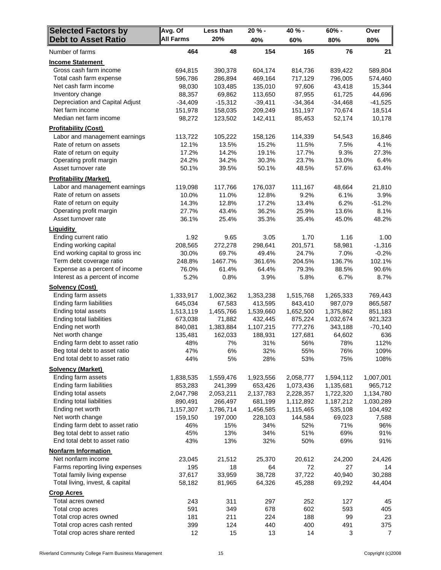| <b>Selected Factors by</b>       | Avg. Of          | Less than | 20 % -    | 40 % -    | 60% -     | Over           |
|----------------------------------|------------------|-----------|-----------|-----------|-----------|----------------|
| <b>Debt to Asset Ratio</b>       | <b>All Farms</b> | 20%       | 40%       | 60%       | 80%       | 80%            |
| Number of farms                  | 464              | 48        | 154       | 165       | 76        | 21             |
| <b>Income Statement</b>          |                  |           |           |           |           |                |
| Gross cash farm income           | 694,815          | 390,378   | 604,174   | 814,736   | 839,422   | 589,804        |
| Total cash farm expense          | 596,786          | 286,894   | 469,164   | 717,129   | 796,005   | 574,460        |
| Net cash farm income             | 98,030           | 103,485   | 135,010   | 97,606    | 43,418    | 15,344         |
| Inventory change                 | 88,357           | 69,862    | 113,650   | 87,955    | 61,725    | 44,696         |
| Depreciation and Capital Adjust  | $-34,409$        | $-15,312$ | $-39,411$ | $-34,364$ | $-34,468$ | $-41,525$      |
| Net farm income                  | 151,978          | 158,035   | 209,249   | 151,197   | 70,674    | 18,514         |
| Median net farm income           | 98,272           | 123,502   | 142,411   | 85,453    | 52,174    | 10,178         |
| <b>Profitability (Cost)</b>      |                  |           |           |           |           |                |
| Labor and management earnings    | 113,722          | 105,222   | 158,126   | 114,339   | 54,543    | 16,846         |
| Rate of return on assets         | 12.1%            | 13.5%     | 15.2%     | 11.5%     | 7.5%      | 4.1%           |
| Rate of return on equity         | 17.2%            | 14.2%     | 19.1%     | 17.7%     | 9.3%      | 27.3%          |
| Operating profit margin          | 24.2%            | 34.2%     | 30.3%     | 23.7%     | 13.0%     | 6.4%           |
| Asset turnover rate              | 50.1%            | 39.5%     | 50.1%     | 48.5%     | 57.6%     | 63.4%          |
|                                  |                  |           |           |           |           |                |
| <b>Profitability (Market)</b>    |                  |           |           |           |           |                |
| Labor and management earnings    | 119,098          | 117,766   | 176,037   | 111,167   | 48,664    | 21,810         |
| Rate of return on assets         | 10.0%            | 11.0%     | 12.8%     | 9.2%      | 6.1%      | 3.9%           |
| Rate of return on equity         | 14.3%            | 12.8%     | 17.2%     | 13.4%     | 6.2%      | $-51.2%$       |
| Operating profit margin          | 27.7%            | 43.4%     | 36.2%     | 25.9%     | 13.6%     | 8.1%           |
| Asset turnover rate              | 36.1%            | 25.4%     | 35.3%     | 35.4%     | 45.0%     | 48.2%          |
| Liquidity                        |                  |           |           |           |           |                |
| Ending current ratio             | 1.92             | 9.65      | 3.05      | 1.70      | 1.16      | 1.00           |
| Ending working capital           | 208,565          | 272,278   | 298,641   | 201,571   | 58,981    | $-1,316$       |
| End working capital to gross inc | 30.0%            | 69.7%     | 49.4%     | 24.7%     | 7.0%      | $-0.2%$        |
| Term debt coverage ratio         | 248.8%           | 1467.7%   | 361.6%    | 204.5%    | 136.7%    | 102.1%         |
| Expense as a percent of income   | 76.0%            | 61.4%     | 64.4%     | 79.3%     | 88.5%     | 90.6%          |
| Interest as a percent of income  | 5.2%             | 0.8%      | 3.9%      | 5.8%      | 6.7%      | 8.7%           |
| <b>Solvency (Cost)</b>           |                  |           |           |           |           |                |
| Ending farm assets               | 1,333,917        | 1,002,362 | 1,353,238 | 1,515,768 | 1,265,333 | 769,443        |
| Ending farm liabilities          | 645,034          | 67,583    | 413,595   | 843,410   | 987,079   | 865,587        |
| Ending total assets              | 1,513,119        | 1,455,766 | 1,539,660 | 1,652,500 | 1,375,862 | 851,183        |
| Ending total liabilities         | 673,038          | 71,882    | 432,445   | 875,224   | 1,032,674 | 921,323        |
| Ending net worth                 | 840,081          | 1,383,884 | 1,107,215 | 777,276   | 343,188   | $-70,140$      |
| Net worth change                 | 135,481          | 162,033   | 188,931   | 127,681   | 64,602    | 636            |
| Ending farm debt to asset ratio  | 48%              | 7%        | 31%       | 56%       | 78%       | 112%           |
| Beg total debt to asset ratio    | 47%              | $6\%$     | 32%       | 55%       | 76%       | 109%           |
| End total debt to asset ratio    | 44%              | 5%        | 28%       | 53%       | 75%       | 108%           |
|                                  |                  |           |           |           |           |                |
| <b>Solvency (Market)</b>         |                  |           |           |           |           |                |
| Ending farm assets               | 1,838,535        | 1,559,476 | 1,923,556 | 2,058,777 | 1,594,112 | 1,007,001      |
| Ending farm liabilities          | 853,283          | 241,399   | 653,426   | 1,073,436 | 1,135,681 | 965,712        |
| Ending total assets              | 2,047,798        | 2,053,211 | 2,137,783 | 2,228,357 | 1,722,320 | 1,134,780      |
| Ending total liabilities         | 890,491          | 266,497   | 681,199   | 1,112,892 | 1,187,212 | 1,030,289      |
| Ending net worth                 | 1,157,307        | 1,786,714 | 1,456,585 | 1,115,465 | 535,108   | 104,492        |
| Net worth change                 | 159,150          | 197,000   | 228,103   | 144,584   | 69,023    | 7,588          |
| Ending farm debt to asset ratio  | 46%              | 15%       | 34%       | 52%       | 71%       | 96%            |
| Beg total debt to asset ratio    | 45%              | 13%       | 34%       | 51%       | 69%       | 91%            |
| End total debt to asset ratio    | 43%              | 13%       | 32%       | 50%       | 69%       | 91%            |
| <b>Nonfarm Information</b>       |                  |           |           |           |           |                |
| Net nonfarm income               | 23,045           | 21,512    | 25,370    | 20,612    | 24,200    | 24,426         |
| Farms reporting living expenses  | 195              | 18        | 64        | 72        | 27        | 14             |
| Total family living expense      | 37,617           | 33,959    | 38,728    | 37,722    | 40,940    | 30,288         |
| Total living, invest, & capital  | 58,182           | 81,965    | 64,326    | 45,288    | 69,292    | 44,404         |
| <b>Crop Acres</b>                |                  |           |           |           |           |                |
| Total acres owned                | 243              | 311       | 297       | 252       | 127       | 45             |
| Total crop acres                 | 591              | 349       | 678       | 602       | 593       | 405            |
| Total crop acres owned           | 181              | 211       | 224       | 188       | 99        | 23             |
| Total crop acres cash rented     | 399              | 124       | 440       | 400       | 491       | 375            |
| Total crop acres share rented    | 12               | 15        | 13        | 14        | 3         | $\overline{7}$ |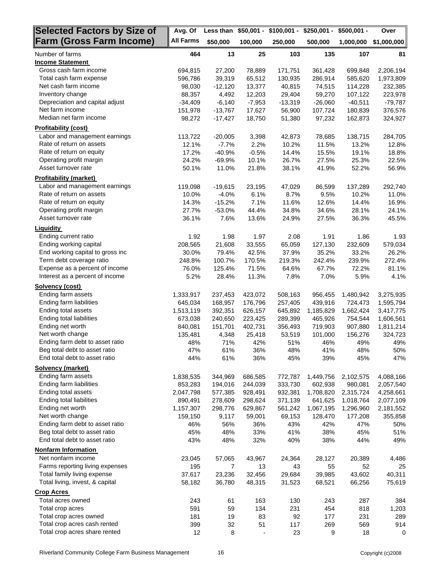| <b>Selected Factors by Size of</b>                           | Avg. Of           | Less than              |                  | $$50,001 - $100,001 -$ | $$250,001 -$      | $$500,001 -$       | Over               |
|--------------------------------------------------------------|-------------------|------------------------|------------------|------------------------|-------------------|--------------------|--------------------|
| <b>Farm (Gross Farm Income)</b>                              | <b>All Farms</b>  | \$50,000               | 100,000          | 250,000                | 500,000           | 1,000,000          | \$1,000,000        |
| Number of farms                                              | 464               | 13                     | 25               | 103                    | 135               | 107                | 81                 |
| <b>Income Statement</b>                                      |                   |                        |                  |                        |                   |                    |                    |
| Gross cash farm income                                       | 694,815           | 27,200                 | 78,889           | 171,751                | 361,428           | 699,848            | 2,206,194          |
| Total cash farm expense                                      | 596,786           | 39,319                 | 65,512           | 130,935                | 286,914           | 585,620            | 1,973,809          |
| Net cash farm income                                         | 98,030            | $-12,120$              | 13,377           | 40,815                 | 74,515            | 114,228            | 232,385            |
| Inventory change                                             | 88,357            | 4,492                  | 12,203           | 29,404                 | 59,270            | 107,122            | 223,978            |
| Depreciation and capital adjust<br>Net farm income           | $-34,409$         | $-6,140$               | $-7,953$         | $-13,319$              | $-26,060$         | $-40,511$          | $-79,787$          |
| Median net farm income                                       | 151,978<br>98,272 | $-13,767$<br>$-17,427$ | 17,627<br>18,750 | 56,900<br>51,380       | 107,724<br>97,232 | 180,839<br>162,873 | 376,576<br>324,927 |
| <b>Profitability (cost)</b>                                  |                   |                        |                  |                        |                   |                    |                    |
| Labor and management earnings                                | 113,722           | $-20,005$              | 3,398            | 42,873                 | 78,685            | 138,715            | 284,705            |
| Rate of return on assets                                     | 12.1%             | $-7.7%$                | 2.2%             | 10.2%                  | 11.5%             | 13.2%              | 12.8%              |
| Rate of return on equity                                     | 17.2%             | $-40.9%$               | $-0.5%$          | 14.4%                  | 15.5%             | 19.1%              | 18.8%              |
| Operating profit margin                                      | 24.2%             | $-69.9%$               | 10.1%            | 26.7%                  | 27.5%             | 25.3%              | 22.5%              |
| Asset turnover rate                                          | 50.1%             | 11.0%                  | 21.8%            | 38.1%                  | 41.9%             | 52.2%              | 56.9%              |
| <b>Profitability (market)</b>                                |                   |                        |                  |                        |                   |                    |                    |
| Labor and management earnings                                | 119,098           | $-19,615$              | 23,195           | 47,029                 | 86,599            | 137,289            | 292,740            |
| Rate of return on assets                                     | 10.0%             | $-4.0%$                | 6.1%             | 8.7%                   | 9.5%              | 10.2%              | 11.0%              |
| Rate of return on equity                                     | 14.3%             | $-15.2%$               | 7.1%             | 11.6%                  | 12.6%             | 14.4%              | 16.9%              |
| Operating profit margin                                      | 27.7%             | $-53.0%$               | 44.4%            | 34.8%                  | 34.6%             | 28.1%              | 24.1%              |
| Asset turnover rate                                          | 36.1%             | 7.6%                   | 13.6%            | 24.9%                  | 27.5%             | 36.3%              | 45.5%              |
| Liquidity                                                    |                   |                        |                  |                        |                   |                    |                    |
| Ending current ratio                                         | 1.92              | 1.98                   | 1.97             | 2.08                   | 1.91              | 1.86               | 1.93               |
| Ending working capital                                       | 208,565           | 21,608                 | 33,555           | 65,059                 | 127,130           | 232,609            | 579,034            |
| End working capital to gross inc<br>Term debt coverage ratio | 30.0%<br>248.8%   | 79.4%<br>100.7%        | 42.5%            | 37.9%                  | 35.2%             | 33.2%              | 26.2%<br>272.4%    |
| Expense as a percent of income                               | 76.0%             | 125.4%                 | 170.5%<br>71.5%  | 219.3%<br>64.6%        | 242.4%<br>67.7%   | 239.9%<br>72.2%    | 81.1%              |
| Interest as a percent of income                              | 5.2%              | 28.4%                  | 11.3%            | 7.8%                   | 7.0%              | 5.9%               | 4.1%               |
| <b>Solvency (cost)</b>                                       |                   |                        |                  |                        |                   |                    |                    |
| Ending farm assets                                           | 1,333,917         | 237,453                | 423,072          | 508,163                | 956,455           | 1,480,942          | 3,275,935          |
| Ending farm liabilities                                      | 645,034           | 168,957                | 176,796          | 257,405                | 439,916           | 724,473            | 1,595,794          |
| Ending total assets                                          | 1,513,119         | 392,351                | 626,157          | 645,892                | 1,185,829         | 1,662,424          | 3,417,775          |
| Ending total liabilities                                     | 673,038           | 240,650                | 223,425          | 289,399                | 465,926           | 754,544            | 1,606,561          |
| Ending net worth                                             | 840,081           | 151,701                | 402,731          | 356,493                | 719,903           | 907,880            | 1,811,214          |
| Net worth change                                             | 135,481           | 4,348                  | 25,418           | 53,519                 | 101,000           | 156,276            | 324,723            |
| Ending farm debt to asset ratio                              | 48%               | 71%                    | 42%              | 51%                    | 46%               | 49%                | 49%                |
| Beg total debt to asset ratio                                | 47%               | 61%                    | 36%              | 48%                    | 41%               | 48%                | 50%                |
| End total debt to asset ratio                                | 44%               | 61%                    | 36%              | 45%                    | 39%               | 45%                | 47%                |
| Solvency (market)                                            |                   |                        |                  |                        |                   |                    |                    |
| Ending farm assets                                           | 1,838,535         | 344,969                | 686,585          | 772,787                | 1,449,756         | 2,102,575          | 4,088,166          |
| Ending farm liabilities                                      | 853,283           | 194,016                | 244,039          | 333,730                | 602,938           | 980,081            | 2,057,540          |
| Ending total assets                                          | 2,047,798         | 577,385                | 928,491          | 932,381                | 1,708,820         | 2,315,724          | 4,258,661          |
| Ending total liabilities                                     | 890,491           | 278,609                | 298,624          | 371,139                | 641,625           | 1,018,764          | 2,077,109          |
| Ending net worth                                             | 1,157,307         | 298,776                | 629,867          | 561,242                | 1,067,195         | 1,296,960          | 2,181,552          |
| Net worth change                                             | 159,150           | 9,117                  | 59,001           | 69,153                 | 128,470           | 177,208            | 355,858            |
| Ending farm debt to asset ratio                              | 46%               | 56%                    | 36%              | 43%                    | 42%               | 47%                | 50%                |
| Beg total debt to asset ratio                                | 45%               | 48%                    | 33%              | 41%                    | 38%               | 45%                | 51%                |
| End total debt to asset ratio                                | 43%               | 48%                    | 32%              | 40%                    | 38%               | 44%                | 49%                |
| <b>Nonfarm Information</b>                                   |                   |                        |                  |                        |                   |                    |                    |
| Net nonfarm income<br>Farms reporting living expenses        | 23,045            | 57,065                 | 43,967           | 24,364                 | 28,127            | 20,389             | 4,486              |
| Total family living expense                                  | 195               | 7                      | 13               | 43                     | 55                | 52                 | 25                 |
| Total living, invest, & capital                              | 37,617            | 23,236<br>36,780       | 32,456           | 29,684<br>31,523       | 39,985<br>68,521  | 43,602<br>66,256   | 40,311<br>75,619   |
| <b>Crop Acres</b>                                            | 58,182            |                        | 48,315           |                        |                   |                    |                    |
| Total acres owned                                            | 243               | 61                     | 163              | 130                    | 243               | 287                | 384                |
| Total crop acres                                             | 591               | 59                     | 134              | 231                    | 454               | 818                | 1,203              |
| Total crop acres owned                                       | 181               | 19                     | 83               | 92                     | 177               | 231                | 289                |
| Total crop acres cash rented                                 | 399               | 32                     | 51               | 117                    | 269               | 569                | 914                |
| Total crop acres share rented                                | 12                | 8                      |                  | 23                     | 9                 | 18                 | 0                  |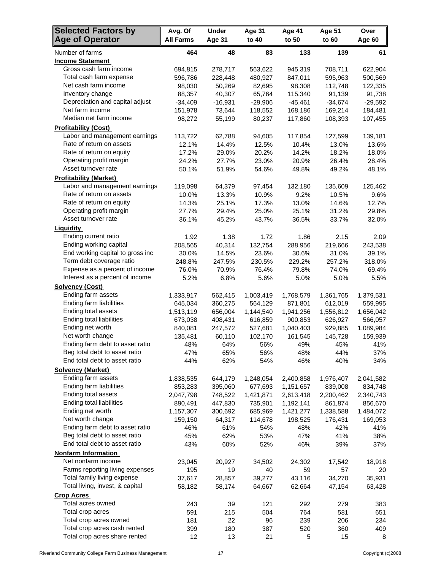| <b>Selected Factors by</b>                                     | Avg. Of          | <b>Under</b> | Age 31    | <b>Age 41</b> | Age 51     | Over       |
|----------------------------------------------------------------|------------------|--------------|-----------|---------------|------------|------------|
| Age of Operator                                                | <b>All Farms</b> | Age 31       | to 40     | to 50         | to 60      | Age 60     |
| Number of farms                                                | 464              | 48           | 83        | 133           | 139        | 61         |
| <b>Income Statement</b>                                        |                  |              |           |               |            |            |
| Gross cash farm income                                         | 694,815          | 278,717      | 563,622   | 945,319       | 708,711    | 622,904    |
| Total cash farm expense                                        | 596,786          | 228,448      | 480,927   | 847,011       | 595,963    | 500,569    |
| Net cash farm income                                           | 98,030           | 50,269       | 82,695    | 98,308        | 112,748    | 122,335    |
| Inventory change                                               | 88,357           | 40,307       | 65,764    | 115,340       | 91,139     | 91,738     |
| Depreciation and capital adjust                                | $-34,409$        | $-16,931$    | $-29,906$ | $-45,461$     | $-34,674$  | $-29,592$  |
| Net farm income                                                | 151,978          | 73,644       | 118,552   | 168,186       | 169,214    | 184,481    |
| Median net farm income                                         | 98,272           | 55,199       | 80,237    | 117,860       | 108,393    | 107,455    |
| <b>Profitability (Cost)</b>                                    |                  |              |           |               |            |            |
| Labor and management earnings                                  | 113,722          | 62,788       | 94,605    | 117,854       | 127,599    | 139,181    |
| Rate of return on assets                                       | 12.1%            | 14.4%        | 12.5%     | 10.4%         | 13.0%      | 13.6%      |
| Rate of return on equity                                       | 17.2%            | 29.0%        | 20.2%     | 14.2%         | 18.2%      | 18.0%      |
| Operating profit margin                                        | 24.2%            | 27.7%        | 23.0%     | 20.9%         | 26.4%      | 28.4%      |
| Asset turnover rate                                            | 50.1%            | 51.9%        | 54.6%     | 49.8%         | 49.2%      | 48.1%      |
| <b>Profitability (Market)</b>                                  |                  |              |           |               |            |            |
| Labor and management earnings                                  | 119,098          | 64,379       | 97,454    | 132,180       | 135,609    | 125,462    |
| Rate of return on assets                                       | 10.0%            | 13.3%        | 10.9%     | 9.2%          | 10.5%      | 9.6%       |
| Rate of return on equity                                       | 14.3%            | 25.1%        | 17.3%     | 13.0%         | 14.6%      | 12.7%      |
| Operating profit margin                                        | 27.7%            | 29.4%        | 25.0%     | 25.1%         | 31.2%      | 29.8%      |
| Asset turnover rate                                            | 36.1%            | 45.2%        | 43.7%     | 36.5%         | 33.7%      | 32.0%      |
| <b>Liquidity</b>                                               |                  |              |           |               |            |            |
| Ending current ratio                                           | 1.92             | 1.38         | 1.72      | 1.86          | 2.15       | 2.09       |
| Ending working capital                                         | 208,565          | 40,314       | 132,754   | 288,956       | 219,666    | 243,538    |
| End working capital to gross inc                               | 30.0%            | 14.5%        | 23.6%     | 30.6%         | 31.0%      | 39.1%      |
| Term debt coverage ratio                                       | 248.8%           | 247.5%       | 230.5%    | 229.2%        | 257.2%     | 318.0%     |
| Expense as a percent of income                                 | 76.0%            | 70.9%        | 76.4%     | 79.8%         | 74.0%      | 69.4%      |
| Interest as a percent of income                                | 5.2%             | 6.8%         | 5.6%      | 5.0%          | 5.0%       | 5.5%       |
| <b>Solvency (Cost)</b>                                         |                  |              |           |               |            |            |
| Ending farm assets                                             | 1,333,917        | 562,415      | 1,003,419 | 1,768,579     | 1,361,765  | 1,379,531  |
| Ending farm liabilities                                        | 645,034          | 360,275      | 564,129   | 871,801       | 612,019    | 559,995    |
| Ending total assets                                            | 1,513,119        | 656,004      | 1,144,540 | 1,941,256     | 1,556,812  | 1,656,042  |
| Ending total liabilities                                       | 673,038          | 408,431      | 616,859   | 900,853       | 626,927    | 566,057    |
| Ending net worth                                               | 840,081          | 247,572      | 527,681   | 1,040,403     | 929,885    | 1,089,984  |
| Net worth change                                               | 135,481          | 60,110       | 102,170   | 161,545       | 145,728    | 159,939    |
| Ending farm debt to asset ratio                                | 48%              | 64%          | 56%       | 49%           | 45%        | 41%        |
| Beg total debt to asset ratio                                  | 47%              | 65%          | 56%       | 48%           | 44%        | 37%        |
| End total debt to asset ratio                                  | 44%              | 62%          | 54%       | 46%           | 40%        | 34%        |
| <b>Solvency (Market)</b>                                       |                  |              |           |               |            |            |
| Ending farm assets                                             | 1,838,535        | 644,179      | 1,248,054 | 2,400,858     | 1,976,407  | 2,041,582  |
| Ending farm liabilities                                        | 853,283          | 395,060      | 677,693   | 1,151,657     | 839,008    | 834,748    |
| Ending total assets                                            | 2,047,798        | 748,522      | 1,421,871 | 2,613,418     | 2,200,462  | 2,340,743  |
| Ending total liabilities                                       | 890,491          | 447,830      | 735,901   | 1,192,141     | 861,874    | 856,670    |
| Ending net worth                                               | 1,157,307        | 300,692      | 685,969   | 1,421,277     | 1,338,588  | 1,484,072  |
| Net worth change<br>Ending farm debt to asset ratio            | 159,150          | 64,317       | 114,678   | 198,525       | 176,431    | 169,053    |
|                                                                | 46%              | 61%          | 54%       | 48%           | 42%        | 41%        |
| Beg total debt to asset ratio<br>End total debt to asset ratio | 45%              | 62%          | 53%       | 47%           | 41%        | 38%        |
|                                                                | 43%              | 60%          | 52%       | 46%           | 39%        | 37%        |
| <b>Nonfarm Information</b><br>Net nonfarm income               |                  |              |           |               |            |            |
|                                                                | 23,045           | 20,927       | 34,502    | 24,302        | 17,542     | 18,918     |
| Farms reporting living expenses                                | 195              | 19           | 40        | 59            | 57         | 20         |
| Total family living expense                                    | 37,617           | 28,857       | 39,277    | 43,116        | 34,270     | 35,931     |
| Total living, invest, & capital                                | 58,182           | 58,174       | 64,667    | 62,664        | 47,154     | 63,428     |
| <b>Crop Acres</b><br>Total acres owned                         |                  |              |           |               |            |            |
| Total crop acres                                               | 243              | 39           | 121       | 292           | 279        | 383        |
| Total crop acres owned                                         | 591              | 215<br>22    | 504       | 764           | 581        | 651        |
| Total crop acres cash rented                                   | 181<br>399       | 180          | 96<br>387 | 239<br>520    | 206<br>360 | 234<br>409 |
| Total crop acres share rented                                  | 12               | 13           | 21        | 5             | 15         | 8          |
|                                                                |                  |              |           |               |            |            |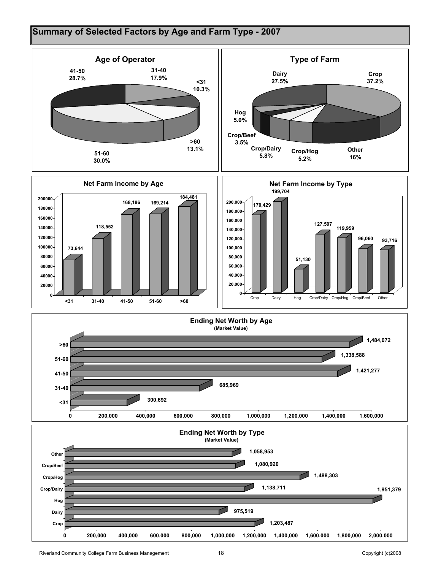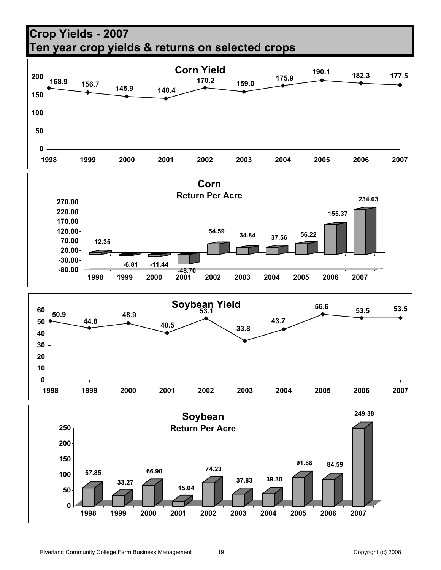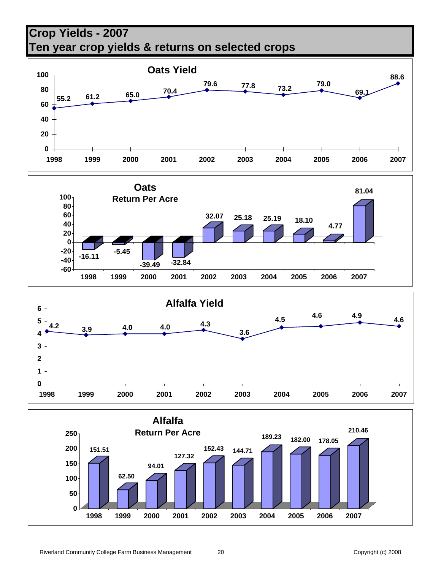## **Crop Yields - 2007 Ten year crop yields & returns on selected crops**







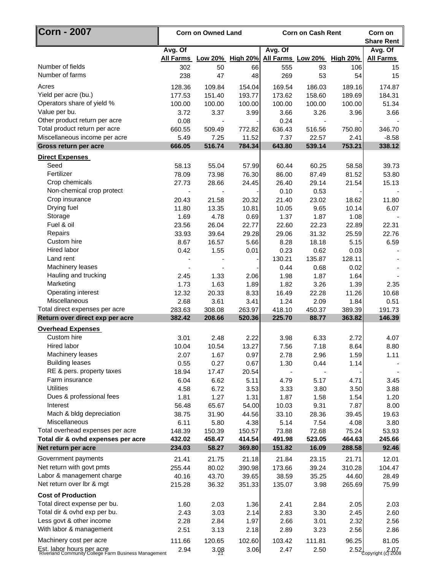| <b>Corn - 2007</b>                                                                |                          | <b>Corn on Owned Land</b>  |                | <b>Corn on Cash Rent</b> | Corn on<br><b>Share Rent</b> |                            |                         |
|-----------------------------------------------------------------------------------|--------------------------|----------------------------|----------------|--------------------------|------------------------------|----------------------------|-------------------------|
|                                                                                   | Avg. Of                  |                            |                | Avg. Of                  |                              |                            | Avg. Of                 |
|                                                                                   |                          | All Farms Low 20% High 20% |                |                          |                              | All Farms Low 20% High 20% | <b>All Farms</b>        |
| Number of fields                                                                  | 302                      | 50                         | 66             | 555                      | 93                           | 106                        | 15                      |
| Number of farms                                                                   | 238                      | 47                         | 48             | 269                      | 53                           | 54                         | 15                      |
| Acres                                                                             | 128.36                   | 109.84                     | 154.04         | 169.54                   | 186.03                       | 189.16                     | 174.87                  |
| Yield per acre (bu.)                                                              | 177.53                   | 151.40                     | 193.77         | 173.62                   | 158.60                       | 189.69                     | 184.31                  |
| Operators share of yield %                                                        | 100.00                   | 100.00                     | 100.00         | 100.00                   | 100.00                       | 100.00                     | 51.34                   |
| Value per bu.                                                                     | 3.72                     | 3.37                       | 3.99           | 3.66                     | 3.26                         | 3.96                       | 3.66                    |
| Other product return per acre                                                     | 0.08                     |                            |                | 0.24                     |                              |                            |                         |
| Total product return per acre                                                     | 660.55                   | 509.49                     | 772.82         | 636.43                   | 516.56                       | 750.80                     | 346.70                  |
| Miscellaneous income per acre                                                     | 5.49                     | 7.25                       | 11.52          | 7.37                     | 22.57                        | 2.41                       | $-8.58$                 |
| Gross return per acre                                                             | 666.05                   | 516.74                     | 784.34         | 643.80                   | 539.14                       | 753.21                     | 338.12                  |
| <b>Direct Expenses</b>                                                            |                          |                            |                |                          |                              |                            |                         |
| Seed                                                                              | 58.13                    | 55.04                      | 57.99          | 60.44                    | 60.25                        | 58.58                      | 39.73                   |
| Fertilizer                                                                        | 78.09                    | 73.98                      | 76.30          | 86.00                    | 87.49                        | 81.52                      | 53.80                   |
| Crop chemicals                                                                    | 27.73                    | 28.66                      | 24.45          | 26.40                    | 29.14                        | 21.54                      | 15.13                   |
| Non-chemical crop protect                                                         | $\overline{\phantom{a}}$ |                            |                | 0.10                     | 0.53                         |                            |                         |
| Crop insurance                                                                    | 20.43                    | 21.58                      | 20.32          | 21.40                    | 23.02                        | 18.62                      | 11.80                   |
| Drying fuel                                                                       | 11.80                    | 13.35                      | 10.81          | 10.05                    | 9.65                         | 10.14                      | 6.07                    |
| Storage                                                                           | 1.69                     | 4.78                       | 0.69           | 1.37                     | 1.87                         | 1.08                       |                         |
| Fuel & oil                                                                        | 23.56                    | 26.04                      | 22.77          | 22.60                    | 22.23                        | 22.89                      | 22.31                   |
| Repairs                                                                           | 33.93                    | 39.64                      | 29.28          | 29.06                    | 31.32                        | 25.59                      | 22.76                   |
| Custom hire                                                                       | 8.67                     | 16.57                      | 5.66           | 8.28                     | 18.18                        | 5.15                       | 6.59                    |
| Hired labor                                                                       | 0.42                     | 1.55                       | 0.01           | 0.23                     | 0.62                         | 0.03                       |                         |
| Land rent                                                                         |                          |                            |                | 130.21                   | 135.87                       | 128.11                     |                         |
| Machinery leases                                                                  |                          |                            |                | 0.44                     | 0.68                         | 0.02                       |                         |
| Hauling and trucking                                                              | 2.45                     | 1.33                       | 2.06           | 1.98                     | 1.87                         | 1.64                       |                         |
| Marketing                                                                         | 1.73                     | 1.63                       | 1.89           | 1.82                     | 3.26                         | 1.39                       | 2.35                    |
| Operating interest                                                                | 12.32                    | 20.33                      | 8.33           | 16.49                    | 22.28                        | 11.26                      | 10.68                   |
| Miscellaneous                                                                     | 2.68                     | 3.61                       | 3.41           | 1.24                     | 2.09                         | 1.84                       | 0.51                    |
| Total direct expenses per acre                                                    | 283.63                   | 308.08                     | 263.97         | 418.10                   | 450.37                       | 389.39                     | 191.73                  |
| Return over direct exp per acre                                                   | 382.42                   | 208.66                     | 520.36         | 225.70                   | 88.77                        | 363.82                     | 146.39                  |
| <b>Overhead Expenses</b>                                                          |                          |                            |                |                          |                              |                            |                         |
| Custom hire                                                                       | 3.01                     | 2.48                       | 2.22           | 3.98                     | 6.33                         | 2.72                       | 4.07                    |
| Hired labor                                                                       | 10.04                    | 10.54                      | 13.27          | 7.56                     | 7.18                         | 8.64                       | 8.80                    |
| <b>Machinery leases</b>                                                           |                          |                            |                |                          |                              |                            |                         |
| <b>Building leases</b>                                                            | 2.07<br>0.55             | 1.67<br>0.27               | 0.97<br>0.67   | 2.78<br>1.30             | 2.96<br>0.44                 | 1.59<br>1.14               | 1.11                    |
| RE & pers. property taxes                                                         | 18.94                    |                            | 20.54          |                          |                              |                            |                         |
| Farm insurance                                                                    | 6.04                     | 17.47<br>6.62              | 5.11           | 4.79                     | 5.17                         | 4.71                       | 3.45                    |
| <b>Utilities</b>                                                                  |                          |                            |                | 3.33                     |                              |                            | 3.88                    |
| Dues & professional fees                                                          | 4.58<br>1.81             | 6.72<br>1.27               | 3.53<br>1.31   | 1.87                     | 3.80<br>1.58                 | 3.50<br>1.54               | 1.20                    |
| Interest                                                                          | 56.48                    | 65.67                      |                | 10.03                    | 9.31                         | 7.87                       | 8.00                    |
| Mach & bldg depreciation                                                          | 38.75                    | 31.90                      | 54.00<br>44.56 | 33.10                    | 28.36                        | 39.45                      | 19.63                   |
| Miscellaneous                                                                     | 6.11                     | 5.80                       | 4.38           | 5.14                     | 7.54                         | 4.08                       | 3.80                    |
| Total overhead expenses per acre                                                  | 148.39                   | 150.39                     | 150.57         | 73.88                    | 72.68                        | 75.24                      | 53.93                   |
| Total dir & ovhd expenses per acre                                                | 432.02                   | 458.47                     | 414.54         | 491.98                   | 523.05                       | 464.63                     | 245.66                  |
| Net return per acre                                                               | 234.03                   | 58.27                      | 369.80         | 151.82                   | 16.09                        | 288.58                     | 92.46                   |
|                                                                                   |                          |                            |                |                          |                              |                            |                         |
| Government payments                                                               | 21.41                    | 21.75                      | 21.18          | 21.84                    | 23.15                        | 21.71                      | 12.01                   |
| Net return with govt pmts                                                         | 255.44                   | 80.02                      | 390.98         | 173.66                   | 39.24                        | 310.28                     | 104.47                  |
| Labor & management charge                                                         | 40.16                    | 43.70                      | 39.65          | 38.59                    | 35.25                        | 44.60                      | 28.49                   |
| Net return over lbr & mgt                                                         | 215.28                   | 36.32                      | 351.33         | 135.07                   | 3.98                         | 265.69                     | 75.99                   |
| <b>Cost of Production</b>                                                         |                          |                            |                |                          |                              |                            |                         |
| Total direct expense per bu.                                                      | 1.60                     | 2.03                       | 1.36           | 2.41                     | 2.84                         | 2.05                       | 2.03                    |
| Total dir & ovhd exp per bu.                                                      | 2.43                     | 3.03                       | 2.14           | 2.83                     | 3.30                         | 2.45                       | 2.60                    |
| Less govt & other income                                                          | 2.28                     | 2.84                       | 1.97           | 2.66                     | 3.01                         | 2.32                       | 2.56                    |
| With labor & management                                                           | 2.51                     | 3.13                       | 2.18           | 2.89                     | 3.23                         | 2.56                       | 2.86                    |
| Machinery cost per acre                                                           | 111.66                   | 120.65                     | 102.60         | 103.42                   | 111.81                       | 96.25                      | 81.05                   |
|                                                                                   | 2.94                     | 3.98                       | 3.06           | 2.47                     | 2.50                         |                            |                         |
| Est. labor hours per acre<br>Riverland Community College Farm Business Management |                          |                            |                |                          |                              |                            | 2.52 copyright (c) 2008 |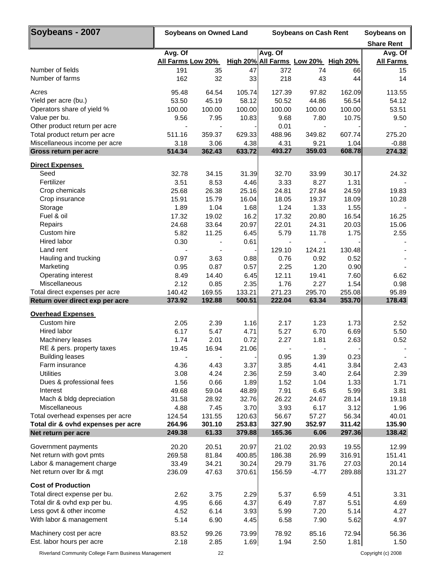| Soybeans - 2007                                |                   | <b>Soybeans on Owned Land</b> |                  | <b>Soybeans on Cash Rent</b>        | Soybeans on       |                  |                  |
|------------------------------------------------|-------------------|-------------------------------|------------------|-------------------------------------|-------------------|------------------|------------------|
|                                                |                   |                               |                  |                                     | <b>Share Rent</b> |                  |                  |
|                                                | Avg. Of           |                               |                  | Avg. Of                             |                   |                  | Avg. Of          |
|                                                | All Farms Low 20% |                               |                  | High 20% All Farms Low 20% High 20% |                   |                  | <b>All Farms</b> |
| Number of fields<br>Number of farms            | 191<br>162        | 35                            | 47               | 372                                 | 74                | 66               | 15               |
|                                                |                   | 32                            | 33               | 218                                 | 43                | 44               | 14               |
| Acres                                          | 95.48             | 64.54                         | 105.74           | 127.39                              | 97.82             | 162.09           | 113.55           |
| Yield per acre (bu.)                           | 53.50             | 45.19                         | 58.12            | 50.52                               | 44.86             | 56.54            | 54.12            |
| Operators share of yield %                     | 100.00            | 100.00                        | 100.00           | 100.00                              | 100.00            | 100.00<br>10.75  | 53.51            |
| Value per bu.<br>Other product return per acre | 9.56              | 7.95                          | 10.83            | 9.68<br>0.01                        | 7.80              |                  | 9.50             |
| Total product return per acre                  | 511.16            | 359.37                        | 629.33           | 488.96                              | 349.82            | 607.74           | 275.20           |
| Miscellaneous income per acre                  | 3.18              | 3.06                          | 4.38             | 4.31                                | 9.21              | 1.04             | $-0.88$          |
| Gross return per acre                          | 514.34            | 362.43                        | 633.72           | 493.27                              | 359.03            | 608.78           | 274.32           |
| <b>Direct Expenses</b>                         |                   |                               |                  |                                     |                   |                  |                  |
| Seed                                           | 32.78             | 34.15                         | 31.39            | 32.70                               | 33.99             | 30.17            | 24.32            |
| Fertilizer                                     | 3.51              | 8.53                          | 4.46             | 3.33                                | 8.27              | 1.31             |                  |
| Crop chemicals                                 | 25.68             | 26.38                         | 25.16            | 24.81                               | 27.84             | 24.59            | 19.83            |
| Crop insurance                                 | 15.91             | 15.79                         | 16.04            | 18.05                               | 19.37             | 18.09            | 10.28            |
| Storage                                        | 1.89              | 1.04                          | 1.68             | 1.24                                | 1.33              | 1.55             |                  |
| Fuel & oil                                     | 17.32             | 19.02                         | 16.2             | 17.32                               | 20.80             | 16.54            | 16.25            |
| Repairs                                        | 24.68             | 33.64                         | 20.97            | 22.01                               | 24.31             | 20.03            | 15.06            |
| Custom hire<br>Hired labor                     | 5.82<br>0.30      | 11.25                         | 6.45<br>0.61     | 5.79                                | 11.78             | 1.75             | 2.55             |
| Land rent                                      |                   |                               |                  | 129.10                              | 124.21            | 130.48           |                  |
| Hauling and trucking                           | 0.97              | 3.63                          | 0.88             | 0.76                                | 0.92              | 0.52             |                  |
| Marketing                                      | 0.95              | 0.87                          | 0.57             | 2.25                                | 1.20              | 0.90             |                  |
| Operating interest                             | 8.49              | 14.40                         | 6.45             | 12.11                               | 19.41             | 7.60             | 6.62             |
| Miscellaneous                                  | 2.12              | 0.85                          | 2.35             | 1.76                                | 2.27              | 1.54             | 0.98             |
| Total direct expenses per acre                 | 140.42            | 169.55                        | 133.21           | 271.23                              | 295.70            | 255.08           | 95.89            |
| Return over direct exp per acre                | 373.92            | 192.88                        | 500.51           | 222.04                              | 63.34             | 353.70           | 178.43           |
| <b>Overhead Expenses</b>                       |                   |                               |                  |                                     |                   |                  |                  |
| Custom hire                                    | 2.05              | 2.39                          | 1.16             | 2.17                                | 1.23              | 1.73             | 2.52             |
| Hired labor                                    | 6.17              | 5.47                          | 4.71             | 5.27                                | 6.70              | 6.69             | 5.50             |
| <b>Machinery leases</b>                        | 1.74              | 2.01                          | 0.72             | 2.27                                | 1.81              | 2.63             | 0.52             |
| RE & pers. property taxes                      | 19.45             | 16.94                         | 21.06            |                                     |                   |                  |                  |
| <b>Building leases</b><br>Farm insurance       | 4.36              | 4.43                          | 3.37             | 0.95<br>3.85                        | 1.39<br>4.41      | 0.23<br>3.84     | 2.43             |
| <b>Utilities</b>                               | 3.08              | 4.24                          | 2.36             | 2.59                                | 3.40              | 2.64             | 2.39             |
| Dues & professional fees                       | 1.56              | 0.66                          | 1.89             | 1.52                                | 1.04              | 1.33             | 1.71             |
| Interest                                       | 49.68             | 59.04                         | 48.89            | 7.91                                | 6.45              | 5.99             | 3.81             |
| Mach & bldg depreciation                       | 31.58             | 28.92                         | 32.76            | 26.22                               | 24.67             | 28.14            | 19.18            |
| Miscellaneous                                  | 4.88              | 7.45                          | 3.70             | 3.93                                | 6.17              | 3.12             | 1.96             |
| Total overhead expenses per acre               | 124.54            | 131.55                        | 120.63           | 56.67                               | 57.27             | 56.34            | 40.01            |
| Total dir & ovhd expenses per acre             | 264.96<br>249.38  | 301.10<br>61.33               | 253.83<br>379.88 | 327.90<br>165.36                    | 352.97<br>6.06    | 311.42<br>297.36 | 135.90<br>138.42 |
| Net return per acre                            |                   |                               |                  |                                     |                   |                  |                  |
| Government payments                            | 20.20             | 20.51                         | 20.97            | 21.02                               | 20.93             | 19.55            | 12.99            |
| Net return with govt pmts                      | 269.58            | 81.84                         | 400.85           | 186.38                              | 26.99             | 316.91           | 151.41           |
| Labor & management charge                      | 33.49             | 34.21                         | 30.24            | 29.79                               | 31.76             | 27.03            | 20.14            |
| Net return over lbr & mgt                      | 236.09            | 47.63                         | 370.61           | 156.59                              | $-4.77$           | 289.88           | 131.27           |
| <b>Cost of Production</b>                      |                   |                               |                  |                                     |                   |                  |                  |
| Total direct expense per bu.                   | 2.62              | 3.75                          | 2.29             | 5.37                                | 6.59              | 4.51             | 3.31             |
| Total dir & ovhd exp per bu.                   | 4.95              | 6.66                          | 4.37             | 6.49                                | 7.87              | 5.51             | 4.69             |
| Less govt & other income                       | 4.52              | 6.14                          | 3.93             | 5.99                                | 7.20              | 5.14             | 4.27             |
| With labor & management                        | 5.14              | 6.90                          | 4.45             | 6.58                                | 7.90              | 5.62             | 4.97             |
| Machinery cost per acre                        | 83.52             | 99.26                         | 73.99            | 78.92                               | 85.16             | 72.94            | 56.36            |
| Est. labor hours per acre                      | 2.18              | 2.85                          | 1.69             | 1.94                                | 2.50              | 1.81             | 1.50             |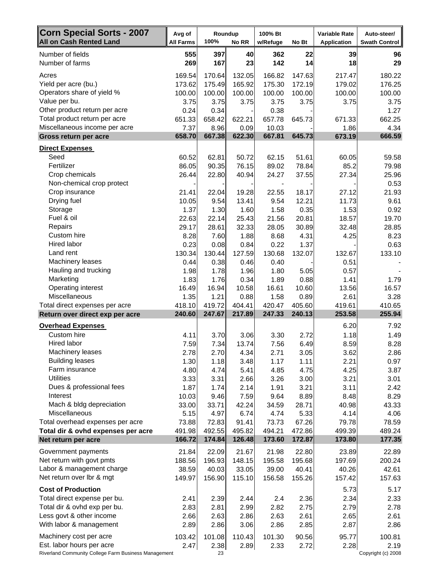| Corn Special Sorts - 2007<br><b>All on Cash Rented Land</b> | Avg of<br><b>All Farms</b> | Roundup<br>100% | No RR          | 100% Bt<br>w/Refuge | No Bt        | <b>Variable Rate</b><br><b>Application</b> | Auto-steer/<br><b>Swath Control</b> |
|-------------------------------------------------------------|----------------------------|-----------------|----------------|---------------------|--------------|--------------------------------------------|-------------------------------------|
|                                                             |                            |                 |                |                     |              |                                            |                                     |
| Number of fields<br>Number of farms                         | 555<br>269                 | 397<br>167      | 40<br>23       | 362<br>142          | 22<br>14     | 39<br>18                                   | 96<br>29                            |
| Acres                                                       | 169.54                     | 170.64          | 132.05         | 166.82              | 147.63       | 217.47                                     | 180.22                              |
| Yield per acre (bu.)                                        | 173.62                     | 175.49          | 165.92         | 175.30              | 172.19       | 179.02                                     | 176.25                              |
| Operators share of yield %                                  | 100.00                     | 100.00          | 100.00         | 100.00              | 100.00       | 100.00                                     | 100.00                              |
| Value per bu.                                               | 3.75                       | 3.75            | 3.75           | 3.75                | 3.75         | 3.75                                       | 3.75                                |
| Other product return per acre                               | 0.24                       | 0.34            |                | 0.38                |              |                                            | 1.27                                |
| Total product return per acre                               | 651.33                     | 658.42          | 622.21         | 657.78              | 645.73       | 671.33                                     | 662.25                              |
| Miscellaneous income per acre                               | 7.37<br>658.70             | 8.96<br>667.38  | 0.09<br>622.30 | 10.03<br>667.81     | 645.73       | 1.86<br>673.19                             | 4.34<br>666.59                      |
| Gross return per acre                                       |                            |                 |                |                     |              |                                            |                                     |
| Direct Expenses                                             |                            |                 |                |                     |              |                                            |                                     |
| Seed                                                        | 60.52                      | 62.81           | 50.72          | 62.15               | 51.61        | 60.05                                      | 59.58                               |
| Fertilizer                                                  | 86.05                      | 90.35           | 76.15          | 89.02               | 78.84        | 85.2                                       | 79.98                               |
| Crop chemicals<br>Non-chemical crop protect                 | 26.44                      | 22.80           | 40.94          | 24.27               | 37.55        | 27.34                                      | 25.96                               |
| Crop insurance                                              | 21.41                      | 22.04           | 19.28          | 22.55               | 18.17        | 27.12                                      | 0.53<br>21.93                       |
| Drying fuel                                                 | 10.05                      | 9.54            | 13.41          | 9.54                | 12.21        | 11.73                                      | 9.61                                |
| Storage                                                     | 1.37                       | 1.30            | 1.60           | 1.58                | 0.35         | 1.53                                       | 0.92                                |
| Fuel & oil                                                  | 22.63                      | 22.14           | 25.43          | 21.56               | 20.81        | 18.57                                      | 19.70                               |
| Repairs                                                     | 29.17                      | 28.61           | 32.33          | 28.05               | 30.89        | 32.48                                      | 28.85                               |
| Custom hire                                                 | 8.28                       | 7.60            | 1.88           | 8.68                | 4.31         | 4.25                                       | 8.23                                |
| Hired labor                                                 | 0.23                       | 0.08            | 0.84           | 0.22                | 1.37         |                                            | 0.63                                |
| Land rent                                                   | 130.34                     | 130.44          | 127.59         | 130.68              | 132.07       | 132.67                                     | 133.10                              |
| Machinery leases                                            | 0.44                       | 0.38            | 0.46           | 0.40                |              | 0.51                                       |                                     |
| Hauling and trucking                                        | 1.98                       | 1.78            | 1.96           | 1.80                | 5.05         | 0.57                                       |                                     |
| Marketing                                                   | 1.83                       | 1.76            | 0.34           | 1.89                | 0.88         | 1.41                                       | 1.79                                |
| Operating interest                                          | 16.49                      | 16.94           | 10.58          | 16.61               | 10.60        | 13.56                                      | 16.57                               |
| Miscellaneous                                               | 1.35                       | 1.21            | 0.88           | 1.58                | 0.89         | 2.61                                       | 3.28                                |
| Total direct expenses per acre                              | 418.10                     | 419.72          | 404.41         | 420.47              | 405.60       | 419.61                                     | 410.65                              |
| Return over direct exp per acre                             | 240.60                     | 247.67          | 217.89         | 247.33              | 240.13       | 253.58                                     | 255.94                              |
| <b>Overhead Expenses</b>                                    |                            |                 |                |                     |              | 6.20                                       | 7.92                                |
| Custom hire                                                 | 4.11                       | 3.70            | 3.06           | 3.30                | 2.72         | 1.18                                       | 1.49                                |
| Hired labor                                                 | 7.59                       | 7.34            | 13.74          | 7.56                | 6.49         | 8.59                                       | 8.28                                |
| Machinery leases                                            | 2.78                       | 2.70            | 4.34           | 2.71                | 3.05         | 3.62                                       | 2.86                                |
| <b>Building leases</b>                                      | 1.30                       | 1.18            | 3.48           | 1.17                | 1.11         | 2.21                                       | 0.97                                |
| Farm insurance                                              | 4.80                       | 4.74            | 5.41           | 4.85                | 4.75         | 4.25                                       | 3.87                                |
| <b>Utilities</b>                                            | 3.33                       | 3.31            | 2.66           | 3.26                | 3.00         | 3.21                                       | 3.01                                |
| Dues & professional fees<br>Interest                        | 1.87<br>10.03              | 1.74<br>9.46    | 2.14<br>7.59   | 1.91<br>9.64        | 3.21<br>8.89 | 3.11<br>8.48                               | 2.42<br>8.29                        |
| Mach & bldg depreciation                                    | 33.00                      | 33.71           | 42.24          | 34.59               | 28.71        | 40.98                                      | 43.33                               |
| Miscellaneous                                               | 5.15                       | 4.97            | 6.74           | 4.74                | 5.33         | 4.14                                       | 4.06                                |
| Total overhead expenses per acre                            | 73.88                      | 72.83           | 91.41          | 73.73               | 67.26        | 79.78                                      | 78.59                               |
| Total dir & ovhd expenses per acre                          | 491.98                     | 492.55          | 495.82         | 494.21              | 472.86       | 499.39                                     | 489.24                              |
| Net return per acre                                         | 166.72                     | 174.84          | 126.48         | 173.60              | 172.87       | 173.80                                     | 177.35                              |
| Government payments                                         | 21.84                      | 22.09           | 21.67          | 21.98               | 22.80        | 23.89                                      | 22.89                               |
| Net return with govt pmts                                   | 188.56                     | 196.93          | 148.15         | 195.58              | 195.68       | 197.69                                     | 200.24                              |
| Labor & management charge                                   | 38.59                      | 40.03           | 33.05          | 39.00               | 40.41        | 40.26                                      | 42.61                               |
| Net return over lbr & mgt                                   | 149.97                     | 156.90          | 115.10         | 156.58              | 155.26       | 157.42                                     | 157.63                              |
| <b>Cost of Production</b>                                   |                            |                 |                |                     |              | 5.73                                       | 5.17                                |
| Total direct expense per bu.                                | 2.41                       | 2.39            | 2.44           | 2.4                 | 2.36         | 2.34                                       | 2.33                                |
| Total dir & ovhd exp per bu.                                | 2.83                       | 2.81            | 2.99           | 2.82                | 2.75         | 2.79                                       | 2.78                                |
| Less govt & other income                                    | 2.66                       | 2.63            | 2.86           | 2.63                | 2.61         | 2.65                                       | 2.61                                |
| With labor & management                                     | 2.89                       | 2.86            | 3.06           | 2.86                | 2.85         | 2.87                                       | 2.86                                |
| Machinery cost per acre                                     | 103.42                     | 101.08          | 110.43         | 101.30              | 90.56        | 95.77                                      | 100.81                              |
| Est. labor hours per acre                                   | 2.47                       | 2.38            | 2.89           | 2.33                | 2.72         | 2.28                                       | 2.19                                |
| Riverland Community College Farm Business Management        |                            | 23              |                |                     |              |                                            | Copyright (c) 2008                  |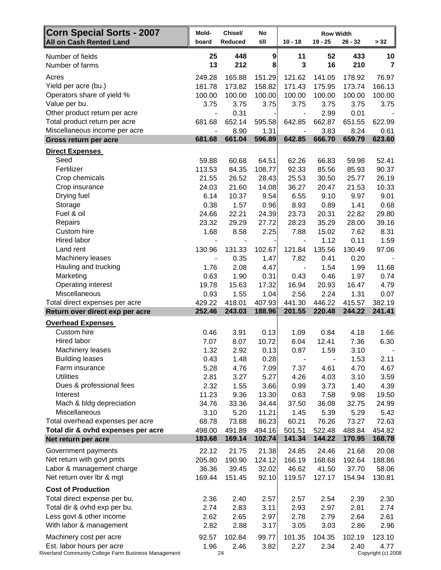| <b>Corn Special Sorts - 2007</b><br><b>All on Cash Rented Land</b> | Mold-<br>board           | Chisel/<br>Reduced | No<br>till | $10 - 18$                | <b>Row Width</b><br>$19 - 25$ | $26 - 32$  | > 32                 |
|--------------------------------------------------------------------|--------------------------|--------------------|------------|--------------------------|-------------------------------|------------|----------------------|
| Number of fields<br>Number of farms                                | 25<br>13                 | 448<br>212         | 9<br>8     | 11<br>3                  | 52<br>16                      | 433<br>210 | 10<br>$\overline{7}$ |
| Acres                                                              | 249.28                   | 165.88             | 151.29     | 121.62                   | 141.05                        | 178.92     | 76.97                |
| Yield per acre (bu.)                                               | 181.78                   | 173.82             | 158.82     | 171.43                   | 175.95                        | 173.74     | 166.13               |
| Operators share of yield %                                         | 100.00                   | 100.00             | 100.00     | 100.00                   | 100.00                        | 100.00     | 100.00               |
| Value per bu.                                                      | 3.75                     | 3.75               | 3.75       | 3.75                     | 3.75                          | 3.75       | 3.75                 |
| Other product return per acre                                      | $\overline{\phantom{a}}$ | 0.31               |            | $\overline{\phantom{a}}$ | 2.99                          | 0.01       |                      |
| Total product return per acre                                      | 681.68                   | 652.14             | 595.58     | 642.85                   | 662.87                        | 651.55     | 622.99               |
| Miscellaneous income per acre                                      | $\overline{\phantom{a}}$ | 8.90               | 1.31       |                          | 3.83                          | 8.24       | 0.61                 |
| Gross return per acre                                              | 681.68                   | 661.04             | 596.89     | 642.85                   | 666.70                        | 659.79     | 623.60               |
| <b>Direct Expenses</b>                                             |                          |                    |            |                          |                               |            |                      |
| Seed                                                               | 59.88                    | 60.68              | 64.51      | 62.26                    | 66.83                         | 59.98      | 52.41                |
| Fertilizer                                                         | 113.53                   | 84.35              | 108.77     | 92.33                    | 85.56                         | 85.93      | 90.37                |
| Crop chemicals                                                     | 21.55                    | 26.52              | 28.43      | 25.53                    | 30.50                         | 25.77      | 26.19                |
| Crop insurance                                                     | 24.03                    | 21.60              | 14.08      | 36.27                    | 20.47                         | 21.53      | 10.33                |
| Drying fuel                                                        | 6.14                     | 10.37              | 9.54       | 6.55                     | 9.10                          | 9.97       | 9.01                 |
| Storage                                                            | 0.38                     | 1.57               | 0.96       | 8.93                     | 0.89                          | 1.41       | 0.68                 |
| Fuel & oil                                                         | 24.66                    | 22.21              | 24.39      | 23.73                    | 20.31                         | 22.82      | 29.80                |
| Repairs                                                            | 23.32                    | 29.29              | 27.72      | 28.23                    | 35.29                         | 28.00      | 39.16                |
| Custom hire                                                        | 1.68                     | 8.58               | 2.25       | 7.88                     | 15.02                         | 7.62       | 8.31                 |
| Hired labor                                                        | $\overline{a}$           | $\blacksquare$     |            | $\blacksquare$           | 1.12                          | 0.11       | 1.59                 |
| Land rent                                                          | 130.96                   | 131.33             | 102.67     | 121.84                   | 135.56                        | 130.49     | 97.06                |
| Machinery leases                                                   | $\overline{\phantom{a}}$ | 0.35               | 1.47       | 7.82                     | 0.41                          | 0.20       |                      |
| Hauling and trucking                                               | 1.76                     | 2.08               | 4.47       | $\overline{\phantom{a}}$ | 1.54                          | 1.99       | 11.68                |
| Marketing                                                          | 0.63                     | 1.90               | 0.31       | 0.43                     | 0.46                          | 1.97       | 0.74                 |
| <b>Operating interest</b>                                          | 19.78                    | 15.63              | 17.32      | 16.94                    | 20.93                         | 16.47      | 4.79                 |
| Miscellaneous                                                      | 0.93                     | 1.55               | 1.04       | 2.56                     | 2.24                          | 1.31       | 0.07                 |
| Total direct expenses per acre                                     | 429.22                   | 418.01             | 407.93     | 441.30                   | 446.22                        | 415.57     | 382.19               |
| Return over direct exp per acre                                    | 252.46                   | 243.03             | 188.96     | 201.55                   | 220.48                        | 244.22     | 241.41               |
| <b>Overhead Expenses</b>                                           |                          |                    |            |                          |                               |            |                      |
| Custom hire                                                        | 0.46                     | 3.91               | 0.13       | 1.09                     | 0.84                          | 4.18       | 1.66                 |
| Hired labor                                                        | 7.07                     | 8.07               | 10.72      | 6.04                     | 12.41                         | 7.36       | 6.30                 |
| Machinery leases                                                   | 1.32                     | 2.92               | 0.13       | 0.87                     | 1.59                          | 3.10       |                      |
| <b>Building leases</b>                                             | 0.43                     | 1.48               | 0.28       |                          |                               | 1.53       | 2.11                 |
| Farm insurance                                                     | 5.28                     | 4.76               | 7.09       | 7.37                     | 4.61                          | 4.70       | 4.67                 |
| <b>Utilities</b>                                                   | 2.81                     | 3.27               | 5.27       | 4.26                     | 4.03                          | 3.10       | 3.59                 |
| Dues & professional fees                                           | 2.32                     | 1.55               | 3.66       | 0.99                     | 3.73                          | 1.40       | 4.39                 |
| Interest                                                           | 11.23                    | 9.36               | 13.30      | 0.63                     | 7.58                          | 9.98       | 19.50                |
| Mach & bldg depreciation                                           | 34.76                    | 33.36              | 34.44      | 37.50                    | 36.08                         | 32.75      | 24.99                |
| Miscellaneous                                                      | 3.10                     | 5.20               | 11.21      | 1.45                     | 5.39                          | 5.29       | 5.42                 |
| Total overhead expenses per acre                                   | 68.78                    | 73.88              | 86.23      | 60.21                    | 76.26                         | 73.27      | 72.63                |
| Total dir & ovhd expenses per acre                                 | 498.00                   | 491.89             | 494.16     | 501.51                   | 522.48                        | 488.84     | 454.82               |
| Net return per acre                                                | 183.68                   | 169.14             | 102.74     | 141.34                   | 144.22                        | 170.95     | 168.78               |
| Government payments                                                | 22.12                    | 21.75              | 21.38      | 24.85                    | 24.46                         | 21.68      | 20.08                |
| Net return with govt pmts                                          | 205.80                   | 190.90             | 124.12     | 166.19                   | 168.68                        | 192.64     | 188.86               |
| Labor & management charge                                          | 36.36                    | 39.45              | 32.02      | 46.62                    | 41.50                         | 37.70      | 58.06                |
| Net return over Ibr & mgt                                          | 169.44                   | 151.45             | 92.10      | 119.57                   | 127.17                        | 154.94     | 130.81               |
| <b>Cost of Production</b>                                          |                          |                    |            |                          |                               |            |                      |
| Total direct expense per bu.                                       | 2.36                     | 2.40               | 2.57       | 2.57                     | 2.54                          | 2.39       | 2.30                 |
| Total dir & ovhd exp per bu.                                       | 2.74                     | 2.83               | 3.11       | 2.93                     | 2.97                          | 2.81       | 2.74                 |
| Less govt & other income                                           | 2.62                     | 2.65               | 2.97       | 2.78                     | 2.79                          | 2.64       | 2.61                 |
| With labor & management                                            | 2.82                     | 2.88               | 3.17       | 3.05                     | 3.03                          | 2.86       | 2.96                 |
| Machinery cost per acre                                            | 92.57                    | 102.84             | 99.77      | 101.35                   | 104.35                        | 102.19     | 123.10               |
| Est. labor hours per acre                                          | 1.96                     | 2.46               | 3.82       | 2.27                     | 2.34                          | 2.40       | 4.77                 |
| Riverland Community College Farm Business Management               |                          | 24                 |            |                          |                               |            | Copyright (c) 2008   |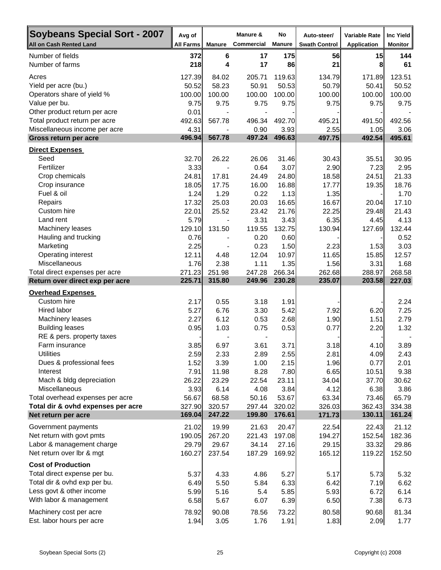| <b>Soybeans Special Sort - 2007</b> | Avg of           |               | Manure &   | No            | Auto-steer/          | <b>Variable Rate</b> | Inc Yield |
|-------------------------------------|------------------|---------------|------------|---------------|----------------------|----------------------|-----------|
| <b>All on Cash Rented Land</b>      | <b>All Farms</b> | <b>Manure</b> | Commercial | <b>Manure</b> | <b>Swath Control</b> | <b>Application</b>   | Monitor   |
| Number of fields                    | 372              | 6             | 17         | 175           | 56                   | 15                   | 144       |
| Number of farms                     | 218              | 4             | 17         | 86            | 21                   | 8                    | 61        |
| Acres                               | 127.39           | 84.02         | 205.71     | 119.63        | 134.79               | 171.89               | 123.51    |
| Yield per acre (bu.)                | 50.52            | 58.23         | 50.91      | 50.53         | 50.79                | 50.41                | 50.52     |
| Operators share of yield %          | 100.00           | 100.00        | 100.00     | 100.00        | 100.00               | 100.00               | 100.00    |
| Value per bu.                       | 9.75             | 9.75          | 9.75       | 9.75          | 9.75                 | 9.75                 | 9.75      |
| Other product return per acre       | 0.01             |               |            |               |                      |                      |           |
| Total product return per acre       | 492.63           | 567.78        | 496.34     | 492.70        | 495.21               | 491.50               | 492.56    |
| Miscellaneous income per acre       | 4.31             |               | 0.90       | 3.93          | 2.55                 | 1.05                 | 3.06      |
| Gross return per acre               | 496.94           | 567.78        | 497.24     | 496.63        | 497.75               | 492.54               | 495.61    |
| <b>Direct Expenses</b>              |                  |               |            |               |                      |                      |           |
| Seed                                | 32.70            | 26.22         | 26.06      | 31.46         | 30.43                | 35.51                | 30.95     |
| Fertilizer                          | 3.33             |               | 0.64       | 3.07          | 2.90                 | 7.23                 | 2.95      |
| Crop chemicals                      | 24.81            | 17.81         | 24.49      | 24.80         | 18.58                | 24.51                | 21.33     |
| Crop insurance                      | 18.05            | 17.75         | 16.00      | 16.88         | 17.77                | 19.35                | 18.76     |
| Fuel & oil                          | 1.24             | 1.29          | 0.22       | 1.13          | 1.35                 |                      | 1.70      |
| Repairs                             | 17.32            | 25.03         | 20.03      | 16.65         | 16.67                | 20.04                | 17.10     |
| Custom hire                         | 22.01            | 25.52         | 23.42      | 21.76         | 22.25                | 29.48                | 21.43     |
| Land rent                           | 5.79             |               | 3.31       | 3.43          | 6.35                 | 4.45                 | 4.13      |
| Machinery leases                    | 129.10           | 131.50        | 119.55     | 132.75        | 130.94               | 127.69               | 132.44    |
| Hauling and trucking                | 0.76             |               | 0.20       | 0.60          |                      |                      | 0.52      |
| Marketing                           | 2.25             |               | 0.23       | 1.50          | 2.23                 | 1.53                 | 3.03      |
| Operating interest                  | 12.11            | 4.48          | 12.04      | 10.97         | 11.65                | 15.85                | 12.57     |
| Miscellaneous                       | 1.76             | 2.38          | 1.11       | 1.35          | 1.56                 | 3.31                 | 1.68      |
| Total direct expenses per acre      | 271.23           | 251.98        | 247.28     | 266.34        | 262.68               | 288.97               | 268.58    |
| Return over direct exp per acre     | 225.71           | 315.80        | 249.96     | 230.28        | 235.07               | 203.58               | 227.03    |
| <b>Overhead Expenses</b>            |                  |               |            |               |                      |                      |           |
| Custom hire                         | 2.17             | 0.55          | 3.18       | 1.91          |                      |                      | 2.24      |
| Hired labor                         | 5.27             | 6.76          | 3.30       | 5.42          | 7.92                 | 6.20                 | 7.25      |
| Machinery leases                    | 2.27             | 6.12          | 0.53       | 2.68          | 1.90                 | 1.51                 | 2.79      |
| <b>Building leases</b>              | 0.95             | 1.03          | 0.75       | 0.53          | 0.77                 | 2.20                 | 1.32      |
| RE & pers. property taxes           |                  |               |            |               |                      |                      |           |
| Farm insurance                      | 3.85             | 6.97          | 3.61       | 3.71          | 3.18                 | 4.10                 | 3.89      |
| <b>Utilities</b>                    | 2.59             | 2.33          | 2.89       | 2.55          | 2.81                 | 4.09                 | 2.43      |
| Dues & professional fees            | 1.52             | 3.39          | 1.00       | 2.15          | 1.96                 | 0.77                 | 2.01      |
| Interest                            | 7.91             | 11.98         | 8.28       | 7.80          | 6.65                 | 10.51                | 9.38      |
| Mach & bldg depreciation            | 26.22            | 23.29         | 22.54      | 23.11         | 34.04                | 37.70                | 30.62     |
| Miscellaneous                       | 3.93             | 6.14          | 4.08       | 3.84          | 4.12                 | 6.38                 | 3.86      |
| Total overhead expenses per acre    | 56.67            | 68.58         | 50.16      | 53.67         | 63.34                | 73.46                | 65.79     |
| Total dir & ovhd expenses per acre  | 327.90           | 320.57        | 297.44     | 320.02        | 326.03               | 362.43               | 334.38    |
| Net return per acre                 | 169.04           | 247.22        | 199.80     | 176.61        | 171.73               | 130.11               | 161.24    |
| Government payments                 | 21.02            | 19.99         | 21.63      | 20.47         | 22.54                | 22.43                | 21.12     |
| Net return with govt pmts           | 190.05           | 267.20        | 221.43     | 197.08        | 194.27               | 152.54               | 182.36    |
| Labor & management charge           | 29.79            | 29.67         | 34.14      | 27.16         | 29.15                | 33.32                | 29.86     |
| Net return over lbr & mgt           | 160.27           | 237.54        | 187.29     | 169.92        | 165.12               | 119.22               | 152.50    |
| <b>Cost of Production</b>           |                  |               |            |               |                      |                      |           |
| Total direct expense per bu.        | 5.37             | 4.33          | 4.86       | 5.27          | 5.17                 | 5.73                 | 5.32      |
| Total dir & ovhd exp per bu.        | 6.49             | 5.50          | 5.84       | 6.33          | 6.42                 | 7.19                 | 6.62      |
| Less govt & other income            | 5.99             | 5.16          | 5.4        | 5.85          | 5.93                 | 6.72                 | 6.14      |
| With labor & management             | 6.58             | 5.67          | 6.07       | 6.39          | 6.50                 | 7.38                 | 6.73      |
|                                     |                  |               |            |               |                      |                      |           |
| Machinery cost per acre             | 78.92            | 90.08         | 78.56      | 73.22         | 80.58                | 90.68                | 81.34     |
| Est. labor hours per acre           | 1.94             | 3.05          | 1.76       | 1.91          | 1.83                 | 2.09                 | 1.77      |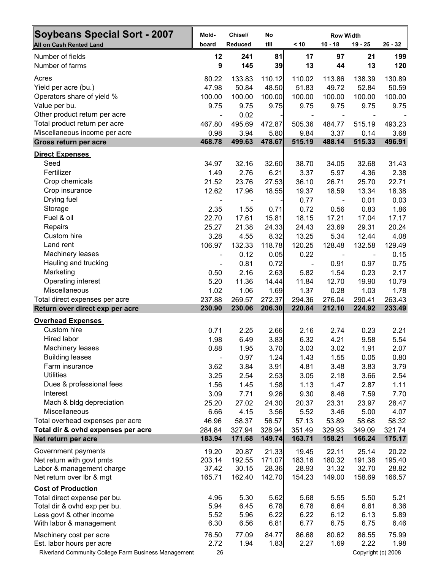| <b>Soybeans Special Sort - 2007</b>                    | Mold-                    | Chisel/        | No             |                              | <b>Row Width</b>         |                    |                |
|--------------------------------------------------------|--------------------------|----------------|----------------|------------------------------|--------------------------|--------------------|----------------|
| <b>All on Cash Rented Land</b>                         | board                    | <b>Reduced</b> | till           | < 10                         | $10 - 18$                | $19 - 25$          | $26 - 32$      |
| Number of fields<br>Number of farms                    | 12<br>9                  | 241<br>145     | 81<br>39       | 17<br>13                     | 97<br>44                 | 21<br>13           | 199<br>120     |
| Acres                                                  | 80.22                    | 133.83         | 110.12         | 110.02                       | 113.86                   | 138.39             | 130.89         |
| Yield per acre (bu.)                                   | 47.98                    | 50.84          | 48.50          | 51.83                        | 49.72                    | 52.84              | 50.59          |
| Operators share of yield %                             | 100.00                   | 100.00         | 100.00         | 100.00                       | 100.00                   | 100.00             | 100.00         |
| Value per bu.                                          | 9.75                     | 9.75           | 9.75           | 9.75                         | 9.75                     | 9.75               | 9.75           |
| Other product return per acre                          | $\overline{\phantom{a}}$ | 0.02           |                | $\qquad \qquad \blacksquare$ | $\overline{\phantom{a}}$ |                    |                |
| Total product return per acre                          | 467.80                   | 495.69         | 472.87         | 505.36                       | 484.77                   | 515.19             | 493.23         |
| Miscellaneous income per acre<br>Gross return per acre | 0.98<br>468.78           | 3.94<br>499.63 | 5.80<br>478.67 | 9.84<br>515.19               | 3.37<br>488.14           | 0.14<br>515.33     | 3.68<br>496.91 |
| <b>Direct Expenses</b>                                 |                          |                |                |                              |                          |                    |                |
| Seed                                                   | 34.97                    | 32.16          | 32.60          | 38.70                        | 34.05                    | 32.68              | 31.43          |
| Fertilizer                                             | 1.49                     | 2.76           | 6.21           | 3.37                         | 5.97                     | 4.36               | 2.38           |
| Crop chemicals                                         | 21.52                    | 23.76          | 27.53          | 36.10                        | 26.71                    | 25.70              | 22.71          |
| Crop insurance                                         | 12.62                    | 17.96          | 18.55          | 19.37                        | 18.59                    | 13.34              | 18.38          |
| Drying fuel                                            |                          |                |                | 0.77                         |                          | 0.01               | 0.03           |
| Storage                                                | 2.35                     | 1.55           | 0.71           | 0.72                         | 0.56                     | 0.83               | 1.86           |
| Fuel & oil                                             | 22.70                    | 17.61          | 15.81          | 18.15                        | 17.21                    | 17.04              | 17.17          |
| Repairs                                                | 25.27                    | 21.38          | 24.33          | 24.43                        | 23.69                    | 29.31              | 20.24          |
| Custom hire                                            | 3.28                     | 4.55           | 8.32           | 13.25                        | 5.34                     | 12.44              | 4.08           |
| Land rent                                              | 106.97                   | 132.33         | 118.78         | 120.25                       | 128.48                   | 132.58             | 129.49         |
| Machinery leases                                       | $\overline{\phantom{a}}$ | 0.12           | 0.05           | 0.22                         |                          |                    | 0.15           |
| Hauling and trucking                                   |                          | 0.81           | 0.72           |                              | 0.91                     | 0.97               | 0.75           |
| Marketing<br>Operating interest                        | 0.50                     | 2.16           | 2.63           | 5.82                         | 1.54                     | 0.23               | 2.17           |
| Miscellaneous                                          | 5.20<br>1.02             | 11.36<br>1.06  | 14.44<br>1.69  | 11.84<br>1.37                | 12.70<br>0.28            | 19.90<br>1.03      | 10.79<br>1.78  |
| Total direct expenses per acre                         | 237.88                   | 269.57         | 272.37         | 294.36                       | 276.04                   | 290.41             | 263.43         |
| Return over direct exp per acre                        | 230.90                   | 230.06         | 206.30         | 220.84                       | 212.10                   | 224.92             | 233.49         |
| <b>Overhead Expenses</b>                               |                          |                |                |                              |                          |                    |                |
| Custom hire                                            | 0.71                     | 2.25           | 2.66           | 2.16                         | 2.74                     | 0.23               | 2.21           |
| Hired labor                                            | 1.98                     | 6.49           | 3.83           | 6.32                         | 4.21                     | 9.58               | 5.54           |
| <b>Machinery leases</b>                                | 0.88                     | 1.95           | 3.70           | 3.03                         | 3.02                     | 1.91               | 2.07           |
| <b>Building leases</b>                                 | ÷,                       | 0.97           | 1.24           | 1.43                         | 1.55                     | 0.05               | 0.80           |
| Farm insurance                                         | 3.62                     | 3.84           | 3.91           | 4.81                         | 3.48                     | 3.83               | 3.79           |
| <b>Utilities</b>                                       | 3.25                     | 2.54           | 2.53           | 3.05                         | 2.18                     | 3.66               | 2.54           |
| Dues & professional fees                               | 1.56                     | 1.45           | 1.58           | 1.13                         | 1.47                     | 2.87               | 1.11           |
| Interest                                               | 3.09                     | 7.71           | 9.26           | 9.30                         | 8.46                     | 7.59               | 7.70           |
| Mach & bldg depreciation<br>Miscellaneous              | 25.20                    | 27.02          | 24.30          | 20.37                        | 23.31                    | 23.97              | 28.47          |
| Total overhead expenses per acre                       | 6.66<br>46.96            | 4.15<br>58.37  | 3.56<br>56.57  | 5.52<br>57.13                | 3.46<br>53.89            | 5.00<br>58.68      | 4.07<br>58.32  |
| Total dir & ovhd expenses per acre                     | 284.84                   | 327.94         | 328.94         | 351.49                       | 329.93                   | 349.09             | 321.74         |
| Net return per acre                                    | 183.94                   | 171.68         | 149.74         | 163.71                       | 158.21                   | 166.24             | 175.17         |
| Government payments                                    | 19.20                    | 20.87          | 21.33          | 19.45                        | 22.11                    | 25.14              | 20.22          |
| Net return with govt pmts                              | 203.14                   | 192.55         | 171.07         | 183.16                       | 180.32                   | 191.38             | 195.40         |
| Labor & management charge                              | 37.42                    | 30.15          | 28.36          | 28.93                        | 31.32                    | 32.70              | 28.82          |
| Net return over Ibr & mgt                              | 165.71                   | 162.40         | 142.70         | 154.23                       | 149.00                   | 158.69             | 166.57         |
| <b>Cost of Production</b>                              |                          |                |                |                              |                          |                    |                |
| Total direct expense per bu.                           | 4.96                     | 5.30           | 5.62           | 5.68                         | 5.55                     | 5.50               | 5.21           |
| Total dir & ovhd exp per bu.                           | 5.94<br>5.52             | 6.45           | 6.78<br>6.22   | 6.78                         | 6.64                     | 6.61               | 6.36           |
| Less govt & other income<br>With labor & management    | 6.30                     | 5.96<br>6.56   | 6.81           | 6.22<br>6.77                 | 6.12<br>6.75             | 6.13<br>6.75       | 5.89<br>6.46   |
|                                                        |                          |                |                |                              |                          |                    |                |
| Machinery cost per acre<br>Est. labor hours per acre   | 76.50<br>2.72            | 77.09<br>1.94  | 84.77<br>1.83  | 86.68<br>2.27                | 80.62<br>1.69            | 86.55<br>2.22      | 75.99<br>1.98  |
| Riverland Community College Farm Business Management   | 26                       |                |                |                              |                          | Copyright (c) 2008 |                |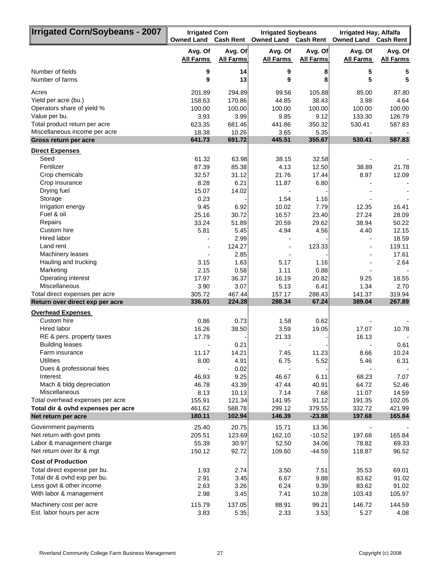| <b>Irrigated Corn/Soybeans - 2007</b>               | <b>Irrigated Corn</b><br><b>Owned Land Cash Rent</b> |                             | <b>Irrigated Soybeans</b><br><b>Owned Land Cash Rent</b> |                             | <b>Irrigated Hay, Alfalfa</b><br><b>Owned Land Cash Rent</b> |                             |
|-----------------------------------------------------|------------------------------------------------------|-----------------------------|----------------------------------------------------------|-----------------------------|--------------------------------------------------------------|-----------------------------|
|                                                     | Avg. Of<br><b>All Farms</b>                          | Avg. Of<br><b>All Farms</b> | Avg. Of<br><b>All Farms</b>                              | Avg. Of<br><b>All Farms</b> | Avg. Of<br><b>All Farms</b>                                  | Avg. Of<br><b>All Farms</b> |
| Number of fields<br>Number of farms                 | 9<br>9                                               | 14<br>13                    | 9<br>9                                                   | 8<br>8                      | 5<br>5                                                       | 5<br>5                      |
| Acres                                               | 201.89                                               | 294.89                      | 99.56                                                    | 105.88                      | 85.00                                                        | 87.80                       |
| Yield per acre (bu.)                                | 158.63                                               | 170.86                      | 44.85                                                    | 38.43                       | 3.98                                                         | 4.64                        |
| Operators share of yield %                          | 100.00                                               | 100.00                      | 100.00                                                   | 100.00                      | 100.00                                                       | 100.00                      |
| Value per bu.                                       | 3.93                                                 | 3.99                        | 9.85                                                     | 9.12                        | 133.30                                                       | 126.79                      |
| Total product return per acre                       | 623.35                                               | 681.46                      | 441.86                                                   | 350.32                      | 530.41                                                       | 587.83                      |
| Miscellaneous income per acre                       | 18.38                                                | 10.26                       | 3.65                                                     | 5.35                        |                                                              |                             |
| Gross return per acre                               | 641.73                                               | 691.72                      | 445.51                                                   | 355.67                      | 530.41                                                       | 587.83                      |
| <b>Direct Expenses</b>                              |                                                      |                             |                                                          |                             |                                                              |                             |
| Seed                                                | 61.32                                                | 63.98                       | 38.15                                                    | 32.58                       |                                                              |                             |
| Fertilizer                                          | 87.39                                                | 85.38                       | 4.13                                                     | 12.50                       | 38.89                                                        | 21.78                       |
| Crop chemicals                                      | 32.57                                                | 31.12                       | 21.76                                                    | 17.44                       | 8.97                                                         | 12.09                       |
| Crop insurance                                      | 8.28                                                 | 6.21                        | 11.87                                                    | 6.80                        |                                                              |                             |
| Drying fuel                                         | 15.07                                                | 14.02                       |                                                          |                             |                                                              |                             |
| Storage                                             | 0.23                                                 |                             | 1.54                                                     | 1.16                        |                                                              |                             |
| Irrigation energy                                   | 9.45                                                 | 6.92                        | 10.02                                                    | 7.79                        | 12.35                                                        | 16.41                       |
| Fuel & oil                                          | 25.16                                                | 30.72                       | 16.57                                                    | 23.40                       | 27.24                                                        | 28.09                       |
| Repairs<br>Custom hire                              | 33.24                                                | 51.89                       | 20.59                                                    | 29.62                       | 38.94                                                        | 50.22                       |
| Hired labor                                         | 5.81                                                 | 5.45<br>2.99                | 4.94                                                     | 4.56                        | 4.40                                                         | 12.15<br>18.59              |
| Land rent                                           |                                                      | 124.27                      | $\overline{\phantom{0}}$                                 |                             |                                                              | 119.11                      |
| Machinery leases                                    |                                                      | 2.85                        |                                                          | 123.33                      |                                                              | 17.61                       |
| Hauling and trucking                                | 3.15                                                 | 1.63                        | 5.17                                                     | 1.16                        |                                                              | 2.64                        |
| Marketing                                           | 2.15                                                 | 0.58                        | 1.11                                                     | 0.88                        |                                                              |                             |
| Operating interest                                  | 17.97                                                | 36.37                       | 16.19                                                    | 20.82                       | 9.25                                                         | 18.55                       |
| Miscellaneous                                       | 3.90                                                 | 3.07                        | 5.13                                                     | 6.41                        | 1.34                                                         | 2.70                        |
| Total direct expenses per acre                      | 305.72                                               | 467.44                      | 157.17                                                   | 288.43                      | 141.37                                                       | 319.94                      |
| Return over direct exp per acre                     | 336.01                                               | 224.28                      | 288.34                                                   | 67.24                       | 389.04                                                       | 267.89                      |
| <b>Overhead Expenses</b>                            |                                                      |                             |                                                          |                             |                                                              |                             |
| Custom hire                                         | 0.86                                                 | 0.73                        | 1.58                                                     | 0.62                        |                                                              |                             |
| Hired labor                                         | 16.26                                                | 38.50                       | 3.59                                                     | 19.05                       | 17.07                                                        | 10.78                       |
| RE & pers. property taxes                           | 17.79                                                |                             | 21.33                                                    |                             | 16.13                                                        |                             |
| <b>Building leases</b>                              |                                                      | 0.21                        |                                                          |                             |                                                              | 0.61                        |
| Farm insurance                                      | 11.17                                                | 14.21                       | 7.45                                                     | 11.23                       | 8.66                                                         | 10.24                       |
| <b>Utilities</b>                                    | 8.00                                                 | 4.91                        | 6.75                                                     | 5.52                        | 5.46                                                         | 6.31                        |
| Dues & professional fees                            | ÷,                                                   | 0.02                        |                                                          |                             |                                                              |                             |
| Interest<br>Mach & bldg depreciation                | 46.93<br>46.78                                       | 9.25<br>43.39               | 46.67<br>47.44                                           | 6.11<br>40.91               | 68.23<br>64.72                                               | 7.07                        |
| Miscellaneous                                       | 8.13                                                 | 10.13                       | 7.14                                                     | 7.68                        | 11.07                                                        | 52.46<br>14.59              |
| Total overhead expenses per acre                    | 155.91                                               | 121.34                      | 141.95                                                   | 91.12                       | 191.35                                                       | 102.05                      |
| Total dir & ovhd expenses per acre                  | 461.62                                               | 588.78                      | 299.12                                                   | 379.55                      | 332.72                                                       | 421.99                      |
| Net return per acre                                 | 180.11                                               | 102.94                      | 146.39                                                   | $-23.88$                    | 197.68                                                       | 165.84                      |
|                                                     |                                                      |                             |                                                          |                             |                                                              |                             |
| Government payments<br>Net return with govt pmts    | 25.40<br>205.51                                      | 20.75<br>123.69             | 15.71<br>162.10                                          | 13.36<br>$-10.52$           | 197.68                                                       | 165.84                      |
| Labor & management charge                           | 55.39                                                | 30.97                       | 52.50                                                    | 34.06                       | 78.82                                                        | 69.33                       |
| Net return over lbr & mgt                           | 150.12                                               | 92.72                       | 109.60                                                   | $-44.59$                    | 118.87                                                       | 96.52                       |
|                                                     |                                                      |                             |                                                          |                             |                                                              |                             |
| <b>Cost of Production</b>                           |                                                      |                             |                                                          |                             |                                                              |                             |
| Total direct expense per bu.                        | 1.93                                                 | 2.74                        | 3.50                                                     | 7.51                        | 35.53                                                        | 69.01                       |
| Total dir & ovhd exp per bu.                        | 2.91                                                 | 3.45                        | 6.67                                                     | 9.88                        | 83.62                                                        | 91.02                       |
| Less govt & other income<br>With labor & management | 2.63                                                 | 3.26                        | 6.24                                                     | 9.39                        | 83.62                                                        | 91.02<br>105.97             |
|                                                     | 2.98                                                 | 3.45                        | 7.41                                                     | 10.28                       | 103.43                                                       |                             |
| Machinery cost per acre                             | 115.79                                               | 137.05                      | 88.91                                                    | 99.21                       | 146.72                                                       | 144.59                      |
| Est. labor hours per acre                           | 3.83                                                 | 5.35                        | 2.33                                                     | 3.53                        | 5.27                                                         | 4.08                        |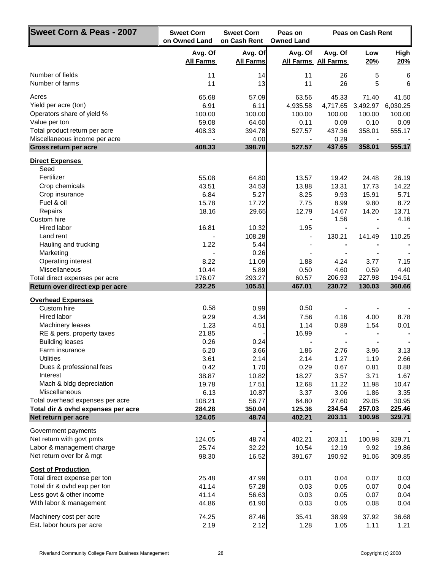| Sweet Corn & Peas - 2007                                               | <b>Sweet Corn</b><br>on Owned Land | <b>Sweet Corn</b><br>on Cash Rent | Peas on<br><b>Owned Land</b> | <b>Peas on Cash Rent</b>    |                   |                   |
|------------------------------------------------------------------------|------------------------------------|-----------------------------------|------------------------------|-----------------------------|-------------------|-------------------|
|                                                                        | Avg. Of<br><b>All Farms</b>        | Avg. Of<br><b>All Farms</b>       | Avg. Of<br><b>All Farms</b>  | Avg. Of<br><b>All Farms</b> | Low<br>20%        | High<br>20%       |
| Number of fields<br>Number of farms                                    | 11<br>11                           | 14<br>13                          | 11<br>11                     | 26<br>26                    | 5<br>5            | 6<br>6            |
|                                                                        |                                    |                                   |                              |                             |                   |                   |
| Acres<br>Yield per acre (ton)                                          | 65.68<br>6.91                      | 57.09<br>6.11                     | 63.56<br>4,935.58            | 45.33<br>4,717.65           | 71.40<br>3,492.97 | 41.50<br>6,030.25 |
| Operators share of yield %                                             | 100.00                             | 100.00                            | 100.00                       | 100.00                      | 100.00            | 100.00            |
| Value per ton                                                          | 59.08                              | 64.60                             | 0.11                         | 0.09                        | 0.10              | 0.09              |
| Total product return per acre                                          | 408.33                             | 394.78                            | 527.57                       | 437.36                      | 358.01            | 555.17            |
| Miscellaneous income per acre                                          |                                    | 4.00                              |                              | 0.29                        |                   |                   |
| Gross return per acre                                                  | 408.33                             | 398.78                            | 527.57                       | 437.65                      | 358.01            | 555.17            |
| <b>Direct Expenses</b>                                                 |                                    |                                   |                              |                             |                   |                   |
| Seed<br>Fertilizer                                                     |                                    |                                   |                              |                             |                   |                   |
| Crop chemicals                                                         | 55.08<br>43.51                     | 64.80<br>34.53                    | 13.57<br>13.88               | 19.42<br>13.31              | 24.48<br>17.73    | 26.19<br>14.22    |
| Crop insurance                                                         | 6.84                               | 5.27                              | 8.25                         | 9.93                        | 15.91             | 5.71              |
| Fuel & oil                                                             | 15.78                              | 17.72                             | 7.75                         | 8.99                        | 9.80              | 8.72              |
| Repairs                                                                | 18.16                              | 29.65                             | 12.79                        | 14.67                       | 14.20             | 13.71             |
| Custom hire                                                            |                                    |                                   |                              | 1.56                        |                   | 4.16              |
| Hired labor                                                            | 16.81                              | 10.32                             | 1.95                         |                             |                   |                   |
| Land rent                                                              |                                    | 108.28                            |                              | 130.21                      | 141.49            | 110.25            |
| Hauling and trucking<br>Marketing                                      | 1.22                               | 5.44                              |                              |                             |                   |                   |
| Operating interest                                                     | 8.22                               | 0.26<br>11.09                     | 1.88                         | 4.24                        | 3.77              | 7.15              |
| Miscellaneous                                                          | 10.44                              | 5.89                              | 0.50                         | 4.60                        | 0.59              | 4.40              |
| Total direct expenses per acre                                         | 176.07                             | 293.27                            | 60.57                        | 206.93                      | 227.98            | 194.51            |
| Return over direct exp per acre                                        | 232.25                             | 105.51                            | 467.01                       | 230.72                      | 130.03            | 360.66            |
| <b>Overhead Expenses</b>                                               |                                    |                                   |                              |                             |                   |                   |
| Custom hire                                                            | 0.58                               | 0.99                              | 0.50                         |                             |                   |                   |
| Hired labor                                                            | 9.29                               | 4.34                              | 7.56                         | 4.16                        | 4.00              | 8.78              |
| Machinery leases                                                       | 1.23                               | 4.51                              | 1.14                         | 0.89                        | 1.54              | 0.01              |
| RE & pers. property taxes<br><b>Building leases</b>                    | 21.85<br>0.26                      | 0.24                              | 16.99                        |                             |                   |                   |
| Farm insurance                                                         | 6.20                               | 3.66                              | 1.86                         | 2.76                        | 3.96              | 3.13              |
| <b>Utilities</b>                                                       | 3.61                               | 2.14                              | 2.14                         | 1.27                        | 1.19              | 2.66              |
| Dues & professional fees                                               | 0.42                               | 1.70                              | 0.29                         | 0.67                        | 0.81              | 0.88              |
| Interest                                                               | 38.87                              | 10.82                             | 18.27                        | 3.57                        | 3.71              | 1.67              |
| Mach & bldg depreciation                                               | 19.78                              | 17.51                             | 12.68                        | 11.22                       | 11.98             | 10.47             |
| Miscellaneous                                                          | 6.13                               | 10.87                             | 3.37                         | 3.06                        | 1.86              | 3.35              |
| Total overhead expenses per acre<br>Total dir & ovhd expenses per acre | 108.21<br>284.28                   | 56.77<br>350.04                   | 64.80<br>125.36              | 27.60<br>234.54             | 29.05<br>257.03   | 30.95<br>225.46   |
| Net return per acre                                                    | 124.05                             | 48.74                             | 402.21                       | 203.11                      | 100.98            | 329.71            |
|                                                                        |                                    |                                   |                              |                             |                   |                   |
| Government payments<br>Net return with govt pmts                       | 124.05                             | 48.74                             | 402.21                       | 203.11                      | 100.98            | 329.71            |
| Labor & management charge                                              | 25.74                              | 32.22                             | 10.54                        | 12.19                       | 9.92              | 19.86             |
| Net return over Ibr & mgt                                              | 98.30                              | 16.52                             | 391.67                       | 190.92                      | 91.06             | 309.85            |
| <b>Cost of Production</b>                                              |                                    |                                   |                              |                             |                   |                   |
| Total direct expense per ton                                           | 25.48                              | 47.99                             | 0.01                         | 0.04                        | 0.07              | 0.03              |
| Total dir & ovhd exp per ton                                           | 41.14                              | 57.28                             | 0.03                         | 0.05                        | 0.07              | 0.04              |
| Less govt & other income                                               | 41.14                              | 56.63                             | 0.03                         | 0.05                        | 0.07              | 0.04              |
| With labor & management                                                | 44.86                              | 61.90                             | 0.03                         | 0.05                        | 0.08              | 0.04              |
| Machinery cost per acre                                                | 74.25                              | 87.46                             | 35.41                        | 38.99                       | 37.92             | 36.68             |
| Est. labor hours per acre                                              | 2.19                               | 2.12                              | 1.28                         | 1.05                        | 1.11              | 1.21              |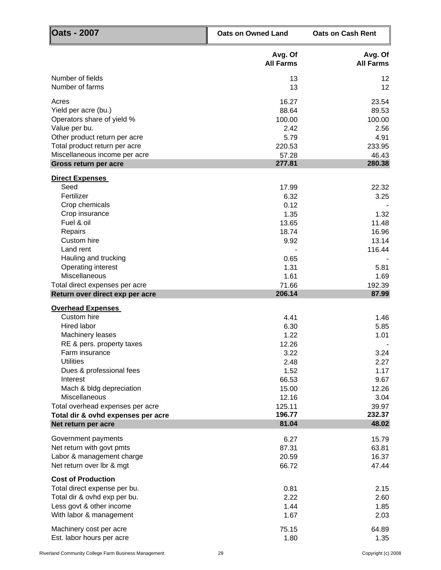| <b>Oats - 2007</b>                                     | <b>Oats on Owned Land</b>   | <b>Oats on Cash Rent</b>    |  |  |
|--------------------------------------------------------|-----------------------------|-----------------------------|--|--|
|                                                        | Avg. Of<br><b>All Farms</b> | Avg. Of<br><b>All Farms</b> |  |  |
| Number of fields                                       | 13                          | 12                          |  |  |
| Number of farms                                        | 13                          | 12                          |  |  |
| Acres                                                  | 16.27                       | 23.54                       |  |  |
| Yield per acre (bu.)                                   | 88.64                       | 89.53                       |  |  |
| Operators share of yield %                             | 100.00                      | 100.00                      |  |  |
| Value per bu.                                          | 2.42                        | 2.56                        |  |  |
| Other product return per acre                          | 5.79                        | 4.91                        |  |  |
| Total product return per acre                          | 220.53                      | 233.95                      |  |  |
| Miscellaneous income per acre<br>Gross return per acre | 57.28<br>277.81             | 46.43<br>280.38             |  |  |
|                                                        |                             |                             |  |  |
| <b>Direct Expenses</b>                                 |                             |                             |  |  |
| Seed                                                   | 17.99                       | 22.32                       |  |  |
| Fertilizer                                             | 6.32                        | 3.25                        |  |  |
| Crop chemicals<br>Crop insurance                       | 0.12<br>1.35                |                             |  |  |
| Fuel & oil                                             | 13.65                       | 1.32<br>11.48               |  |  |
| Repairs                                                | 18.74                       | 16.96                       |  |  |
| Custom hire                                            | 9.92                        | 13.14                       |  |  |
| Land rent                                              |                             | 116.44                      |  |  |
| Hauling and trucking                                   | 0.65                        |                             |  |  |
| Operating interest                                     | 1.31                        | 5.81                        |  |  |
| Miscellaneous                                          | 1.61                        | 1.69                        |  |  |
| Total direct expenses per acre                         | 71.66                       | 192.39                      |  |  |
| Return over direct exp per acre                        | 206.14                      | 87.99                       |  |  |
| <b>Overhead Expenses</b>                               |                             |                             |  |  |
| Custom hire                                            | 4.41                        | 1.46                        |  |  |
| Hired labor                                            | 6.30                        | 5.85                        |  |  |
| Machinery leases                                       | 1.22                        | 1.01                        |  |  |
| RE & pers. property taxes                              | 12.26                       |                             |  |  |
| Farm insurance                                         | 3.22                        | 3.24                        |  |  |
| <b>Utilities</b>                                       | 2.48                        | 2.27                        |  |  |
| Dues & professional fees                               | 1.52                        | 1.17                        |  |  |
| Interest                                               | 66.53                       | 9.67                        |  |  |
| Mach & bldg depreciation<br><b>Miscellaneous</b>       | 15.00                       | 12.26                       |  |  |
| Total overhead expenses per acre                       | 12.16<br>125.11             | 3.04<br>39.97               |  |  |
| Total dir & ovhd expenses per acre                     | 196.77                      | 232.37                      |  |  |
| Net return per acre                                    | 81.04                       | 48.02                       |  |  |
|                                                        |                             |                             |  |  |
| Government payments                                    | 6.27                        | 15.79                       |  |  |
| Net return with govt pmts                              | 87.31                       | 63.81                       |  |  |
| Labor & management charge<br>Net return over lbr & mgt | 20.59<br>66.72              | 16.37<br>47.44              |  |  |
|                                                        |                             |                             |  |  |
| <b>Cost of Production</b>                              |                             |                             |  |  |
| Total direct expense per bu.                           | 0.81                        | 2.15                        |  |  |
| Total dir & ovhd exp per bu.                           | 2.22                        | 2.60                        |  |  |
| Less govt & other income                               | 1.44                        | 1.85                        |  |  |
| With labor & management                                | 1.67                        | 2.03                        |  |  |
| Machinery cost per acre                                | 75.15                       | 64.89                       |  |  |
| Est. labor hours per acre                              | 1.80                        | 1.35                        |  |  |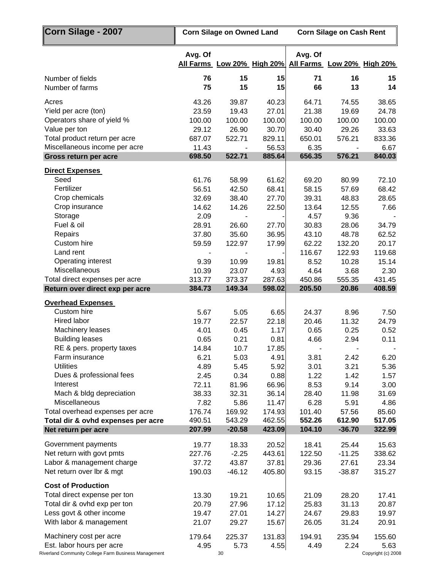| Corn Silage - 2007                                   |                 | <b>Corn Silage on Owned Land</b> |                            | <b>Corn Silage on Cash Rent</b>       |               |                    |  |
|------------------------------------------------------|-----------------|----------------------------------|----------------------------|---------------------------------------|---------------|--------------------|--|
|                                                      | Avg. Of         |                                  | All Farms Low 20% High 20% | Avg. Of<br>All Farms Low 20% High 20% |               |                    |  |
| Number of fields                                     | 76              | 15                               | 15                         | 71                                    | 16            | 15                 |  |
| Number of farms                                      | 75              | 15                               | 15                         | 66                                    | 13            | 14                 |  |
| Acres                                                | 43.26           | 39.87                            | 40.23                      | 64.71                                 | 74.55         | 38.65              |  |
| Yield per acre (ton)                                 | 23.59           | 19.43                            | 27.01                      | 21.38                                 | 19.69         | 24.78              |  |
| Operators share of yield %                           | 100.00          | 100.00                           | 100.00                     | 100.00                                | 100.00        | 100.00             |  |
| Value per ton                                        | 29.12           | 26.90                            | 30.70                      | 30.40                                 | 29.26         | 33.63              |  |
| Total product return per acre                        | 687.07          | 522.71                           | 829.11                     | 650.01                                | 576.21        | 833.36             |  |
| Miscellaneous income per acre                        | 11.43           |                                  | 56.53                      | 6.35                                  |               | 6.67               |  |
| Gross return per acre                                | 698.50          | 522.71                           | 885.64                     | 656.35                                | 576.21        | 840.03             |  |
| <b>Direct Expenses</b>                               |                 |                                  |                            |                                       |               |                    |  |
| Seed                                                 | 61.76           | 58.99                            | 61.62                      | 69.20                                 | 80.99         | 72.10              |  |
| Fertilizer                                           | 56.51           | 42.50                            | 68.41                      | 58.15                                 | 57.69         | 68.42              |  |
| Crop chemicals                                       | 32.69           | 38.40                            | 27.70                      | 39.31                                 | 48.83         | 28.65              |  |
| Crop insurance                                       | 14.62           | 14.26                            | 22.50                      | 13.64                                 | 12.55         | 7.66               |  |
| Storage                                              | 2.09            |                                  |                            | 4.57                                  | 9.36          |                    |  |
| Fuel & oil                                           | 28.91           | 26.60                            | 27.70                      | 30.83                                 | 28.06         | 34.79              |  |
| Repairs                                              | 37.80           | 35.60                            | 36.95                      | 43.10                                 | 48.78         | 62.52              |  |
| Custom hire                                          | 59.59           | 122.97                           | 17.99                      | 62.22                                 | 132.20        | 20.17              |  |
| Land rent                                            |                 |                                  |                            | 116.67                                | 122.93        | 119.68             |  |
| Operating interest<br>Miscellaneous                  | 9.39            | 10.99<br>23.07                   | 19.81                      | 8.52                                  | 10.28<br>3.68 | 15.14              |  |
| Total direct expenses per acre                       | 10.39<br>313.77 | 373.37                           | 4.93<br>287.63             | 4.64<br>450.86                        | 555.35        | 2.30<br>431.45     |  |
| Return over direct exp per acre                      | 384.73          | 149.34                           | 598.02                     | 205.50                                | 20.86         | 408.59             |  |
|                                                      |                 |                                  |                            |                                       |               |                    |  |
| <b>Overhead Expenses</b><br>Custom hire              | 5.67            | 5.05                             | 6.65                       | 24.37                                 | 8.96          | 7.50               |  |
| Hired labor                                          | 19.77           | 22.57                            | 22.18                      | 20.46                                 | 11.32         | 24.79              |  |
| Machinery leases                                     | 4.01            | 0.45                             | 1.17                       | 0.65                                  | 0.25          | 0.52               |  |
| <b>Building leases</b>                               | 0.65            | 0.21                             | 0.81                       | 4.66                                  | 2.94          | 0.11               |  |
| RE & pers. property taxes                            | 14.84           | 10.7                             | 17.85                      |                                       |               |                    |  |
| Farm insurance                                       | 6.21            | 5.03                             | 4.91                       | 3.81                                  | 2.42          | 6.20               |  |
| <b>Utilities</b>                                     | 4.89            | 5.45                             | 5.92                       | 3.01                                  | 3.21          | 5.36               |  |
| Dues & professional fees                             | 2.45            | 0.34                             | 0.88                       | 1.22                                  | 1.42          | 1.57               |  |
| Interest                                             | 72.11           | 81.96                            | 66.96                      | 8.53                                  | 9.14          | 3.00               |  |
| Mach & bldg depreciation                             | 38.33           | 32.31                            | 36.14                      | 28.40                                 | 11.98         | 31.69              |  |
| Miscellaneous                                        | 7.82            | 5.86                             | 11.47                      | 6.28                                  | 5.91          | 4.86               |  |
| Total overhead expenses per acre                     | 176.74          | 169.92                           | 174.93                     | 101.40                                | 57.56         | 85.60              |  |
| Total dir & ovhd expenses per acre                   | 490.51          | 543.29                           | 462.55                     | 552.26                                | 612.90        | 517.05             |  |
| Net return per acre                                  | 207.99          | $-20.58$                         | 423.09                     | 104.10                                | $-36.70$      | 322.99             |  |
| Government payments                                  | 19.77           | 18.33                            | 20.52                      | 18.41                                 | 25.44         | 15.63              |  |
| Net return with govt pmts                            | 227.76          | $-2.25$                          | 443.61                     | 122.50                                | $-11.25$      | 338.62             |  |
| Labor & management charge                            | 37.72           | 43.87                            | 37.81                      | 29.36                                 | 27.61         | 23.34              |  |
| Net return over lbr & mgt                            | 190.03          | $-46.12$                         | 405.80                     | 93.15                                 | $-38.87$      | 315.27             |  |
| <b>Cost of Production</b>                            |                 |                                  |                            |                                       |               |                    |  |
| Total direct expense per ton                         | 13.30           | 19.21                            | 10.65                      | 21.09                                 | 28.20         | 17.41              |  |
| Total dir & ovhd exp per ton                         | 20.79           | 27.96                            | 17.12                      | 25.83                                 | 31.13         | 20.87              |  |
| Less govt & other income                             | 19.47           | 27.01                            | 14.27                      | 24.67                                 | 29.83         | 19.97              |  |
| With labor & management                              | 21.07           | 29.27                            | 15.67                      | 26.05                                 | 31.24         | 20.91              |  |
| Machinery cost per acre                              | 179.64          | 225.37                           | 131.83                     | 194.91                                | 235.94        | 155.60             |  |
| Est. labor hours per acre                            | 4.95            | 5.73                             | 4.55                       | 4.49                                  | 2.24          | 5.63               |  |
| Riverland Community College Farm Business Management |                 | 30                               |                            |                                       |               | Copyright (c) 2008 |  |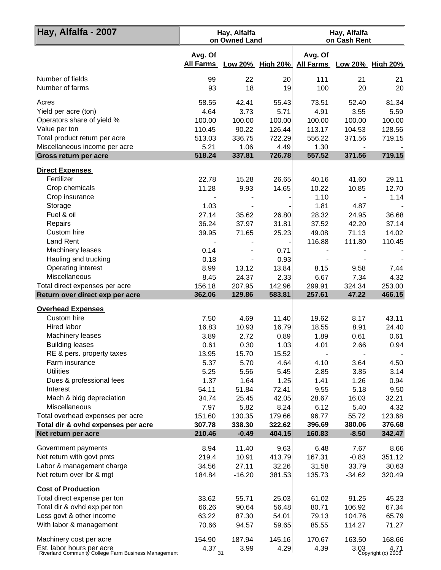| Hay, Alfalfa - 2007                                                               | Hay, Alfalfa<br>on Owned Land |                   |                  | Hay, Alfalfa<br>on Cash Rent |                 |                                 |  |
|-----------------------------------------------------------------------------------|-------------------------------|-------------------|------------------|------------------------------|-----------------|---------------------------------|--|
|                                                                                   | Avg. Of<br><b>All Farms</b>   | Low 20%           | <b>High 20%</b>  | Avg. Of<br><b>All Farms</b>  | Low 20%         | <b>High 20%</b>                 |  |
| Number of fields                                                                  | 99                            | 22                | 20               | 111                          | 21              | 21                              |  |
| Number of farms                                                                   | 93                            | 18                | 19               | 100                          | 20              | 20                              |  |
| Acres                                                                             | 58.55                         | 42.41             | 55.43            | 73.51                        | 52.40           | 81.34                           |  |
| Yield per acre (ton)                                                              | 4.64                          | 3.73              | 5.71             | 4.91                         | 3.55            | 5.59                            |  |
| Operators share of yield %                                                        | 100.00                        | 100.00            | 100.00           | 100.00                       | 100.00          | 100.00                          |  |
| Value per ton                                                                     | 110.45                        | 90.22             | 126.44           | 113.17                       | 104.53          | 128.56                          |  |
| Total product return per acre                                                     | 513.03                        | 336.75            | 722.29           | 556.22                       | 371.56          | 719.15                          |  |
| Miscellaneous income per acre                                                     | 5.21                          | 1.06              | 4.49             | 1.30                         |                 |                                 |  |
| Gross return per acre                                                             | 518.24                        | 337.81            | 726.78           | 557.52                       | 371.56          | 719.15                          |  |
| <b>Direct Expenses</b>                                                            |                               |                   |                  |                              |                 |                                 |  |
| Fertilizer                                                                        | 22.78                         | 15.28             | 26.65            | 40.16                        | 41.60           | 29.11                           |  |
| Crop chemicals                                                                    | 11.28                         | 9.93              | 14.65            | 10.22                        | 10.85           | 12.70                           |  |
| Crop insurance                                                                    |                               |                   |                  | 1.10                         |                 | 1.14                            |  |
| Storage                                                                           | 1.03                          |                   |                  | 1.81                         | 4.87            |                                 |  |
| Fuel & oil                                                                        | 27.14                         | 35.62             | 26.80            | 28.32                        | 24.95           | 36.68                           |  |
| Repairs                                                                           | 36.24                         | 37.97             | 31.81            | 37.52                        | 42.20           | 37.14                           |  |
| Custom hire<br><b>Land Rent</b>                                                   | 39.95                         | 71.65             | 25.23            | 49.08                        | 71.13           | 14.02                           |  |
| Machinery leases                                                                  | 0.14                          |                   | 0.71             | 116.88                       | 111.80          | 110.45                          |  |
| Hauling and trucking                                                              | 0.18                          |                   | 0.93             |                              |                 |                                 |  |
| Operating interest                                                                | 8.99                          | 13.12             | 13.84            | 8.15                         | 9.58            | 7.44                            |  |
| Miscellaneous                                                                     | 8.45                          | 24.37             | 2.33             | 6.67                         | 7.34            | 4.32                            |  |
| Total direct expenses per acre                                                    | 156.18                        | 207.95            | 142.96           | 299.91                       | 324.34          | 253.00                          |  |
| Return over direct exp per acre                                                   | 362.06                        | 129.86            | 583.81           | 257.61                       | 47.22           | 466.15                          |  |
| <b>Overhead Expenses</b>                                                          |                               |                   |                  |                              |                 |                                 |  |
| Custom hire                                                                       | 7.50                          | 4.69              | 11.40            | 19.62                        | 8.17            | 43.11                           |  |
| <b>Hired labor</b>                                                                | 16.83                         | 10.93             | 16.79            | 18.55                        | 8.91            | 24.40                           |  |
| Machinery leases                                                                  | 3.89                          | 2.72              | 0.89             | 1.89                         | 0.61            | 0.61                            |  |
| <b>Building leases</b>                                                            | 0.61                          | 0.30              | 1.03             | 4.01                         | 2.66            | 0.94                            |  |
| RE & pers. property taxes                                                         | 13.95                         | 15.70             | 15.52            |                              |                 |                                 |  |
| Farm insurance                                                                    | 5.37                          | 5.70              | 4.64             | 4.10                         | 3.64            | 4.50                            |  |
| <b>Utilities</b>                                                                  | 5.25                          | 5.56              | 5.45             | 2.85                         | 3.85            | 3.14                            |  |
| Dues & professional fees                                                          | 1.37                          | 1.64              | 1.25             | 1.41                         | 1.26            | 0.94                            |  |
| Interest                                                                          | 54.11                         | 51.84             | 72.41            | 9.55                         | 5.18            | 9.50                            |  |
| Mach & bldg depreciation                                                          | 34.74                         | 25.45             | 42.05            | 28.67                        | 16.03           | 32.21                           |  |
| Miscellaneous                                                                     | 7.97                          | 5.82              | 8.24             | 6.12                         | 5.40            | 4.32                            |  |
| Total overhead expenses per acre                                                  | 151.60                        | 130.35            | 179.66           | 96.77<br>396.69              | 55.72<br>380.06 | 123.68<br>376.68                |  |
| Total dir & ovhd expenses per acre<br>Net return per acre                         | 307.78<br>210.46              | 338.30<br>$-0.49$ | 322.62<br>404.15 | 160.83                       | $-8.50$         | 342.47                          |  |
|                                                                                   |                               |                   |                  |                              |                 |                                 |  |
| Government payments                                                               | 8.94                          | 11.40             | 9.63             | 6.48                         | 7.67            | 8.66                            |  |
| Net return with govt pmts                                                         | 219.4                         | 10.91             | 413.79           | 167.31                       | $-0.83$         | 351.12                          |  |
| Labor & management charge                                                         | 34.56                         | 27.11             | 32.26            | 31.58                        | 33.79           | 30.63                           |  |
| Net return over lbr & mgt                                                         | 184.84                        | $-16.20$          | 381.53           | 135.73                       | $-34.62$        | 320.49                          |  |
| <b>Cost of Production</b>                                                         |                               |                   |                  |                              |                 |                                 |  |
| Total direct expense per ton                                                      | 33.62                         | 55.71             | 25.03            | 61.02                        | 91.25           | 45.23                           |  |
| Total dir & ovhd exp per ton                                                      | 66.26                         | 90.64             | 56.48            | 80.71                        | 106.92          | 67.34                           |  |
| Less govt & other income                                                          | 63.22                         | 87.30             | 54.01            | 79.13                        | 104.76          | 65.79                           |  |
| With labor & management                                                           | 70.66                         | 94.57             | 59.65            | 85.55                        | 114.27          | 71.27                           |  |
| Machinery cost per acre                                                           | 154.90                        | 187.94            | 145.16           | 170.67                       | 163.50          | 168.66                          |  |
| Est. labor hours per acre<br>Riverland Community College Farm Business Management | $4.37_{31}$                   | 3.99              | 4.29             | 4.39                         |                 | 3.03 4.71<br>Copyright (c) 2008 |  |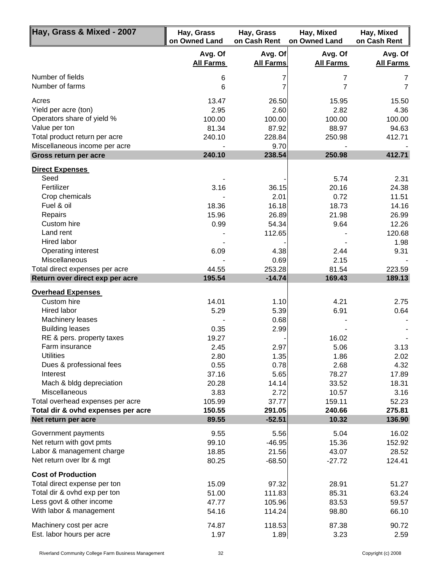| Hay, Grass & Mixed - 2007                   | Hay, Grass<br>on Owned Land | Hay, Grass<br>on Cash Rent  | Hay, Mixed<br>on Owned Land | Hay, Mixed<br>on Cash Rent  |  |
|---------------------------------------------|-----------------------------|-----------------------------|-----------------------------|-----------------------------|--|
|                                             | Avg. Of<br><b>All Farms</b> | Avg. Of<br><b>All Farms</b> | Avg. Of<br><b>All Farms</b> | Avg. Of<br><b>All Farms</b> |  |
| Number of fields                            | 6                           | 7                           | 7                           | 7                           |  |
| Number of farms                             | 6                           | 7                           | $\overline{7}$              | $\overline{7}$              |  |
| Acres                                       | 13.47                       | 26.50                       | 15.95                       | 15.50                       |  |
| Yield per acre (ton)                        | 2.95                        | 2.60                        | 2.82                        | 4.36                        |  |
| Operators share of yield %<br>Value per ton | 100.00<br>81.34             | 100.00                      | 100.00<br>88.97             | 100.00<br>94.63             |  |
| Total product return per acre               | 240.10                      | 87.92<br>228.84             | 250.98                      | 412.71                      |  |
| Miscellaneous income per acre               |                             | 9.70                        |                             |                             |  |
| Gross return per acre                       | 240.10                      | 238.54                      | 250.98                      | 412.71                      |  |
|                                             |                             |                             |                             |                             |  |
| <b>Direct Expenses</b><br>Seed              |                             |                             | 5.74                        | 2.31                        |  |
| Fertilizer                                  | 3.16                        | 36.15                       | 20.16                       | 24.38                       |  |
| Crop chemicals                              |                             | 2.01                        | 0.72                        | 11.51                       |  |
| Fuel & oil                                  | 18.36                       | 16.18                       | 18.73                       | 14.16                       |  |
| Repairs                                     | 15.96                       | 26.89                       | 21.98                       | 26.99                       |  |
| Custom hire                                 | 0.99                        | 54.34                       | 9.64                        | 12.26                       |  |
| Land rent                                   |                             | 112.65                      |                             | 120.68                      |  |
| Hired labor                                 |                             |                             |                             | 1.98                        |  |
| Operating interest<br>Miscellaneous         | 6.09                        | 4.38<br>0.69                | 2.44<br>2.15                | 9.31                        |  |
| Total direct expenses per acre              | 44.55                       | 253.28                      | 81.54                       | 223.59                      |  |
| Return over direct exp per acre             | 195.54                      | $-14.74$                    | 169.43                      | 189.13                      |  |
| <b>Overhead Expenses</b>                    |                             |                             |                             |                             |  |
| Custom hire                                 | 14.01                       | 1.10                        | 4.21                        | 2.75                        |  |
| Hired labor                                 | 5.29                        | 5.39                        | 6.91                        | 0.64                        |  |
| Machinery leases                            |                             | 0.68                        |                             |                             |  |
| <b>Building leases</b>                      | 0.35                        | 2.99                        |                             |                             |  |
| RE & pers. property taxes                   | 19.27                       |                             | 16.02                       |                             |  |
| Farm insurance                              | 2.45                        | 2.97                        | 5.06                        | 3.13                        |  |
| <b>Utilities</b>                            | 2.80                        | 1.35                        | 1.86                        | 2.02                        |  |
| Dues & professional fees                    | 0.55                        | 0.78                        | 2.68                        | 4.32                        |  |
| Interest<br>Mach & bldg depreciation        | 37.16<br>20.28              | 5.65<br>14.14               | 78.27<br>33.52              | 17.89<br>18.31              |  |
| Miscellaneous                               | 3.83                        | 2.72                        | 10.57                       | 3.16                        |  |
| Total overhead expenses per acre            | 105.99                      | 37.77                       | 159.11                      | 52.23                       |  |
| Total dir & ovhd expenses per acre          | 150.55                      | 291.05                      | 240.66                      | 275.81                      |  |
| Net return per acre                         | 89.55                       | $-52.51$                    | 10.32                       | 136.90                      |  |
| Government payments                         | 9.55                        | 5.56                        | 5.04                        | 16.02                       |  |
| Net return with govt pmts                   | 99.10                       | $-46.95$                    | 15.36                       | 152.92                      |  |
| Labor & management charge                   | 18.85                       | 21.56                       | 43.07                       | 28.52                       |  |
| Net return over lbr & mgt                   | 80.25                       | $-68.50$                    | $-27.72$                    | 124.41                      |  |
| <b>Cost of Production</b>                   |                             |                             |                             |                             |  |
| Total direct expense per ton                | 15.09                       | 97.32                       | 28.91                       | 51.27                       |  |
| Total dir & ovhd exp per ton                | 51.00                       | 111.83                      | 85.31                       | 63.24                       |  |
| Less govt & other income                    | 47.77                       | 105.96                      | 83.53                       | 59.57                       |  |
| With labor & management                     | 54.16                       | 114.24                      | 98.80                       | 66.10                       |  |
| Machinery cost per acre                     | 74.87                       | 118.53                      | 87.38                       | 90.72                       |  |
| Est. labor hours per acre                   | 1.97                        | 1.89                        | 3.23                        | 2.59                        |  |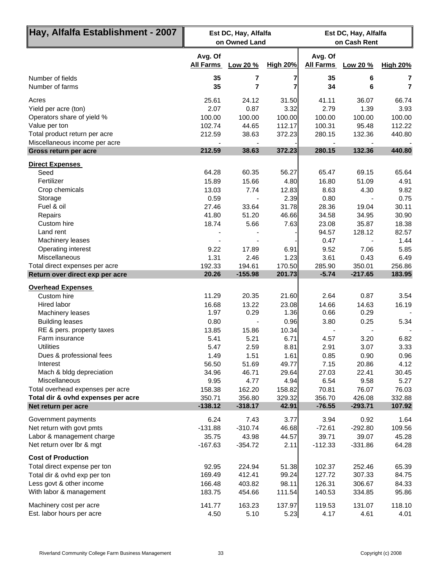| Hay, Alfalfa Establishment - 2007  | Est DC, Hay, Alfalfa<br>on Owned Land |                         |                 | Est DC, Hay, Alfalfa<br>on Cash Rent |                 |                 |
|------------------------------------|---------------------------------------|-------------------------|-----------------|--------------------------------------|-----------------|-----------------|
|                                    | Avg. Of<br><b>All Farms</b>           | Low 20 %                | <b>High 20%</b> | Avg. Of<br><b>All Farms</b>          | Low 20 %        | <b>High 20%</b> |
| Number of fields                   | 35                                    | 7                       | 7               | 35                                   | 6               | 7               |
| Number of farms                    | 35                                    | $\overline{\mathbf{r}}$ | 7               | 34                                   | 6               | $\overline{7}$  |
| Acres                              | 25.61                                 | 24.12                   | 31.50           | 41.11                                | 36.07           | 66.74           |
| Yield per acre (ton)               | 2.07                                  | 0.87                    | 3.32            | 2.79                                 | 1.39            | 3.93            |
| Operators share of yield %         | 100.00                                | 100.00                  | 100.00          | 100.00                               | 100.00          | 100.00          |
| Value per ton                      | 102.74                                | 44.65                   | 112.17          | 100.31                               | 95.48           | 112.22          |
| Total product return per acre      | 212.59                                | 38.63                   | 372.23          | 280.15                               | 132.36          | 440.80          |
| Miscellaneous income per acre      |                                       |                         |                 |                                      |                 |                 |
| Gross return per acre              | 212.59                                | 38.63                   | 372.23          | 280.15                               | 132.36          | 440.80          |
| <b>Direct Expenses</b>             |                                       |                         |                 |                                      |                 |                 |
| Seed                               | 64.28                                 | 60.35                   | 56.27           | 65.47                                | 69.15           | 65.64           |
| Fertilizer                         | 15.89                                 | 15.66                   | 4.80            | 16.80                                | 51.09           | 4.91            |
| Crop chemicals                     | 13.03                                 | 7.74                    | 12.83           | 8.63                                 | 4.30            | 9.82            |
| Storage                            | 0.59                                  |                         | 2.39            | 0.80                                 |                 | 0.75            |
| Fuel & oil                         | 27.46                                 | 33.64                   | 31.78           | 28.36                                | 19.04           | 30.11           |
| Repairs<br>Custom hire             | 41.80                                 | 51.20                   | 46.66           | 34.58                                | 34.95           | 30.90           |
| Land rent                          | 18.74                                 | 5.66                    | 7.63            | 23.08<br>94.57                       | 35.87<br>128.12 | 18.38<br>82.57  |
| Machinery leases                   |                                       |                         |                 | 0.47                                 |                 | 1.44            |
| Operating interest                 | 9.22                                  | 17.89                   | 6.91            | 9.52                                 | 7.06            | 5.85            |
| Miscellaneous                      | 1.31                                  | 2.46                    | 1.23            | 3.61                                 | 0.43            | 6.49            |
| Total direct expenses per acre     | 192.33                                | 194.61                  | 170.50          | 285.90                               | 350.01          | 256.86          |
| Return over direct exp per acre    | 20.26                                 | $-155.98$               | 201.73          | $-5.74$                              | $-217.65$       | 183.95          |
| <b>Overhead Expenses</b>           |                                       |                         |                 |                                      |                 |                 |
| Custom hire                        | 11.29                                 | 20.35                   | 21.60           | 2.64                                 | 0.87            | 3.54            |
| Hired labor                        | 16.68                                 | 13.22                   | 23.08           | 14.66                                | 14.63           | 16.19           |
| Machinery leases                   | 1.97                                  | 0.29                    | 1.36            | 0.66                                 | 0.29            |                 |
| <b>Building leases</b>             | 0.80                                  |                         | 0.96            | 3.80                                 | 0.25            | 5.34            |
| RE & pers. property taxes          | 13.85                                 | 15.86                   | 10.34           |                                      |                 |                 |
| Farm insurance                     | 5.41                                  | 5.21                    | 6.71            | 4.57                                 | 3.20            | 6.82            |
| <b>Utilities</b>                   | 5.47                                  | 2.59                    | 8.81            | 2.91                                 | 3.07            | 3.33            |
| Dues & professional fees           | 1.49                                  | 1.51                    | 1.61            | 0.85                                 | 0.90            | 0.96            |
| Interest                           | 56.50                                 | 51.69                   | 49.77           | 7.15                                 | 20.86           | 4.12            |
| Mach & bldg depreciation           | 34.96                                 | 46.71                   | 29.64           | 27.03                                | 22.41           | 30.45           |
| Miscellaneous                      | 9.95                                  | 4.77                    | 4.94            | 6.54                                 | 9.58            | 5.27            |
| Total overhead expenses per acre   | 158.38                                | 162.20                  | 158.82          | 70.81                                | 76.07           | 76.03           |
| Total dir & ovhd expenses per acre | 350.71                                | 356.80                  | 329.32          | 356.70                               | 426.08          | 332.88          |
| Net return per acre                | $-138.12$                             | $-318.17$               | 42.91           | $-76.55$                             | $-293.71$       | 107.92          |
| Government payments                | 6.24                                  | 7.43                    | 3.77            | 3.94                                 | 0.92            | 1.64            |
| Net return with govt pmts          | $-131.88$                             | $-310.74$               | 46.68           | $-72.61$                             | $-292.80$       | 109.56          |
| Labor & management charge          | 35.75                                 | 43.98                   | 44.57           | 39.71                                | 39.07           | 45.28           |
| Net return over lbr & mgt          | $-167.63$                             | $-354.72$               | 2.11            | $-112.33$                            | $-331.86$       | 64.28           |
| <b>Cost of Production</b>          |                                       |                         |                 |                                      |                 |                 |
| Total direct expense per ton       | 92.95                                 | 224.94                  | 51.38           | 102.37                               | 252.46          | 65.39           |
| Total dir & ovhd exp per ton       | 169.49                                | 412.41                  | 99.24           | 127.72                               | 307.33          | 84.75           |
| Less govt & other income           | 166.48                                | 403.82                  | 98.11           | 126.31                               | 306.67          | 84.33           |
| With labor & management            | 183.75                                | 454.66                  | 111.54          | 140.53                               | 334.85          | 95.86           |
| Machinery cost per acre            | 141.77                                | 163.23                  | 137.97          | 119.53                               | 131.07          | 118.10          |
| Est. labor hours per acre          | 4.50                                  | 5.10                    | 5.23            | 4.17                                 | 4.61            | 4.01            |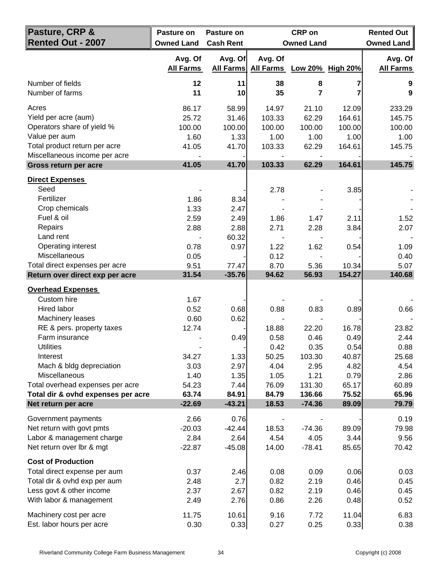| Pasture, CRP &                                            | Pasture on                  | Pasture on                  |                                       | <b>CRP</b> on      |                | Rented Out                  |  |  |
|-----------------------------------------------------------|-----------------------------|-----------------------------|---------------------------------------|--------------------|----------------|-----------------------------|--|--|
| <b>Rented Out - 2007</b>                                  | <b>Owned Land</b>           | <b>Cash Rent</b>            |                                       | <b>Owned Land</b>  |                | Owned Land                  |  |  |
|                                                           | Avg. Of<br><b>All Farms</b> | Avg. Of<br><b>All Farms</b> | Avg. Of<br>All Farms Low 20% High 20% |                    |                | Avg. Of<br><b>All Farms</b> |  |  |
| Number of fields                                          | 12                          | 11                          | 38                                    | 8                  | 7              | 9                           |  |  |
| Number of farms                                           | 11                          | 10                          | 35                                    | 7                  |                | 9                           |  |  |
| Acres                                                     | 86.17                       | 58.99                       | 14.97                                 | 21.10              | 12.09          | 233.29                      |  |  |
| Yield per acre (aum)                                      | 25.72                       | 31.46                       | 103.33                                | 62.29              | 164.61         | 145.75                      |  |  |
| Operators share of yield %                                | 100.00                      | 100.00                      | 100.00                                | 100.00             | 100.00         | 100.00                      |  |  |
| Value per aum                                             | 1.60                        | 1.33                        | 1.00                                  | 1.00               | 1.00           | 1.00                        |  |  |
| Total product return per acre                             | 41.05                       | 41.70                       | 103.33                                | 62.29              | 164.61         | 145.75                      |  |  |
| Miscellaneous income per acre                             |                             |                             |                                       |                    |                |                             |  |  |
| Gross return per acre                                     | 41.05                       | 41.70                       | 103.33                                | 62.29              | 164.61         | 145.75                      |  |  |
| <b>Direct Expenses</b>                                    |                             |                             |                                       |                    |                |                             |  |  |
| Seed                                                      |                             |                             | 2.78                                  |                    | 3.85           |                             |  |  |
| Fertilizer                                                | 1.86                        | 8.34                        |                                       |                    |                |                             |  |  |
| Crop chemicals                                            | 1.33                        | 2.47                        |                                       |                    |                |                             |  |  |
| Fuel & oil<br>Repairs                                     | 2.59                        | 2.49                        | 1.86<br>2.71                          | 1.47<br>2.28       | 2.11           | 1.52                        |  |  |
| Land rent                                                 | 2.88                        | 2.88<br>60.32               |                                       |                    | 3.84           | 2.07                        |  |  |
| Operating interest                                        | 0.78                        | 0.97                        | 1.22                                  | 1.62               | 0.54           | 1.09                        |  |  |
| Miscellaneous                                             | 0.05                        |                             | 0.12                                  |                    |                | 0.40                        |  |  |
| Total direct expenses per acre                            | 9.51                        | 77.47                       | 8.70                                  | 5.36               | 10.34          | 5.07                        |  |  |
| Return over direct exp per acre                           | 31.54                       | $-35.76$                    | 94.62                                 | 56.93              | 154.27         | 140.68                      |  |  |
| <b>Overhead Expenses</b>                                  |                             |                             |                                       |                    |                |                             |  |  |
| Custom hire                                               | 1.67                        |                             |                                       |                    |                |                             |  |  |
| Hired labor                                               | 0.52                        | 0.68                        | 0.88                                  | 0.83               | 0.89           | 0.66                        |  |  |
| Machinery leases                                          | 0.60                        | 0.62                        |                                       |                    |                |                             |  |  |
| RE & pers. property taxes                                 | 12.74                       |                             | 18.88                                 | 22.20              | 16.78          | 23.82                       |  |  |
| Farm insurance                                            |                             | 0.49                        | 0.58                                  | 0.46               | 0.49           | 2.44                        |  |  |
| <b>Utilities</b>                                          |                             |                             | 0.42                                  | 0.35               | 0.54           | 0.88                        |  |  |
| Interest                                                  | 34.27                       | 1.33                        | 50.25                                 | 103.30             | 40.87          | 25.68                       |  |  |
| Mach & bldg depreciation                                  | 3.03                        | 2.97                        | 4.04                                  | 2.95               | 4.82           | 4.54                        |  |  |
| Miscellaneous                                             | 1.40                        | 1.35                        | 1.05                                  | 1.21               | 0.79           | 2.86                        |  |  |
| Total overhead expenses per acre                          | 54.23                       | 7.44                        | 76.09                                 | 131.30             | 65.17          | 60.89                       |  |  |
| Total dir & ovhd expenses per acre<br>Net return per acre | 63.74<br>$-22.69$           | 84.91<br>$-43.21$           | 84.79<br>18.53                        | 136.66<br>$-74.36$ | 75.52<br>89.09 | 65.96<br>79.79              |  |  |
|                                                           |                             |                             |                                       |                    |                |                             |  |  |
| Government payments                                       | 2.66                        | 0.76                        |                                       |                    |                | 0.19                        |  |  |
| Net return with govt pmts                                 | $-20.03$                    | $-42.44$                    | 18.53                                 | $-74.36$           | 89.09          | 79.98                       |  |  |
| Labor & management charge<br>Net return over lbr & mgt    | 2.84                        | 2.64                        | 4.54                                  | 4.05               | 3.44           | 9.56                        |  |  |
|                                                           | $-22.87$                    | $-45.08$                    | 14.00                                 | $-78.41$           | 85.65          | 70.42                       |  |  |
| <b>Cost of Production</b>                                 |                             |                             |                                       |                    |                |                             |  |  |
| Total direct expense per aum                              | 0.37                        | 2.46                        | 0.08                                  | 0.09               | 0.06           | 0.03                        |  |  |
| Total dir & ovhd exp per aum                              | 2.48                        | 2.7                         | 0.82                                  | 2.19               | 0.46           | 0.45                        |  |  |
| Less govt & other income<br>With labor & management       | 2.37                        | 2.67                        | 0.82                                  | 2.19               | 0.46           | 0.45                        |  |  |
|                                                           | 2.49                        | 2.76                        | 0.86                                  | 2.26               | 0.48           | 0.52                        |  |  |
| Machinery cost per acre                                   | 11.75                       | 10.61                       | 9.16                                  | 7.72               | 11.04          | 6.83                        |  |  |
| Est. labor hours per acre                                 | 0.30                        | 0.33                        | 0.27                                  | 0.25               | 0.33           | 0.38                        |  |  |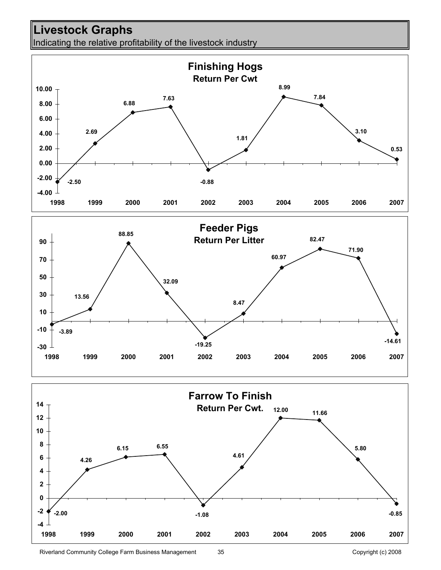## **Livestock Graphs**

Indicating the relative profitability of the livestock industry





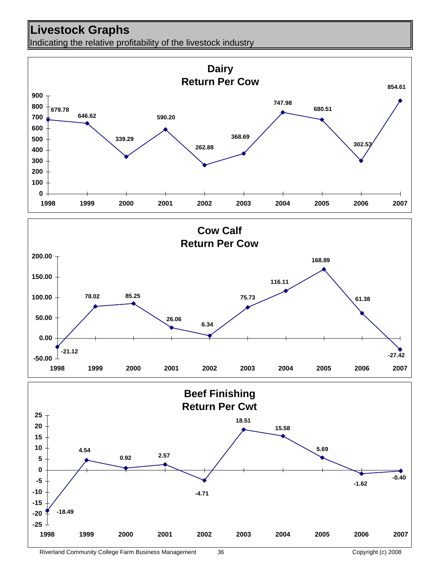## **Livestock Graphs**

Indicating the relative profitability of the livestock industry

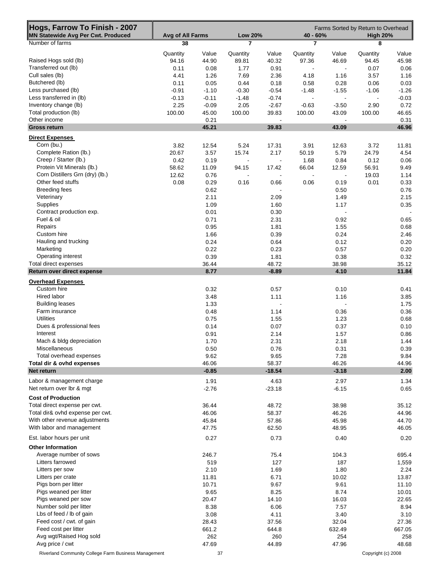| <b>Hogs, Farrow To Finish - 2007</b><br><b>MN Statewide Avg Per Cwt. Produced</b> | Avg of All Farms | Farms Sorted by Return to Overhead<br><b>Low 20%</b><br>40 - 60%<br><b>High 20%</b> |          |                   |                |                  |                    |               |
|-----------------------------------------------------------------------------------|------------------|-------------------------------------------------------------------------------------|----------|-------------------|----------------|------------------|--------------------|---------------|
| Number of farms                                                                   | 38               |                                                                                     | 7        |                   | $\overline{7}$ |                  | 8                  |               |
|                                                                                   | Quantity         | Value                                                                               | Quantity | Value             | Quantity       | Value            | Quantity           | Value         |
| Raised Hogs sold (lb)                                                             | 94.16            | 44.90                                                                               | 89.81    | 40.32             | 97.36          | 46.69            | 94.45              | 45.98         |
| Transferred out (lb)                                                              | 0.11             | 0.08                                                                                | 1.77     | 0.91              | $\blacksquare$ | $\blacksquare$   | 0.07               | 0.06          |
| Cull sales (lb)                                                                   | 4.41             | 1.26                                                                                | 7.69     | 2.36              | 4.18           | 1.16             | 3.57               | 1.16          |
| Butchered (lb)                                                                    | 0.11             | 0.05                                                                                | 0.44     | 0.18              | 0.58           | 0.28             | 0.06               | 0.03          |
| Less purchased (lb)                                                               | $-0.91$          | $-1.10$                                                                             | $-0.30$  | $-0.54$           | $-1.48$        | $-1.55$          | $-1.06$            | $-1.26$       |
| Less transferred in (lb)                                                          | $-0.13$          | $-0.11$                                                                             | $-1.48$  | $-0.74$           | $\blacksquare$ | $\blacksquare$   |                    | $-0.03$       |
| Inventory change (lb)                                                             | 2.25             | $-0.09$                                                                             | 2.05     | $-2.67$           | $-0.63$        | $-3.50$          | 2.90               | 0.72          |
| Total production (lb)                                                             | 100.00           | 45.00                                                                               | 100.00   | 39.83             | 100.00         | 43.09            | 100.00             | 46.65         |
| Other income                                                                      |                  | 0.21                                                                                |          |                   |                |                  |                    | 0.31          |
| <b>Gross return</b>                                                               |                  | 45.21                                                                               |          | 39.83             |                | 43.09            |                    | 46.96         |
|                                                                                   |                  |                                                                                     |          |                   |                |                  |                    |               |
| <b>Direct Expenses</b><br>Corn (bu.)                                              | 3.82             | 12.54                                                                               | 5.24     | 17.31             | 3.91           | 12.63            | 3.72               | 11.81         |
| Complete Ration (lb.)                                                             | 20.67            | 3.57                                                                                | 15.74    | 2.17              | 50.19          | 5.79             | 24.79              | 4.54          |
| Creep / Starter (lb.)                                                             |                  |                                                                                     |          |                   |                |                  |                    |               |
| Protein Vit Minerals (lb.)                                                        | 0.42             | 0.19                                                                                |          | $\blacksquare$    | 1.68           | 0.84             | 0.12               | 0.06          |
|                                                                                   | 58.62            | 11.09                                                                               | 94.15    | 17.42             | 66.04          | 12.59            | 56.91              | 9.49          |
| Corn Distillers Grn (dry) (lb.)                                                   | 12.62            | 0.76                                                                                |          | $\blacksquare$    |                | $\blacksquare$   | 19.03              | 1.14          |
| Other feed stuffs                                                                 | 0.08             | 0.29                                                                                | 0.16     | 0.66              | 0.06           | 0.19             | 0.01               | 0.33          |
| <b>Breeding fees</b>                                                              |                  | 0.62                                                                                |          |                   |                | 0.50             |                    | 0.76          |
| Veterinary                                                                        |                  | 2.11                                                                                |          | 2.09              |                | 1.49             |                    | 2.15          |
| Supplies                                                                          |                  | 1.09                                                                                |          | 1.60              |                | 1.17             |                    | 0.35          |
| Contract production exp.                                                          |                  | 0.01                                                                                |          | 0.30              |                |                  |                    |               |
| Fuel & oil                                                                        |                  | 0.71                                                                                |          | 2.31              |                | 0.92             |                    | 0.65          |
| Repairs                                                                           |                  | 0.95                                                                                |          | 1.81              |                | 1.55             |                    | 0.68          |
| Custom hire                                                                       |                  | 1.66                                                                                |          | 0.39              |                | 0.24             |                    | 2.46          |
| Hauling and trucking                                                              |                  | 0.24                                                                                |          | 0.64              |                | 0.12             |                    | 0.20          |
| Marketing                                                                         |                  | 0.22                                                                                |          | 0.23              |                | 0.57             |                    | 0.20          |
| Operating interest                                                                |                  | 0.39                                                                                |          | 1.81              |                | 0.38             |                    | 0.32          |
| Total direct expenses                                                             |                  | 36.44                                                                               |          | 48.72             |                | 38.98            |                    | 35.12         |
| Return over direct expense                                                        |                  | 8.77                                                                                |          | $-8.89$           |                | 4.10             |                    | 11.84         |
| <b>Overhead Expenses</b>                                                          |                  |                                                                                     |          |                   |                |                  |                    |               |
| Custom hire                                                                       |                  | 0.32                                                                                |          | 0.57              |                | 0.10             |                    | 0.41          |
| Hired labor                                                                       |                  | 3.48                                                                                |          | 1.11              |                | 1.16             |                    | 3.85          |
| <b>Building leases</b>                                                            |                  | 1.33                                                                                |          |                   |                |                  |                    | 1.75          |
| Farm insurance                                                                    |                  | 0.48                                                                                |          | 1.14              |                | 0.36             |                    | 0.36          |
| <b>Utilities</b>                                                                  |                  | 0.75                                                                                |          | 1.55              |                | 1.23             |                    | 0.68          |
| Dues & professional fees                                                          |                  | 0.14                                                                                |          | 0.07              |                | 0.37             |                    | 0.10          |
| Interest                                                                          |                  | 0.91                                                                                |          | 2.14              |                | 1.57             |                    | 0.86          |
|                                                                                   |                  |                                                                                     |          |                   |                |                  |                    | 1.44          |
| Mach & bldg depreciation<br><b>Miscellaneous</b>                                  |                  | 1.70                                                                                |          | 2.31              |                | 2.18             |                    |               |
|                                                                                   |                  | 0.50                                                                                |          | 0.76              |                | 0.31             |                    | 0.39          |
| Total overhead expenses                                                           |                  | 9.62                                                                                |          | 9.65              |                | 7.28             |                    | 9.84          |
| Total dir & ovhd expenses                                                         |                  | 46.06<br>$-0.85$                                                                    |          | 58.37<br>$-18.54$ |                | 46.26<br>$-3.18$ |                    | 44.96<br>2.00 |
| Net return                                                                        |                  |                                                                                     |          |                   |                |                  |                    |               |
| Labor & management charge                                                         |                  | 1.91                                                                                |          | 4.63              |                | 2.97             |                    | 1.34          |
| Net return over lbr & mgt                                                         |                  | $-2.76$                                                                             |          | $-23.18$          |                | $-6.15$          |                    | 0.65          |
| <b>Cost of Production</b>                                                         |                  |                                                                                     |          |                   |                |                  |                    |               |
| Total direct expense per cwt.                                                     |                  | 36.44                                                                               |          | 48.72             |                | 38.98            |                    | 35.12         |
| Total dir& ovhd expense per cwt.                                                  |                  | 46.06                                                                               |          | 58.37             |                | 46.26            |                    | 44.96         |
| With other revenue adjustments                                                    |                  | 45.84                                                                               |          | 57.86             |                | 45.98            |                    | 44.70         |
| With labor and management                                                         |                  | 47.75                                                                               |          | 62.50             |                | 48.95            |                    | 46.05         |
| Est. labor hours per unit                                                         |                  | 0.27                                                                                |          | 0.73              |                | 0.40             |                    | 0.20          |
| <b>Other Information</b>                                                          |                  |                                                                                     |          |                   |                |                  |                    |               |
| Average number of sows                                                            |                  | 246.7                                                                               |          | 75.4              |                | 104.3            |                    | 695.4         |
| Litters farrowed                                                                  |                  | 519                                                                                 |          | 127               |                | 187              |                    | 1,559         |
| Litters per sow                                                                   |                  | 2.10                                                                                |          | 1.69              |                | 1.80             |                    | 2.24          |
|                                                                                   |                  |                                                                                     |          |                   |                |                  |                    |               |
| Litters per crate                                                                 |                  | 11.81                                                                               |          | 6.71              |                | 10.02            |                    | 13.87         |
| Pigs born per litter                                                              |                  | 10.71                                                                               |          | 9.67              |                | 9.61             |                    | 11.10         |
| Pigs weaned per litter                                                            |                  | 9.65                                                                                |          | 8.25              |                | 8.74             |                    | 10.01         |
| Pigs weaned per sow                                                               |                  | 20.47                                                                               |          | 14.10             |                | 16.03            |                    | 22.65         |
| Number sold per litter                                                            |                  | 8.38                                                                                |          | 6.06              |                | 7.57             |                    | 8.94          |
| Lbs of feed / lb of gain                                                          |                  | 3.08                                                                                |          | 4.11              |                | 3.40             |                    | 3.10          |
| Feed cost / cwt. of gain                                                          |                  | 28.43                                                                               |          | 37.56             |                | 32.04            |                    | 27.36         |
| Feed cost per litter                                                              |                  | 661.2                                                                               |          | 644.8             |                | 632.49           |                    | 667.05        |
| Avg wgt/Raised Hog sold                                                           |                  | 262                                                                                 |          | 260               |                | 254              |                    | 258           |
| Avg price / cwt                                                                   |                  | 47.69                                                                               |          | 44.89             |                | 47.96            |                    | 48.68         |
| Riverland Community College Farm Business Management                              |                  | 37                                                                                  |          |                   |                |                  | Copyright (c) 2008 |               |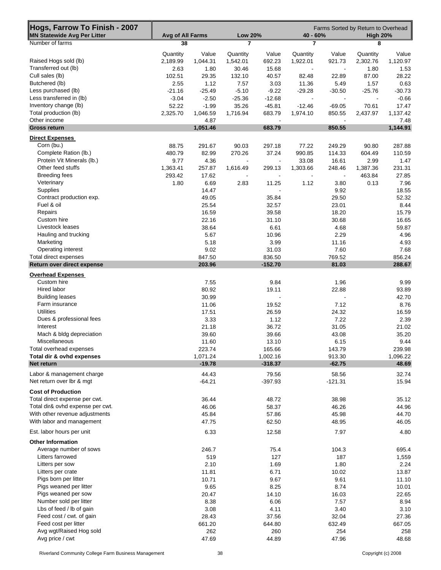| Hogs, Farrow To Finish - 2007<br><b>MN Statewide Avg Per Litter</b> | Avg of All Farms |                  | <b>Low 20%</b>    |                 | $40 - 60%$               |                          | Farms Sorted by Return to Overhead<br><b>High 20%</b> |                  |  |
|---------------------------------------------------------------------|------------------|------------------|-------------------|-----------------|--------------------------|--------------------------|-------------------------------------------------------|------------------|--|
| Number of farms                                                     | 38               |                  | 7                 |                 | 7                        |                          | 8                                                     |                  |  |
|                                                                     |                  |                  |                   |                 |                          |                          |                                                       |                  |  |
| Raised Hogs sold (lb)                                               | Quantity         | Value            | Quantity          | Value           | Quantity                 | Value                    | Quantity                                              | Value            |  |
| Transferred out (lb)                                                | 2,189.99<br>2.63 | 1,044.31<br>1.80 | 1,542.01<br>30.46 | 692.23<br>15.68 | 1,922.01                 | 921.73<br>$\blacksquare$ | 2,302.76<br>1.80                                      | 1,120.97<br>1.53 |  |
| Cull sales (lb)                                                     | 102.51           | 29.35            | 132.10            | 40.57           | 82.48                    | 22.89                    | 87.00                                                 | 28.22            |  |
| Butchered (lb)                                                      | 2.55             | 1.12             | 7.57              | 3.03            | 11.36                    | 5.49                     | 1.57                                                  | 0.63             |  |
| Less purchased (lb)                                                 | $-21.16$         | $-25.49$         | $-5.10$           | $-9.22$         | $-29.28$                 | $-30.50$                 | $-25.76$                                              | $-30.73$         |  |
| Less transferred in (lb)                                            | $-3.04$          | $-2.50$          | $-25.36$          | $-12.68$        | $\overline{\phantom{a}}$ |                          |                                                       | $-0.66$          |  |
| Inventory change (lb)                                               | 52.22            | $-1.99$          | 35.26             | $-45.81$        | $-12.46$                 | $-69.05$                 | 70.61                                                 | 17.47            |  |
| Total production (lb)                                               | 2,325.70         | 1,046.59         | 1,716.94          | 683.79          | 1,974.10                 | 850.55                   | 2,437.97                                              | 1,137.42         |  |
| Other income                                                        |                  | 4.87             |                   |                 |                          |                          |                                                       | 7.48             |  |
| <b>Gross return</b>                                                 |                  | 1,051.46         |                   | 683.79          |                          | 850.55                   |                                                       | 1,144.91         |  |
| <b>Direct Expenses</b>                                              |                  |                  |                   |                 |                          |                          |                                                       |                  |  |
| Corn (bu.)                                                          | 88.75            | 291.67           | 90.03             | 297.18          | 77.22                    | 249.29                   | 90.80                                                 | 287.88           |  |
| Complete Ration (lb.)                                               | 480.79           | 82.99            | 270.26            | 37.24           | 990.85                   | 114.33                   | 604.49                                                | 110.59           |  |
| Protein Vit Minerals (lb.)                                          | 9.77             | 4.36             | $\blacksquare$    | $\blacksquare$  | 33.08                    | 16.61                    | 2.99                                                  | 1.47             |  |
| Other feed stuffs                                                   | 1,363.41         | 257.87           | 1,616.49          | 299.13          | 1,303.66                 | 248.46                   | 1,387.36                                              | 231.31           |  |
| <b>Breeding fees</b>                                                | 293.42           | 17.62            |                   | $\overline{a}$  |                          | $\blacksquare$           | 463.84                                                | 27.85            |  |
| Veterinary                                                          | 1.80             | 6.69             |                   |                 |                          | 3.80                     | 0.13                                                  | 7.96             |  |
| <b>Supplies</b>                                                     |                  | 14.47            | 2.83              | 11.25           | 1.12                     |                          |                                                       | 18.55            |  |
| Contract production exp.                                            |                  |                  |                   |                 |                          | 9.92                     |                                                       |                  |  |
|                                                                     |                  | 49.05            |                   | 35.84           |                          | 29.50                    |                                                       | 52.32            |  |
| Fuel & oil                                                          |                  | 25.54            |                   | 32.57           |                          | 23.01                    |                                                       | 8.44             |  |
| Repairs                                                             |                  | 16.59            |                   | 39.58           |                          | 18.20                    |                                                       | 15.79            |  |
| Custom hire                                                         |                  | 22.16            |                   | 31.10           |                          | 30.68                    |                                                       | 16.65            |  |
| Livestock leases                                                    |                  | 38.64            |                   | 6.61            |                          | 4.68                     |                                                       | 59.87            |  |
| Hauling and trucking                                                |                  | 5.67             |                   | 10.96           |                          | 2.29                     |                                                       | 4.96             |  |
| Marketing                                                           |                  | 5.18             |                   | 3.99            |                          | 11.16                    |                                                       | 4.93             |  |
| Operating interest                                                  |                  | 9.02             |                   | 31.03           |                          | 7.60                     |                                                       | 7.68             |  |
| Total direct expenses                                               |                  | 847.50           |                   | 836.50          |                          | 769.52                   |                                                       | 856.24           |  |
| Return over direct expense                                          |                  | 203.96           |                   | $-152.70$       |                          | 81.03                    |                                                       | 288.67           |  |
| <b>Overhead Expenses</b>                                            |                  |                  |                   |                 |                          |                          |                                                       |                  |  |
| Custom hire                                                         |                  | 7.55             |                   | 9.84            |                          | 1.96                     |                                                       | 9.99             |  |
| Hired labor                                                         |                  | 80.92            |                   | 19.11           |                          | 22.88                    |                                                       | 93.89            |  |
| <b>Building leases</b>                                              |                  | 30.99            |                   |                 |                          |                          |                                                       | 42.70            |  |
| Farm insurance                                                      |                  | 11.06            |                   | 19.52           |                          | 7.12                     |                                                       | 8.76             |  |
| Utilities                                                           |                  | 17.51            |                   | 26.59           |                          | 24.32                    |                                                       | 16.59            |  |
| Dues & professional fees                                            |                  | 3.33             |                   | 1.12            |                          | 7.22                     |                                                       | 2.39             |  |
| Interest                                                            |                  | 21.18            |                   | 36.72           |                          | 31.05                    |                                                       | 21.02            |  |
| Mach & bldg depreciation                                            |                  | 39.60            |                   | 39.66           |                          | 43.08                    |                                                       | 35.20            |  |
| Miscellaneous                                                       |                  | 11.60            |                   | 13.10           |                          | 6.15                     |                                                       | 9.44             |  |
| Total overhead expenses                                             |                  | 223.74           |                   | 165.66          |                          | 143.79                   |                                                       | 239.98           |  |
| Total dir & ovhd expenses                                           |                  | 1,071.24         |                   | 1,002.16        |                          | 913.30                   |                                                       | 1,096.22         |  |
| Net return                                                          |                  | $-19.78$         |                   | $-318.37$       |                          | $-62.75$                 |                                                       | 48.69            |  |
| Labor & management charge                                           |                  | 44.43            |                   | 79.56           |                          | 58.56                    |                                                       | 32.74            |  |
| Net return over Ibr & mgt                                           |                  | $-64.21$         |                   | $-397.93$       |                          | $-121.31$                |                                                       | 15.94            |  |
|                                                                     |                  |                  |                   |                 |                          |                          |                                                       |                  |  |
| <b>Cost of Production</b>                                           |                  |                  |                   |                 |                          |                          |                                                       |                  |  |
| Total direct expense per cwt.                                       |                  | 36.44            |                   | 48.72           |                          | 38.98                    |                                                       | 35.12            |  |
| Total dir& ovhd expense per cwt.                                    |                  | 46.06            |                   | 58.37           |                          | 46.26                    |                                                       | 44.96            |  |
| With other revenue adjustments                                      |                  | 45.84            |                   | 57.86           |                          | 45.98                    |                                                       | 44.70            |  |
| With labor and management                                           |                  | 47.75            |                   | 62.50           |                          | 48.95                    |                                                       | 46.05            |  |
| Est. labor hours per unit                                           |                  | 6.33             |                   | 12.58           |                          | 7.97                     |                                                       | 4.80             |  |
| <b>Other Information</b>                                            |                  |                  |                   |                 |                          |                          |                                                       |                  |  |
| Average number of sows                                              |                  |                  |                   |                 |                          |                          |                                                       |                  |  |
| Litters farrowed                                                    |                  | 246.7            |                   | 75.4<br>127     |                          | 104.3                    |                                                       | 695.4            |  |
|                                                                     |                  | 519              |                   |                 |                          | 187                      |                                                       | 1,559            |  |
| Litters per sow                                                     |                  | 2.10             |                   | 1.69            |                          | 1.80                     |                                                       | 2.24             |  |
| Litters per crate                                                   |                  | 11.81            |                   | 6.71            |                          | 10.02                    |                                                       | 13.87            |  |
| Pigs born per litter                                                |                  | 10.71            |                   | 9.67            |                          | 9.61                     |                                                       | 11.10            |  |
| Pigs weaned per litter                                              |                  | 9.65             |                   | 8.25            |                          | 8.74                     |                                                       | 10.01            |  |
| Pigs weaned per sow                                                 |                  | 20.47            |                   | 14.10           |                          | 16.03                    |                                                       | 22.65            |  |
| Number sold per litter                                              |                  | 8.38             |                   | 6.06            |                          | 7.57                     |                                                       | 8.94             |  |
| Lbs of feed / lb of gain                                            |                  | 3.08             |                   | 4.11            |                          | 3.40                     |                                                       | 3.10             |  |
| Feed cost / cwt. of gain                                            |                  | 28.43            |                   | 37.56           |                          | 32.04                    |                                                       | 27.36            |  |
| Feed cost per litter                                                |                  | 661.20           |                   | 644.80          |                          | 632.49                   |                                                       | 667.05           |  |
| Avg wgt/Raised Hog sold                                             |                  | 262              |                   | 260             |                          | 254                      |                                                       | 258              |  |
| Avg price / cwt                                                     |                  | 47.69            |                   | 44.89           |                          | 47.96                    |                                                       | 48.68            |  |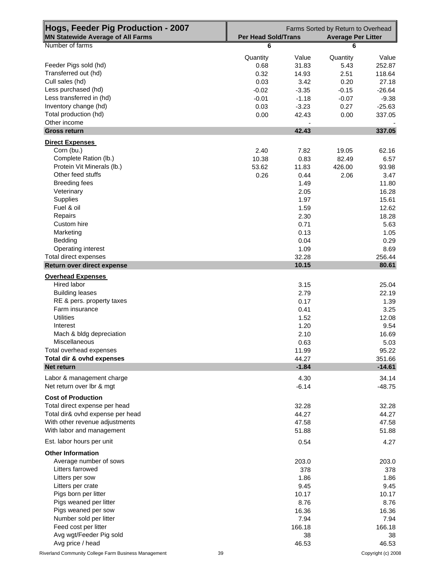| Hogs, Feeder Pig Production - 2007<br><b>MN Statewide Average of All Farms</b> | <b>Per Head Sold/Trans</b> |                | Farms Sorted by Return to Overhead<br><b>Average Per Litter</b> |                 |
|--------------------------------------------------------------------------------|----------------------------|----------------|-----------------------------------------------------------------|-----------------|
| Number of farms                                                                | 6                          |                | 6                                                               |                 |
|                                                                                |                            |                |                                                                 |                 |
| Feeder Pigs sold (hd)                                                          | Quantity<br>0.68           | Value<br>31.83 | Quantity<br>5.43                                                | Value<br>252.87 |
| Transferred out (hd)                                                           | 0.32                       | 14.93          | 2.51                                                            | 118.64          |
| Cull sales (hd)                                                                | 0.03                       | 3.42           | 0.20                                                            | 27.18           |
| Less purchased (hd)                                                            | $-0.02$                    | $-3.35$        | $-0.15$                                                         | $-26.64$        |
| Less transferred in (hd)                                                       | $-0.01$                    | $-1.18$        | $-0.07$                                                         | $-9.38$         |
| Inventory change (hd)                                                          | 0.03                       | $-3.23$        | 0.27                                                            | $-25.63$        |
| Total production (hd)                                                          | 0.00                       | 42.43          | 0.00                                                            | 337.05          |
| Other income                                                                   |                            |                |                                                                 |                 |
| <b>Gross return</b>                                                            |                            | 42.43          |                                                                 | 337.05          |
| <b>Direct Expenses</b>                                                         |                            |                |                                                                 |                 |
| Corn (bu.)                                                                     | 2.40                       | 7.82           | 19.05                                                           | 62.16           |
| Complete Ration (lb.)                                                          | 10.38                      | 0.83           | 82.49                                                           | 6.57            |
| Protein Vit Minerals (lb.)                                                     | 53.62                      | 11.83          | 426.00                                                          | 93.98           |
| Other feed stuffs                                                              | 0.26                       | 0.44           | 2.06                                                            | 3.47            |
| <b>Breeding fees</b>                                                           |                            | 1.49           |                                                                 | 11.80           |
| Veterinary                                                                     |                            | 2.05           |                                                                 | 16.28           |
| Supplies                                                                       |                            | 1.97           |                                                                 | 15.61           |
| Fuel & oil                                                                     |                            | 1.59           |                                                                 | 12.62           |
| Repairs                                                                        |                            | 2.30           |                                                                 | 18.28           |
| Custom hire                                                                    |                            | 0.71           |                                                                 | 5.63            |
| Marketing                                                                      |                            | 0.13           |                                                                 | 1.05            |
| Bedding                                                                        |                            | 0.04           |                                                                 | 0.29            |
| Operating interest<br>Total direct expenses                                    |                            | 1.09<br>32.28  |                                                                 | 8.69<br>256.44  |
| Return over direct expense                                                     |                            | 10.15          |                                                                 | 80.61           |
|                                                                                |                            |                |                                                                 |                 |
| <b>Overhead Expenses</b><br>Hired labor                                        |                            | 3.15           |                                                                 | 25.04           |
| <b>Building leases</b>                                                         |                            | 2.79           |                                                                 | 22.19           |
| RE & pers. property taxes                                                      |                            | 0.17           |                                                                 | 1.39            |
| Farm insurance                                                                 |                            | 0.41           |                                                                 | 3.25            |
| <b>Utilities</b>                                                               |                            | 1.52           |                                                                 | 12.08           |
| Interest                                                                       |                            | 1.20           |                                                                 | 9.54            |
| Mach & bldg depreciation                                                       |                            | 2.10           |                                                                 | 16.69           |
| Miscellaneous                                                                  |                            | 0.63           |                                                                 | 5.03            |
| Total overhead expenses                                                        |                            | 11.99          |                                                                 | 95.22           |
| Total dir & ovhd expenses                                                      |                            | 44.27          |                                                                 | 351.66          |
| <b>Net return</b>                                                              |                            | $-1.84$        |                                                                 | $-14.61$        |
| Labor & management charge                                                      |                            | 4.30           |                                                                 | 34.14           |
| Net return over Ibr & mgt                                                      |                            | $-6.14$        |                                                                 | $-48.75$        |
| <b>Cost of Production</b>                                                      |                            |                |                                                                 |                 |
| Total direct expense per head                                                  |                            | 32.28          |                                                                 | 32.28           |
| Total dir& ovhd expense per head                                               |                            | 44.27          |                                                                 | 44.27           |
| With other revenue adjustments                                                 |                            | 47.58          |                                                                 | 47.58           |
| With labor and management                                                      |                            | 51.88          |                                                                 | 51.88           |
| Est. labor hours per unit                                                      |                            | 0.54           |                                                                 | 4.27            |
| <b>Other Information</b>                                                       |                            |                |                                                                 |                 |
| Average number of sows                                                         |                            | 203.0          |                                                                 | 203.0           |
| Litters farrowed                                                               |                            | 378            |                                                                 | 378             |
| Litters per sow                                                                |                            | 1.86           |                                                                 | 1.86            |
| Litters per crate                                                              |                            | 9.45           |                                                                 | 9.45            |
| Pigs born per litter                                                           |                            | 10.17          |                                                                 | 10.17           |
| Pigs weaned per litter                                                         |                            | 8.76           |                                                                 | 8.76            |
| Pigs weaned per sow                                                            |                            | 16.36          |                                                                 | 16.36           |
| Number sold per litter                                                         |                            | 7.94           |                                                                 | 7.94            |
| Feed cost per litter                                                           |                            | 166.18         |                                                                 | 166.18          |
| Avg wgt/Feeder Pig sold                                                        |                            | 38             |                                                                 | 38              |
| Avg price / head                                                               |                            | 46.53          |                                                                 | 46.53           |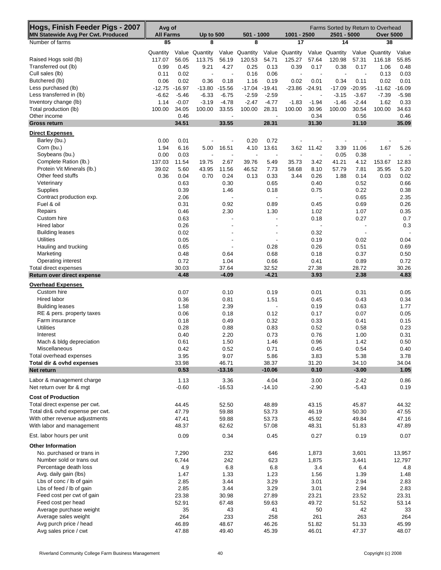| Hogs, Finish Feeder Pigs - 2007<br><b>MN Statewide Avg Per Cwt. Produced</b> | Avg of<br><b>All Farms</b> |               | <b>Up to 500</b>         |                | 501 - 1000               |               | 1001 - 2500              |                | Farms Sorted by Return to Overhead<br>2501 - 5000 |                          | <b>Over 5000</b>         |                |
|------------------------------------------------------------------------------|----------------------------|---------------|--------------------------|----------------|--------------------------|---------------|--------------------------|----------------|---------------------------------------------------|--------------------------|--------------------------|----------------|
| Number of farms                                                              | 85                         |               | 8                        |                | 8                        |               | 17                       |                | 14                                                |                          | 38                       |                |
|                                                                              |                            |               |                          |                |                          |               |                          |                |                                                   |                          |                          |                |
| Raised Hogs sold (lb)                                                        | Quantity<br>117.07         | 56.05         | Value Quantity<br>113.75 | 56.19          | Value Quantity<br>120.53 | 54.71         | Value Quantity<br>125.27 | 57.64          | Value Quantity<br>120.98                          | 57.31                    | Value Quantity<br>116.18 | Value<br>55.85 |
| Transferred out (lb)                                                         | 0.99                       | 0.45          | 9.21                     | 4.27           | 0.25                     | 0.13          | 0.39                     | 0.17           | 0.38                                              | 0.17                     | 1.06                     | 0.48           |
| Cull sales (lb)                                                              | 0.11                       | 0.02          | $\blacksquare$           | $\blacksquare$ | 0.16                     | 0.06          | $\overline{\phantom{a}}$ | $\blacksquare$ | $\tilde{\phantom{a}}$                             | $\blacksquare$           | 0.13                     | 0.03           |
| Butchered (lb)                                                               | 0.06                       | 0.02          | 0.36                     | 0.18           | 1.16                     | 0.19          | 0.02                     | 0.01           | 0.34                                              | 0.11                     | 0.02                     | 0.01           |
| Less purchased (lb)                                                          | -12.75                     | $-16.97$      | $-13.80$                 | $-15.56$       | $-17.04$                 | $-19.41$      | $-23.86$                 | $-24.91$       | $-17.09$                                          | $-20.95$                 | $-11.62$                 | $-16.09$       |
| Less transferred in (lb)                                                     | $-6.62$                    | $-5.46$       | $-6.33$                  | $-6.75$        | $-2.59$                  | $-2.59$       |                          |                | $-3.15$                                           | $-3.67$                  | $-7.39$                  | $-5.98$        |
| Inventory change (lb)                                                        | 1.14                       | $-0.07$       | $-3.19$                  | $-4.78$        | $-2.47$                  | $-4.77$       | $-1.83$                  | $-1.94$        | $-1.46$                                           | $-2.44$                  | 1.62                     | 0.33           |
| Total production (lb)<br>Other income                                        | 100.00                     | 34.05<br>0.46 | 100.00                   | 33.55          | 100.00                   | 28.31         | 100.00                   | 30.96<br>0.34  | 100.00                                            | 30.54<br>0.56            | 100.00                   | 34.63<br>0.46  |
| <b>Gross return</b>                                                          |                            | 34.51         |                          | 33.55          |                          | 28.31         |                          | 31.30          |                                                   | 31.10                    |                          | 35.09          |
| <b>Direct Expenses</b>                                                       |                            |               |                          |                |                          |               |                          |                |                                                   |                          |                          |                |
| Barley (bu.)                                                                 | 0.00                       | 0.01          |                          |                | 0.20                     | 0.72          |                          |                |                                                   |                          |                          |                |
| Corn (bu.)                                                                   | 1.94                       | 6.16          | 5.00                     | 16.51          | 4.10                     | 13.61         | 3.62                     | 11.42          | 3.39                                              | 11.06                    | 1.67                     | 5.26           |
| Soybeans (bu.)                                                               | 0.00                       | 0.03          |                          |                | $\overline{\phantom{a}}$ |               | $\overline{\phantom{a}}$ | ä,             | 0.05                                              | 0.38                     |                          |                |
| Complete Ration (lb.)                                                        | 137.03                     | 11.54         | 19.75                    | 2.67           | 39.76                    | 5.49          | 35.73                    | 3.42           | 41.21                                             | 4.12                     | 153.67                   | 12.83          |
| Protein Vit Minerals (lb.)                                                   | 39.02                      | 5.60          | 43.95                    | 11.56          | 46.52                    | 7.73          | 58.68                    | 8.10           | 57.79                                             | 7.81                     | 35.95                    | 5.20           |
| Other feed stuffs                                                            | 0.36                       | 0.04          | 0.70                     | 0.24           | 0.13                     | 0.33          | 3.44                     | 0.26           | 1.88                                              | 0.14                     | 0.03                     | 0.02           |
| Veterinary<br>Supplies                                                       |                            | 0.63<br>0.39  |                          | 0.30<br>1.46   |                          | 0.65<br>0.18  |                          | 0.40<br>0.75   |                                                   | 0.52<br>0.22             |                          | 0.66<br>0.38   |
| Contract production exp.                                                     |                            | 2.06          |                          | $\overline{a}$ |                          |               |                          |                |                                                   | 0.65                     |                          | 2.35           |
| Fuel & oil                                                                   |                            | 0.31          |                          | 0.92           |                          | 0.89          |                          | 0.45           |                                                   | 0.69                     |                          | 0.26           |
| Repairs                                                                      |                            | 0.46          |                          | 2.30           |                          | 1.30          |                          | 1.02           |                                                   | 1.07                     |                          | 0.35           |
| Custom hire                                                                  |                            | 0.63          |                          |                |                          |               |                          | 0.18           |                                                   | 0.27                     |                          | 0.7            |
| Hired labor                                                                  |                            | 0.26          |                          |                |                          |               |                          |                |                                                   | $\blacksquare$           |                          | 0.3            |
| <b>Building leases</b>                                                       |                            | 0.02          |                          |                |                          |               |                          | 0.32           |                                                   | $\overline{\phantom{a}}$ |                          |                |
| <b>Utilities</b>                                                             |                            | 0.05          |                          |                |                          |               |                          | 0.19           |                                                   | 0.02                     |                          | 0.04           |
| Hauling and trucking                                                         |                            | 0.65          |                          |                |                          | 0.28          |                          | 0.26           |                                                   | 0.51                     |                          | 0.69           |
| Marketing                                                                    |                            | 0.48          |                          | 0.64           |                          | 0.68          |                          | 0.18           |                                                   | 0.37                     |                          | 0.50           |
| Operating interest<br>Total direct expenses                                  |                            | 0.72<br>30.03 |                          | 1.04<br>37.64  |                          | 0.66<br>32.52 |                          | 0.41<br>27.38  |                                                   | 0.89<br>28.72            |                          | 0.72<br>30.26  |
| Return over direct expense                                                   |                            | 4.48          |                          | $-4.09$        |                          | $-4.21$       |                          | 3.93           |                                                   | 2.38                     |                          | 4.83           |
| <b>Overhead Expenses</b>                                                     |                            |               |                          |                |                          |               |                          |                |                                                   |                          |                          |                |
| Custom hire                                                                  |                            | 0.07          |                          | 0.10           |                          | 0.19          |                          | 0.01           |                                                   | 0.31                     |                          | 0.05           |
| Hired labor                                                                  |                            | 0.36          |                          | 0.81           |                          | 1.51          |                          | 0.45           |                                                   | 0.43                     |                          | 0.34           |
| <b>Building leases</b>                                                       |                            | 1.58          |                          | 2.39           |                          |               |                          | 0.19           |                                                   | 0.63                     |                          | 1.77           |
| RE & pers. property taxes                                                    |                            | 0.06          |                          | 0.18           |                          | 0.12          |                          | 0.17           |                                                   | 0.07                     |                          | 0.05           |
| Farm insurance                                                               |                            | 0.18          |                          | 0.49           |                          | 0.32          |                          | 0.33           |                                                   | 0.41                     |                          | 0.15           |
| <b>Utilities</b>                                                             |                            | 0.28          |                          | 0.88           |                          | 0.83          |                          | 0.52           |                                                   | 0.58                     |                          | 0.23           |
| Interest                                                                     |                            | 0.40          |                          | 2.20           |                          | 0.73          |                          | 0.76           |                                                   | 1.00                     |                          | 0.31           |
| Mach & bldg depreciation<br>Miscellaneous                                    |                            | 0.61<br>0.42  |                          | 1.50<br>0.52   |                          | 1.46<br>0.71  |                          | 0.96<br>0.45   |                                                   | 1.42<br>0.54             |                          | 0.50<br>0.40   |
| Total overhead expenses                                                      |                            | 3.95          |                          | 9.07           |                          | 5.86          |                          | 3.83           |                                                   | 5.38                     |                          | 3.78           |
| Total dir & ovhd expenses                                                    |                            | 33.98         |                          | 46.71          |                          | 38.37         |                          | 31.20          |                                                   | 34.10                    |                          | 34.04          |
| Net return                                                                   |                            | 0.53          |                          | $-13.16$       |                          | $-10.06$      |                          | 0.10           |                                                   | $-3.00$                  |                          | 1.05           |
| Labor & management charge                                                    |                            | 1.13          |                          | 3.36           |                          | 4.04          |                          | 3.00           |                                                   | 2.42                     |                          | 0.86           |
| Net return over lbr & mgt                                                    |                            | $-0.60$       |                          | $-16.53$       |                          | $-14.10$      |                          | $-2.90$        |                                                   | $-5.43$                  |                          | 0.19           |
| <b>Cost of Production</b>                                                    |                            |               |                          |                |                          |               |                          |                |                                                   |                          |                          |                |
| Total direct expense per cwt.                                                |                            | 44.45         |                          | 52.50          |                          | 48.89         |                          | 43.15          |                                                   | 45.87                    |                          | 44.32          |
| Total dir& ovhd expense per cwt.                                             |                            | 47.79         |                          | 59.88          |                          | 53.73         |                          | 46.19          |                                                   | 50.30                    |                          | 47.55          |
| With other revenue adjustments                                               |                            | 47.41         |                          | 59.88          |                          | 53.73         |                          | 45.92          |                                                   | 49.84                    |                          | 47.16          |
| With labor and management                                                    |                            | 48.37         |                          | 62.62          |                          | 57.08         |                          | 48.31          |                                                   | 51.83                    |                          | 47.89          |
| Est. labor hours per unit                                                    |                            | 0.09          |                          | 0.34           |                          | 0.45          |                          | 0.27           |                                                   | 0.19                     |                          | 0.07           |
| <b>Other Information</b>                                                     |                            |               |                          |                |                          |               |                          |                |                                                   |                          |                          |                |
| No. purchased or trans in                                                    |                            | 7,290         |                          | 232            |                          | 646           |                          | 1,873          |                                                   | 3,601                    |                          | 13,957         |
| Number sold or trans out                                                     |                            | 6,744         |                          | 242            |                          | 623           |                          | 1,875          |                                                   | 3,441                    |                          | 12,797         |
| Percentage death loss                                                        |                            | 4.9           |                          | 6.8            |                          | 6.8           |                          | 3.4            |                                                   | 6.4                      |                          | 4.8            |
| Avg. daily gain (lbs)                                                        |                            | 1.47          |                          | 1.33           |                          | 1.23          |                          | 1.56           |                                                   | 1.39                     |                          | 1.48           |
| Lbs of conc / lb of gain<br>Lbs of feed / lb of gain                         |                            | 2.85<br>2.85  |                          | 3.44<br>3.44   |                          | 3.29<br>3.29  |                          | 3.01<br>3.01   |                                                   | 2.94<br>2.94             |                          | 2.83<br>2.83   |
| Feed cost per cwt of gain                                                    |                            | 23.38         |                          | 30.98          |                          | 27.89         |                          | 23.21          |                                                   | 23.52                    |                          | 23.31          |
| Feed cost per head                                                           |                            | 52.91         |                          | 67.48          |                          | 59.63         |                          | 49.72          |                                                   | 51.52                    |                          | 53.14          |
| Average purchase weight                                                      |                            | 35            |                          | 43             |                          | 41            |                          | 50             |                                                   | 42                       |                          | 33             |
| Average sales weight                                                         |                            | 264           |                          | 233            |                          | 258           |                          | 261            |                                                   | 263                      |                          | 264            |
| Avg purch price / head                                                       |                            | 46.89         |                          | 48.67          |                          | 46.26         |                          | 51.82          |                                                   | 51.33                    |                          | 45.99          |
| Avg sales price / cwt                                                        |                            | 47.88         |                          | 49.40          |                          | 45.39         |                          | 46.01          |                                                   | 47.37                    |                          | 48.07          |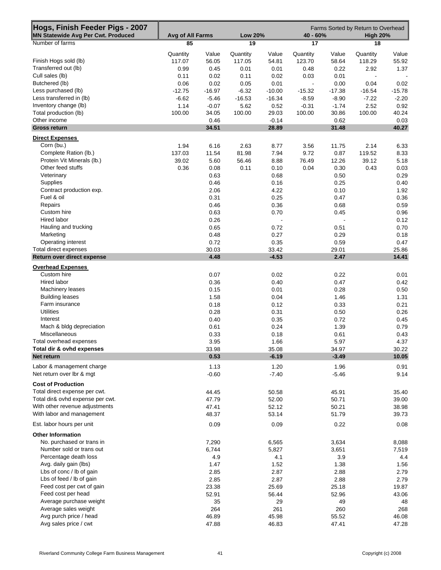| Hogs, Finish Feeder Pigs - 2007<br>MN Statewide Avg Per Cwt. Produced | Avg of All Farms | 40 - 60%      |                      | Farms Sorted by Return to Overhead<br><b>High 20%</b> |                |               |                    |               |
|-----------------------------------------------------------------------|------------------|---------------|----------------------|-------------------------------------------------------|----------------|---------------|--------------------|---------------|
| Number of farms                                                       | 85               |               | <b>Low 20%</b><br>19 |                                                       | 17             |               | 18                 |               |
|                                                                       |                  |               |                      |                                                       |                |               |                    |               |
| Finish Hogs sold (lb)                                                 | Quantity         | Value         | Quantity             | Value                                                 | Quantity       | Value         | Quantity<br>118.29 | Value         |
| Transferred out (lb)                                                  | 117.07<br>0.99   | 56.05<br>0.45 | 117.05<br>0.01       | 54.81<br>0.01                                         | 123.70<br>0.48 | 58.64<br>0.22 | 2.92               | 55.92<br>1.37 |
| Cull sales (lb)                                                       | 0.11             | 0.02          | 0.11                 | 0.02                                                  | 0.03           | 0.01          |                    |               |
| Butchered (lb)                                                        | 0.06             | 0.02          | 0.05                 | 0.01                                                  | $\blacksquare$ | 0.00          | 0.04               | 0.02          |
| Less purchased (lb)                                                   | $-12.75$         | $-16.97$      | $-6.32$              | $-10.00$                                              | $-15.32$       | $-17.38$      | $-16.54$           | $-15.78$      |
| Less transferred in (lb)                                              | $-6.62$          | $-5.46$       | $-16.53$             | $-16.34$                                              | $-8.59$        | $-8.90$       | $-7.22$            | $-2.20$       |
| Inventory change (lb)                                                 | 1.14             | $-0.07$       | 5.62                 | 0.52                                                  | $-0.31$        | $-1.74$       | 2.52               | 0.92          |
| Total production (lb)                                                 | 100.00           | 34.05         | 100.00               | 29.03                                                 | 100.00         | 30.86         | 100.00             | 40.24         |
| Other income                                                          |                  | 0.46          |                      | $-0.14$                                               |                | 0.62          |                    | 0.03          |
| <b>Gross return</b>                                                   |                  | 34.51         |                      | 28.89                                                 |                | 31.48         |                    | 40.27         |
| <b>Direct Expenses</b>                                                |                  |               |                      |                                                       |                |               |                    |               |
| Corn (bu.)                                                            | 1.94             | 6.16          | 2.63                 | 8.77                                                  | 3.56           | 11.75         | 2.14               | 6.33          |
| Complete Ration (lb.)                                                 | 137.03           | 11.54         | 81.98                | 7.94                                                  | 9.72           | 0.87          | 119.52             | 8.33          |
| Protein Vit Minerals (lb.)                                            | 39.02            | 5.60          | 56.46                | 8.88                                                  | 76.49          | 12.26         | 39.12              | 5.18          |
| Other feed stuffs                                                     | 0.36             | 0.08          | 0.11                 | 0.10                                                  | 0.04           | 0.30          | 0.43               | 0.03          |
| Veterinary                                                            |                  | 0.63          |                      | 0.68                                                  |                | 0.50          |                    | 0.29          |
| <b>Supplies</b>                                                       |                  | 0.46          |                      | 0.16                                                  |                | 0.25          |                    | 0.40          |
| Contract production exp.                                              |                  | 2.06          |                      | 4.22                                                  |                | 0.10          |                    | 1.92          |
| Fuel & oil                                                            |                  | 0.31          |                      | 0.25                                                  |                | 0.47          |                    | 0.36          |
| Repairs                                                               |                  | 0.46          |                      | 0.36                                                  |                | 0.68          |                    | 0.59          |
| Custom hire                                                           |                  | 0.63          |                      | 0.70                                                  |                | 0.45          |                    | 0.96          |
| Hired labor                                                           |                  | 0.26          |                      |                                                       |                |               |                    | 0.12          |
| Hauling and trucking                                                  |                  | 0.65          |                      | 0.72                                                  |                | 0.51          |                    | 0.70          |
| Marketing                                                             |                  | 0.48          |                      | 0.27                                                  |                | 0.29          |                    | 0.18          |
| Operating interest                                                    |                  | 0.72          |                      | 0.35                                                  |                | 0.59          |                    | 0.47          |
| Total direct expenses                                                 |                  | 30.03         |                      | 33.42                                                 |                | 29.01         |                    | 25.86         |
| Return over direct expense                                            |                  | 4.48          |                      | $-4.53$                                               |                | 2.47          |                    | 14.41         |
| <b>Overhead Expenses</b>                                              |                  |               |                      |                                                       |                |               |                    |               |
| Custom hire                                                           |                  | 0.07          |                      | 0.02                                                  |                | 0.22          |                    | 0.01          |
| Hired labor                                                           |                  | 0.36          |                      | 0.40                                                  |                | 0.47          |                    | 0.42          |
| Machinery leases                                                      |                  | 0.15          |                      | 0.01                                                  |                | 0.28          |                    | 0.50          |
| <b>Building leases</b>                                                |                  | 1.58          |                      | 0.04                                                  |                | 1.46          |                    | 1.31          |
| Farm insurance                                                        |                  | 0.18          |                      | 0.12                                                  |                | 0.33          |                    | 0.21          |
| <b>Utilities</b>                                                      |                  | 0.28          |                      | 0.31                                                  |                | 0.50          |                    | 0.26          |
| Interest                                                              |                  | 0.40          |                      | 0.35                                                  |                | 0.72          |                    | 0.45          |
| Mach & bldg depreciation                                              |                  | 0.61          |                      | 0.24                                                  |                | 1.39          |                    | 0.79          |
| Miscellaneous                                                         |                  | 0.33          |                      | 0.18                                                  |                | 0.61          |                    | 0.43          |
| Total overhead expenses                                               |                  | 3.95          |                      | 1.66                                                  |                | 5.97          |                    | 4.37          |
| Total dir & ovhd expenses                                             |                  | 33.98         |                      | 35.08                                                 |                | 34.97         |                    | 30.22         |
| Net return                                                            |                  | 0.53          |                      | $-6.19$                                               |                | $-3.49$       |                    | 10.05         |
| Labor & management charge                                             |                  | 1.13          |                      | 1.20                                                  |                | 1.96          |                    | 0.91          |
| Net return over Ibr & mgt                                             |                  | $-0.60$       |                      | $-7.40$                                               |                | $-5.46$       |                    | 9.14          |
| <b>Cost of Production</b>                                             |                  |               |                      |                                                       |                |               |                    |               |
| Total direct expense per cwt.                                         |                  | 44.45         |                      | 50.58                                                 |                | 45.91         |                    | 35.40         |
| Total dir& ovhd expense per cwt.                                      |                  | 47.79         |                      | 52.00                                                 |                | 50.71         |                    | 39.00         |
| With other revenue adjustments                                        |                  | 47.41         |                      | 52.12                                                 |                | 50.21         |                    | 38.98         |
| With labor and management                                             |                  | 48.37         |                      | 53.14                                                 |                | 51.79         |                    | 39.73         |
| Est. labor hours per unit                                             |                  |               |                      |                                                       |                |               |                    |               |
|                                                                       |                  | 0.09          |                      | 0.09                                                  |                | 0.22          |                    | 0.08          |
| <b>Other Information</b>                                              |                  |               |                      |                                                       |                |               |                    |               |
| No. purchased or trans in                                             |                  | 7,290         |                      | 6,565                                                 |                | 3,634         |                    | 8,088         |
| Number sold or trans out                                              |                  | 6,744         |                      | 5,827                                                 |                | 3,651         |                    | 7,519         |
| Percentage death loss                                                 |                  | 4.9           |                      | 4.1                                                   |                | 3.9           |                    | 4.4           |
| Avg. daily gain (lbs)                                                 |                  | 1.47          |                      | 1.52                                                  |                | 1.38          |                    | 1.56          |
| Lbs of conc / lb of gain                                              |                  | 2.85          |                      | 2.87                                                  |                | 2.88          |                    | 2.79          |
| Lbs of feed / lb of gain                                              |                  | 2.85          |                      | 2.87                                                  |                | 2.88          |                    | 2.79          |
| Feed cost per cwt of gain                                             |                  | 23.38         |                      | 25.69                                                 |                | 25.18         |                    | 19.87         |
| Feed cost per head                                                    |                  | 52.91         |                      | 56.44                                                 |                | 52.96         |                    | 43.06         |
| Average purchase weight                                               |                  | 35            |                      | 29                                                    |                | 49            |                    | 48            |
| Average sales weight                                                  |                  | 264           |                      | 261                                                   |                | 260           |                    | 268           |
| Avg purch price / head<br>Avg sales price / cwt                       |                  | 46.89         |                      | 45.98                                                 |                | 55.52         |                    | 46.08         |
|                                                                       |                  | 47.88         |                      | 46.83                                                 |                | 47.41         |                    | 47.28         |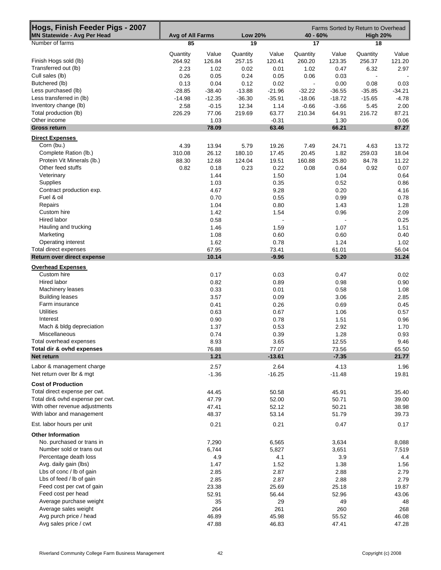| Hogs, Finish Feeder Pigs - 2007    |                  |          | Farms Sorted by Return to Overhead |          |                |          |                 |          |
|------------------------------------|------------------|----------|------------------------------------|----------|----------------|----------|-----------------|----------|
| <b>MN Statewide - Avg Per Head</b> | Avg of All Farms |          | <b>Low 20%</b>                     |          | 40 - 60%       |          | <b>High 20%</b> |          |
| Number of farms                    | 85               |          | 19                                 |          | 17             |          | 18              |          |
|                                    | Quantity         | Value    | Quantity                           | Value    | Quantity       | Value    | Quantity        | Value    |
| Finish Hogs sold (lb)              | 264.92           | 126.84   | 257.15                             | 120.41   | 260.20         | 123.35   | 256.37          | 121.20   |
| Transferred out (lb)               | 2.23             | 1.02     | 0.02                               | 0.01     | 1.02           | 0.47     | 6.32            | 2.97     |
| Cull sales (lb)                    | 0.26             | 0.05     | 0.24                               | 0.05     | 0.06           | 0.03     |                 |          |
| Butchered (lb)                     | 0.13             | 0.04     | 0.12                               | 0.02     | $\blacksquare$ | 0.00     | 0.08            | 0.03     |
| Less purchased (lb)                | $-28.85$         | $-38.40$ | $-13.88$                           | $-21.96$ | $-32.22$       | $-36.55$ | $-35.85$        | $-34.21$ |
| Less transferred in (lb)           | $-14.98$         | $-12.35$ | $-36.30$                           | $-35.91$ | $-18.06$       | $-18.72$ | $-15.65$        | $-4.78$  |
| Inventory change (lb)              | 2.58             | $-0.15$  | 12.34                              | 1.14     | $-0.66$        | $-3.66$  | 5.45            | 2.00     |
| Total production (lb)              | 226.29           | 77.06    | 219.69                             | 63.77    | 210.34         | 64.91    | 216.72          | 87.21    |
| Other income                       |                  | 1.03     |                                    | $-0.31$  |                | 1.30     |                 | 0.06     |
| <b>Gross return</b>                |                  | 78.09    |                                    | 63.46    |                | 66.21    |                 | 87.27    |
| <b>Direct Expenses</b>             |                  |          |                                    |          |                |          |                 |          |
| Corn (bu.)                         | 4.39             | 13.94    | 5.79                               | 19.26    | 7.49           | 24.71    | 4.63            | 13.72    |
| Complete Ration (lb.)              | 310.08           | 26.12    | 180.10                             | 17.45    | 20.45          | 1.82     | 259.03          | 18.04    |
| Protein Vit Minerals (lb.)         | 88.30            | 12.68    | 124.04                             | 19.51    | 160.88         | 25.80    | 84.78           | 11.22    |
| Other feed stuffs                  | 0.82             | 0.18     | 0.23                               | 0.22     | 0.08           | 0.64     | 0.92            | 0.07     |
| Veterinary                         |                  | 1.44     |                                    | 1.50     |                | 1.04     |                 | 0.64     |
| Supplies                           |                  | 1.03     |                                    | 0.35     |                | 0.52     |                 | 0.86     |
| Contract production exp.           |                  | 4.67     |                                    | 9.28     |                | 0.20     |                 | 4.16     |
| Fuel & oil                         |                  |          |                                    |          |                |          |                 |          |
|                                    |                  | 0.70     |                                    | 0.55     |                | 0.99     |                 | 0.78     |
| Repairs                            |                  | 1.04     |                                    | 0.80     |                | 1.43     |                 | 1.28     |
| Custom hire                        |                  | 1.42     |                                    | 1.54     |                | 0.96     |                 | 2.09     |
| <b>Hired labor</b>                 |                  | 0.58     |                                    |          |                |          |                 | 0.25     |
| Hauling and trucking               |                  | 1.46     |                                    | 1.59     |                | 1.07     |                 | 1.51     |
| Marketing                          |                  | 1.08     |                                    | 0.60     |                | 0.60     |                 | 0.40     |
| Operating interest                 |                  | 1.62     |                                    | 0.78     |                | 1.24     |                 | 1.02     |
| Total direct expenses              |                  | 67.95    |                                    | 73.41    |                | 61.01    |                 | 56.04    |
| Return over direct expense         |                  | 10.14    |                                    | $-9.96$  |                | 5.20     |                 | 31.24    |
| <b>Overhead Expenses</b>           |                  |          |                                    |          |                |          |                 |          |
| Custom hire                        |                  | 0.17     |                                    | 0.03     |                | 0.47     |                 | 0.02     |
| Hired labor                        |                  | 0.82     |                                    | 0.89     |                | 0.98     |                 | 0.90     |
| Machinery leases                   |                  | 0.33     |                                    | 0.01     |                | 0.58     |                 | 1.08     |
| <b>Building leases</b>             |                  | 3.57     |                                    | 0.09     |                | 3.06     |                 | 2.85     |
| Farm insurance                     |                  | 0.41     |                                    | 0.26     |                | 0.69     |                 | 0.45     |
| <b>Utilities</b>                   |                  | 0.63     |                                    | 0.67     |                | 1.06     |                 | 0.57     |
| Interest                           |                  | 0.90     |                                    | 0.78     |                | 1.51     |                 | 0.96     |
| Mach & bldg depreciation           |                  | 1.37     |                                    | 0.53     |                | 2.92     |                 | 1.70     |
| Miscellaneous                      |                  | 0.74     |                                    | 0.39     |                | 1.28     |                 | 0.93     |
| Total overhead expenses            |                  | 8.93     |                                    | 3.65     |                | 12.55    |                 | 9.46     |
| Total dir & ovhd expenses          |                  | 76.88    |                                    | 77.07    |                | 73.56    |                 | 65.50    |
| Net return                         |                  | 1.21     |                                    | $-13.61$ |                | $-7.35$  |                 | 21.77    |
| Labor & management charge          |                  | 2.57     |                                    | 2.64     |                | 4.13     |                 | 1.96     |
| Net return over Ibr & mgt          |                  |          |                                    | $-16.25$ |                | $-11.48$ |                 | 19.81    |
|                                    |                  | $-1.36$  |                                    |          |                |          |                 |          |
| <b>Cost of Production</b>          |                  |          |                                    |          |                |          |                 |          |
| Total direct expense per cwt.      |                  | 44.45    |                                    | 50.58    |                | 45.91    |                 | 35.40    |
| Total dir& ovhd expense per cwt.   |                  | 47.79    |                                    | 52.00    |                | 50.71    |                 | 39.00    |
| With other revenue adjustments     |                  | 47.41    |                                    | 52.12    |                | 50.21    |                 | 38.98    |
| With labor and management          |                  | 48.37    |                                    | 53.14    |                | 51.79    |                 | 39.73    |
| Est. labor hours per unit          |                  | 0.21     |                                    | 0.21     |                | 0.47     |                 | 0.17     |
| <b>Other Information</b>           |                  |          |                                    |          |                |          |                 |          |
| No. purchased or trans in          |                  | 7,290    |                                    | 6,565    |                | 3,634    |                 | 8,088    |
| Number sold or trans out           |                  | 6,744    |                                    | 5,827    |                | 3,651    |                 | 7,519    |
| Percentage death loss              |                  | 4.9      |                                    | 4.1      |                | 3.9      |                 | 4.4      |
| Avg. daily gain (lbs)              |                  | 1.47     |                                    | 1.52     |                | 1.38     |                 | 1.56     |
| Lbs of conc / lb of gain           |                  | 2.85     |                                    | 2.87     |                | 2.88     |                 | 2.79     |
| Lbs of feed / lb of gain           |                  |          |                                    |          |                |          |                 |          |
|                                    |                  | 2.85     |                                    | 2.87     |                | 2.88     |                 | 2.79     |
| Feed cost per cwt of gain          |                  | 23.38    |                                    | 25.69    |                | 25.18    |                 | 19.87    |
| Feed cost per head                 |                  | 52.91    |                                    | 56.44    |                | 52.96    |                 | 43.06    |
| Average purchase weight            |                  | 35       |                                    | 29       |                | 49       |                 | 48       |
| Average sales weight               |                  | 264      |                                    | 261      |                | 260      |                 | 268      |
| Avg purch price / head             |                  | 46.89    |                                    | 45.98    |                | 55.52    |                 | 46.08    |
| Avg sales price / cwt              |                  | 47.88    |                                    | 46.83    |                | 47.41    |                 | 47.28    |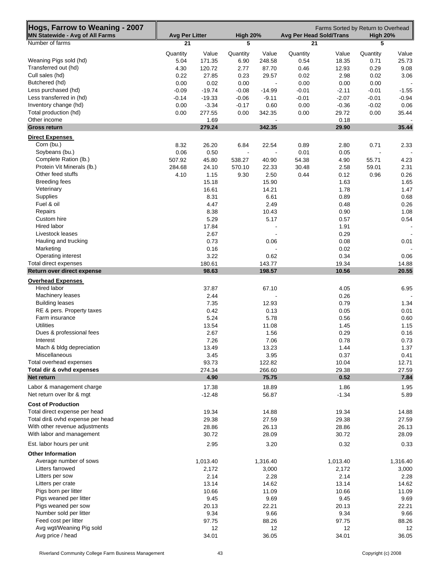| Hogs, Farrow to Weaning - 2007       |                       |          |                 |                          |                                | Farms Sorted by Return to Overhead |                 |                          |
|--------------------------------------|-----------------------|----------|-----------------|--------------------------|--------------------------------|------------------------------------|-----------------|--------------------------|
| MN Statewide - Avg of All Farms      | <b>Avg Per Litter</b> |          | <b>High 20%</b> |                          | <b>Avg Per Head Sold/Trans</b> |                                    | <b>High 20%</b> |                          |
| Number of farms                      | 21                    |          | 5               |                          | 21                             |                                    | 5               |                          |
|                                      | Quantity              | Value    | Quantity        | Value                    | Quantity                       | Value                              | Quantity        | Value                    |
| Weaning Pigs sold (hd)               | 5.04                  | 171.35   | 6.90            | 248.58                   | 0.54                           | 18.35                              | 0.71            | 25.73                    |
| Transferred out (hd)                 | 4.30                  | 120.72   | 2.77            | 87.70                    | 0.46                           | 12.93                              | 0.29            | 9.08                     |
| Cull sales (hd)                      | 0.22                  | 27.85    | 0.23            | 29.57                    | 0.02                           | 2.98                               | 0.02            | 3.06                     |
| Butchered (hd)                       | 0.00                  | 0.02     | 0.00            |                          | 0.00                           | 0.00                               | 0.00            |                          |
| Less purchased (hd)                  | $-0.09$               | $-19.74$ | $-0.08$         | $-14.99$                 | $-0.01$                        | $-2.11$                            | $-0.01$         | $-1.55$                  |
| Less transferred in (hd)             | $-0.14$               | $-19.33$ | $-0.06$         | $-9.11$                  | $-0.01$                        | $-2.07$                            | $-0.01$         | $-0.94$                  |
| Inventory change (hd)                | 0.00                  | $-3.34$  | $-0.17$         | 0.60                     | 0.00                           | $-0.36$                            | $-0.02$         | 0.06                     |
| Total production (hd)                | 0.00                  | 277.55   | 0.00            | 342.35                   | 0.00                           | 29.72                              | 0.00            | 35.44                    |
| Other income                         |                       | 1.69     |                 |                          |                                | 0.18                               |                 |                          |
| <b>Gross return</b>                  |                       | 279.24   |                 | 342.35                   |                                | 29.90                              |                 | 35.44                    |
| <b>Direct Expenses</b>               |                       |          |                 |                          |                                |                                    |                 |                          |
| Corn (bu.)                           | 8.32                  | 26.20    | 6.84            | 22.54                    | 0.89                           | 2.80                               | 0.71            | 2.33                     |
| Soybeans (bu.)                       | 0.06                  | 0.50     |                 |                          | 0.01                           | 0.05                               |                 |                          |
| Complete Ration (lb.)                | 507.92                | 45.80    | 538.27          | 40.90                    | 54.38                          | 4.90                               | 55.71           | 4.23                     |
| Protein Vit Minerals (lb.)           | 284.68                | 24.10    | 570.10          | 22.33                    | 30.48                          | 2.58                               | 59.01           | 2.31                     |
| Other feed stuffs                    | 4.10                  | 1.15     | 9.30            | 2.50                     | 0.44                           | 0.12                               | 0.96            | 0.26                     |
| <b>Breeding fees</b>                 |                       | 15.18    |                 | 15.90                    |                                | 1.63                               |                 | 1.65                     |
| Veterinary                           |                       | 16.61    |                 | 14.21                    |                                | 1.78                               |                 | 1.47                     |
| <b>Supplies</b>                      |                       | 8.31     |                 | 6.61                     |                                | 0.89                               |                 | 0.68                     |
| Fuel & oil                           |                       | 4.47     |                 | 2.49                     |                                | 0.48                               |                 | 0.26                     |
| Repairs                              |                       | 8.38     |                 | 10.43                    |                                | 0.90                               |                 | 1.08                     |
| Custom hire                          |                       | 5.29     |                 | 5.17                     |                                | 0.57                               |                 | 0.54                     |
| Hired labor                          |                       | 17.84    |                 | $\overline{\phantom{a}}$ |                                | 1.91                               |                 | $\overline{\phantom{a}}$ |
| Livestock leases                     |                       | 2.67     |                 |                          |                                | 0.29                               |                 |                          |
| Hauling and trucking                 |                       | 0.73     |                 | 0.06                     |                                | 0.08                               |                 | 0.01                     |
| Marketing                            |                       | 0.16     |                 |                          |                                | 0.02                               |                 |                          |
| Operating interest                   |                       | 3.22     |                 | 0.62                     |                                | 0.34                               |                 | 0.06                     |
| Total direct expenses                |                       | 180.61   |                 | 143.77                   |                                | 19.34                              |                 | 14.88                    |
| Return over direct expense           |                       | 98.63    |                 | 198.57                   |                                | 10.56                              |                 | 20.55                    |
| <b>Overhead Expenses</b>             |                       |          |                 |                          |                                |                                    |                 |                          |
| Hired labor                          |                       | 37.87    |                 | 67.10                    |                                | 4.05                               |                 | 6.95                     |
| Machinery leases                     |                       | 2.44     |                 |                          |                                | 0.26                               |                 |                          |
| <b>Building leases</b>               |                       | 7.35     |                 | 12.93                    |                                | 0.79                               |                 | 1.34                     |
| RE & pers. Property taxes            |                       | 0.42     |                 | 0.13                     |                                | 0.05                               |                 | 0.01                     |
| Farm insurance                       |                       |          |                 |                          |                                |                                    |                 |                          |
| <b>Utilities</b>                     |                       | 5.24     |                 | 5.78                     |                                | 0.56                               |                 | 0.60                     |
|                                      |                       | 13.54    |                 | 11.08                    |                                | 1.45                               |                 | 1.15                     |
| Dues & professional fees<br>Interest |                       | 2.67     |                 | 1.56                     |                                | 0.29                               |                 | 0.16                     |
|                                      |                       | 7.26     |                 | 7.06                     |                                | 0.78                               |                 | 0.73                     |
| Mach & bldg depreciation             |                       | 13.49    |                 | 13.23                    |                                | 1.44                               |                 | 1.37                     |
| Miscellaneous                        |                       | 3.45     |                 | 3.95                     |                                | 0.37                               |                 | 0.41                     |
| Total overhead expenses              |                       | 93.73    |                 | 122.82                   |                                | 10.04                              |                 | 12.71                    |
| Total dir & ovhd expenses            |                       | 274.34   |                 | 266.60                   |                                | 29.38                              |                 | 27.59                    |
| Net return                           |                       | 4.90     |                 | 75.75                    |                                | 0.52                               |                 | 7.84                     |
| Labor & management charge            |                       | 17.38    |                 | 18.89                    |                                | 1.86                               |                 | 1.95                     |
| Net return over Ibr & mgt            |                       | $-12.48$ |                 | 56.87                    |                                | $-1.34$                            |                 | 5.89                     |
| <b>Cost of Production</b>            |                       |          |                 |                          |                                |                                    |                 |                          |
| Total direct expense per head        |                       | 19.34    |                 | 14.88                    |                                | 19.34                              |                 | 14.88                    |
| Total dir& ovhd expense per head     |                       | 29.38    |                 | 27.59                    |                                | 29.38                              |                 | 27.59                    |
| With other revenue adjustments       |                       | 28.86    |                 | 26.13                    |                                | 28.86                              |                 | 26.13                    |
| With labor and management            |                       | 30.72    |                 | 28.09                    |                                | 30.72                              |                 | 28.09                    |
| Est. labor hours per unit            |                       | 2.95     |                 | 3.20                     |                                | 0.32                               |                 | 0.33                     |
|                                      |                       |          |                 |                          |                                |                                    |                 |                          |
| <b>Other Information</b>             |                       |          |                 |                          |                                |                                    |                 |                          |
| Average number of sows               |                       | 1,013.40 |                 | 1,316.40                 |                                | 1,013.40                           |                 | 1,316.40                 |
| Litters farrowed                     |                       | 2,172    |                 | 3,000                    |                                | 2,172                              |                 | 3,000                    |
| Litters per sow                      |                       | 2.14     |                 | 2.28                     |                                | 2.14                               |                 | 2.28                     |
| Litters per crate                    |                       | 13.14    |                 | 14.62                    |                                | 13.14                              |                 | 14.62                    |
| Pigs born per litter                 |                       | 10.66    |                 | 11.09                    |                                | 10.66                              |                 | 11.09                    |
| Pigs weaned per litter               |                       | 9.45     |                 | 9.69                     |                                | 9.45                               |                 | 9.69                     |
| Pigs weaned per sow                  |                       | 20.13    |                 | 22.21                    |                                | 20.13                              |                 | 22.21                    |
| Number sold per litter               |                       | 9.34     |                 | 9.66                     |                                | 9.34                               |                 | 9.66                     |
| Feed cost per litter                 |                       | 97.75    |                 | 88.26                    |                                | 97.75                              |                 | 88.26                    |
| Avg wgt/Weaning Pig sold             |                       | 12       |                 | 12                       |                                | 12                                 |                 | 12                       |
| Avg price / head                     |                       | 34.01    |                 | 36.05                    |                                | 34.01                              |                 | 36.05                    |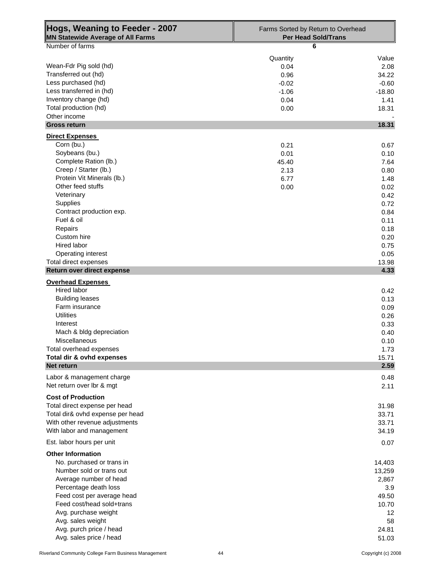| Hogs, Weaning to Feeder - 2007<br>MN Statewide Average of All Farms | Farms Sorted by Return to Overhead<br><b>Per Head Sold/Trans</b> |              |
|---------------------------------------------------------------------|------------------------------------------------------------------|--------------|
| Number of farms                                                     | 6                                                                |              |
|                                                                     | Quantity                                                         | Value        |
| Wean-Fdr Pig sold (hd)                                              | 0.04                                                             | 2.08         |
| Transferred out (hd)                                                | 0.96                                                             | 34.22        |
| Less purchased (hd)                                                 | $-0.02$                                                          | $-0.60$      |
| Less transferred in (hd)                                            | $-1.06$                                                          | $-18.80$     |
| Inventory change (hd)                                               | 0.04                                                             | 1.41         |
| Total production (hd)                                               | 0.00                                                             | 18.31        |
| Other income                                                        |                                                                  |              |
| <b>Gross return</b>                                                 |                                                                  | 18.31        |
| <b>Direct Expenses</b>                                              |                                                                  |              |
| Corn (bu.)                                                          | 0.21                                                             | 0.67         |
| Soybeans (bu.)                                                      | 0.01                                                             | 0.10         |
| Complete Ration (lb.)<br>Creep / Starter (lb.)                      | 45.40                                                            | 7.64         |
| Protein Vit Minerals (lb.)                                          | 2.13                                                             | 0.80         |
| Other feed stuffs                                                   | 6.77                                                             | 1.48         |
| Veterinary                                                          | 0.00                                                             | 0.02<br>0.42 |
| Supplies                                                            |                                                                  | 0.72         |
| Contract production exp.                                            |                                                                  | 0.84         |
| Fuel & oil                                                          |                                                                  | 0.11         |
| Repairs                                                             |                                                                  | 0.18         |
| Custom hire                                                         |                                                                  | 0.20         |
| Hired labor                                                         |                                                                  | 0.75         |
| Operating interest                                                  |                                                                  | 0.05         |
| Total direct expenses                                               |                                                                  | 13.98        |
| Return over direct expense                                          |                                                                  | 4.33         |
| <b>Overhead Expenses</b>                                            |                                                                  |              |
| Hired labor                                                         |                                                                  | 0.42         |
| <b>Building leases</b>                                              |                                                                  | 0.13         |
| Farm insurance                                                      |                                                                  | 0.09         |
| <b>Utilities</b>                                                    |                                                                  | 0.26         |
| Interest                                                            |                                                                  | 0.33         |
| Mach & bldg depreciation                                            |                                                                  | 0.40         |
| Miscellaneous                                                       |                                                                  | 0.10         |
| Total overhead expenses                                             |                                                                  | 1.73         |
| Total dir & ovhd expenses                                           |                                                                  | 15.71        |
| Net return                                                          |                                                                  | 2.59         |
| Labor & management charge                                           |                                                                  | 0.48         |
| Net return over lbr & mgt                                           |                                                                  | 2.11         |
| <b>Cost of Production</b>                                           |                                                                  |              |
| Total direct expense per head                                       |                                                                  | 31.98        |
| Total dir& ovhd expense per head                                    |                                                                  | 33.71        |
| With other revenue adjustments                                      |                                                                  | 33.71        |
| With labor and management                                           |                                                                  | 34.19        |
| Est. labor hours per unit                                           |                                                                  | 0.07         |
| <b>Other Information</b>                                            |                                                                  |              |
| No. purchased or trans in                                           |                                                                  | 14,403       |
| Number sold or trans out                                            |                                                                  | 13,259       |
| Average number of head                                              |                                                                  | 2,867        |
| Percentage death loss                                               |                                                                  | 3.9          |
| Feed cost per average head                                          |                                                                  | 49.50        |
| Feed cost/head sold+trans                                           |                                                                  | 10.70        |
| Avg. purchase weight                                                |                                                                  | 12           |
| Avg. sales weight                                                   |                                                                  | 58           |
| Avg. purch price / head                                             |                                                                  | 24.81        |
| Avg. sales price / head                                             |                                                                  | 51.03        |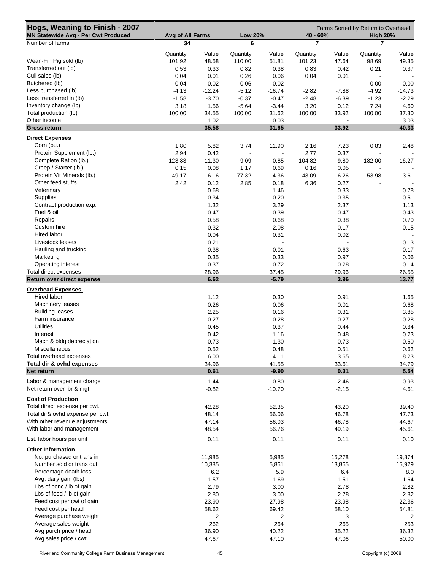| Hogs, Weaning to Finish - 2007<br>MN Statewide Avg - Per Cwt Produced | Avg of All Farms |          | <b>Low 20%</b> |                      | Farms Sorted by Return to Overhead<br>40 - 60%<br><b>High 20%</b> |                |          |          |
|-----------------------------------------------------------------------|------------------|----------|----------------|----------------------|-------------------------------------------------------------------|----------------|----------|----------|
| Number of farms                                                       | 34               |          | 6              |                      | 7                                                                 |                | 7        |          |
|                                                                       |                  |          |                |                      |                                                                   |                |          |          |
|                                                                       | Quantity         | Value    | Quantity       | Value                | Quantity                                                          | Value          | Quantity | Value    |
| Wean-Fin Pig sold (lb)                                                | 101.92           | 48.58    | 110.00         | 51.81                | 101.23                                                            | 47.64          | 98.69    | 49.35    |
| Transferred out (lb)                                                  | 0.53             | 0.33     | 0.82           | 0.38                 | 0.83                                                              | 0.42           | 0.21     | 0.37     |
| Cull sales (lb)                                                       | 0.04             | 0.01     | 0.26           | 0.06                 | 0.04                                                              | 0.01           |          |          |
| Butchered (lb)                                                        | 0.04             | 0.02     | 0.06           | 0.02                 | $\blacksquare$                                                    | $\overline{a}$ | 0.00     | 0.00     |
| Less purchased (lb)                                                   | $-4.13$          | $-12.24$ | $-5.12$        | $-16.74$             | $-2.82$                                                           | $-7.88$        | $-4.92$  | $-14.73$ |
| Less transferred in (lb)                                              | $-1.58$          | $-3.70$  | $-0.37$        | $-0.47$              | $-2.48$                                                           | $-6.39$        | $-1.23$  | $-2.29$  |
| Inventory change (lb)                                                 | 3.18             | 1.56     | $-5.64$        | $-3.44$              | 3.20                                                              | 0.12           | 7.24     | 4.60     |
| Total production (lb)                                                 | 100.00           | 34.55    | 100.00         | 31.62                | 100.00                                                            | 33.92          | 100.00   | 37.30    |
| Other income                                                          |                  | 1.02     |                | 0.03                 |                                                                   |                |          | 3.03     |
| <b>Gross return</b>                                                   |                  | 35.58    |                | 31.65                |                                                                   | 33.92          |          | 40.33    |
| <b>Direct Expenses</b>                                                |                  |          |                |                      |                                                                   |                |          |          |
| Corn (bu.)                                                            | 1.80             | 5.82     | 3.74           | 11.90                | 2.16                                                              | 7.23           | 0.83     | 2.48     |
| Protein Supplement (lb.)                                              | 2.94             | 0.42     | $\blacksquare$ | $\ddot{\phantom{a}}$ | 2.77                                                              | 0.37           |          |          |
| Complete Ration (lb.)                                                 | 123.83           | 11.30    | 9.09           | 0.85                 | 104.82                                                            | 9.80           | 182.00   | 16.27    |
| Creep / Starter (lb.)                                                 | 0.15             | 0.08     | 1.17           | 0.69                 | 0.16                                                              | 0.05           |          |          |
| Protein Vit Minerals (lb.)                                            | 49.17            | 6.16     | 77.32          | 14.36                | 43.09                                                             | 6.26           | 53.98    | 3.61     |
| Other feed stuffs                                                     | 2.42             | 0.12     | 2.85           | 0.18                 | 6.36                                                              | 0.27           |          |          |
| Veterinary                                                            |                  | 0.68     |                | 1.46                 |                                                                   | 0.33           |          | 0.78     |
|                                                                       |                  |          |                |                      |                                                                   |                |          |          |
| Supplies                                                              |                  | 0.34     |                | 0.20                 |                                                                   | 0.35           |          | 0.51     |
| Contract production exp.                                              |                  | 1.32     |                | 3.29                 |                                                                   | 2.37           |          | 1.13     |
| Fuel & oil                                                            |                  | 0.47     |                | 0.39                 |                                                                   | 0.47           |          | 0.43     |
| Repairs                                                               |                  | 0.58     |                | 0.68                 |                                                                   | 0.38           |          | 0.70     |
| Custom hire                                                           |                  | 0.32     |                | 2.08                 |                                                                   | 0.17           |          | 0.15     |
| Hired labor                                                           |                  | 0.04     |                | 0.31                 |                                                                   | 0.02           |          |          |
| Livestock leases                                                      |                  | 0.21     |                |                      |                                                                   |                |          | 0.13     |
| Hauling and trucking                                                  |                  | 0.38     |                | 0.01                 |                                                                   | 0.63           |          | 0.17     |
| Marketing                                                             |                  | 0.35     |                | 0.33                 |                                                                   | 0.97           |          | 0.06     |
| Operating interest                                                    |                  | 0.37     |                | 0.72                 |                                                                   | 0.28           |          | 0.14     |
| Total direct expenses                                                 |                  | 28.96    |                | 37.45                |                                                                   | 29.96          |          | 26.55    |
| Return over direct expense                                            |                  | 6.62     |                | $-5.79$              |                                                                   | 3.96           |          | 13.77    |
| <b>Overhead Expenses</b>                                              |                  |          |                |                      |                                                                   |                |          |          |
| Hired labor                                                           |                  | 1.12     |                | 0.30                 |                                                                   | 0.91           |          | 1.65     |
| Machinery leases                                                      |                  | 0.26     |                | 0.06                 |                                                                   | 0.01           |          | 0.68     |
|                                                                       |                  |          |                |                      |                                                                   |                |          |          |
| <b>Building leases</b>                                                |                  | 2.25     |                | 0.16                 |                                                                   | 0.31           |          | 3.85     |
| Farm insurance                                                        |                  | 0.27     |                | 0.28                 |                                                                   | 0.27           |          | 0.28     |
| <b>Utilities</b>                                                      |                  | 0.45     |                | 0.37                 |                                                                   | 0.44           |          | 0.34     |
| Interest                                                              |                  | 0.42     |                | 1.16                 |                                                                   | 0.48           |          | 0.23     |
| Mach & bldg depreciation                                              |                  | 0.73     |                | 1.30                 |                                                                   | 0.73           |          | 0.60     |
| Miscellaneous                                                         |                  | 0.52     |                | 0.48                 |                                                                   | 0.51           |          | 0.62     |
| Total overhead expenses                                               |                  | 6.00     |                | 4.11                 |                                                                   | 3.65           |          | 8.23     |
| Total dir & ovhd expenses                                             |                  | 34.96    |                | 41.55                |                                                                   | 33.61          |          | 34.79    |
| Net return                                                            |                  | 0.61     |                | $-9.90$              |                                                                   | 0.31           |          | 5.54     |
| Labor & management charge                                             |                  | 1.44     |                | 0.80                 |                                                                   | 2.46           |          | 0.93     |
| Net return over lbr & mgt                                             |                  | $-0.82$  |                | $-10.70$             |                                                                   | $-2.15$        |          | 4.61     |
|                                                                       |                  |          |                |                      |                                                                   |                |          |          |
| <b>Cost of Production</b>                                             |                  |          |                |                      |                                                                   |                |          |          |
| Total direct expense per cwt.                                         |                  | 42.28    |                | 52.35                |                                                                   | 43.20          |          | 39.40    |
| Total dir& ovhd expense per cwt.                                      |                  | 48.14    |                | 56.06                |                                                                   | 46.78          |          | 47.73    |
| With other revenue adjustments                                        |                  | 47.14    |                | 56.03                |                                                                   | 46.78          |          | 44.67    |
| With labor and management                                             |                  | 48.54    |                | 56.76                |                                                                   | 49.19          |          | 45.61    |
| Est. labor hours per unit                                             |                  | 0.11     |                | 0.11                 |                                                                   | 0.11           |          | 0.10     |
| <b>Other Information</b>                                              |                  |          |                |                      |                                                                   |                |          |          |
| No. purchased or trans in                                             |                  | 11,985   |                | 5,985                |                                                                   | 15,278         |          | 19,874   |
| Number sold or trans out                                              |                  | 10,385   |                | 5,861                |                                                                   | 13,865         |          | 15,929   |
| Percentage death loss                                                 |                  | 6.2      |                | 5.9                  |                                                                   | 6.4            |          | 8.0      |
| Avg. daily gain (lbs)                                                 |                  | 1.57     |                | 1.69                 |                                                                   | 1.51           |          | 1.64     |
| Lbs of conc / lb of gain                                              |                  | 2.79     |                | 3.00                 |                                                                   | 2.78           |          | 2.82     |
| Lbs of feed / lb of gain                                              |                  | 2.80     |                | 3.00                 |                                                                   | 2.78           |          | 2.82     |
| Feed cost per cwt of gain                                             |                  | 23.90    |                | 27.98                |                                                                   | 23.98          |          | 22.36    |
|                                                                       |                  |          |                |                      |                                                                   |                |          |          |
| Feed cost per head                                                    |                  | 58.62    |                | 69.42                |                                                                   | 58.10          |          | 54.81    |
| Average purchase weight                                               |                  | 12       |                | 12                   |                                                                   | 13             |          | 12       |
| Average sales weight                                                  |                  | 262      |                | 264                  |                                                                   | 265            |          | 253      |
| Avg purch price / head                                                |                  | 36.90    |                | 40.22                |                                                                   | 35.22          |          | 36.32    |
| Avg sales price / cwt                                                 |                  | 47.67    |                | 47.10                |                                                                   | 47.06          |          | 50.00    |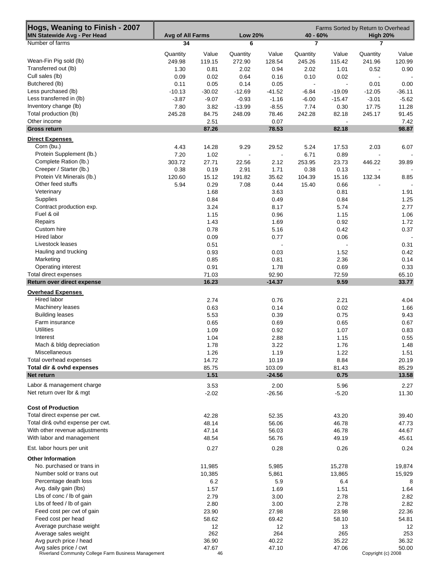| Hogs, Weaning to Finish - 2007<br><b>MN Statewide Avg - Per Head</b> | Avg of All Farms |                | <b>Low 20%</b> |                    | 40 - 60%       |                | Farms Sorted by Return to Overhead<br><b>High 20%</b> |                |
|----------------------------------------------------------------------|------------------|----------------|----------------|--------------------|----------------|----------------|-------------------------------------------------------|----------------|
| Number of farms                                                      | 34               |                | 6              |                    | 7              |                | 7                                                     |                |
|                                                                      | Quantity         | Value          | Quantity       | Value              | Quantity       | Value          | Quantity                                              | Value          |
| Wean-Fin Pig sold (lb)                                               | 249.98           | 119.15         | 272.90         | 128.54             | 245.26         | 115.42         | 241.96                                                | 120.99         |
| Transferred out (lb)                                                 | 1.30             | 0.81           | 2.02           | 0.94               | 2.02           | 1.01           | 0.52                                                  | 0.90           |
| Cull sales (lb)                                                      | 0.09             | 0.02           | 0.64           | 0.16               | 0.10           | 0.02           |                                                       |                |
| Butchered (lb)                                                       | 0.11             | 0.05           | 0.14           | 0.05               | $\blacksquare$ | $\blacksquare$ | 0.01                                                  | 0.00           |
| Less purchased (lb)                                                  | $-10.13$         | $-30.02$       | $-12.69$       | $-41.52$           | $-6.84$        | $-19.09$       | $-12.05$                                              | $-36.11$       |
| Less transferred in (lb)                                             | $-3.87$          | $-9.07$        | $-0.93$        | $-1.16$            | $-6.00$        | $-15.47$       | $-3.01$                                               | $-5.62$        |
| Inventory change (lb)                                                | 7.80             | 3.82           | $-13.99$       | $-8.55$            | 7.74           | 0.30           | 17.75                                                 | 11.28          |
| Total production (lb)                                                | 245.28           | 84.75          | 248.09         | 78.46              | 242.28         | 82.18          | 245.17                                                | 91.45          |
| Other income                                                         |                  | 2.51           |                | 0.07               |                |                |                                                       | 7.42           |
| <b>Gross return</b>                                                  |                  | 87.26          |                | 78.53              |                | 82.18          |                                                       | 98.87          |
| <b>Direct Expenses</b>                                               |                  |                |                |                    |                |                |                                                       |                |
| Corn (bu.)                                                           | 4.43             | 14.28          | 9.29           | 29.52              | 5.24           | 17.53          | 2.03                                                  | 6.07           |
| Protein Supplement (lb.)                                             | 7.20             | 1.02           |                | $\blacksquare$     | 6.71           | 0.89           |                                                       |                |
| Complete Ration (lb.)                                                | 303.72           | 27.71          | 22.56          | 2.12               | 253.95         | 23.73          | 446.22                                                | 39.89          |
| Creeper / Starter (lb.)                                              | 0.38             | 0.19           | 2.91           | 1.71               | 0.38           | 0.13           | $\blacksquare$                                        |                |
| Protein Vit Minerals (lb.)                                           | 120.60           | 15.12          | 191.82         | 35.62              | 104.39         | 15.16          | 132.34                                                | 8.85           |
| Other feed stuffs                                                    | 5.94             | 0.29           | 7.08           | 0.44               | 15.40          | 0.66           |                                                       |                |
| Veterinary                                                           |                  | 1.68           |                | 3.63               |                | 0.81           |                                                       | 1.91           |
| Supplies                                                             |                  | 0.84           |                | 0.49               |                | 0.84           |                                                       | 1.25           |
| Contract production exp.                                             |                  | 3.24           |                | 8.17               |                | 5.74           |                                                       | 2.77           |
| Fuel & oil                                                           |                  | 1.15           |                | 0.96               |                | 1.15           |                                                       | 1.06           |
| Repairs                                                              |                  | 1.43           |                | 1.69               |                | 0.92           |                                                       | 1.72           |
| Custom hire                                                          |                  | 0.78           |                | 5.16               |                | 0.42           |                                                       | 0.37           |
| Hired labor                                                          |                  | 0.09           |                | 0.77               |                | 0.06           |                                                       |                |
| Livestock leases                                                     |                  | 0.51           |                |                    |                |                |                                                       | 0.31           |
| Hauling and trucking                                                 |                  | 0.93           |                | 0.03               |                | 1.52           |                                                       | 0.42           |
| Marketing                                                            |                  | 0.85           |                | 0.81               |                | 2.36           |                                                       | 0.14           |
| Operating interest                                                   |                  | 0.91           |                | 1.78               |                | 0.69           |                                                       | 0.33           |
| Total direct expenses                                                |                  | 71.03          |                | 92.90              |                | 72.59          |                                                       | 65.10          |
| Return over direct expense                                           |                  | 16.23          |                | $-14.37$           |                | 9.59           |                                                       | 33.77          |
| <b>Overhead Expenses</b>                                             |                  |                |                |                    |                |                |                                                       |                |
| Hired labor                                                          |                  | 2.74           |                | 0.76               |                | 2.21           |                                                       | 4.04           |
| Machinery leases                                                     |                  | 0.63           |                | 0.14               |                | 0.02           |                                                       | 1.66           |
| <b>Building leases</b>                                               |                  | 5.53           |                | 0.39               |                | 0.75           |                                                       | 9.43           |
| Farm insurance                                                       |                  | 0.65           |                | 0.69               |                | 0.65           |                                                       | 0.67           |
| <b>Utilities</b>                                                     |                  | 1.09           |                | 0.92               |                | 1.07           |                                                       | 0.83           |
| Interest                                                             |                  | 1.04           |                | 2.88               |                | 1.15           |                                                       | 0.55           |
| Mach & bldg depreciation                                             |                  | 1.78           |                | 3.22               |                | 1.76           |                                                       | 1.48           |
| Miscellaneous                                                        |                  | 1.26           |                | 1.19               |                | 1.22           |                                                       | 1.51           |
| Total overhead expenses                                              |                  | 14.72          |                | 10.19              |                | 8.84           |                                                       | 20.19          |
| Total dir & ovhd expenses<br>Net return                              |                  | 85.75<br>1.51  |                | 103.09<br>$-24.56$ |                | 81.43<br>0.75  |                                                       | 85.29<br>13.58 |
|                                                                      |                  |                |                |                    |                |                |                                                       |                |
| Labor & management charge                                            |                  | 3.53           |                | 2.00               |                | 5.96           |                                                       | 2.27           |
| Net return over lbr & mgt                                            |                  | $-2.02$        |                | $-26.56$           |                | $-5.20$        |                                                       | 11.30          |
| <b>Cost of Production</b>                                            |                  |                |                |                    |                |                |                                                       |                |
| Total direct expense per cwt.                                        |                  | 42.28          |                | 52.35              |                | 43.20          |                                                       | 39.40          |
| Total dir& ovhd expense per cwt.                                     |                  | 48.14          |                | 56.06              |                | 46.78          |                                                       | 47.73          |
| With other revenue adjustments                                       |                  | 47.14          |                | 56.03              |                | 46.78          |                                                       | 44.67          |
| With labor and management                                            |                  | 48.54          |                | 56.76              |                | 49.19          |                                                       | 45.61          |
| Est. labor hours per unit                                            |                  | 0.27           |                | 0.28               |                | 0.26           |                                                       | 0.24           |
|                                                                      |                  |                |                |                    |                |                |                                                       |                |
| <b>Other Information</b>                                             |                  |                |                |                    |                |                |                                                       |                |
| No. purchased or trans in                                            |                  | 11,985         |                | 5,985              |                | 15,278         |                                                       | 19,874         |
| Number sold or trans out                                             |                  | 10,385         |                | 5,861              |                | 13,865         |                                                       | 15,929         |
| Percentage death loss                                                |                  | 6.2            |                | 5.9                |                | 6.4            |                                                       | 8              |
| Avg. daily gain (lbs)                                                |                  | 1.57           |                | 1.69               |                | 1.51           |                                                       | 1.64           |
| Lbs of conc / lb of gain                                             |                  | 2.79           |                | 3.00               |                | 2.78           |                                                       | 2.82           |
| Lbs of feed / lb of gain                                             |                  | 2.80           |                | 3.00               |                | 2.78           |                                                       | 2.82           |
| Feed cost per cwt of gain                                            |                  | 23.90          |                | 27.98              |                | 23.98          |                                                       | 22.36          |
| Feed cost per head                                                   |                  | 58.62          |                | 69.42              |                | 58.10          |                                                       | 54.81          |
| Average purchase weight                                              |                  | 12             |                | 12                 |                | 13             |                                                       | 12             |
| Average sales weight                                                 |                  | 262            |                | 264                |                | 265            |                                                       | 253            |
| Avg purch price / head<br>Avg sales price / cwt                      |                  | 36.90<br>47.67 |                | 40.22<br>47.10     |                | 35.22<br>47.06 |                                                       | 36.32<br>50.00 |
| Riverland Community College Farm Business Management                 |                  | 46             |                |                    |                |                | Copyright (c) 2008                                    |                |
|                                                                      |                  |                |                |                    |                |                |                                                       |                |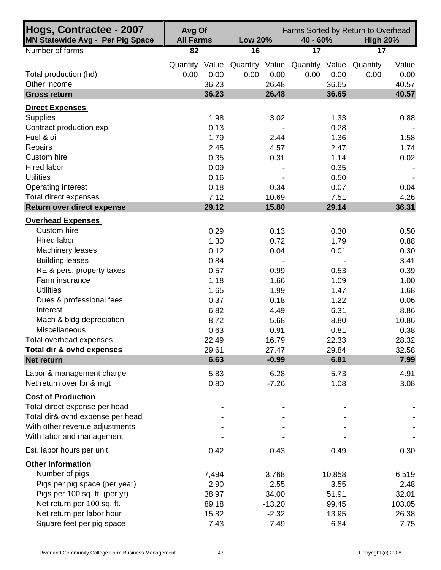| Hogs, Contractee - 2007<br><b>MN Statewide Avg - Per Pig Space</b> | Avg Of<br><b>All Farms</b> |       | <b>Low 20%</b> |          | 40 - 60%                                              |        | Farms Sorted by Return to Overhead<br><b>High 20%</b> |        |
|--------------------------------------------------------------------|----------------------------|-------|----------------|----------|-------------------------------------------------------|--------|-------------------------------------------------------|--------|
| Number of farms                                                    | 82                         |       | 16             |          | $\overline{17}$                                       |        | 17                                                    |        |
|                                                                    |                            |       |                |          | Quantity Value Quantity Value Quantity Value Quantity |        |                                                       | Value  |
| Total production (hd)                                              | 0.00                       | 0.00  | 0.00           | 0.00     | 0.00                                                  | 0.00   | 0.00                                                  | 0.00   |
| Other income                                                       |                            | 36.23 |                | 26.48    |                                                       | 36.65  |                                                       | 40.57  |
| <b>Gross return</b>                                                |                            | 36.23 |                | 26.48    |                                                       | 36.65  |                                                       | 40.57  |
| <b>Direct Expenses</b>                                             |                            |       |                |          |                                                       |        |                                                       |        |
| <b>Supplies</b>                                                    |                            | 1.98  |                | 3.02     |                                                       | 1.33   |                                                       | 0.88   |
| Contract production exp.                                           |                            | 0.13  |                |          |                                                       | 0.28   |                                                       |        |
| Fuel & oil                                                         |                            | 1.79  |                | 2.44     |                                                       | 1.36   |                                                       | 1.58   |
| Repairs                                                            |                            | 2.45  |                | 4.57     |                                                       | 2.47   |                                                       | 1.74   |
| Custom hire                                                        |                            | 0.35  |                | 0.31     |                                                       | 1.14   |                                                       | 0.02   |
| <b>Hired labor</b>                                                 |                            | 0.09  |                |          |                                                       | 0.35   |                                                       |        |
| <b>Utilities</b>                                                   |                            | 0.16  |                |          |                                                       | 0.50   |                                                       |        |
| Operating interest                                                 |                            | 0.18  |                | 0.34     |                                                       | 0.07   |                                                       | 0.04   |
| Total direct expenses                                              |                            | 7.12  |                | 10.69    |                                                       | 7.51   |                                                       | 4.26   |
| Return over direct expense                                         |                            | 29.12 |                | 15.80    |                                                       | 29.14  |                                                       | 36.31  |
| <b>Overhead Expenses</b>                                           |                            |       |                |          |                                                       |        |                                                       |        |
| Custom hire                                                        |                            | 0.29  |                | 0.13     |                                                       | 0.30   |                                                       | 0.50   |
| <b>Hired labor</b>                                                 |                            | 1.30  |                | 0.72     |                                                       | 1.79   |                                                       | 0.88   |
| Machinery leases                                                   |                            | 0.12  |                | 0.04     |                                                       | 0.01   |                                                       | 0.30   |
| <b>Building leases</b>                                             |                            | 0.84  |                |          |                                                       |        |                                                       | 3.41   |
| RE & pers. property taxes                                          |                            | 0.57  |                | 0.99     |                                                       | 0.53   |                                                       | 0.39   |
| Farm insurance                                                     |                            | 1.18  |                | 1.66     |                                                       | 1.09   |                                                       | 1.00   |
| <b>Utilities</b>                                                   |                            | 1.65  |                | 1.99     |                                                       | 1.47   |                                                       | 1.68   |
| Dues & professional fees                                           |                            | 0.37  |                | 0.18     |                                                       | 1.22   |                                                       | 0.06   |
| Interest                                                           |                            | 6.82  |                | 4.49     |                                                       | 6.31   |                                                       | 8.86   |
| Mach & bldg depreciation                                           |                            | 8.72  |                | 5.68     |                                                       | 8.80   |                                                       | 10.86  |
| <b>Miscellaneous</b>                                               |                            | 0.63  |                | 0.91     |                                                       | 0.81   |                                                       | 0.38   |
| Total overhead expenses                                            |                            | 22.49 |                | 16.79    |                                                       | 22.33  |                                                       | 28.32  |
| Total dir & ovhd expenses                                          |                            | 29.61 |                | 27.47    |                                                       | 29.84  |                                                       | 32.58  |
| <b>Net return</b>                                                  |                            | 6.63  |                | $-0.99$  |                                                       | 6.81   |                                                       | 7.99   |
| Labor & management charge                                          |                            | 5.83  |                | 6.28     |                                                       | 5.73   |                                                       | 4.91   |
| Net return over lbr & mgt                                          |                            | 0.80  |                | $-7.26$  |                                                       | 1.08   |                                                       | 3.08   |
| <b>Cost of Production</b>                                          |                            |       |                |          |                                                       |        |                                                       |        |
| Total direct expense per head                                      |                            |       |                |          |                                                       |        |                                                       |        |
| Total dir& ovhd expense per head                                   |                            |       |                |          |                                                       |        |                                                       |        |
| With other revenue adjustments                                     |                            |       |                |          |                                                       |        |                                                       |        |
| With labor and management                                          |                            |       |                |          |                                                       |        |                                                       |        |
| Est. labor hours per unit                                          |                            | 0.42  |                | 0.43     |                                                       | 0.49   |                                                       | 0.30   |
| <b>Other Information</b>                                           |                            |       |                |          |                                                       |        |                                                       |        |
| Number of pigs                                                     |                            | 7,494 |                | 3,768    |                                                       | 10,858 |                                                       | 6,519  |
| Pigs per pig space (per year)                                      |                            | 2.90  |                | 2.55     |                                                       | 3.55   |                                                       | 2.48   |
| Pigs per 100 sq. ft. (per yr)                                      |                            | 38.97 |                | 34.00    |                                                       | 51.91  |                                                       | 32.01  |
| Net return per 100 sq. ft.                                         |                            | 89.18 |                | $-13.20$ |                                                       | 99.45  |                                                       | 103.05 |
| Net return per labor hour                                          |                            | 15.82 |                | $-2.32$  |                                                       | 13.95  |                                                       | 26.38  |
| Square feet per pig space                                          |                            | 7.43  |                | 7.49     |                                                       | 6.84   |                                                       | 7.75   |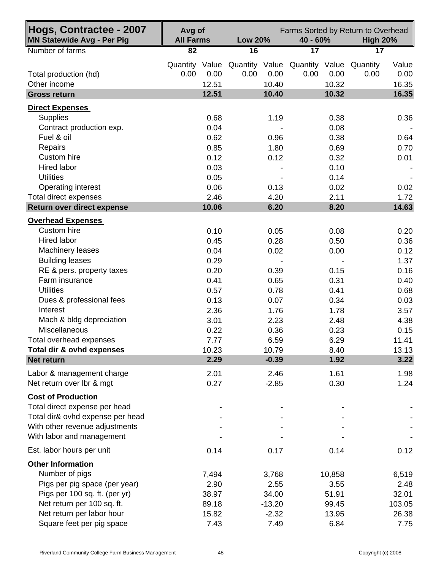| Hogs, Contractee - 2007<br>MN Statewide Avg - Per Pig | Avg of<br><b>All Farms</b> |               | <b>Low 20%</b> |               | 40 - 60%                                       |               | Farms Sorted by Return to Overhead<br><b>High 20%</b> |                        |
|-------------------------------------------------------|----------------------------|---------------|----------------|---------------|------------------------------------------------|---------------|-------------------------------------------------------|------------------------|
| Number of farms                                       | 82                         |               | 16             |               | $\overline{17}$                                |               | 17                                                    |                        |
| Total production (hd)<br>Other income                 | Quantity Value<br>0.00     | 0.00<br>12.51 | 0.00           | 0.00<br>10.40 | Quantity Value Quantity Value Quantity<br>0.00 | 0.00<br>10.32 | 0.00                                                  | Value<br>0.00<br>16.35 |
| <b>Gross return</b>                                   |                            | 12.51         |                | 10.40         |                                                | 10.32         |                                                       | 16.35                  |
| <b>Direct Expenses</b>                                |                            |               |                |               |                                                |               |                                                       |                        |
| Supplies                                              |                            | 0.68          |                | 1.19          |                                                | 0.38          |                                                       | 0.36                   |
| Contract production exp.                              |                            | 0.04          |                |               |                                                | 0.08          |                                                       |                        |
| Fuel & oil                                            |                            | 0.62          |                | 0.96          |                                                | 0.38          |                                                       | 0.64                   |
| Repairs                                               |                            | 0.85          |                | 1.80          |                                                | 0.69          |                                                       | 0.70                   |
| Custom hire                                           |                            | 0.12          |                | 0.12          |                                                | 0.32          |                                                       | 0.01                   |
| <b>Hired labor</b>                                    |                            | 0.03          |                |               |                                                | 0.10          |                                                       |                        |
| <b>Utilities</b>                                      |                            | 0.05          |                |               |                                                | 0.14          |                                                       |                        |
| Operating interest                                    |                            | 0.06          |                | 0.13          |                                                | 0.02          |                                                       | 0.02                   |
| Total direct expenses                                 |                            | 2.46          |                | 4.20          |                                                | 2.11          |                                                       | 1.72                   |
| Return over direct expense                            |                            | 10.06         |                | 6.20          |                                                | 8.20          |                                                       | 14.63                  |
| <b>Overhead Expenses</b>                              |                            |               |                |               |                                                |               |                                                       |                        |
| Custom hire                                           |                            | 0.10          |                | 0.05          |                                                | 0.08          |                                                       | 0.20                   |
| <b>Hired labor</b>                                    |                            | 0.45          |                | 0.28          |                                                | 0.50          |                                                       | 0.36                   |
| Machinery leases                                      |                            | 0.04          |                | 0.02          |                                                | 0.00          |                                                       | 0.12                   |
| <b>Building leases</b>                                |                            | 0.29          |                |               |                                                |               |                                                       | 1.37                   |
| RE & pers. property taxes                             |                            | 0.20          |                | 0.39          |                                                | 0.15          |                                                       | 0.16                   |
| Farm insurance                                        |                            | 0.41          |                | 0.65          |                                                | 0.31          |                                                       | 0.40                   |
| <b>Utilities</b>                                      |                            | 0.57          |                | 0.78          |                                                | 0.41          |                                                       | 0.68                   |
| Dues & professional fees                              |                            | 0.13          |                | 0.07          |                                                | 0.34          |                                                       | 0.03                   |
| Interest                                              |                            | 2.36          |                | 1.76          |                                                | 1.78          |                                                       | 3.57                   |
| Mach & bldg depreciation                              |                            | 3.01          |                | 2.23          |                                                | 2.48          |                                                       | 4.38                   |
| <b>Miscellaneous</b>                                  |                            | 0.22          |                | 0.36          |                                                | 0.23          |                                                       | 0.15                   |
| Total overhead expenses                               |                            | 7.77          |                | 6.59          |                                                | 6.29          |                                                       | 11.41                  |
| Total dir & ovhd expenses                             |                            | 10.23         |                | 10.79         |                                                | 8.40          |                                                       | 13.13                  |
| Net return                                            |                            | 2.29          |                | $-0.39$       |                                                | 1.92          |                                                       | 3.22                   |
| Labor & management charge                             |                            | 2.01          |                | 2.46          |                                                | 1.61          |                                                       | 1.98                   |
| Net return over lbr & mgt                             |                            | 0.27          |                | $-2.85$       |                                                | 0.30          |                                                       | 1.24                   |
| <b>Cost of Production</b>                             |                            |               |                |               |                                                |               |                                                       |                        |
| Total direct expense per head                         |                            |               |                |               |                                                |               |                                                       |                        |
| Total dir& ovhd expense per head                      |                            |               |                |               |                                                |               |                                                       |                        |
| With other revenue adjustments                        |                            |               |                |               |                                                |               |                                                       |                        |
| With labor and management                             |                            |               |                |               |                                                |               |                                                       |                        |
| Est. labor hours per unit                             |                            | 0.14          |                | 0.17          |                                                | 0.14          |                                                       | 0.12                   |
| <b>Other Information</b>                              |                            |               |                |               |                                                |               |                                                       |                        |
| Number of pigs                                        |                            | 7,494         |                | 3,768         |                                                | 10,858        |                                                       | 6,519                  |
| Pigs per pig space (per year)                         |                            | 2.90          |                | 2.55          |                                                | 3.55          |                                                       | 2.48                   |
| Pigs per 100 sq. ft. (per yr)                         |                            | 38.97         |                | 34.00         |                                                | 51.91         |                                                       | 32.01                  |
| Net return per 100 sq. ft.                            |                            | 89.18         |                | $-13.20$      |                                                | 99.45         |                                                       | 103.05                 |
| Net return per labor hour                             |                            | 15.82         |                | $-2.32$       |                                                | 13.95         |                                                       | 26.38                  |
| Square feet per pig space                             |                            | 7.43          |                | 7.49          |                                                | 6.84          |                                                       | 7.75                   |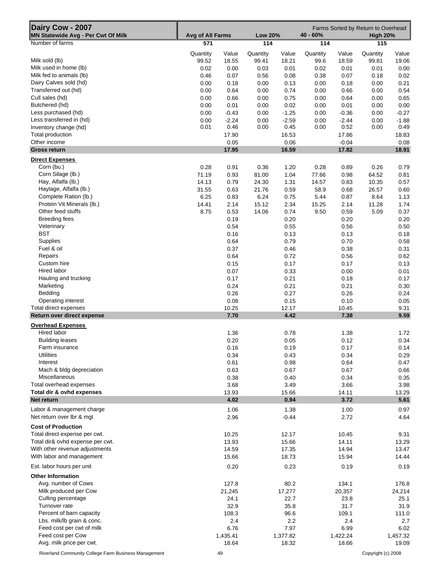| Dairy Cow - 2007<br>MN Statewide Avg - Per Cwt Of Milk            | Avg of All Farms |                | <b>Low 20%</b> | Farms Sorted by Return to Overhead<br>40 - 60%<br><b>High 20%</b> |          |                  |          |               |
|-------------------------------------------------------------------|------------------|----------------|----------------|-------------------------------------------------------------------|----------|------------------|----------|---------------|
| Number of farms                                                   | 571              |                | 114            |                                                                   | 114      |                  | 115      |               |
|                                                                   | Quantity         | Value          | Quantity       | Value                                                             | Quantity | Value            | Quantity | Value         |
| Milk sold (lb)                                                    | 99.52            | 18.55          | 99.41          | 18.21                                                             | 99.6     | 18.59            | 99.81    | 19.06         |
| Milk used in home (lb)                                            | 0.02             | 0.00           | 0.03           | 0.01                                                              | 0.02     | 0.01             | 0.01     | 0.00          |
| Milk fed to animals (lb)                                          | 0.46             | 0.07           | 0.56           | 0.08                                                              | 0.38     | 0.07             | 0.18     | 0.02          |
| Dairy Calves sold (hd)                                            | 0.00             | 0.18           | 0.00           | 0.13                                                              | 0.00     | 0.18             | 0.00     | 0.21          |
| Transferred out (hd)                                              | 0.00             | 0.64           | 0.00           | 0.74                                                              | 0.00     | 0.66             | 0.00     | 0.54          |
| Cull sales (hd)                                                   | 0.00             | 0.66           | 0.00           | 0.75                                                              | 0.00     | 0.64             | 0.00     | 0.65          |
| Butchered (hd)                                                    | 0.00             | 0.01           | 0.00           | 0.02                                                              | 0.00     | 0.01             | 0.00     | 0.00          |
| Less purchased (hd)                                               | 0.00             | $-0.43$        | 0.00           | $-1.25$                                                           | 0.00     | $-0.36$          | 0.00     | $-0.27$       |
| Less transferred in (hd)                                          | 0.00             | $-2.24$        | 0.00           | $-2.59$                                                           | 0.00     | $-2.44$          | 0.00     | $-1.88$       |
| Inventory change (hd)                                             | 0.01             | 0.46           | 0.00           | 0.45                                                              | 0.00     | 0.52             | 0.00     | 0.49          |
| Total production<br>Other income                                  |                  | 17.90<br>0.05  |                | 16.53<br>0.06                                                     |          | 17.86<br>$-0.04$ |          | 18.83<br>0.08 |
| <b>Gross return</b>                                               |                  | 17.95          |                | 16.59                                                             |          | 17.82            |          | 18.91         |
|                                                                   |                  |                |                |                                                                   |          |                  |          |               |
| <b>Direct Expenses</b><br>Corn (bu.)                              | 0.28             | 0.91           | 0.36           | 1.20                                                              | 0.28     | 0.89             | 0.26     | 0.79          |
| Corn Silage (lb.)                                                 | 71.19            | 0.93           | 81.00          | 1.04                                                              | 77.66    | 0.98             | 64.52    | 0.81          |
| Hay, Alfalfa (lb.)                                                | 14.13            | 0.79           | 24.30          | 1.31                                                              | 14.57    | 0.83             | 10.35    | 0.57          |
| Haylage, Alfalfa (lb.)                                            | 31.55            | 0.63           | 21.76          | 0.59                                                              | 58.9     | 0.68             | 26.57    | 0.60          |
| Complete Ration (lb.)                                             | 6.25             | 0.83           | 6.24           | 0.75                                                              | 5.44     | 0.87             | 8.64     | 1.13          |
| Protein Vit Minerals (lb.)                                        | 14.41            | 2.14           | 15.12          | 2.34                                                              | 15.25    | 2.14             | 11.28    | 1.74          |
| Other feed stuffs                                                 | 8.75             | 0.53           | 14.06          | 0.74                                                              | 9.50     | 0.59             | 5.09     | 0.37          |
| <b>Breeding fees</b>                                              |                  | 0.19           |                | 0.20                                                              |          | 0.20             |          | 0.20          |
| Veterinary                                                        |                  | 0.54           |                | 0.55                                                              |          | 0.56             |          | 0.50          |
| <b>BST</b>                                                        |                  | 0.16           |                | 0.13                                                              |          | 0.13             |          | 0.18          |
| Supplies                                                          |                  | 0.64           |                | 0.79                                                              |          | 0.70             |          | 0.58          |
| Fuel & oil                                                        |                  | 0.37           |                | 0.46                                                              |          | 0.38             |          | 0.31          |
| Repairs                                                           |                  | 0.64           |                | 0.72                                                              |          | 0.56             |          | 0.62          |
| Custom hire<br>Hired labor                                        |                  | 0.15<br>0.07   |                | 0.17<br>0.33                                                      |          | 0.17<br>0.00     |          | 0.13<br>0.01  |
| Hauling and trucking                                              |                  | 0.17           |                | 0.21                                                              |          | 0.18             |          | 0.17          |
| Marketing                                                         |                  | 0.24           |                | 0.21                                                              |          | 0.21             |          | 0.30          |
| Bedding                                                           |                  | 0.26           |                | 0.27                                                              |          | 0.26             |          | 0.24          |
| Operating interest                                                |                  | 0.08           |                | 0.15                                                              |          | 0.10             |          | 0.05          |
| Total direct expenses                                             |                  | 10.25          |                | 12.17                                                             |          | 10.45            |          | 9.31          |
| Return over direct expense                                        |                  | 7.70           |                | 4.42                                                              |          | 7.38             |          | 9.59          |
| <b>Overhead Expenses</b>                                          |                  |                |                |                                                                   |          |                  |          |               |
| <b>Hired labor</b>                                                |                  | 1.36           |                | 0.78                                                              |          | 1.38             |          | 1.72          |
| <b>Building leases</b>                                            |                  | 0.20           |                | 0.05                                                              |          | 0.12             |          | 0.34          |
| Farm insurance                                                    |                  | 0.16           |                | 0.19                                                              |          | 0.17             |          | 0.14          |
| Utilities                                                         |                  | 0.34           |                | 0.43                                                              |          | 0.34             |          | 0.29          |
| Interest                                                          |                  | 0.61           |                | 0.98                                                              |          | 0.64             |          | 0.47          |
| Mach & bldg depreciation                                          |                  | 0.63           |                | 0.67                                                              |          | 0.67             |          | 0.66          |
| Miscellaneous<br>Total overhead expenses                          |                  | 0.38<br>3.68   |                | 0.40<br>3.49                                                      |          | 0.34<br>3.66     |          | 0.35<br>3.98  |
| Total dir & ovhd expenses                                         |                  | 13.93          |                | 15.66                                                             |          | 14.11            |          | 13.29         |
| Net return                                                        |                  | 4.02           |                | 0.94                                                              |          | 3.72             |          | 5.61          |
| Labor & management charge                                         |                  |                |                |                                                                   |          |                  |          |               |
| Net return over lbr & mgt                                         |                  | 1.06<br>2.96   |                | 1.38<br>$-0.44$                                                   |          | 1.00<br>2.72     |          | 0.97<br>4.64  |
|                                                                   |                  |                |                |                                                                   |          |                  |          |               |
| <b>Cost of Production</b>                                         |                  |                |                |                                                                   |          |                  |          |               |
| Total direct expense per cwt.<br>Total dir& ovhd expense per cwt. |                  | 10.25<br>13.93 |                | 12.17<br>15.66                                                    |          | 10.45<br>14.11   |          | 9.31<br>13.29 |
| With other revenue adjustments                                    |                  | 14.59          |                | 17.35                                                             |          | 14.94            |          | 13.47         |
| With labor and management                                         |                  | 15.66          |                | 18.73                                                             |          | 15.94            |          | 14.44         |
|                                                                   |                  | 0.20           |                | 0.23                                                              |          | 0.19             |          | 0.19          |
| Est. labor hours per unit                                         |                  |                |                |                                                                   |          |                  |          |               |
| <b>Other Information</b>                                          |                  |                |                |                                                                   |          |                  |          |               |
| Avg. number of Cows                                               |                  | 127.8          |                | 80.2                                                              |          | 134.1            |          | 176.8         |
| Milk produced per Cow                                             |                  | 21,245         |                | 17,277                                                            |          | 20,357           |          | 24,214        |
| Culling percentage<br>Turnover rate                               |                  | 24.1<br>32.9   |                | 22.7<br>35.8                                                      |          | 23.8<br>31.7     |          | 25.1<br>31.9  |
| Percent of barn capacity                                          |                  | 108.3          |                | 96.6                                                              |          | 109.1            |          | 111.0         |
| Lbs. milk/lb grain & conc.                                        |                  | 2.4            |                | 2.2                                                               |          | 2.4              |          | 2.7           |
| Feed cost per cwt of milk                                         |                  | 6.76           |                | 7.97                                                              |          | 6.99             |          | 6.02          |
| Feed cost per Cow                                                 |                  | 1,435.41       |                | 1,377.82                                                          |          | 1,422.24         |          | 1,457.32      |
| Avg. milk price per cwt.                                          |                  | 18.64          |                | 18.32                                                             |          | 18.66            |          | 19.09         |
|                                                                   |                  |                |                |                                                                   |          |                  |          |               |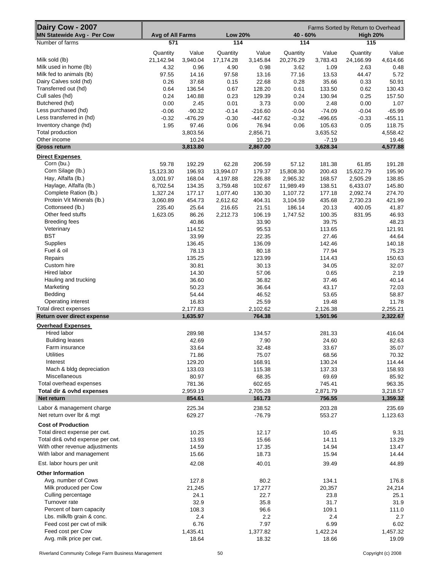| Dairy Cow - 2007                                            |                  |                  |                 |                    |                 |                  | Farms Sorted by Return to Overhead |                  |
|-------------------------------------------------------------|------------------|------------------|-----------------|--------------------|-----------------|------------------|------------------------------------|------------------|
| MN Statewide Avg - Per Cow                                  | Avg of All Farms |                  | <b>Low 20%</b>  |                    | 40 - 60%        |                  | <b>High 20%</b>                    |                  |
| Number of farms                                             | 571              |                  | 114             |                    | 114             |                  | 115                                |                  |
|                                                             | Quantity         | Value            | Quantity        | Value              | Quantity        | Value            | Quantity                           | Value            |
| Milk sold (lb)                                              | 21,142.94        | 3,940.04         | 17,174.28       | 3,145.84           | 20,276.29       | 3,783.43         | 24,166.99                          | 4,614.66         |
| Milk used in home (lb)                                      | 4.32             | 0.96             | 4.90            | 0.98               | 3.62            | 1.09             | 2.63                               | 0.48             |
| Milk fed to animals (lb)                                    | 97.55            | 14.16            | 97.58           | 13.16              | 77.16           | 13.53            | 44.47                              | 5.72             |
| Dairy Calves sold (hd)                                      | 0.26             | 37.68            | 0.15            | 22.68              | 0.28            | 35.66            | 0.33                               | 50.91            |
| Transferred out (hd)                                        | 0.64             | 136.54           | 0.67            | 128.20             | 0.61            | 133.50           | 0.62                               | 130.43           |
| Cull sales (hd)                                             | 0.24             | 140.88           | 0.23            | 129.39             | 0.24            | 130.94           | 0.25                               | 157.50           |
| Butchered (hd)<br>Less purchased (hd)                       | 0.00<br>$-0.06$  | 2.45<br>$-90.32$ | 0.01<br>$-0.14$ | 3.73<br>$-216.60$  | 0.00<br>$-0.04$ | 2.48<br>$-74.09$ | 0.00<br>$-0.04$                    | 1.07<br>$-65.99$ |
| Less transferred in (hd)                                    | $-0.32$          | $-476.29$        | $-0.30$         | $-447.62$          | $-0.32$         | -496.65          | $-0.33$                            | $-455.11$        |
| Inventory change (hd)                                       | 1.95             | 97.46            | 0.06            | 76.94              | 0.06            | 105.63           | 0.05                               | 118.75           |
| Total production                                            |                  | 3,803.56         |                 | 2,856.71           |                 | 3,635.52         |                                    | 4,558.42         |
| Other income                                                |                  | 10.24            |                 | 10.29              |                 | $-7.19$          |                                    | 19.46            |
| <b>Gross return</b>                                         |                  | 3,813.80         |                 | 2,867.00           |                 | 3,628.34         |                                    | 4,577.88         |
| <b>Direct Expenses</b>                                      |                  |                  |                 |                    |                 |                  |                                    |                  |
| Corn (bu.)                                                  | 59.78            | 192.29           | 62.28           | 206.59             | 57.12           | 181.38           | 61.85                              | 191.28           |
| Corn Silage (lb.)                                           | 15,123.30        | 196.93           | 13,994.07       | 179.37             | 15,808.30       | 200.43           | 15,622.79                          | 195.90           |
| Hay, Alfalfa (lb.)                                          | 3,001.97         | 168.04           | 4,197.88        | 226.88             | 2,965.32        | 168.57           | 2,505.29                           | 138.85           |
| Haylage, Alfalfa (lb.)                                      | 6,702.54         | 134.35           | 3,759.48        | 102.67             | 11,989.49       | 138.51           | 6,433.07                           | 145.80           |
| Complete Ration (lb.)                                       | 1,327.24         | 177.17           | 1,077.40        | 130.30             | 1,107.72        | 177.18           | 2,092.74                           | 274.70           |
| Protein Vit Minerals (lb.)                                  | 3,060.89         | 454.73           | 2,612.62        | 404.31             | 3,104.59        | 435.68           | 2,730.23                           | 421.99           |
| Cottonseed (lb.)                                            | 235.40           | 25.64            | 216.65          | 21.51              | 186.14          | 20.13            | 400.05                             | 41.87            |
| Other feed stuffs                                           | 1,623.05         | 86.26            | 2,212.73        | 106.19             | 1,747.52        | 100.35           | 831.95                             | 46.93            |
| <b>Breeding fees</b>                                        |                  | 40.86            |                 | 33.90              |                 | 39.75            |                                    | 48.23            |
| Veterinary<br><b>BST</b>                                    |                  | 114.52           |                 | 95.53              |                 | 113.65           |                                    | 121.91           |
| Supplies                                                    |                  | 33.99            |                 | 22.35              |                 | 27.46            |                                    | 44.64            |
| Fuel & oil                                                  |                  | 136.45<br>78.13  |                 | 136.09<br>80.18    |                 | 142.46<br>77.94  |                                    | 140.18<br>75.23  |
| Repairs                                                     |                  | 135.25           |                 | 123.99             |                 | 114.43           |                                    | 150.63           |
| Custom hire                                                 |                  | 30.81            |                 | 30.13              |                 | 34.05            |                                    | 32.07            |
| Hired labor                                                 |                  | 14.30            |                 | 57.06              |                 | 0.65             |                                    | 2.19             |
| Hauling and trucking                                        |                  | 36.60            |                 | 36.82              |                 | 37.46            |                                    | 40.14            |
| Marketing                                                   |                  | 50.23            |                 | 36.64              |                 | 43.17            |                                    | 72.03            |
| Bedding                                                     |                  | 54.44            |                 | 46.52              |                 | 53.65            |                                    | 58.87            |
| Operating interest                                          |                  | 16.83            |                 | 25.59              |                 | 19.48            |                                    | 11.78            |
| Total direct expenses                                       |                  | 2,177.83         |                 | 2,102.62           |                 | 2,126.38         |                                    | 2,255.21         |
| Return over direct expense                                  |                  | 1,635.97         |                 | 764.38             |                 | 1,501.96         |                                    | 2,322.67         |
| <b>Overhead Expenses</b>                                    |                  |                  |                 |                    |                 |                  |                                    |                  |
| <b>Hired labor</b>                                          |                  | 289.98           |                 | 134.57             |                 | 281.33           |                                    | 416.04           |
| <b>Building leases</b>                                      |                  | 42.69            |                 | 7.90               |                 | 24.60            |                                    | 82.63            |
| Farm insurance                                              |                  | 33.64            |                 | 32.48              |                 | 33.67            |                                    | 35.07            |
| <b>Utilities</b>                                            |                  | 71.86            |                 | 75.07              |                 | 68.56            |                                    | 70.32            |
| Interest                                                    |                  | 129.20           |                 | 168.91             |                 | 130.24           |                                    | 114.44           |
| Mach & bldg depreciation<br>Miscellaneous                   |                  | 133.03           |                 | 115.38             |                 | 137.33           |                                    | 158.93           |
| Total overhead expenses                                     |                  | 80.97<br>781.36  |                 | 68.35<br>602.65    |                 | 69.69<br>745.41  |                                    | 85.92<br>963.35  |
| Total dir & ovhd expenses                                   |                  | 2,959.19         |                 | 2,705.28           |                 | 2,871.79         |                                    | 3,218.57         |
| Net return                                                  |                  | 854.61           |                 | 161.73             |                 | 756.55           |                                    | 1,359.32         |
|                                                             |                  |                  |                 |                    |                 |                  |                                    |                  |
| Labor & management charge<br>Net return over lbr & mgt      |                  | 225.34<br>629.27 |                 | 238.52<br>$-76.79$ |                 | 203.28<br>553.27 |                                    | 235.69           |
|                                                             |                  |                  |                 |                    |                 |                  |                                    | 1,123.63         |
| <b>Cost of Production</b>                                   |                  |                  |                 |                    |                 |                  |                                    |                  |
| Total direct expense per cwt.                               |                  | 10.25            |                 | 12.17              |                 | 10.45            |                                    | 9.31             |
| Total dir& ovhd expense per cwt.                            |                  | 13.93            |                 | 15.66              |                 | 14.11            |                                    | 13.29            |
| With other revenue adjustments<br>With labor and management |                  | 14.59<br>15.66   |                 | 17.35<br>18.73     |                 | 14.94<br>15.94   |                                    | 13.47<br>14.44   |
|                                                             |                  |                  |                 |                    |                 |                  |                                    |                  |
| Est. labor hours per unit<br><b>Other Information</b>       |                  | 42.08            |                 | 40.01              |                 | 39.49            |                                    | 44.89            |
| Avg. number of Cows                                         |                  | 127.8            |                 | 80.2               |                 | 134.1            |                                    | 176.8            |
| Milk produced per Cow                                       |                  | 21,245           |                 | 17,277             |                 | 20,357           |                                    | 24,214           |
| Culling percentage                                          |                  | 24.1             |                 | 22.7               |                 | 23.8             |                                    | 25.1             |
| Turnover rate                                               |                  | 32.9             |                 | 35.8               |                 | 31.7             |                                    | 31.9             |
| Percent of barn capacity                                    |                  | 108.3            |                 | 96.6               |                 | 109.1            |                                    | 111.0            |
| Lbs. milk/lb grain & conc.                                  |                  | 2.4              |                 | 2.2                |                 | 2.4              |                                    | 2.7              |
| Feed cost per cwt of milk                                   |                  | 6.76             |                 | 7.97               |                 | 6.99             |                                    | 6.02             |
| Feed cost per Cow                                           |                  | 1,435.41         |                 | 1,377.82           |                 | 1,422.24         |                                    | 1,457.32         |
| Avg. milk price per cwt.                                    |                  | 18.64            |                 | 18.32              |                 | 18.66            |                                    | 19.09            |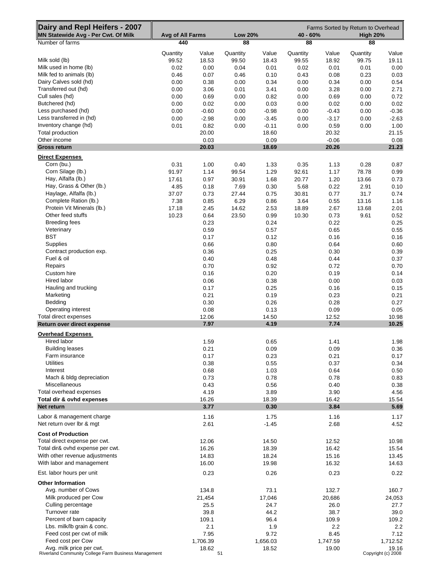| Dairy and Repl Heifers - 2007<br>MN Statewide Avg - Per Cwt. Of Milk             | Avg of All Farms |                | <b>Low 20%</b>    |                | Farms Sorted by Return to Overhead<br>40 - 60%<br><b>High 20%</b> |                |                   |                             |  |
|----------------------------------------------------------------------------------|------------------|----------------|-------------------|----------------|-------------------------------------------------------------------|----------------|-------------------|-----------------------------|--|
| Number of farms                                                                  | 440              |                | 88                |                | 88                                                                |                | 88                |                             |  |
|                                                                                  | Quantity         |                |                   |                |                                                                   |                |                   |                             |  |
| Milk sold (lb)                                                                   | 99.52            | Value<br>18.53 | Quantity<br>99.50 | Value<br>18.43 | Quantity<br>99.55                                                 | Value<br>18.92 | Quantity<br>99.75 | Value<br>19.11              |  |
| Milk used in home (lb)                                                           |                  |                |                   |                |                                                                   |                |                   |                             |  |
|                                                                                  | 0.02             | 0.00           | 0.04              | 0.01           | 0.02                                                              | 0.01           | 0.01              | 0.00                        |  |
| Milk fed to animals (lb)                                                         | 0.46             | 0.07           | 0.46              | 0.10           | 0.43                                                              | 0.08           | 0.23              | 0.03                        |  |
| Dairy Calves sold (hd)                                                           | 0.00             | 0.38           | 0.00              | 0.34           | 0.00                                                              | 0.34           | 0.00              | 0.54                        |  |
| Transferred out (hd)                                                             | 0.00             | 3.06           | 0.01              | 3.41           | 0.00                                                              | 3.28           | 0.00              | 2.71                        |  |
| Cull sales (hd)                                                                  | 0.00             | 0.69           | 0.00              | 0.82           | 0.00                                                              | 0.69           | 0.00              | 0.72                        |  |
| Butchered (hd)                                                                   | 0.00             | 0.02           | 0.00              | 0.03           | 0.00                                                              | 0.02           | 0.00              | 0.02                        |  |
| Less purchased (hd)                                                              | 0.00             | $-0.60$        | 0.00              | $-0.98$        | 0.00                                                              | $-0.43$        | 0.00              | $-0.36$                     |  |
| Less transferred in (hd)                                                         | 0.00             | $-2.98$        | 0.00              | $-3.45$        | 0.00                                                              | $-3.17$        | 0.00              | $-2.63$                     |  |
| Inventory change (hd)                                                            | 0.01             | 0.82           | 0.00              | $-0.11$        | 0.00                                                              | 0.59           | 0.00              | 1.00                        |  |
| Total production                                                                 |                  | 20.00          |                   | 18.60          |                                                                   | 20.32          |                   | 21.15                       |  |
| Other income                                                                     |                  | 0.03           |                   | 0.09           |                                                                   | $-0.06$        |                   | 0.08                        |  |
| <b>Gross return</b>                                                              |                  | 20.03          |                   | 18.69          |                                                                   | 20.26          |                   | 21.23                       |  |
| <b>Direct Expenses</b>                                                           |                  |                |                   |                |                                                                   |                |                   |                             |  |
| Corn (bu.)                                                                       | 0.31             | 1.00           | 0.40              | 1.33           | 0.35                                                              | 1.13           | 0.28              | 0.87                        |  |
| Corn Silage (lb.)                                                                | 91.97            | 1.14           | 99.54             | 1.29           | 92.61                                                             | 1.17           | 78.78             | 0.99                        |  |
| Hay, Alfalfa (lb.)                                                               | 17.61            | 0.97           | 30.91             | 1.68           | 20.77                                                             | 1.20           | 13.66             | 0.73                        |  |
| Hay, Grass & Other (lb.)                                                         | 4.85             | 0.18           | 7.69              | 0.30           | 5.68                                                              | 0.22           | 2.91              | 0.10                        |  |
| Haylage, Alfalfa (lb.)                                                           | 37.07            | 0.73           | 27.44             | 0.75           | 30.81                                                             | 0.77           | 31.7              | 0.74                        |  |
|                                                                                  |                  |                |                   |                |                                                                   |                |                   |                             |  |
| Complete Ration (lb.)                                                            | 7.38             | 0.85           | 6.29              | 0.86           | 3.64                                                              | 0.55           | 13.16             | 1.16                        |  |
| Protein Vit Minerals (lb.)                                                       | 17.18            | 2.45           | 14.62             | 2.53           | 18.89                                                             | 2.67           | 13.68             | 2.01                        |  |
| Other feed stuffs                                                                | 10.23            | 0.64           | 23.50             | 0.99           | 10.30                                                             | 0.73           | 9.61              | 0.52                        |  |
| <b>Breeding fees</b>                                                             |                  | 0.23           |                   | 0.24           |                                                                   | 0.22           |                   | 0.25                        |  |
| Veterinary                                                                       |                  | 0.59           |                   | 0.57           |                                                                   | 0.65           |                   | 0.55                        |  |
| BST                                                                              |                  | 0.17           |                   | 0.12           |                                                                   | 0.16           |                   | 0.16                        |  |
| <b>Supplies</b>                                                                  |                  | 0.66           |                   | 0.80           |                                                                   | 0.64           |                   | 0.60                        |  |
| Contract production exp.                                                         |                  | 0.36           |                   | 0.25           |                                                                   | 0.30           |                   | 0.39                        |  |
| Fuel & oil                                                                       |                  | 0.40           |                   | 0.48           |                                                                   | 0.44           |                   | 0.37                        |  |
| Repairs                                                                          |                  | 0.70           |                   | 0.92           |                                                                   | 0.72           |                   | 0.70                        |  |
| Custom hire                                                                      |                  | 0.16           |                   | 0.20           |                                                                   | 0.19           |                   | 0.14                        |  |
| Hired labor                                                                      |                  | 0.06           |                   | 0.38           |                                                                   | 0.00           |                   | 0.03                        |  |
| Hauling and trucking                                                             |                  | 0.17           |                   | 0.25           |                                                                   | 0.16           |                   | 0.15                        |  |
| Marketing                                                                        |                  | 0.21           |                   | 0.19           |                                                                   | 0.23           |                   | 0.21                        |  |
| Bedding                                                                          |                  | 0.30           |                   | 0.26           |                                                                   | 0.28           |                   | 0.27                        |  |
| Operating interest                                                               |                  | 0.08           |                   | 0.13           |                                                                   | 0.09           |                   | 0.05                        |  |
| Total direct expenses                                                            |                  | 12.06          |                   | 14.50          |                                                                   | 12.52          |                   | 10.98                       |  |
| Return over direct expense                                                       |                  | 7.97           |                   | 4.19           |                                                                   | 7.74           |                   | 10.25                       |  |
|                                                                                  |                  |                |                   |                |                                                                   |                |                   |                             |  |
| <b>Overhead Expenses</b>                                                         |                  |                |                   |                |                                                                   |                |                   |                             |  |
| Hired labor                                                                      |                  | 1.59           |                   | 0.65           |                                                                   | 1.41           |                   | 1.98                        |  |
| <b>Building leases</b>                                                           |                  | 0.21           |                   | 0.09           |                                                                   | 0.09           |                   | 0.36                        |  |
| Farm insurance                                                                   |                  | 0.17           |                   | 0.23           |                                                                   | 0.21           |                   | 0.17                        |  |
| <b>Utilities</b>                                                                 |                  | 0.38           |                   | 0.55           |                                                                   | 0.37           |                   | 0.34                        |  |
| Interest                                                                         |                  | 0.68           |                   | 1.03           |                                                                   | 0.64           |                   | 0.50                        |  |
| Mach & bldg depreciation                                                         |                  | 0.73           |                   | 0.78           |                                                                   | 0.78           |                   | 0.83                        |  |
| Miscellaneous                                                                    |                  | 0.43           |                   | 0.56           |                                                                   | 0.40           |                   | 0.38                        |  |
| Total overhead expenses                                                          |                  | 4.19           |                   | 3.89           |                                                                   | 3.90           |                   | 4.56                        |  |
| Total dir & ovhd expenses                                                        |                  | 16.26          |                   | 18.39          |                                                                   | 16.42          |                   | 15.54                       |  |
| Net return                                                                       |                  | 3.77           |                   | 0.30           |                                                                   | 3.84           |                   | 5.69                        |  |
| Labor & management charge                                                        |                  | 1.16           |                   | 1.75           |                                                                   | 1.16           |                   | 1.17                        |  |
| Net return over Ibr & mgt                                                        |                  | 2.61           |                   | $-1.45$        |                                                                   | 2.68           |                   | 4.52                        |  |
|                                                                                  |                  |                |                   |                |                                                                   |                |                   |                             |  |
| <b>Cost of Production</b>                                                        |                  |                |                   |                |                                                                   |                |                   |                             |  |
| Total direct expense per cwt.                                                    |                  | 12.06          |                   | 14.50          |                                                                   | 12.52          |                   | 10.98                       |  |
| Total dir& ovhd expense per cwt.                                                 |                  | 16.26          |                   | 18.39          |                                                                   | 16.42          |                   | 15.54                       |  |
| With other revenue adjustments                                                   |                  | 14.83          |                   | 18.24          |                                                                   | 15.16          |                   | 13.45                       |  |
| With labor and management                                                        |                  | 16.00          |                   | 19.98          |                                                                   | 16.32          |                   | 14.63                       |  |
| Est. labor hours per unit                                                        |                  | 0.23           |                   | 0.26           |                                                                   | 0.23           |                   | 0.22                        |  |
| <b>Other Information</b>                                                         |                  |                |                   |                |                                                                   |                |                   |                             |  |
| Avg. number of Cows                                                              |                  | 134.8          |                   | 73.1           |                                                                   | 132.7          |                   | 160.7                       |  |
| Milk produced per Cow                                                            |                  | 21,454         |                   | 17,046         |                                                                   | 20,686         |                   | 24,053                      |  |
| Culling percentage                                                               |                  | 25.5           |                   | 24.7           |                                                                   | 26.0           |                   | 27.7                        |  |
| Turnover rate                                                                    |                  | 39.8           |                   | 44.2           |                                                                   | 38.7           |                   | 39.0                        |  |
| Percent of barn capacity                                                         |                  | 109.1          |                   | 96.4           |                                                                   | 109.9          |                   | 109.2                       |  |
| Lbs. milk/lb grain & conc.                                                       |                  | 2.1            |                   | 1.9            |                                                                   | 2.2            |                   | 2.2                         |  |
| Feed cost per cwt of milk                                                        |                  | 7.95           |                   | 9.72           |                                                                   | 8.45           |                   | 7.12                        |  |
|                                                                                  |                  |                |                   |                |                                                                   |                |                   |                             |  |
| Feed cost per Cow                                                                |                  | 1,706.39       |                   | 1,656.03       |                                                                   | 1,747.59       |                   | 1,712.52                    |  |
| Avg. milk price per cwt.<br>Riverland Community College Farm Business Management |                  | 18.62          | 51                | 18.52          |                                                                   | 19.00          |                   | 19.16<br>Copyright (c) 2008 |  |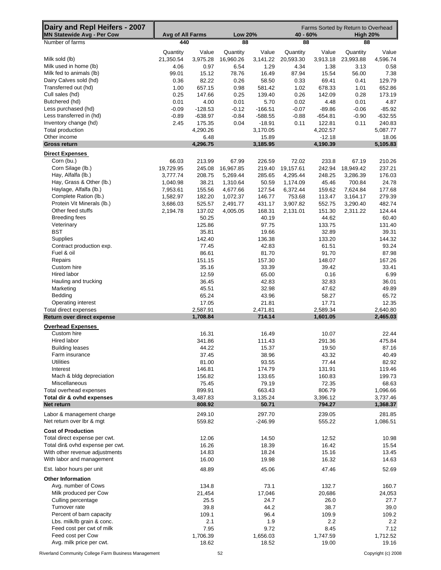| Dairy and Repl Heifers - 2007<br><b>MN Statewide Avg - Per Cow</b> | Avg of All Farms  | <b>Low 20%</b>   |                   | Farms Sorted by Return to Overhead<br>$40 - 60%$<br><b>High 20%</b> |                       |                  |                   |                   |
|--------------------------------------------------------------------|-------------------|------------------|-------------------|---------------------------------------------------------------------|-----------------------|------------------|-------------------|-------------------|
| Number of farms                                                    | 440               |                  | 88                |                                                                     | 88                    |                  | 88                |                   |
|                                                                    |                   |                  |                   |                                                                     |                       |                  |                   |                   |
| Milk sold (lb)                                                     | Quantity          | Value            | Quantity          | Value                                                               | Quantity<br>20,593.30 | Value            | Quantity          | Value<br>4,596.74 |
| Milk used in home (lb)                                             | 21,350.54<br>4.06 | 3,975.28<br>0.97 | 16,960.26<br>6.54 | 3,141.22<br>1.29                                                    | 4.34                  | 3,913.18<br>1.38 | 23,993.88<br>3.13 | 0.58              |
| Milk fed to animals (lb)                                           | 99.01             | 15.12            | 78.76             | 16.49                                                               | 87.94                 | 15.54            | 56.00             | 7.38              |
| Dairy Calves sold (hd)                                             | 0.36              | 82.22            | 0.26              | 58.50                                                               | 0.33                  | 69.41            | 0.41              | 129.79            |
| Transferred out (hd)                                               | 1.00              | 657.15           | 0.98              | 581.42                                                              | 1.02                  | 678.33           | 1.01              | 652.86            |
| Cull sales (hd)                                                    | 0.25              | 147.66           | 0.25              | 139.40                                                              | 0.26                  | 142.09           | 0.28              | 173.19            |
| Butchered (hd)                                                     | 0.01              | 4.00             | 0.01              | 5.70                                                                | 0.02                  | 4.48             | 0.01              | 4.87              |
| Less purchased (hd)                                                | $-0.09$           | $-128.53$        | $-0.12$           | $-166.51$                                                           | $-0.07$               | $-89.86$         | $-0.06$           | $-85.92$          |
| Less transferred in (hd)                                           | $-0.89$           | $-638.97$        | $-0.84$           | $-588.55$                                                           | $-0.88$               | $-654.81$        | $-0.90$           | $-632.55$         |
| Inventory change (hd)                                              | 2.45              | 175.35           | 0.04              | $-18.91$                                                            | 0.11                  | 122.81           | 0.11              | 240.83            |
| Total production                                                   |                   | 4,290.26         |                   | 3,170.05                                                            |                       | 4,202.57         |                   | 5,087.77          |
| Other income                                                       |                   | 6.48             |                   | 15.89                                                               |                       | $-12.18$         |                   | 18.06             |
| <b>Gross return</b>                                                |                   | 4,296.75         |                   | 3,185.95                                                            |                       | 4,190.39         |                   | 5,105.83          |
| <b>Direct Expenses</b>                                             |                   |                  |                   |                                                                     |                       |                  |                   |                   |
| Corn (bu.)                                                         | 66.03             | 213.99           | 67.99             | 226.59                                                              | 72.02                 | 233.8            | 67.19             | 210.26            |
| Corn Silage (lb.)                                                  | 19,729.95         | 245.08           | 16,967.85         | 219.40                                                              | 19,157.61             | 242.94           | 18,949.42         | 237.21            |
| Hay, Alfalfa (lb.)                                                 | 3,777.74          | 208.75           | 5,269.44          | 285.65                                                              | 4,295.44              | 248.25           | 3,286.39          | 176.03            |
| Hay, Grass & Other (lb.)                                           | 1,040.98          | 38.21            | 1,310.64          | 50.59                                                               | 1,174.09              | 45.46            | 700.84            | 24.78             |
| Haylage, Alfalfa (lb.)                                             | 7,953.61          | 155.56           | 4,677.66          | 127.54                                                              | 6,372.44              | 159.62           | 7,624.84          | 177.68            |
| Complete Ration (lb.)                                              | 1,582.97          | 182.20           | 1,072.37          | 146.77                                                              | 753.68                | 113.47           | 3,164.17          | 279.39            |
| Protein Vit Minerals (lb.)                                         | 3,686.03          | 525.57           | 2,491.77          | 431.17                                                              | 3,907.82              | 552.75           | 3,290.40          | 482.74            |
| Other feed stuffs                                                  | 2,194.78          | 137.02           | 4,005.05          | 168.31                                                              | 2,131.01              | 151.30           | 2,311.22          | 124.44            |
| <b>Breeding fees</b>                                               |                   | 50.25            |                   | 40.19                                                               |                       | 44.62            |                   | 60.40             |
| Veterinary                                                         |                   | 125.86           |                   | 97.75                                                               |                       | 133.75           |                   | 131.40            |
| <b>BST</b>                                                         |                   | 35.81            |                   | 19.66                                                               |                       | 32.89            |                   | 39.31             |
| Supplies                                                           |                   | 142.40           |                   | 136.38                                                              |                       | 133.20           |                   | 144.32            |
| Contract production exp.                                           |                   | 77.45            |                   | 42.83                                                               |                       | 61.51            |                   | 93.24             |
| Fuel & oil                                                         |                   | 86.61            |                   | 81.70                                                               |                       | 91.70            |                   | 87.98             |
| Repairs                                                            |                   | 151.15           |                   | 157.30                                                              |                       | 148.07           |                   | 167.26            |
| Custom hire                                                        |                   | 35.16            |                   | 33.39                                                               |                       | 39.42            |                   | 33.41             |
| Hired labor                                                        |                   | 12.59            |                   | 65.00                                                               |                       | 0.16             |                   | 6.99              |
| Hauling and trucking                                               |                   | 36.45            |                   | 42.83                                                               |                       | 32.83            |                   | 36.01             |
| Marketing                                                          |                   | 45.51            |                   | 32.98                                                               |                       | 47.62            |                   | 49.89             |
| Bedding                                                            |                   | 65.24            |                   | 43.96                                                               |                       | 58.27            |                   | 65.72             |
| Operating interest                                                 |                   | 17.05            |                   | 21.81                                                               |                       | 17.71            |                   | 12.35             |
| Total direct expenses                                              |                   | 2,587.91         |                   | 2,471.81                                                            |                       | 2,589.34         |                   | 2,640.80          |
| Return over direct expense                                         |                   | 1,708.84         |                   | 714.14                                                              |                       | 1,601.05         |                   | 2,465.03          |
| <b>Overhead Expenses</b>                                           |                   |                  |                   |                                                                     |                       |                  |                   |                   |
| Custom hire                                                        |                   | 16.31            |                   | 16.49                                                               |                       | 10.07            |                   | 22.44             |
| Hired labor                                                        |                   | 341.86           |                   | 111.43                                                              |                       | 291.36           |                   | 475.84            |
| <b>Building leases</b>                                             |                   | 44.22            |                   | 15.37                                                               |                       | 19.50            |                   | 87.16             |
| Farm insurance                                                     |                   | 37.45            |                   | 38.96                                                               |                       | 43.32            |                   | 40.49             |
| <b>Utilities</b>                                                   |                   | 81.00            |                   | 93.55                                                               |                       | 77.44            |                   | 82.92             |
| Interest                                                           |                   | 146.81           |                   | 174.79                                                              |                       | 131.91           |                   | 119.46            |
| Mach & bldg depreciation                                           |                   | 156.82           |                   | 133.65                                                              |                       | 160.83           |                   | 199.73            |
| Miscellaneous                                                      |                   | 75.45            |                   | 79.19                                                               |                       | 72.35            |                   | 68.63             |
| Total overhead expenses                                            |                   | 899.91           |                   | 663.43                                                              |                       | 806.79           |                   | 1,096.66          |
| Total dir & ovhd expenses                                          |                   | 3,487.83         |                   | 3,135.24                                                            |                       | 3,396.12         |                   | 3,737.46          |
| Net return                                                         |                   | 808.92           |                   | 50.71                                                               |                       | 794.27           |                   | 1,368.37          |
| Labor & management charge                                          |                   | 249.10           |                   | 297.70                                                              |                       | 239.05           |                   | 281.85            |
| Net return over Ibr & mgt                                          |                   | 559.82           |                   | -246.99                                                             |                       | 555.22           |                   | 1,086.51          |
| <b>Cost of Production</b>                                          |                   |                  |                   |                                                                     |                       |                  |                   |                   |
| Total direct expense per cwt.                                      |                   | 12.06            |                   | 14.50                                                               |                       | 12.52            |                   | 10.98             |
| Total dir& ovhd expense per cwt.                                   |                   | 16.26            |                   | 18.39                                                               |                       | 16.42            |                   | 15.54             |
| With other revenue adjustments                                     |                   | 14.83            |                   | 18.24                                                               |                       | 15.16            |                   | 13.45             |
| With labor and management                                          |                   | 16.00            |                   | 19.98                                                               |                       | 16.32            |                   | 14.63             |
|                                                                    |                   |                  |                   |                                                                     |                       |                  |                   |                   |
| Est. labor hours per unit                                          |                   | 48.89            |                   | 45.06                                                               |                       | 47.46            |                   | 52.69             |
| <b>Other Information</b>                                           |                   |                  |                   |                                                                     |                       |                  |                   |                   |
| Avg. number of Cows                                                |                   | 134.8            |                   | 73.1                                                                |                       | 132.7            |                   | 160.7             |
| Milk produced per Cow                                              |                   | 21,454           |                   | 17,046                                                              |                       | 20,686           |                   | 24,053            |
| Culling percentage                                                 |                   | 25.5             |                   | 24.7                                                                |                       | 26.0             |                   | 27.7              |
| Turnover rate                                                      |                   | 39.8             |                   | 44.2                                                                |                       | 38.7             |                   | 39.0              |
| Percent of barn capacity                                           |                   | 109.1            |                   | 96.4                                                                |                       | 109.9            |                   | 109.2             |
| Lbs. milk/lb grain & conc.                                         |                   | 2.1              |                   | 1.9                                                                 |                       | 2.2              |                   | 2.2               |
| Feed cost per cwt of milk                                          |                   | 7.95             |                   | 9.72                                                                |                       | 8.45             |                   | 7.12              |
| Feed cost per Cow                                                  |                   | 1,706.39         |                   | 1,656.03                                                            |                       | 1,747.59         |                   | 1,712.52          |
| Avg. milk price per cwt.                                           |                   | 18.62            |                   | 18.52                                                               |                       | 19.00            |                   | 19.16             |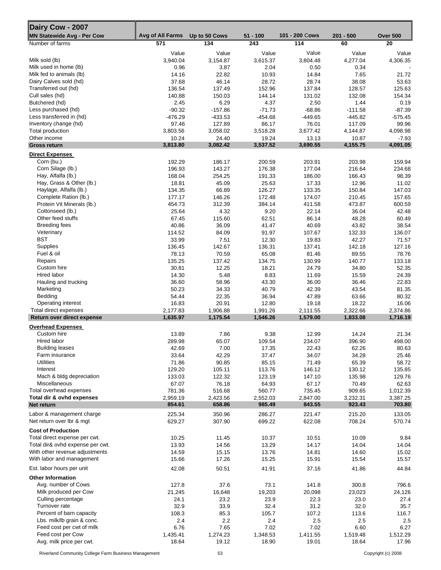| Dairy Cow - 2007                                           |                  |                  |                  |                  |                  |                   |
|------------------------------------------------------------|------------------|------------------|------------------|------------------|------------------|-------------------|
| <b>MN Statewide Avg - Per Cow</b>                          | Avg of All Farms | Up to 50 Cows    | $51 - 100$       | 101 - 200 Cows   | $201 - 500$      | <b>Over 500</b>   |
| Number of farms                                            | 571              | 134              | 243              | 114              | 60               | 20                |
|                                                            | Value            | Value            | Value            | Value            | Value            | Value             |
| Milk sold (lb)                                             | 3.940.04         | 3,154.87         | 3,615.37         | 3,804.48         | 4,277.04         | 4,306.35          |
| Milk used in home (lb)                                     | 0.96             | 3.87             | 2.04             | 0.50             | 0.34             |                   |
| Milk fed to animals (lb)                                   | 14.16            | 22.82            | 10.93            | 14.84            | 7.65             | 21.72             |
| Dairy Calves sold (hd)                                     | 37.68            | 46.14            | 28.72            | 28.74            | 38.08            | 53.63             |
| Transferred out (hd)<br>Cull sales (hd)                    | 136.54<br>140.88 | 137.49<br>150.03 | 152.96<br>144.14 | 137.84<br>131.02 | 128.57<br>132.08 | 125.63<br>154.34  |
| Butchered (hd)                                             | 2.45             | 6.29             | 4.37             | 2.50             | 1.44             | 0.19              |
| Less purchased (hd)                                        | $-90.32$         | $-157.86$        | $-71.73$         | $-68.86$         | $-111.58$        | $-87.39$          |
| Less transferred in (hd)                                   | $-476.29$        | $-433.53$        | $-454.68$        | -449.65          | $-445.82$        | $-575.45$         |
| Inventory change (hd)                                      | 97.46            | 127.89           | 86.17            | 76.01            | 117.09           | 99.96             |
| Total production                                           | 3,803.56         | 3,058.02         | 3,518.28         | 3,677.42         | 4,144.87         | 4,098.98          |
| Other income                                               | 10.24            | 24.40            | 19.24            | 13.13            | 10.87            | $-7.93$           |
| <b>Gross return</b>                                        | 3,813.80         | 3,082.42         | 3,537.52         | 3,690.55         | 4,155.75         | 4,091.05          |
| <b>Direct Expenses</b>                                     |                  |                  |                  |                  |                  |                   |
| Corn (bu.)                                                 | 192.29           | 186.17           | 200.59           | 203.91           | 203.98           | 159.94            |
| Corn Silage (lb.)                                          | 196.93           | 143.27           | 176.38           | 177.04           | 216.64           | 234.68            |
| Hay, Alfalfa (lb.)                                         | 168.04           | 254.25           | 191.33           | 186.00           | 166.43           | 98.39             |
| Hay, Grass & Other (lb.)                                   | 18.81            | 45.09            | 25.63            | 17.33            | 12.96            | 11.02             |
| Haylage, Alfalfa (lb.)                                     | 134.35           | 66.89            | 126.27           | 133.35           | 150.84           | 147.03            |
| Complete Ration (lb.)<br>Protein Vit Minerals (lb.)        | 177.17<br>454.73 | 146.26<br>312.39 | 172.48<br>384.14 | 174.07<br>411.58 | 210.45<br>473.87 | 157.65<br>600.59  |
| Cottonseed (lb.)                                           | 25.64            | 4.32             | 9.20             | 22.14            | 36.04            | 42.48             |
| Other feed stuffs                                          | 67.45            | 115.60           | 62.51            | 86.14            | 48.28            | 60.49             |
| <b>Breeding fees</b>                                       | 40.86            | 36.09            | 41.47            | 40.69            | 43.82            | 38.54             |
| Veterinary                                                 | 114.52           | 84.09            | 91.97            | 107.67           | 132.33           | 136.07            |
| <b>BST</b>                                                 | 33.99            | 7.51             | 12.30            | 19.83            | 42.27            | 71.57             |
| <b>Supplies</b>                                            | 136.45           | 142.67           | 136.31           | 137.41           | 142.18           | 127.16            |
| Fuel & oil                                                 | 78.13            | 70.59            | 65.08            | 81.46            | 89.55            | 78.76             |
| Repairs                                                    | 135.25           | 137.42           | 134.75           | 130.99           | 140.77           | 133.18            |
| Custom hire                                                | 30.81            | 12.25            | 18.21            | 24.79            | 34.80            | 52.35             |
| Hired labor<br>Hauling and trucking                        | 14.30            | 5.48             | 8.83             | 11.69            | 15.59            | 24.39             |
| Marketing                                                  | 36.60<br>50.23   | 58.96<br>34.33   | 43.30<br>40.79   | 36.00<br>42.39   | 36.46<br>43.54   | 22.83<br>81.35    |
| Bedding                                                    | 54.44            | 22.35            | 36.94            | 47.89            | 63.66            | 80.32             |
| <b>Operating interest</b>                                  | 16.83            | 20.91            | 12.80            | 19.18            | 18.22            | 16.06             |
| Total direct expenses                                      | 2,177.83         | 1.906.88         | 1,991.26         | 2,111.55         | 2,322.66         | 2,374.86          |
| Return over direct expense                                 | 1,635.97         | 1,175.54         | 1,546.26         | 1,579.00         | 1,833.08         | 1,716.19          |
| <b>Overhead Expenses</b>                                   |                  |                  |                  |                  |                  |                   |
| Custom hire                                                | 13.89            | 7.86             | 9.38             | 12.99            | 14.24            | 21.34             |
| Hired labor                                                | 289.98           | 65.07            | 109.54           | 234.07           | 396.90           | 498.00            |
| <b>Building leases</b>                                     | 42.69            | 7.00             | 17.35            | 22.43            | 62.26            | 80.63             |
| Farm insurance                                             | 33.64            | 42.29            | 37.47            | 34.07            | 34.28            | 25.46             |
| <b>Utilities</b>                                           | 71.86            | 90.85            | 85.15            | 71.49            | 65.39            | 58.72             |
| Interest                                                   | 129.20           | 105.11           | 113.76           | 146.12           | 130.12           | 135.85            |
| Mach & bldg depreciation<br>Miscellaneous                  | 133.03           | 122.32           | 123.19           | 147.10           | 135.98<br>70.49  | 129.76            |
| Total overhead expenses                                    | 67.07<br>781.36  | 76.18<br>516.68  | 64.93<br>560.77  | 67.17<br>735.45  | 909.65           | 62.63<br>1,012.39 |
| Total dir & ovhd expenses                                  | 2,959.19         | 2,423.56         | 2,552.03         | 2,847.00         | 3,232.31         | 3,387.25          |
| Net return                                                 | 854.61           | 658.86           | 985.49           | 843.55           | 923.43           | 703.80            |
| Labor & management charge                                  | 225.34           | 350.96           | 286.27           | 221.47           | 215.20           | 133.05            |
| Net return over lbr & mgt                                  | 629.27           | 307.90           | 699.22           | 622.08           | 708.24           | 570.74            |
|                                                            |                  |                  |                  |                  |                  |                   |
| <b>Cost of Production</b><br>Total direct expense per cwt. | 10.25            | 11.45            | 10.37            | 10.51            | 10.09            | 9.84              |
| Total dir& ovhd expense per cwt.                           | 13.93            | 14.56            | 13.29            | 14.17            | 14.04            | 14.04             |
| With other revenue adjustments                             | 14.59            | 15.15            | 13.76            | 14.81            | 14.60            | 15.02             |
| With labor and management                                  | 15.66            | 17.26            | 15.25            | 15.91            | 15.54            | 15.57             |
| Est. labor hours per unit                                  | 42.08            | 50.51            | 41.91            | 37.16            | 41.86            | 44.84             |
|                                                            |                  |                  |                  |                  |                  |                   |
| <b>Other Information</b>                                   |                  |                  |                  |                  |                  |                   |
| Avg. number of Cows<br>Milk produced per Cow               | 127.8<br>21,245  | 37.6<br>16,648   | 73.1<br>19,203   | 141.8<br>20,098  | 300.8            | 796.6             |
| Culling percentage                                         | 24.1             | 23.2             | 23.9             | 22.3             | 23,023<br>23.0   | 24,126<br>27.4    |
| Turnover rate                                              | 32.9             | 33.9             | 32.4             | 31.2             | 32.0             | 35.7              |
| Percent of barn capacity                                   | 108.3            | 85.3             | 105.7            | 107.2            | 113.6            | 116.7             |
| Lbs. milk/lb grain & conc.                                 | 2.4              | 2.2              | 2.4              | 2.5              | 2.5              | 2.5               |
| Feed cost per cwt of milk                                  | 6.76             | 7.65             | 7.02             | 7.02             | 6.60             | 6.27              |
| Feed cost per Cow                                          | 1,435.41         | 1,274.23         | 1,348.53         | 1,411.55         | 1,519.48         | 1,512.29          |
| Avg. milk price per cwt.                                   | 18.64            | 19.12            | 18.90            | 19.01            | 18.64            | 17.96             |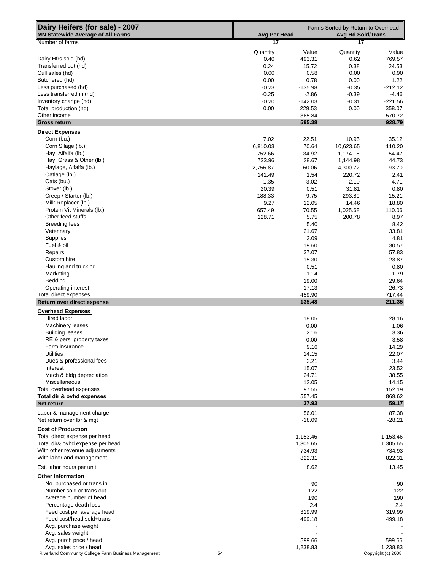| Dairy Heifers (for sale) - 2007<br><b>MN Statewide Average of All Farms</b> | Farms Sorted by Return to Overhead<br>Avg Per Head<br><b>Avg Hd Sold/Trans</b> |                      |                    |                      |  |
|-----------------------------------------------------------------------------|--------------------------------------------------------------------------------|----------------------|--------------------|----------------------|--|
| Number of farms                                                             | 17                                                                             |                      | 17                 |                      |  |
|                                                                             | Quantity                                                                       | Value                | Quantity           | Value                |  |
| Dairy Hfrs sold (hd)                                                        | 0.40                                                                           | 493.31               | 0.62               | 769.57               |  |
| Transferred out (hd)                                                        | 0.24                                                                           | 15.72                | 0.38               | 24.53                |  |
| Cull sales (hd)                                                             | 0.00                                                                           | 0.58                 | 0.00               | 0.90                 |  |
| Butchered (hd)                                                              | 0.00                                                                           | 0.78                 | 0.00               | 1.22                 |  |
| Less purchased (hd)<br>Less transferred in (hd)                             | $-0.23$<br>$-0.25$                                                             | $-135.98$<br>$-2.86$ | $-0.35$            | $-212.12$<br>$-4.46$ |  |
| Inventory change (hd)                                                       | $-0.20$                                                                        | $-142.03$            | $-0.39$<br>$-0.31$ | $-221.56$            |  |
| Total production (hd)                                                       | 0.00                                                                           | 229.53               | 0.00               | 358.07               |  |
| Other income                                                                |                                                                                | 365.84               |                    | 570.72               |  |
| <b>Gross return</b>                                                         |                                                                                | 595.38               |                    | 928.79               |  |
| <b>Direct Expenses</b>                                                      |                                                                                |                      |                    |                      |  |
| Corn (bu.)                                                                  | 7.02                                                                           | 22.51                | 10.95              | 35.12                |  |
| Corn Silage (lb.)                                                           | 6,810.03                                                                       | 70.64                | 10,623.65          | 110.20               |  |
| Hay, Alfalfa (lb.)                                                          | 752.66                                                                         | 34.92                | 1,174.15           | 54.47                |  |
| Hay, Grass & Other (lb.)                                                    | 733.96                                                                         | 28.67                | 1,144.98           | 44.73                |  |
| Haylage, Alfalfa (lb.)                                                      | 2,756.87                                                                       | 60.06                | 4,300.72           | 93.70                |  |
| Oatlage (lb.)                                                               | 141.49                                                                         | 1.54                 | 220.72             | 2.41                 |  |
| Oats (bu.)                                                                  | 1.35                                                                           | 3.02                 | 2.10               | 4.71                 |  |
| Stover (lb.)                                                                | 20.39                                                                          | 0.51                 | 31.81              | 0.80                 |  |
| Creep / Starter (lb.)<br>Milk Replacer (lb.)                                | 188.33<br>9.27                                                                 | 9.75                 | 293.80<br>14.46    | 15.21<br>18.80       |  |
| Protein Vit Minerals (lb.)                                                  | 657.49                                                                         | 12.05<br>70.55       | 1,025.68           | 110.06               |  |
| Other feed stuffs                                                           | 128.71                                                                         | 5.75                 | 200.78             | 8.97                 |  |
| <b>Breeding fees</b>                                                        |                                                                                | 5.40                 |                    | 8.42                 |  |
| Veterinary                                                                  |                                                                                | 21.67                |                    | 33.81                |  |
| <b>Supplies</b>                                                             |                                                                                | 3.09                 |                    | 4.81                 |  |
| Fuel & oil                                                                  |                                                                                | 19.60                |                    | 30.57                |  |
| Repairs                                                                     |                                                                                | 37.07                |                    | 57.83                |  |
| Custom hire                                                                 |                                                                                | 15.30                |                    | 23.87                |  |
| Hauling and trucking                                                        |                                                                                | 0.51                 |                    | 0.80                 |  |
| Marketing                                                                   |                                                                                | 1.14                 |                    | 1.79                 |  |
| Bedding                                                                     |                                                                                | 19.00                |                    | 29.64                |  |
| Operating interest                                                          |                                                                                | 17.13                |                    | 26.73                |  |
| Total direct expenses<br>Return over direct expense                         |                                                                                | 459.90<br>135.48     |                    | 717.44<br>211.35     |  |
|                                                                             |                                                                                |                      |                    |                      |  |
| <b>Overhead Expenses</b><br>Hired labor                                     |                                                                                | 18.05                |                    |                      |  |
| Machinery leases                                                            |                                                                                | 0.00                 |                    | 28.16<br>1.06        |  |
| <b>Building leases</b>                                                      |                                                                                | 2.16                 |                    | 3.36                 |  |
| RE & pers. property taxes                                                   |                                                                                | 0.00                 |                    | 3.58                 |  |
| Farm insurance                                                              |                                                                                | 9.16                 |                    | 14.29                |  |
| <b>Utilities</b>                                                            |                                                                                | 14.15                |                    | 22.07                |  |
| Dues & professional fees                                                    |                                                                                | 2.21                 |                    | 3.44                 |  |
| Interest                                                                    |                                                                                | 15.07                |                    | 23.52                |  |
| Mach & bldg depreciation                                                    |                                                                                | 24.71                |                    | 38.55                |  |
| Miscellaneous                                                               |                                                                                | 12.05                |                    | 14.15                |  |
| Total overhead expenses                                                     |                                                                                | 97.55                |                    | 152.19               |  |
| Total dir & ovhd expenses                                                   |                                                                                | 557.45<br>37.93      |                    | 869.62<br>59.17      |  |
| Net return                                                                  |                                                                                |                      |                    |                      |  |
| Labor & management charge                                                   |                                                                                | 56.01                |                    | 87.38                |  |
| Net return over lbr & mgt                                                   |                                                                                | $-18.09$             |                    | $-28.21$             |  |
| <b>Cost of Production</b>                                                   |                                                                                |                      |                    |                      |  |
| Total direct expense per head                                               |                                                                                | 1,153.46             |                    | 1,153.46             |  |
| Total dir& ovhd expense per head                                            |                                                                                | 1,305.65<br>734.93   |                    | 1,305.65<br>734.93   |  |
| With other revenue adjustments<br>With labor and management                 |                                                                                | 822.31               |                    | 822.31               |  |
|                                                                             |                                                                                |                      |                    |                      |  |
| Est. labor hours per unit                                                   |                                                                                | 8.62                 |                    | 13.45                |  |
| <b>Other Information</b>                                                    |                                                                                |                      |                    |                      |  |
| No. purchased or trans in                                                   |                                                                                | 90                   |                    | 90                   |  |
| Number sold or trans out                                                    |                                                                                | 122                  |                    | 122                  |  |
| Average number of head                                                      |                                                                                | 190                  |                    | 190                  |  |
| Percentage death loss<br>Feed cost per average head                         |                                                                                | 2.4<br>319.99        |                    | 2.4<br>319.99        |  |
| Feed cost/head sold+trans                                                   |                                                                                | 499.18               |                    | 499.18               |  |
| Avg. purchase weight                                                        |                                                                                |                      |                    |                      |  |
| Avg. sales weight                                                           |                                                                                |                      |                    |                      |  |
| Avg. purch price / head                                                     |                                                                                | 599.66               |                    | 599.66               |  |
| Avg. sales price / head                                                     |                                                                                | 1,238.83             |                    | 1,238.83             |  |
| Riverland Community College Farm Business Management<br>54                  |                                                                                |                      |                    | Copyright (c) 2008   |  |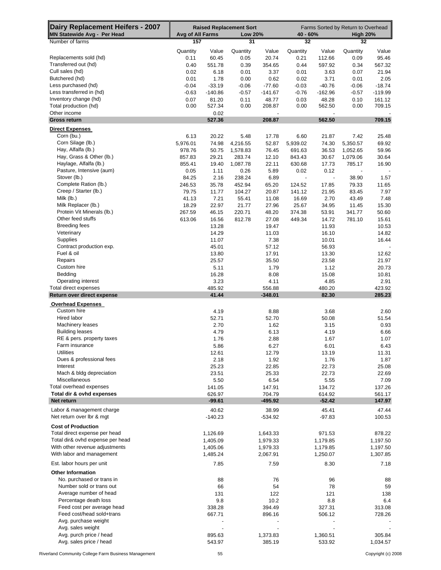| Dairy Replacement Heifers - 2007<br>MN Statewide Avg - Per Head | Avg of All Farms |           | <b>Raised Replacement Sort</b><br><b>Low 20%</b> | Farms Sorted by Return to Overhead<br>40 - 60%<br><b>High 20%</b> |                          |                          |                          |           |
|-----------------------------------------------------------------|------------------|-----------|--------------------------------------------------|-------------------------------------------------------------------|--------------------------|--------------------------|--------------------------|-----------|
| Number of farms                                                 |                  |           |                                                  |                                                                   |                          |                          |                          |           |
|                                                                 | 157              |           | 31                                               |                                                                   | 32                       |                          | 32                       |           |
|                                                                 | Quantity         | Value     | Quantity                                         | Value                                                             | Quantity                 | Value                    | Quantity                 | Value     |
| Replacements sold (hd)                                          | 0.11             | 60.45     | 0.05                                             | 20.74                                                             | 0.21                     | 112.66                   | 0.09                     | 95.46     |
| Transferred out (hd)                                            | 0.40             | 551.78    | 0.39                                             | 354.65                                                            | 0.44                     | 597.92                   | 0.34                     | 567.32    |
| Cull sales (hd)                                                 | 0.02             | 6.18      | 0.01                                             | 3.37                                                              | 0.01                     | 3.63                     | 0.07                     | 21.94     |
| Butchered (hd)                                                  | 0.01             | 1.78      | 0.00                                             | 0.62                                                              | 0.02                     | 3.71                     | 0.01                     | 2.05      |
| Less purchased (hd)                                             | $-0.04$          | $-33.19$  | $-0.06$                                          | $-77.60$                                                          | $-0.03$                  | $-40.76$                 | $-0.06$                  | $-18.74$  |
| Less transferred in (hd)                                        | $-0.63$          | $-140.86$ | $-0.57$                                          | $-141.67$                                                         | $-0.76$                  | $-162.96$                | $-0.57$                  | $-119.99$ |
| Inventory change (hd)                                           | 0.07             | 81.20     | 0.11                                             | 48.77                                                             | 0.03                     | 48.28                    | 0.10                     | 161.12    |
| Total production (hd)                                           | 0.00             | 527.34    | 0.00                                             | 208.87                                                            | 0.00                     | 562.50                   | 0.00                     | 709.15    |
| Other income                                                    |                  | 0.02      |                                                  |                                                                   |                          |                          |                          |           |
| <b>Gross return</b>                                             |                  | 527.36    |                                                  | 208.87                                                            |                          | 562.50                   |                          | 709.15    |
| <b>Direct Expenses</b>                                          |                  |           |                                                  |                                                                   |                          |                          |                          |           |
| Corn (bu.)                                                      | 6.13             | 20.22     | 5.48                                             | 17.78                                                             | 6.60                     | 21.87                    | 7.42                     | 25.48     |
| Corn Silage (lb.)                                               | 5,976.01         | 74.98     | 4,216.55                                         | 52.87                                                             | 5,939.02                 | 74.30                    | 5,350.57                 | 69.92     |
| Hay, Alfalfa (lb.)                                              | 978.76           |           |                                                  |                                                                   |                          |                          |                          |           |
| Hay, Grass & Other (lb.)                                        |                  | 50.75     | 1,578.83                                         | 76.45                                                             | 691.63                   | 36.53                    | 1,052.65                 | 59.96     |
|                                                                 | 857.83           | 29.21     | 283.74                                           | 12.10                                                             | 843.43                   | 30.67                    | 1,079.06                 | 30.64     |
| Haylage, Alfalfa (lb.)                                          | 855.41           | 19.40     | 1,087.78                                         | 22.11                                                             | 630.68                   | 17.73                    | 785.17                   | 16.90     |
| Pasture, Intensive (aum)                                        | 0.05             | 1.11      | 0.26                                             | 5.89                                                              | 0.02                     | 0.12                     | $\overline{\phantom{a}}$ |           |
| Stover (lb.)                                                    | 84.25            | 2.16      | 238.24                                           | 6.89                                                              | $\overline{\phantom{a}}$ | $\overline{\phantom{a}}$ | 38.90                    | 1.57      |
| Complete Ration (lb.)                                           | 246.53           | 35.78     | 452.94                                           | 65.20                                                             | 124.52                   | 17.85                    | 79.33                    | 11.65     |
| Creep / Starter (lb.)                                           | 79.75            | 11.77     | 104.27                                           | 20.87                                                             | 141.12                   | 21.95                    | 83.45                    | 7.97      |
| Milk (lb.)                                                      | 41.13            | 7.21      | 55.41                                            | 11.08                                                             | 16.69                    | 2.70                     | 43.49                    | 7.48      |
| Milk Replacer (lb.)                                             | 18.29            | 22.97     | 21.77                                            | 27.96                                                             | 25.67                    | 34.95                    | 11.45                    | 15.30     |
| Protein Vit Minerals (lb.)                                      | 267.59           | 46.15     | 220.71                                           | 48.20                                                             | 374.38                   | 53.91                    | 341.77                   | 50.60     |
| Other feed stuffs                                               | 613.06           | 16.56     | 812.78                                           | 27.08                                                             | 449.34                   | 14.72                    | 781.10                   | 15.61     |
| <b>Breeding fees</b>                                            |                  | 13.28     |                                                  | 19.47                                                             |                          | 11.93                    |                          | 10.53     |
| Veterinary                                                      |                  | 14.29     |                                                  | 11.03                                                             |                          | 16.10                    |                          | 14.82     |
| Supplies                                                        |                  | 11.07     |                                                  | 7.38                                                              |                          | 10.01                    |                          | 16.44     |
| Contract production exp.                                        |                  |           |                                                  |                                                                   |                          |                          |                          |           |
|                                                                 |                  | 45.01     |                                                  | 57.12                                                             |                          | 56.93                    |                          |           |
| Fuel & oil                                                      |                  | 13.80     |                                                  | 17.91                                                             |                          | 13.30                    |                          | 12.62     |
| Repairs                                                         |                  | 25.57     |                                                  | 35.50                                                             |                          | 23.58                    |                          | 21.97     |
| Custom hire                                                     |                  | 5.11      |                                                  | 1.79                                                              |                          | 1.12                     |                          | 20.73     |
| Bedding                                                         |                  | 16.28     |                                                  | 8.08                                                              |                          | 15.08                    |                          | 10.81     |
| <b>Operating interest</b>                                       |                  | 3.23      |                                                  | 4.11                                                              |                          | 4.85                     |                          | 2.91      |
| Total direct expenses                                           |                  | 485.92    |                                                  | 556.88                                                            |                          | 480.20                   |                          | 423.92    |
| Return over direct expense                                      |                  | 41.44     |                                                  | $-348.01$                                                         |                          | 82.30                    |                          | 285.23    |
| <b>Overhead Expenses</b>                                        |                  |           |                                                  |                                                                   |                          |                          |                          |           |
| Custom hire                                                     |                  | 4.19      |                                                  | 8.88                                                              |                          | 3.68                     |                          | 2.60      |
| Hired labor                                                     |                  | 52.71     |                                                  | 52.70                                                             |                          | 50.08                    |                          | 51.54     |
| <b>Machinery leases</b>                                         |                  | 2.70      |                                                  | 1.62                                                              |                          | 3.15                     |                          | 0.93      |
| <b>Building leases</b>                                          |                  | 4.79      |                                                  | 6.13                                                              |                          | 4.19                     |                          | 6.66      |
| RE & pers. property taxes                                       |                  | 1.76      |                                                  | 2.88                                                              |                          | 1.67                     |                          | 1.07      |
|                                                                 |                  |           |                                                  |                                                                   |                          |                          |                          |           |
| <b>Farm insurance</b><br><b>Utilities</b>                       |                  | 5.86      |                                                  | 6.27                                                              |                          | 6.01                     |                          | 6.43      |
|                                                                 |                  | 12.61     |                                                  | 12.79                                                             |                          | 13.19                    |                          | 11.31     |
| Dues & professional fees                                        |                  | 2.18      |                                                  | 1.92                                                              |                          | 1.76                     |                          | 1.87      |
| Interest                                                        |                  | 25.23     |                                                  | 22.85                                                             |                          | 22.73                    |                          | 25.08     |
| Mach & bldg depreciation                                        |                  | 23.51     |                                                  | 25.33                                                             |                          | 22.73                    |                          | 22.69     |
| Miscellaneous                                                   |                  | 5.50      |                                                  | 6.54                                                              |                          | 5.55                     |                          | 7.09      |
| Total overhead expenses                                         |                  | 141.05    |                                                  | 147.91                                                            |                          | 134.72                   |                          | 137.26    |
| Total dir & ovhd expenses                                       |                  | 626.97    |                                                  | 704.79                                                            |                          | 614.92                   |                          | 561.17    |
| <b>Net return</b>                                               |                  | $-99.61$  |                                                  | -495.92                                                           |                          | $-52.42$                 |                          | 147.97    |
| Labor & management charge                                       |                  | 40.62     |                                                  | 38.99                                                             |                          | 45.41                    |                          | 47.44     |
| Net return over Ibr & mgt                                       |                  | $-140.23$ |                                                  | -534.92                                                           |                          | $-97.83$                 |                          | 100.53    |
|                                                                 |                  |           |                                                  |                                                                   |                          |                          |                          |           |
| <b>Cost of Production</b>                                       |                  |           |                                                  |                                                                   |                          |                          |                          |           |
| Total direct expense per head                                   |                  | 1,126.69  |                                                  | 1,643.33                                                          |                          | 971.53                   |                          | 878.22    |
| Total dir& ovhd expense per head                                |                  | 1,405.09  |                                                  | 1,979.33                                                          |                          | 1,179.85                 |                          | 1,197.50  |
| With other revenue adjustments                                  |                  | 1,405.06  |                                                  | 1,979.33                                                          |                          | 1,179.85                 |                          | 1,197.50  |
| With labor and management                                       |                  | 1,485.24  |                                                  | 2,067.91                                                          |                          | 1,250.07                 |                          | 1,307.85  |
| Est. labor hours per unit                                       |                  | 7.85      |                                                  | 7.59                                                              |                          | 8.30                     |                          | 7.18      |
|                                                                 |                  |           |                                                  |                                                                   |                          |                          |                          |           |
| <b>Other Information</b>                                        |                  |           |                                                  |                                                                   |                          |                          |                          |           |
| No. purchased or trans in                                       |                  | 88        |                                                  | 76                                                                |                          | 96                       |                          | 88        |
| Number sold or trans out                                        |                  | 66        |                                                  | 54                                                                |                          | 78                       |                          | 59        |
| Average number of head                                          |                  | 131       |                                                  | 122                                                               |                          | 121                      |                          | 138       |
| Percentage death loss                                           |                  | 9.8       |                                                  | 10.2                                                              |                          | 8.8                      |                          | 6.4       |
| Feed cost per average head                                      |                  | 338.28    |                                                  | 394.49                                                            |                          | 327.31                   |                          | 313.08    |
| Feed cost/head sold+trans                                       |                  | 667.71    |                                                  | 896.16                                                            |                          | 506.12                   |                          | 728.26    |
| Avg. purchase weight                                            |                  |           |                                                  |                                                                   |                          |                          |                          |           |
| Avg. sales weight                                               |                  |           |                                                  |                                                                   |                          |                          |                          |           |
| Avg. purch price / head                                         |                  |           |                                                  |                                                                   |                          |                          |                          | 305.84    |
|                                                                 |                  | 895.63    |                                                  | 1,373.83                                                          |                          | 1,360.51                 |                          |           |
| Avg. sales price / head                                         |                  | 543.97    |                                                  | 385.19                                                            |                          | 533.92                   |                          | 1,034.57  |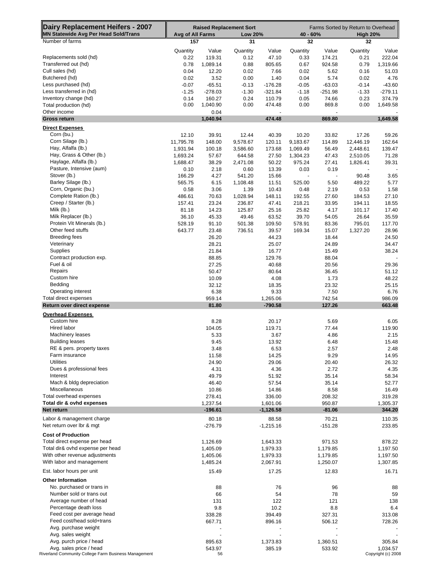| Dairy Replacement Heifers - 2007                     |                  |                     | <b>Raised Replacement Sort</b> |                     | Farms Sorted by Return to Overhead |                    |                 |                     |  |
|------------------------------------------------------|------------------|---------------------|--------------------------------|---------------------|------------------------------------|--------------------|-----------------|---------------------|--|
| MN Statewide Avg Per Head Sold/Trans                 | Avg of All Farms |                     | <b>Low 20%</b>                 |                     | $40 - 60%$                         |                    | <b>High 20%</b> |                     |  |
| Number of farms                                      | 157              |                     | 31                             |                     | 32                                 |                    | 32              |                     |  |
|                                                      | Quantity         | Value               | Quantity                       | Value               | Quantity                           | Value              | Quantity        | Value               |  |
| Replacements sold (hd)                               | 0.22             | 119.31              | 0.12                           | 47.10               | 0.33                               | 174.21             | 0.21            | 222.04              |  |
| Transferred out (hd)                                 | 0.78             | 1,089.14            | 0.88                           | 805.65              | 0.67                               | 924.58             | 0.79            | 1,319.66            |  |
| Cull sales (hd)                                      | 0.04             | 12.20               | 0.02                           | 7.66                | 0.02                               | 5.62               | 0.16            | 51.03               |  |
| Butchered (hd)                                       | 0.02             | 3.52                | 0.00                           | 1.40                | 0.04                               | 5.74               | 0.02            | 4.76                |  |
| Less purchased (hd)<br>Less transferred in (hd)      | $-0.07$          | $-65.51$            | $-0.13$                        | $-176.28$           | $-0.05$                            | $-63.03$           | $-0.14$         | $-43.60$            |  |
| Inventory change (hd)                                | $-1.25$<br>0.14  | $-278.03$<br>160.27 | $-1.30$<br>0.24                | $-321.84$<br>110.79 | $-1.18$<br>0.05                    | $-251.98$<br>74.66 | $-1.33$<br>0.23 | $-279.11$<br>374.79 |  |
| Total production (hd)                                | 0.00             | 1,040.90            | 0.00                           | 474.48              | 0.00                               | 869.8              | 0.00            | 1,649.58            |  |
| Other income                                         |                  | 0.04                |                                |                     |                                    | $\blacksquare$     |                 |                     |  |
| <b>Gross return</b>                                  |                  | 1.040.94            |                                | 474.48              |                                    | 869.80             |                 | 1,649.58            |  |
| <b>Direct Expenses</b>                               |                  |                     |                                |                     |                                    |                    |                 |                     |  |
| Corn (bu.)                                           | 12.10            | 39.91               | 12.44                          | 40.39               | 10.20                              | 33.82              | 17.26           | 59.26               |  |
| Corn Silage (lb.)                                    | 11,795.78        | 148.00              | 9,578.67                       | 120.11              | 9,183.67                           | 114.89             | 12,446.19       | 162.64              |  |
| Hay, Alfalfa (lb.)                                   | 1,931.94         | 100.18              | 3,586.60                       | 173.68              | 1,069.49                           | 56.49              | 2,448.61        | 139.47              |  |
| Hay, Grass & Other (lb.)                             | 1,693.24         | 57.67               | 644.58                         | 27.50               | 1,304.23                           | 47.43              | 2,510.05        | 71.28               |  |
| Haylage, Alfalfa (lb.)                               | 1,688.47         | 38.29               | 2,471.08                       | 50.22               | 975.24                             | 27.41              | 1,826.41        | 39.31               |  |
| Pasture, Intensive (aum)                             | 0.10             | 2.18                | 0.60                           | 13.39               | 0.03                               | 0.19               |                 |                     |  |
| Stover (lb.)                                         | 166.29           | 4.27                | 541.20                         | 15.66               |                                    | $\blacksquare$     | 90.48           | 3.65                |  |
| Barley Silage (lb.)                                  | 565.75           | 6.15                | 1,108.48                       | 11.51               | 525.00                             | 5.50               | 489.22          | 5.77                |  |
| Corn, Organic (bu.)                                  | 0.58             | 3.06                | 1.39                           | 10.43               | 0.48                               | 2.19               | 0.53            | 1.58                |  |
| Complete Ration (lb.)                                | 486.61           | 70.63               | 1,028.94                       | 148.11              | 192.55                             | 27.60              | 184.53          | 27.10               |  |
| Creep / Starter (lb.)                                | 157.41           | 23.24               | 236.87                         | 47.41               | 218.21                             | 33.95              | 194.11          | 18.55               |  |
| Milk (lb.)                                           | 81.18            | 14.23               | 125.87                         | 25.16               | 25.82                              | 4.17               | 101.17          | 17.40               |  |
| Milk Replacer (lb.)                                  | 36.10            | 45.33               | 49.46                          | 63.52               | 39.70                              | 54.05              | 26.64           | 35.59               |  |
| Protein Vit Minerals (lb.)<br>Other feed stuffs      | 528.19           | 91.10               | 501.38                         | 109.50              | 578.91                             | 83.36              | 795.01          | 117.70              |  |
| <b>Breeding fees</b>                                 | 643.77           | 23.48               | 736.51                         | 39.57               | 169.34                             | 15.07              | 1,327.20        | 28.96               |  |
| Veterinary                                           |                  | 26.20<br>28.21      |                                | 44.23<br>25.07      |                                    | 18.44<br>24.89     |                 | 24.50<br>34.47      |  |
| <b>Supplies</b>                                      |                  | 21.84               |                                | 16.77               |                                    | 15.49              |                 | 38.24               |  |
| Contract production exp.                             |                  | 88.85               |                                | 129.76              |                                    | 88.04              |                 |                     |  |
| Fuel & oil                                           |                  | 27.25               |                                | 40.68               |                                    | 20.56              |                 | 29.36               |  |
| Repairs                                              |                  | 50.47               |                                | 80.64               |                                    | 36.45              |                 | 51.12               |  |
| Custom hire                                          |                  | 10.09               |                                | 4.08                |                                    | 1.73               |                 | 48.22               |  |
| Bedding                                              |                  | 32.12               |                                | 18.35               |                                    | 23.32              |                 | 25.15               |  |
| Operating interest                                   |                  | 6.38                |                                | 9.33                |                                    | 7.50               |                 | 6.76                |  |
| Total direct expenses                                |                  | 959.14              |                                | 1,265.06            |                                    | 742.54             |                 | 986.09              |  |
| Return over direct expense                           |                  | 81.80               |                                | $-790.58$           |                                    | 127.26             |                 | 663.48              |  |
| <b>Overhead Expenses</b>                             |                  |                     |                                |                     |                                    |                    |                 |                     |  |
| Custom hire                                          |                  | 8.28                |                                | 20.17               |                                    | 5.69               |                 | 6.05                |  |
| Hired labor                                          |                  | 104.05              |                                | 119.71              |                                    | 77.44              |                 | 119.90              |  |
| <b>Machinery leases</b>                              |                  | 5.33                |                                | 3.67                |                                    | 4.86               |                 | 2.15                |  |
| <b>Building leases</b>                               |                  | 9.45                |                                | 13.92               |                                    | 6.48               |                 | 15.48               |  |
| RE & pers. property taxes<br>Farm insurance          |                  | 3.48<br>11.58       |                                | 6.53<br>14.25       |                                    | 2.57<br>9.29       |                 | 2.48<br>14.95       |  |
| Utilities                                            |                  | 24.90               |                                | 29.06               |                                    | 20.40              |                 | 26.32               |  |
| Dues & professional fees                             |                  | 4.31                |                                | 4.36                |                                    | 2.72               |                 | 4.35                |  |
| Interest                                             |                  | 49.79               |                                | 51.92               |                                    | 35.14              |                 | 58.34               |  |
| Mach & bldg depreciation                             |                  | 46.40               |                                | 57.54               |                                    | 35.14              |                 | 52.77               |  |
| Miscellaneous                                        |                  | 10.86               |                                | 14.86               |                                    | 8.58               |                 | 16.49               |  |
| Total overhead expenses                              |                  | 278.41              |                                | 336.00              |                                    | 208.32             |                 | 319.28              |  |
| Total dir & ovhd expenses                            |                  | 1,237.54            |                                | 1,601.06            |                                    | 950.87             |                 | 1,305.37            |  |
| Net return                                           |                  | -196.61             |                                | $-1,126.58$         |                                    | $-81.06$           |                 | 344.20              |  |
| Labor & management charge                            |                  | 80.18               |                                | 88.58               |                                    | 70.21              |                 | 110.35              |  |
| Net return over lbr & mgt                            |                  | $-276.79$           |                                | $-1,215.16$         |                                    | $-151.28$          |                 | 233.85              |  |
| <b>Cost of Production</b>                            |                  |                     |                                |                     |                                    |                    |                 |                     |  |
| Total direct expense per head                        |                  | 1,126.69            |                                | 1,643.33            |                                    | 971.53             |                 | 878.22              |  |
| Total dir& ovhd expense per head                     |                  | 1,405.09            |                                | 1,979.33            |                                    | 1,179.85           |                 | 1,197.50            |  |
| With other revenue adjustments                       |                  | 1,405.06            |                                | 1,979.33            |                                    | 1,179.85           |                 | 1,197.50            |  |
| With labor and management                            |                  | 1,485.24            |                                | 2,067.91            |                                    | 1,250.07           |                 | 1,307.85            |  |
| Est. labor hours per unit                            |                  | 15.49               |                                | 17.25               |                                    | 12.83              |                 | 16.71               |  |
| <b>Other Information</b>                             |                  |                     |                                |                     |                                    |                    |                 |                     |  |
| No. purchased or trans in                            |                  | 88                  |                                | 76                  |                                    | 96                 |                 | 88                  |  |
| Number sold or trans out                             |                  | 66                  |                                | 54                  |                                    | 78                 |                 | 59                  |  |
| Average number of head                               |                  | 131                 |                                | 122                 |                                    | 121                |                 | 138                 |  |
| Percentage death loss                                |                  | 9.8                 |                                | 10.2                |                                    | 8.8                |                 | 6.4                 |  |
| Feed cost per average head                           |                  | 338.28              |                                | 394.49              |                                    | 327.31             |                 | 313.08              |  |
| Feed cost/head sold+trans                            |                  | 667.71              |                                | 896.16              |                                    | 506.12             |                 | 728.26              |  |
| Avg. purchase weight                                 |                  |                     |                                |                     |                                    |                    |                 |                     |  |
| Avg. sales weight                                    |                  |                     |                                |                     |                                    |                    |                 |                     |  |
| Avg. purch price / head                              |                  | 895.63              |                                | 1,373.83            |                                    | 1,360.51           |                 | 305.84              |  |
| Avg. sales price / head                              |                  | 543.97              |                                | 385.19              |                                    | 533.92             |                 | 1,034.57            |  |
| Riverland Community College Farm Business Management |                  | 56                  |                                |                     |                                    |                    |                 | Copyright (c) 2008  |  |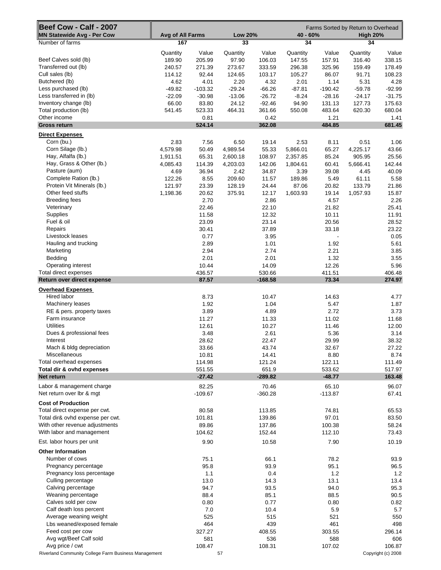| Beef Cow - Calf - 2007<br><b>MN Statewide Avg - Per Cow</b> | Avg of All Farms |                 | <b>Low 20%</b> |                     | Farms Sorted by Return to Overhead<br>40 - 60%<br><b>High 20%</b> |                 |          |                    |
|-------------------------------------------------------------|------------------|-----------------|----------------|---------------------|-------------------------------------------------------------------|-----------------|----------|--------------------|
| Number of farms                                             | 167              |                 | 33             |                     | 34                                                                |                 | 34       |                    |
|                                                             | Quantity         | Value           | Quantity       | Value               | Quantity                                                          | Value           | Quantity | Value              |
| Beef Calves sold (lb)                                       | 189.90           | 205.99          | 97.90          | 106.03              | 147.55                                                            | 157.91          | 316.40   | 338.15             |
| Transferred out (lb)                                        | 240.57           | 271.39          | 273.67         | 333.59              | 296.38                                                            | 325.96          | 159.49   | 178.49             |
| Cull sales (lb)                                             | 114.12           | 92.44           | 124.65         | 103.17              | 105.27                                                            | 86.07           | 91.71    | 108.23             |
| Butchered (lb)                                              | 4.62             | 4.01            | 2.20           | 4.32                | 2.01                                                              | 1.14            | 5.31     | 4.28               |
| Less purchased (lb)                                         | $-49.82$         | $-103.32$       | $-29.24$       | $-66.26$            | $-87.81$                                                          | $-190.42$       | $-59.78$ | $-92.99$           |
| Less transferred in (lb)                                    | $-22.09$         | $-30.98$        | $-13.06$       | $-26.72$            | $-8.24$                                                           | $-28.16$        | $-24.17$ | $-31.75$           |
| Inventory change (lb)                                       | 66.00            | 83.80           | 24.12          | $-92.46$            | 94.90                                                             | 131.13          | 127.73   | 175.63             |
| Total production (lb)                                       | 541.45           | 523.33          | 464.31         | 361.66              | 550.08                                                            | 483.64          | 620.30   | 680.04             |
| Other income<br><b>Gross return</b>                         |                  | 0.81<br>524.14  |                | 0.42<br>362.08      |                                                                   | 1.21<br>484.85  |          | 1.41<br>681.45     |
|                                                             |                  |                 |                |                     |                                                                   |                 |          |                    |
| <b>Direct Expenses</b><br>Corn (bu.)                        | 2.83             | 7.56            | 6.50           | 19.14               | 2.53                                                              | 8.11            | 0.51     | 1.06               |
| Corn Silage (lb.)                                           | 4,579.98         | 50.49           | 4,989.54       | 55.33               | 5,866.01                                                          | 65.27           | 4,225.17 | 43.66              |
| Hay, Alfalfa (lb.)                                          | 1,911.51         | 65.31           | 2,600.18       | 108.97              | 2,357.85                                                          | 85.24           | 905.95   | 25.56              |
| Hay, Grass & Other (lb.)                                    | 4,085.43         | 114.39          | 4,203.03       | 142.06              | 1,804.61                                                          | 60.41           | 5,666.41 | 142.44             |
| Pasture (aum)                                               | 4.69             | 36.94           | 2.42           | 34.87               | 3.39                                                              | 39.08           | 4.45     | 40.09              |
| Complete Ration (lb.)                                       | 122.26           | 8.55            | 209.60         | 11.57               | 189.86                                                            | 5.49            | 61.11    | 5.58               |
| Protein Vit Minerals (lb.)                                  | 121.97           | 23.39           | 128.19         | 24.44               | 87.06                                                             | 20.82           | 133.79   | 21.86              |
| Other feed stuffs                                           | 1,198.36         | 20.62           | 375.91         | 12.17               | 1,603.93                                                          | 19.14           | 1,057.93 | 15.87              |
| <b>Breeding fees</b>                                        |                  | 2.70            |                | 2.86                |                                                                   | 4.57            |          | 2.26               |
| Veterinary                                                  |                  | 22.46           |                | 22.10               |                                                                   | 21.82           |          | 25.41              |
| <b>Supplies</b>                                             |                  | 11.58           |                | 12.32               |                                                                   | 10.11           |          | 11.91              |
| Fuel & oil                                                  |                  | 23.09           |                | 23.14               |                                                                   | 20.56           |          | 28.52              |
| Repairs                                                     |                  | 30.41           |                | 37.89               |                                                                   | 33.18           |          | 23.22              |
| Livestock leases                                            |                  | 0.77            |                | 3.95                |                                                                   |                 |          | 0.05               |
| Hauling and trucking                                        |                  | 2.89            |                | 1.01                |                                                                   | 1.92            |          | 5.61               |
| Marketing                                                   |                  | 2.94            |                | 2.74                |                                                                   | 2.21            |          | 3.85               |
| Bedding                                                     |                  | 2.01            |                | 2.01                |                                                                   | 1.32            |          | 3.55               |
| Operating interest                                          |                  | 10.44           |                | 14.09               |                                                                   | 12.26           |          | 5.96               |
| Total direct expenses<br>Return over direct expense         |                  | 436.57<br>87.57 |                | 530.66<br>$-168.58$ |                                                                   | 411.51<br>73.34 |          | 406.48<br>274.97   |
|                                                             |                  |                 |                |                     |                                                                   |                 |          |                    |
| <b>Overhead Expenses</b><br>Hired labor                     |                  | 8.73            |                | 10.47               |                                                                   | 14.63           |          | 4.77               |
| Machinery leases                                            |                  | 1.92            |                | 1.04                |                                                                   | 5.47            |          | 1.87               |
| RE & pers. property taxes                                   |                  | 3.89            |                | 4.89                |                                                                   | 2.72            |          | 3.73               |
| Farm insurance                                              |                  | 11.27           |                | 11.33               |                                                                   | 11.02           |          | 11.68              |
| <b>Utilities</b>                                            |                  | 12.61           |                | 10.27               |                                                                   | 11.46           |          | 12.00              |
| Dues & professional fees                                    |                  | 3.48            |                | 2.61                |                                                                   | 5.36            |          | 3.14               |
| Interest                                                    |                  | 28.62           |                | 22.47               |                                                                   | 29.99           |          | 38.32              |
| Mach & bldg depreciation                                    |                  | 33.66           |                | 43.74               |                                                                   | 32.67           |          | 27.22              |
| Miscellaneous                                               |                  | 10.81           |                | 14.41               |                                                                   | 8.80            |          | 8.74               |
| Total overhead expenses                                     |                  | 114.98          |                | 121.24              |                                                                   | 122.11          |          | 111.49             |
| Total dir & ovhd expenses                                   |                  | 551.55          |                | 651.9               |                                                                   | 533.62          |          | 517.97             |
| Net return                                                  |                  | $-27.42$        |                | -289.82             |                                                                   | $-48.77$        |          | 163.48             |
| Labor & management charge                                   |                  | 82.25           |                | 70.46               |                                                                   | 65.10           |          | 96.07              |
| Net return over Ibr & mgt                                   |                  | $-109.67$       |                | $-360.28$           |                                                                   | $-113.87$       |          | 67.41              |
| <b>Cost of Production</b>                                   |                  |                 |                |                     |                                                                   |                 |          |                    |
| Total direct expense per cwt.                               |                  | 80.58           |                | 113.85              |                                                                   | 74.81           |          | 65.53              |
| Total dir& ovhd expense per cwt.                            |                  | 101.81          |                | 139.86              |                                                                   | 97.01           |          | 83.50              |
| With other revenue adjustments                              |                  | 89.86           |                | 137.86              |                                                                   | 100.38          |          | 58.24              |
| With labor and management                                   |                  | 104.62          |                | 152.44              |                                                                   | 112.10          |          | 73.43              |
| Est. labor hours per unit                                   |                  | 9.90            |                | 10.58               |                                                                   | 7.90            |          | 10.19              |
| <b>Other Information</b>                                    |                  |                 |                |                     |                                                                   |                 |          |                    |
| Number of cows                                              |                  | 75.1            |                | 66.1                |                                                                   | 78.2            |          | 93.9               |
| Pregnancy percentage                                        |                  | 95.8            |                | 93.9                |                                                                   | 95.1            |          | 96.5               |
| Pregnancy loss percentage                                   |                  | 1.1             |                | 0.4                 |                                                                   | $1.2$           |          | $1.2$              |
| Culling percentage                                          |                  | 13.0            |                | 14.3                |                                                                   | 13.1            |          | 13.4               |
| Calving percentage                                          |                  | 94.7            |                | 93.5                |                                                                   | 94.0            |          | 95.3               |
| Weaning percentage                                          |                  | 88.4            |                | 85.1                |                                                                   | 88.5            |          | 90.5               |
| Calves sold per cow                                         |                  | 0.80            |                | 0.77                |                                                                   | 0.80            |          | 0.82               |
| Calf death loss percent<br>Average weaning weight           |                  | 7.0<br>525      |                | 10.4<br>515         |                                                                   | 5.9<br>521      |          | 5.7<br>550         |
| Lbs weaned/exposed female                                   |                  | 464             |                | 439                 |                                                                   | 461             |          | 498                |
| Feed cost per cow                                           |                  | 327.27          |                | 408.55              |                                                                   | 303.55          |          | 296.14             |
| Avg wgt/Beef Calf sold                                      |                  | 581             |                | 536                 |                                                                   | 588             |          | 606                |
| Avg price / cwt                                             |                  | 108.47          |                | 108.31              |                                                                   | 107.02          |          | 106.87             |
| Riverland Community College Farm Business Management        |                  |                 | 57             |                     |                                                                   |                 |          | Copyright (c) 2008 |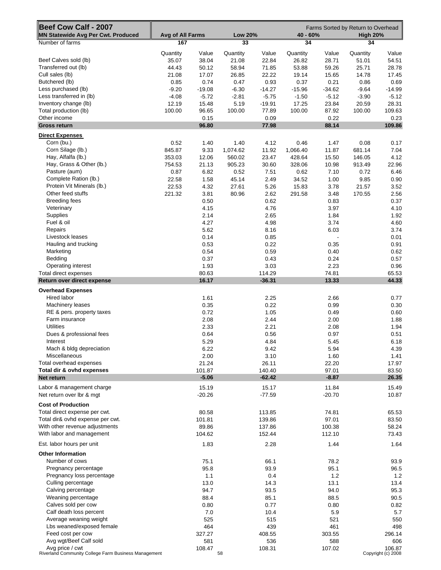| Beef Cow Calf - 2007                                         |                         |                   | <b>Low 20%</b>     |                    | Farms Sorted by Return to Overhead<br>$40 - 60%$<br><b>High 20%</b> |                   |                  |                    |  |
|--------------------------------------------------------------|-------------------------|-------------------|--------------------|--------------------|---------------------------------------------------------------------|-------------------|------------------|--------------------|--|
| <b>MN Statewide Avg Per Cwt. Produced</b><br>Number of farms | Avg of All Farms<br>167 |                   | 33                 |                    | 34                                                                  |                   | 34               |                    |  |
|                                                              |                         |                   |                    |                    |                                                                     |                   |                  |                    |  |
|                                                              | Quantity                | Value             | Quantity           | Value              | Quantity                                                            | Value             | Quantity         | Value              |  |
| Beef Calves sold (lb)                                        | 35.07                   | 38.04             | 21.08              | 22.84              | 26.82                                                               | 28.71             | 51.01            | 54.51              |  |
| Transferred out (lb)                                         | 44.43                   | 50.12             | 58.94              | 71.85              | 53.88                                                               | 59.26             | 25.71            | 28.78              |  |
| Cull sales (lb)                                              | 21.08                   | 17.07             | 26.85              | 22.22              | 19.14                                                               | 15.65             | 14.78            | 17.45              |  |
| Butchered (lb)                                               | 0.85                    | 0.74              | 0.47               | 0.93               | 0.37                                                                | 0.21              | 0.86             | 0.69               |  |
| Less purchased (lb)                                          | $-9.20$                 | $-19.08$          | $-6.30$            | $-14.27$           | $-15.96$                                                            | $-34.62$          | $-9.64$          | $-14.99$           |  |
| Less transferred in (lb)                                     | $-4.08$                 | $-5.72$           | $-2.81$            | $-5.75$            | $-1.50$                                                             | $-5.12$           | $-3.90$          | $-5.12$            |  |
| Inventory change (lb)                                        | 12.19<br>100.00         | 15.48             | 5.19<br>100.00     | $-19.91$           | 17.25                                                               | 23.84             | 20.59<br>100.00  | 28.31<br>109.63    |  |
| Total production (lb)<br>Other income                        |                         | 96.65             |                    | 77.89              | 100.00                                                              | 87.92             |                  |                    |  |
| <b>Gross return</b>                                          |                         | 0.15<br>96.80     |                    | 0.09<br>77.98      |                                                                     | 0.22<br>88.14     |                  | 0.23<br>109.86     |  |
|                                                              |                         |                   |                    |                    |                                                                     |                   |                  |                    |  |
| <b>Direct Expenses</b>                                       |                         |                   |                    |                    |                                                                     |                   |                  |                    |  |
| Corn (bu.)<br>Corn Silage (lb.)                              | 0.52<br>845.87          | 1.40              | 1.40               | 4.12               | 0.46                                                                | 1.47              | 0.08             | 0.17               |  |
| Hay, Alfalfa (lb.)                                           | 353.03                  | 9.33              | 1,074.62<br>560.02 | 11.92              | 1,066.40                                                            | 11.87             | 681.14<br>146.05 | 7.04<br>4.12       |  |
| Hay, Grass & Other (lb.)                                     |                         | 12.06             |                    | 23.47              | 428.64                                                              | 15.50             |                  |                    |  |
| Pasture (aum)                                                | 754.53                  | 21.13             | 905.23             | 30.60              | 328.06                                                              | 10.98             | 913.49           | 22.96              |  |
|                                                              | 0.87                    | 6.82              | 0.52               | 7.51               | 0.62                                                                | 7.10              | 0.72             | 6.46               |  |
| Complete Ration (lb.)                                        | 22.58                   | 1.58              | 45.14              | 2.49               | 34.52                                                               | 1.00              | 9.85             | 0.90               |  |
| Protein Vit Minerals (lb.)                                   | 22.53                   | 4.32              | 27.61              | 5.26               | 15.83                                                               | 3.78              | 21.57            | 3.52               |  |
| Other feed stuffs                                            | 221.32                  | 3.81              | 80.96              | 2.62               | 291.58                                                              | 3.48              | 170.55           | 2.56               |  |
| <b>Breeding fees</b>                                         |                         | 0.50              |                    | 0.62               |                                                                     | 0.83              |                  | 0.37               |  |
| Veterinary                                                   |                         | 4.15              |                    | 4.76               |                                                                     | 3.97              |                  | 4.10               |  |
| Supplies                                                     |                         | 2.14              |                    | 2.65               |                                                                     | 1.84              |                  | 1.92               |  |
| Fuel & oil                                                   |                         | 4.27              |                    | 4.98               |                                                                     | 3.74              |                  | 4.60               |  |
| Repairs                                                      |                         | 5.62              |                    | 8.16               |                                                                     | 6.03              |                  | 3.74               |  |
| Livestock leases                                             |                         | 0.14              |                    | 0.85               |                                                                     |                   |                  | 0.01               |  |
| Hauling and trucking                                         |                         | 0.53              |                    | 0.22               |                                                                     | 0.35              |                  | 0.91               |  |
| Marketing                                                    |                         | 0.54              |                    | 0.59               |                                                                     | 0.40              |                  | 0.62               |  |
| Bedding                                                      |                         | 0.37              |                    | 0.43               |                                                                     | 0.24              |                  | 0.57               |  |
| Operating interest                                           |                         | 1.93              |                    | 3.03               |                                                                     | 2.23              |                  | 0.96               |  |
| Total direct expenses                                        |                         | 80.63             |                    | 114.29             |                                                                     | 74.81             |                  | 65.53              |  |
| Return over direct expense                                   |                         | 16.17             |                    | $-36.31$           |                                                                     | 13.33             |                  | 44.33              |  |
| <b>Overhead Expenses</b>                                     |                         |                   |                    |                    |                                                                     |                   |                  |                    |  |
| Hired labor                                                  |                         | 1.61              |                    | 2.25               |                                                                     | 2.66              |                  | 0.77               |  |
| Machinery leases                                             |                         | 0.35              |                    | 0.22               |                                                                     | 0.99              |                  | 0.30               |  |
| RE & pers. property taxes                                    |                         | 0.72              |                    | 1.05               |                                                                     | 0.49              |                  | 0.60               |  |
| Farm insurance                                               |                         | 2.08              |                    | 2.44               |                                                                     | 2.00              |                  | 1.88               |  |
| <b>Utilities</b>                                             |                         | 2.33              |                    | 2.21               |                                                                     | 2.08              |                  | 1.94               |  |
| Dues & professional fees                                     |                         | 0.64              |                    | 0.56               |                                                                     | 0.97              |                  | 0.51               |  |
| Interest                                                     |                         | 5.29              |                    | 4.84               |                                                                     | 5.45              |                  | 6.18               |  |
| Mach & bldg depreciation                                     |                         | 6.22              |                    | 9.42               |                                                                     | 5.94              |                  | 4.39               |  |
| Miscellaneous                                                |                         | 2.00              |                    | 3.10               |                                                                     | 1.60              |                  | 1.41               |  |
| Total overhead expenses                                      |                         | 21.24             |                    | 26.11              |                                                                     | 22.20             |                  | 17.97              |  |
| Total dir & ovhd expenses<br>Net return                      |                         | 101.87<br>$-5.06$ |                    | 140.40<br>$-62.42$ |                                                                     | 97.01<br>$-8.87$  |                  | 83.50<br>26.35     |  |
|                                                              |                         |                   |                    |                    |                                                                     |                   |                  |                    |  |
| Labor & management charge<br>Net return over Ibr & mgt       |                         | 15.19<br>$-20.26$ |                    | 15.17              |                                                                     | 11.84<br>$-20.70$ |                  | 15.49              |  |
|                                                              |                         |                   |                    | $-77.59$           |                                                                     |                   |                  | 10.87              |  |
| <b>Cost of Production</b>                                    |                         |                   |                    |                    |                                                                     |                   |                  |                    |  |
| Total direct expense per cwt.                                |                         | 80.58             |                    | 113.85             |                                                                     | 74.81             |                  | 65.53              |  |
| Total dir& ovhd expense per cwt.                             |                         | 101.81            |                    | 139.86             |                                                                     | 97.01             |                  | 83.50              |  |
| With other revenue adjustments                               |                         | 89.86             |                    | 137.86             |                                                                     | 100.38            |                  | 58.24              |  |
| With labor and management                                    |                         | 104.62            |                    | 152.44             |                                                                     | 112.10            |                  | 73.43              |  |
| Est. labor hours per unit                                    |                         | 1.83              |                    | 2.28               |                                                                     | 1.44              |                  | 1.64               |  |
| <b>Other Information</b>                                     |                         |                   |                    |                    |                                                                     |                   |                  |                    |  |
| Number of cows                                               |                         | 75.1              |                    | 66.1               |                                                                     | 78.2              |                  | 93.9               |  |
| Pregnancy percentage                                         |                         | 95.8              |                    | 93.9               |                                                                     | 95.1              |                  | 96.5               |  |
| Pregnancy loss percentage                                    |                         | 1.1               |                    | 0.4                |                                                                     | 1.2               |                  | 1.2                |  |
| Culling percentage                                           |                         | 13.0              |                    | 14.3               |                                                                     | 13.1              |                  | 13.4               |  |
| Calving percentage                                           |                         | 94.7              |                    | 93.5               |                                                                     | 94.0              |                  | 95.3               |  |
| Weaning percentage                                           |                         | 88.4              |                    | 85.1               |                                                                     | 88.5              |                  | 90.5               |  |
| Calves sold per cow                                          |                         | 0.80              |                    | 0.77               |                                                                     | 0.80              |                  | 0.82               |  |
| Calf death loss percent                                      |                         | 7.0               |                    | 10.4               |                                                                     | 5.9               |                  | 5.7                |  |
| Average weaning weight                                       |                         | 525               |                    | 515                |                                                                     | 521               |                  | 550                |  |
| Lbs weaned/exposed female                                    |                         | 464               |                    | 439                |                                                                     | 461               |                  | 498                |  |
| Feed cost per cow                                            |                         | 327.27            |                    | 408.55             |                                                                     | 303.55            |                  | 296.14             |  |
| Avg wgt/Beef Calf sold                                       |                         | 581               |                    | 536                |                                                                     | 588               |                  | 606                |  |
| Avg price / cwt                                              |                         | 108.47            |                    | 108.31             |                                                                     | 107.02            |                  | 106.87             |  |
| Riverland Community College Farm Business Management         |                         |                   | 58                 |                    |                                                                     |                   |                  | Copyright (c) 2008 |  |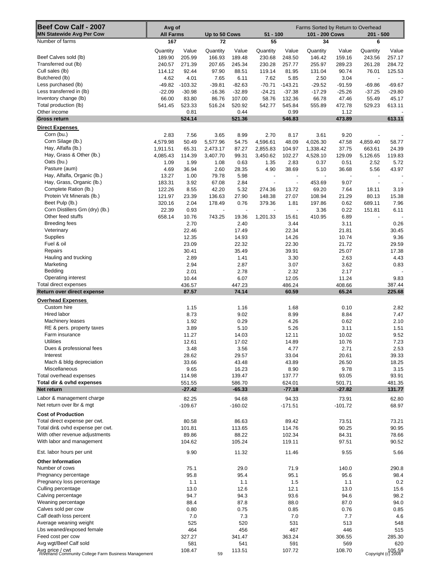| Beef Cow Calf - 2007<br><b>MN Statewide Avg Per Cow</b>                 |                 | Avg of<br><b>All Farms</b><br>Up to 50 Cows |          | Farms Sorted by Return to Overhead<br>101 - 200 Cows<br>$51 - 100$ |                    |                          |                | $201 - 500$     |                          |                              |
|-------------------------------------------------------------------------|-----------------|---------------------------------------------|----------|--------------------------------------------------------------------|--------------------|--------------------------|----------------|-----------------|--------------------------|------------------------------|
| Number of farms                                                         | 167             |                                             | 72       |                                                                    | 55                 |                          | 34             |                 | 6                        |                              |
|                                                                         | Quantity        | Value                                       | Quantity | Value                                                              |                    | Value                    | Quantity       | Value           | Quantity                 | Value                        |
| Beef Calves sold (lb)                                                   | 189.90          | 205.99                                      | 166.93   | 189.48                                                             | Quantity<br>230.68 | 248.50                   | 146.42         | 159.16          | 243.56                   | 257.17                       |
| Transferred out (lb)                                                    | 240.57          | 271.39                                      | 207.65   | 245.34                                                             | 230.28             | 257.77                   | 255.97         | 289.23          | 261.28                   | 284.72                       |
| Cull sales (lb)                                                         | 114.12          | 92.44                                       | 97.90    | 88.51                                                              | 119.14             | 81.95                    | 131.04         | 90.74           | 76.01                    | 125.53                       |
| Butchered (lb)                                                          | 4.62            | 4.01                                        | 7.65     | 6.11                                                               | 7.62               | 5.85                     | 2.50           | 3.04            | $\overline{\phantom{a}}$ |                              |
| Less purchased (lb)                                                     | $-49.82$        | $-103.32$                                   | $-39.81$ | $-82.63$                                                           | $-70.71$           | $-143.21$                | $-29.52$       | $-91.59$        | $-69.86$                 | $-69.67$                     |
| Less transferred in (lb)                                                | $-22.09$        | $-30.98$                                    | $-16.36$ | $-32.89$                                                           | $-24.21$           | $-37.38$                 | $-17.29$       | $-25.26$        | $-37.25$                 | $-29.80$                     |
| Inventory change (lb)                                                   | 66.00           | 83.80                                       | 86.76    | 107.00                                                             | 58.76              | 132.36                   | 66.78          | 47.46           | 55.49                    | 45.17                        |
| Total production (lb)<br>Other income                                   | 541.45          | 523.33<br>0.81                              | 516.24   | 520.92<br>0.44                                                     | 542.77             | 545.84<br>0.99           | 555.89         | 472.78<br>1.12  | 529.23                   | 613.11                       |
| <b>Gross return</b>                                                     |                 | 524.14                                      |          | 521.36                                                             |                    | 546.83                   |                | 473.89          |                          | 613.11                       |
|                                                                         |                 |                                             |          |                                                                    |                    |                          |                |                 |                          |                              |
| <b>Direct Expenses</b><br>Corn (bu.)                                    | 2.83            | 7.56                                        | 3.65     | 8.99                                                               | 2.70               | 8.17                     | 3.61           | 9.20            |                          |                              |
| Corn Silage (lb.)                                                       | 4,579.98        | 50.49                                       | 5,577.96 | 54.75                                                              | 4,596.61           | 48.09                    | 4,026.30       | 47.58           | 4,859.40                 | 58.77                        |
| Hay, Alfalfa (lb.)                                                      | 1,911.51        | 65.31                                       | 2,473.17 | 87.27                                                              | 2,855.83           | 104.97                   | 1,338.42       | 37.75           | 663.61                   | 24.39                        |
| Hay, Grass & Other (lb.)                                                | 4,085.43        | 114.39                                      | 3,407.70 | 99.31                                                              | 3,450.62           | 102.27                   | 4,528.10       | 129.09          | 5,126.65                 | 119.83                       |
| Oats (bu.)                                                              | 1.09            | 1.99                                        | 1.08     | 0.63                                                               | 1.35               | 2.83                     | 0.37           | 0.51            | 2.52                     | 5.72                         |
| Pasture (aum)                                                           | 4.69            | 36.94                                       | 2.60     | 28.35                                                              | 4.90               | 38.69                    | 5.10           | 36.68           | 5.56                     | 43.97                        |
| Hay, Alfalfa, Organic (lb.)                                             | 13.27           | 1.00                                        | 79.78    | 5.98                                                               |                    |                          | ÷,             |                 | ÷,                       |                              |
| Hay, Grass, Organic (lb.)                                               | 183.31          | 3.92                                        | 67.08    | 2.84                                                               |                    | $\overline{\phantom{a}}$ | 453.69         | 9.07            | $\overline{\phantom{a}}$ |                              |
| Complete Ration (lb.)                                                   | 122.26          | 8.55                                        | 42.20    | 5.32                                                               | 274.36             | 13.72                    | 69.20          | 7.64            | 18.11                    | 3.19                         |
| Protein Vit Minerals (lb.)<br>Beet Pulp (lb.)                           | 121.97          | 23.39                                       | 136.63   | 27.90                                                              | 148.38             | 27.07                    | 108.94         | 21.29           | 80.13                    | 15.38                        |
| Corn Distillers Grn (dry) (lb.)                                         | 320.16<br>22.39 | 2.04<br>0.93                                | 178.49   | 0.76                                                               | 379.36             | 1.81<br>÷,               | 197.86<br>3.36 | 0.62<br>0.22    | 689.11<br>151.81         | 7.96<br>6.11                 |
| Other feed stuffs                                                       | 658.14          | 10.76                                       | 743.25   | 19.36                                                              | 1,201.33           | 15.61                    | 410.95         | 6.89            | ÷,                       |                              |
| <b>Breeding fees</b>                                                    |                 | 2.70                                        |          | 2.40                                                               |                    | 3.44                     |                | 3.11            |                          | 0.26                         |
| Veterinary                                                              |                 | 22.46                                       |          | 17.49                                                              |                    | 22.34                    |                | 21.81           |                          | 30.45                        |
| <b>Supplies</b>                                                         |                 | 12.35                                       |          | 14.93                                                              |                    | 14.26                    |                | 10.74           |                          | 9.36                         |
| Fuel & oil                                                              |                 | 23.09                                       |          | 22.32                                                              |                    | 22.30                    |                | 21.72           |                          | 29.59                        |
| Repairs                                                                 |                 | 30.41                                       |          | 35.49                                                              |                    | 39.91                    |                | 25.07           |                          | 17.38                        |
| Hauling and trucking                                                    |                 | 2.89                                        |          | 1.41                                                               |                    | 3.30                     |                | 2.63            |                          | 4.43                         |
| Marketing                                                               |                 | 2.94                                        |          | 2.87                                                               |                    | 3.07                     |                | 3.62            |                          | 0.83                         |
| Bedding                                                                 |                 | 2.01                                        |          | 2.78                                                               |                    | 2.32                     |                | 2.17            |                          |                              |
| Operating interest<br>Total direct expenses                             |                 | 10.44<br>436.57                             |          | 6.07<br>447.23                                                     |                    | 12.05<br>486.24          |                | 11.24<br>408.66 |                          | 9.83<br>387.44               |
| Return over direct expense                                              |                 | 87.57                                       |          | 74.14                                                              |                    | 60.59                    |                | 65.24           |                          | 225.68                       |
| <b>Overhead Expenses</b>                                                |                 |                                             |          |                                                                    |                    |                          |                |                 |                          |                              |
| Custom hire                                                             |                 | 1.15                                        |          | 1.16                                                               |                    | 1.68                     |                | 0.10            |                          | 2.82                         |
| Hired labor                                                             |                 | 8.73                                        |          | 9.02                                                               |                    | 8.99                     |                | 8.84            |                          | 7.47                         |
| Machinery leases                                                        |                 | 1.92                                        |          | 0.29                                                               |                    | 4.26                     |                | 0.62            |                          | 2.10                         |
| RE & pers. property taxes                                               |                 | 3.89                                        |          | 5.10                                                               |                    | 5.26                     |                | 3.11            |                          | 1.51                         |
| Farm insurance                                                          |                 | 11.27                                       |          | 14.03                                                              |                    | 12.11                    |                | 10.02           |                          | 9.52                         |
| <b>Utilities</b>                                                        |                 | 12.61                                       |          | 17.02                                                              |                    | 14.89                    |                | 10.76           |                          | 7.23                         |
| Dues & professional fees                                                |                 | 3.48                                        |          | 3.56                                                               |                    | 4.77                     |                | 2.71            |                          | 2.53                         |
| Interest<br>Mach & bldg depreciation                                    |                 | 28.62                                       |          | 29.57                                                              |                    | 33.04                    |                | 20.61           |                          | 39.33                        |
| Miscellaneous                                                           |                 | 33.66<br>9.65                               |          | 43.48<br>16.23                                                     |                    | 43.89<br>8.90            |                | 26.50<br>9.78   |                          | 18.25<br>3.15                |
| Total overhead expenses                                                 |                 | 114.98                                      |          | 139.47                                                             |                    | 137.77                   |                | 93.05           |                          | 93.91                        |
| Total dir & ovhd expenses                                               |                 | 551.55                                      |          | 586.70                                                             |                    | 624.01                   |                | 501.71          |                          | 481.35                       |
| Net return                                                              |                 | $-27.42$                                    |          | $-65.33$                                                           |                    | $-77.18$                 |                | $-27.82$        |                          | 131.77                       |
| Labor & management charge                                               |                 | 82.25                                       |          | 94.68                                                              |                    | 94.33                    |                | 73.91           |                          | 62.80                        |
| Net return over Ibr & mgt                                               |                 | $-109.67$                                   |          | $-160.02$                                                          |                    | $-171.51$                |                | $-101.72$       |                          | 68.97                        |
| <b>Cost of Production</b>                                               |                 |                                             |          |                                                                    |                    |                          |                |                 |                          |                              |
| Total direct expense per cwt.                                           |                 | 80.58                                       |          | 86.63                                                              |                    | 89.42                    |                | 73.51           |                          | 73.21                        |
| Total dir& ovhd expense per cwt.                                        |                 | 101.81                                      |          | 113.65                                                             |                    | 114.76                   |                | 90.25           |                          | 90.95                        |
| With other revenue adjustments                                          |                 | 89.86                                       |          | 88.22                                                              |                    | 102.34                   |                | 84.31           |                          | 78.66                        |
| With labor and management                                               |                 | 104.62                                      |          | 105.24                                                             |                    | 119.11                   |                | 97.51           |                          | 90.52                        |
| Est. labor hours per unit                                               |                 | 9.90                                        |          | 11.32                                                              |                    | 11.46                    |                | 9.55            |                          | 5.66                         |
| <b>Other Information</b>                                                |                 |                                             |          |                                                                    |                    |                          |                |                 |                          |                              |
| Number of cows                                                          |                 | 75.1                                        |          | 29.0                                                               |                    | 71.9                     |                | 140.0           |                          | 290.8                        |
| Pregnancy percentage                                                    |                 | 95.8                                        |          | 95.4                                                               |                    | 95.1                     |                | 95.6            |                          | 98.4                         |
| Pregnancy loss percentage                                               |                 | 1.1                                         |          | 1.1                                                                |                    | 1.5                      |                | 1.1             |                          | 0.2                          |
| Culling percentage<br>Calving percentage                                |                 | 13.0<br>94.7                                |          | 12.6                                                               |                    | 12.1                     |                | 13.0            |                          | 15.6<br>98.2                 |
| Weaning percentage                                                      |                 | 88.4                                        |          | 94.3<br>87.8                                                       |                    | 93.6<br>88.0             |                | 94.6<br>87.0    |                          | 94.0                         |
| Calves sold per cow                                                     |                 | 0.80                                        |          | 0.75                                                               |                    | 0.85                     |                | 0.76            |                          | 0.85                         |
| Calf death loss percent                                                 |                 | 7.0                                         |          | 7.3                                                                |                    | 7.0                      |                | 7.7             |                          | 4.6                          |
| Average weaning weight                                                  |                 | 525                                         |          | 520                                                                |                    | 531                      |                | 513             |                          | 548                          |
| Lbs weaned/exposed female                                               |                 | 464                                         |          | 456                                                                |                    | 467                      |                | 446             |                          | 515                          |
| Feed cost per cow                                                       |                 | 327.27                                      |          | 341.47                                                             |                    | 363.24                   |                | 306.55          |                          | 285.30                       |
| Avg wgt/Beef Calf sold                                                  |                 | 581                                         |          | 541                                                                |                    | 591                      |                | 569             |                          | 620                          |
| Avg price / cwt<br>Riverland Community College Farm Business Management |                 | 108.47                                      | 59       | 113.51                                                             |                    | 107.72                   |                | 108.70          |                          | 105.59<br>Copyright (c) 2008 |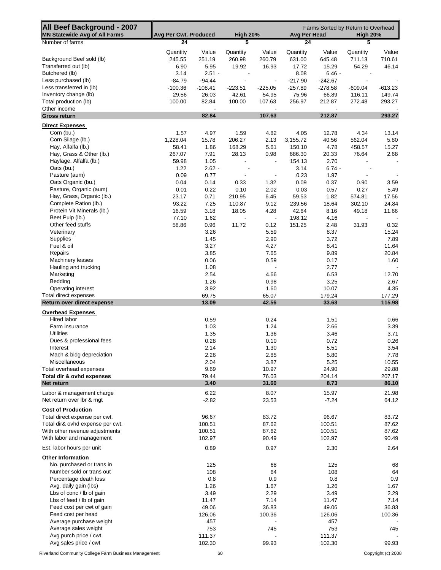| <b>All Beef Background - 2007</b><br><b>MN Statewide Avg of All Farms</b> | Avg Per Cwt. Produced |           | Farms Sorted by Return to Overhead<br><b>High 20%</b><br>Avg Per Head |                                    |           |                                    |           | <b>High 20%</b>          |  |  |
|---------------------------------------------------------------------------|-----------------------|-----------|-----------------------------------------------------------------------|------------------------------------|-----------|------------------------------------|-----------|--------------------------|--|--|
| Number of farms                                                           | 24                    |           | 5                                                                     |                                    | 24        |                                    | 5         |                          |  |  |
|                                                                           |                       |           |                                                                       |                                    |           |                                    |           |                          |  |  |
|                                                                           | Quantity              | Value     | Quantity                                                              | Value                              | Quantity  | Value                              | Quantity  | Value                    |  |  |
| Background Beef sold (lb)                                                 | 245.55                | 251.19    | 260.98                                                                | 260.79                             | 631.00    | 645.48                             | 711.13    | 710.61                   |  |  |
| Transferred out (lb)                                                      | 6.90                  | 5.95      | 19.92                                                                 | 16.93                              | 17.72     | 15.29                              | 54.29     | 46.14                    |  |  |
| Butchered (lb)                                                            | 3.14                  | $2.51 -$  | $\overline{\phantom{a}}$                                              |                                    | 8.08      | $6.46 -$                           |           |                          |  |  |
| Less purchased (lb)                                                       | $-84.79$              | $-94.44$  | $\overline{\phantom{a}}$                                              | $\blacksquare$                     | $-217.90$ | $-242.67$                          |           |                          |  |  |
| Less transferred in (lb)                                                  | $-100.36$             | $-108.41$ | $-223.51$                                                             | $-225.05$                          | $-257.89$ | $-278.58$                          | $-609.04$ | $-613.23$                |  |  |
| Inventory change (lb)                                                     | 29.56                 | 26.03     | 42.61                                                                 | 54.95                              | 75.96     | 66.89                              | 116.11    | 149.74                   |  |  |
| Total production (lb)<br>Other income                                     | 100.00                | 82.84     | 100.00                                                                | 107.63                             | 256.97    | 212.87                             | 272.48    | 293.27                   |  |  |
| <b>Gross return</b>                                                       |                       | 82.84     |                                                                       | $\overline{\phantom{a}}$<br>107.63 |           | $\overline{\phantom{a}}$<br>212.87 |           | 293.27                   |  |  |
|                                                                           |                       |           |                                                                       |                                    |           |                                    |           |                          |  |  |
| <b>Direct Expenses</b>                                                    |                       |           |                                                                       |                                    |           |                                    |           |                          |  |  |
| Corn (bu.)                                                                | 1.57                  | 4.97      | 1.59                                                                  | 4.82                               | 4.05      | 12.78                              | 4.34      | 13.14                    |  |  |
| Corn Silage (lb.)                                                         | 1,228.04              | 15.78     | 206.27                                                                | 2.13                               | 3,155.72  | 40.56                              | 562.04    | 5.80                     |  |  |
| Hay, Alfalfa (lb.)                                                        | 58.41                 | 1.86      | 168.29                                                                | 5.61                               | 150.10    | 4.78                               | 458.57    | 15.27                    |  |  |
| Hay, Grass & Other (lb.)                                                  | 267.07                | 7.91      | 28.13                                                                 | 0.98                               | 686.30    | 20.33                              | 76.64     | 2.68                     |  |  |
| Haylage, Alfalfa (lb.)                                                    | 59.98                 | 1.05      | $\overline{\phantom{a}}$                                              | $\overline{\phantom{a}}$           | 154.13    | 2.70                               |           | $\overline{\phantom{a}}$ |  |  |
| Oats (bu.)                                                                | 1.22                  | $2.62 -$  |                                                                       |                                    | 3.14      | $6.74 -$                           |           |                          |  |  |
| Pasture (aum)                                                             | 0.09                  | 0.77      | $\overline{\phantom{a}}$                                              | $\blacksquare$                     | 0.23      | 1.97                               |           |                          |  |  |
| Oats Organic (bu.)                                                        | 0.04                  | 0.14      | 0.33                                                                  | 1.32                               | 0.09      | 0.37                               | 0.90      | 3.59                     |  |  |
| Pasture, Organic (aum)                                                    | 0.01                  | 0.22      | 0.10                                                                  | 2.02                               | 0.03      | 0.57                               | 0.27      | 5.49                     |  |  |
| Hay, Grass, Organic (lb.)                                                 | 23.17                 | 0.71      | 210.95                                                                | 6.45                               | 59.53     | 1.82                               | 574.81    | 17.56                    |  |  |
| Complete Ration (lb.)                                                     | 93.22                 | 7.25      | 110.87                                                                | 9.12                               | 239.56    | 18.64                              | 302.10    | 24.84                    |  |  |
| Protein Vit Minerals (lb.)                                                | 16.59                 | 3.18      | 18.05                                                                 | 4.28                               | 42.64     | 8.16                               | 49.18     | 11.66                    |  |  |
| Beet Pulp (lb.)                                                           | 77.10                 | 1.62      | Ĭ.                                                                    | $\blacksquare$                     | 198.12    | 4.16                               | $\sim$    |                          |  |  |
| Other feed stuffs                                                         | 58.86                 | 0.96      | 11.72                                                                 | 0.12                               | 151.25    | 2.48                               | 31.93     | 0.32                     |  |  |
| Veterinary                                                                |                       | 3.26      |                                                                       | 5.59                               |           | 8.37                               |           | 15.24                    |  |  |
| Supplies                                                                  |                       | 1.45      |                                                                       | 2.90                               |           | 3.72                               |           | 7.89                     |  |  |
| Fuel & oil                                                                |                       | 3.27      |                                                                       | 4.27                               |           | 8.41                               |           | 11.64                    |  |  |
| Repairs                                                                   |                       | 3.85      |                                                                       | 7.65                               |           | 9.89                               |           | 20.84                    |  |  |
| Machinery leases                                                          |                       | 0.06      |                                                                       | 0.59                               |           | 0.17                               |           | 1.60                     |  |  |
| Hauling and trucking                                                      |                       | 1.08      |                                                                       |                                    |           | 2.77                               |           |                          |  |  |
| Marketing                                                                 |                       | 2.54      |                                                                       | 4.66                               |           | 6.53                               |           | 12.70                    |  |  |
| Bedding                                                                   |                       | 1.26      |                                                                       | 0.98                               |           | 3.25                               |           | 2.67                     |  |  |
| Operating interest                                                        |                       | 3.92      |                                                                       | 1.60                               |           | 10.07                              |           | 4.35                     |  |  |
| Total direct expenses                                                     |                       | 69.75     |                                                                       | 65.07                              |           | 179.24                             |           | 177.29                   |  |  |
| Return over direct expense                                                |                       | 13.09     |                                                                       | 42.56                              |           | 33.63                              |           | 115.98                   |  |  |
| <b>Overhead Expenses</b>                                                  |                       |           |                                                                       |                                    |           |                                    |           |                          |  |  |
| Hired labor                                                               |                       | 0.59      |                                                                       | 0.24                               |           | 1.51                               |           | 0.66                     |  |  |
| Farm insurance                                                            |                       | 1.03      |                                                                       | 1.24                               |           | 2.66                               |           | 3.39                     |  |  |
| <b>Utilities</b>                                                          |                       | 1.35      |                                                                       | 1.36                               |           | 3.46                               |           | 3.71                     |  |  |
| Dues & professional fees                                                  |                       | 0.28      |                                                                       | 0.10                               |           | 0.72                               |           | 0.26                     |  |  |
| Interest                                                                  |                       | 2.14      |                                                                       | 1.30                               |           | 5.51                               |           | 3.54                     |  |  |
| Mach & bldg depreciation                                                  |                       | 2.26      |                                                                       | 2.85                               |           | 5.80                               |           | 7.78                     |  |  |
| Miscellaneous                                                             |                       | 2.04      |                                                                       | 3.87                               |           | 5.25                               |           | 10.55                    |  |  |
| Total overhead expenses                                                   |                       | 9.69      |                                                                       | 10.97                              |           | 24.90                              |           | 29.88                    |  |  |
| Total dir & ovhd expenses                                                 |                       | 79.44     |                                                                       | 76.03                              |           | 204.14                             |           | 207.17                   |  |  |
| Net return                                                                |                       | 3.40      |                                                                       | 31.60                              |           | 8.73                               |           | 86.10                    |  |  |
|                                                                           |                       |           |                                                                       |                                    |           |                                    |           |                          |  |  |
| Labor & management charge                                                 |                       | 6.22      |                                                                       | 8.07                               |           | 15.97                              |           | 21.98                    |  |  |
| Net return over lbr & mgt                                                 |                       | $-2.82$   |                                                                       | 23.53                              |           | $-7.24$                            |           | 64.12                    |  |  |
| <b>Cost of Production</b>                                                 |                       |           |                                                                       |                                    |           |                                    |           |                          |  |  |
| Total direct expense per cwt.                                             |                       | 96.67     |                                                                       | 83.72                              |           | 96.67                              |           | 83.72                    |  |  |
| Total dir& ovhd expense per cwt.                                          |                       | 100.51    |                                                                       | 87.62                              |           | 100.51                             |           | 87.62                    |  |  |
| With other revenue adjustments                                            |                       | 100.51    |                                                                       | 87.62                              |           | 100.51                             |           | 87.62                    |  |  |
| With labor and management                                                 |                       | 102.97    |                                                                       | 90.49                              |           | 102.97                             |           | 90.49                    |  |  |
| Est. labor hours per unit                                                 |                       | 0.89      |                                                                       | 0.97                               |           | 2.30                               |           | 2.64                     |  |  |
|                                                                           |                       |           |                                                                       |                                    |           |                                    |           |                          |  |  |
| <b>Other Information</b>                                                  |                       |           |                                                                       |                                    |           |                                    |           |                          |  |  |
| No. purchased or trans in                                                 |                       | 125       |                                                                       | 68                                 |           | 125                                |           | 68                       |  |  |
| Number sold or trans out                                                  |                       | 108       |                                                                       | 64                                 |           | 108                                |           | 64                       |  |  |
| Percentage death loss                                                     |                       | 0.8       |                                                                       | 0.9                                |           | 0.8                                |           | 0.9                      |  |  |
| Avg. daily gain (lbs)                                                     |                       | 1.26      |                                                                       | 1.67                               |           | 1.26                               |           | 1.67                     |  |  |
| Lbs of conc / lb of gain                                                  |                       | 3.49      |                                                                       | 2.29                               |           | 3.49                               |           | 2.29                     |  |  |
| Lbs of feed / lb of gain                                                  |                       | 11.47     |                                                                       | 7.14                               |           | 11.47                              |           | 7.14                     |  |  |
| Feed cost per cwt of gain                                                 |                       | 49.06     |                                                                       | 36.83                              |           | 49.06                              |           | 36.83                    |  |  |
| Feed cost per head                                                        |                       | 126.06    |                                                                       | 100.36                             |           | 126.06                             |           | 100.36                   |  |  |
| Average purchase weight                                                   |                       | 457       |                                                                       |                                    |           | 457                                |           |                          |  |  |
| Average sales weight                                                      |                       | 753       |                                                                       | 745                                |           | 753                                |           | 745                      |  |  |
| Avg purch price / cwt                                                     |                       | 111.37    |                                                                       |                                    |           | 111.37                             |           |                          |  |  |
| Avg sales price / cwt                                                     |                       | 102.30    |                                                                       | 99.93                              |           | 102.30                             |           | 99.93                    |  |  |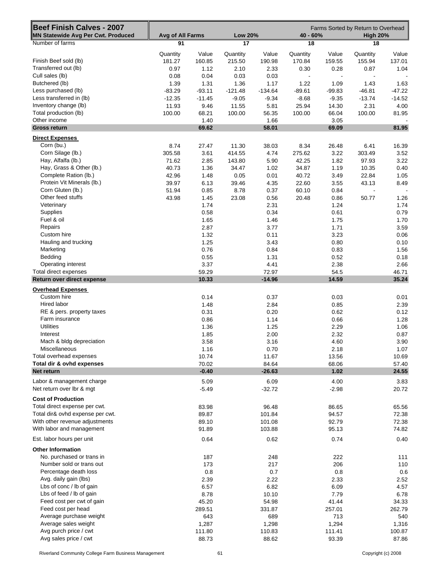| <b>Beef Finish Calves - 2007</b><br><b>MN Statewide Avg Per Cwt. Produced</b> | Avg of All Farms |              | <b>Low 20%</b>   |              | 40 - 60% |          | Farms Sorted by Return to Overhead<br><b>High 20%</b> |          |  |
|-------------------------------------------------------------------------------|------------------|--------------|------------------|--------------|----------|----------|-------------------------------------------------------|----------|--|
| Number of farms                                                               | 91               |              | 17               |              | 18       |          | 18                                                    |          |  |
|                                                                               |                  |              |                  |              |          |          |                                                       |          |  |
|                                                                               | Quantity         | Value        | Quantity         | Value        | Quantity | Value    | Quantity                                              | Value    |  |
| Finish Beef sold (lb)                                                         | 181.27           | 160.85       | 215.50           | 190.98       | 170.84   | 159.55   | 155.94                                                | 137.01   |  |
| Transferred out (lb)                                                          | 0.97             | 1.12         | 2.10             | 2.33         | 0.30     | 0.28     | 0.87                                                  | 1.04     |  |
| Cull sales (lb)<br>Butchered (lb)                                             | 0.08<br>1.39     | 0.04<br>1.31 | 0.03<br>1.36     | 0.03<br>1.17 | 1.22     | 1.09     | 1.43                                                  | 1.63     |  |
| Less purchased (lb)                                                           | $-83.29$         | $-93.11$     | $-121.48$        | $-134.64$    | $-89.61$ | $-99.83$ | $-46.81$                                              | $-47.22$ |  |
| Less transferred in (lb)                                                      | $-12.35$         | $-11.45$     | $-9.05$          | $-9.34$      | $-8.68$  | $-9.35$  | $-13.74$                                              | $-14.52$ |  |
| Inventory change (lb)                                                         | 11.93            | 9.46         | 11.55            | 5.81         | 25.94    | 14.30    | 2.31                                                  | 4.00     |  |
| Total production (lb)                                                         | 100.00           | 68.21        | 100.00           | 56.35        | 100.00   | 66.04    | 100.00                                                | 81.95    |  |
| Other income                                                                  |                  | 1.40         |                  | 1.66         |          | 3.05     |                                                       |          |  |
| <b>Gross return</b>                                                           |                  | 69.62        |                  | 58.01        |          | 69.09    |                                                       | 81.95    |  |
|                                                                               |                  |              |                  |              |          |          |                                                       |          |  |
| <b>Direct Expenses</b><br>Corn (bu.)                                          | 8.74             | 27.47        | 11.30            | 38.03        | 8.34     | 26.48    | 6.41                                                  | 16.39    |  |
| Corn Silage (lb.)                                                             | 305.58           |              |                  | 4.74         | 275.62   | 3.22     | 303.49                                                | 3.52     |  |
| Hay, Alfalfa (lb.)                                                            | 71.62            | 3.61<br>2.85 | 414.55<br>143.80 | 5.90         | 42.25    | 1.82     | 97.93                                                 | 3.22     |  |
| Hay, Grass & Other (lb.)                                                      |                  |              |                  |              |          |          |                                                       |          |  |
|                                                                               | 40.73            | 1.36         | 34.47            | 1.02         | 34.87    | 1.19     | 10.35                                                 | 0.40     |  |
| Complete Ration (lb.)                                                         | 42.96            | 1.48         | 0.05             | 0.01         | 40.72    | 3.49     | 22.84                                                 | 1.05     |  |
| Protein Vit Minerals (lb.)                                                    | 39.97            | 6.13         | 39.46            | 4.35         | 22.60    | 3.55     | 43.13                                                 | 8.49     |  |
| Corn Gluten (lb.)                                                             | 51.94            | 0.85         | 8.78             | 0.37         | 60.10    | 0.84     |                                                       |          |  |
| Other feed stuffs                                                             | 43.98            | 1.45         | 23.08            | 0.56         | 20.48    | 0.86     | 50.77                                                 | 1.26     |  |
| Veterinary                                                                    |                  | 1.74         |                  | 2.31         |          | 1.24     |                                                       | 1.74     |  |
| <b>Supplies</b>                                                               |                  | 0.58         |                  | 0.34         |          | 0.61     |                                                       | 0.79     |  |
| Fuel & oil                                                                    |                  | 1.65         |                  | 1.46         |          | 1.75     |                                                       | 1.70     |  |
| Repairs                                                                       |                  | 2.87         |                  | 3.77         |          | 1.71     |                                                       | 3.59     |  |
| Custom hire                                                                   |                  | 1.32         |                  | 0.11         |          | 3.23     |                                                       | 0.06     |  |
| Hauling and trucking                                                          |                  | 1.25         |                  | 3.43         |          | 0.80     |                                                       | 0.10     |  |
| Marketing                                                                     |                  | 0.76         |                  | 0.84         |          | 0.83     |                                                       | 1.56     |  |
| Bedding                                                                       |                  | 0.55         |                  | 1.31         |          | 0.52     |                                                       | 0.18     |  |
| Operating interest                                                            |                  | 3.37         |                  | 4.41         |          | 2.38     |                                                       | 2.66     |  |
| Total direct expenses                                                         |                  | 59.29        |                  | 72.97        |          | 54.5     |                                                       | 46.71    |  |
| Return over direct expense                                                    |                  | 10.33        |                  | $-14.96$     |          | 14.59    |                                                       | 35.24    |  |
| <b>Overhead Expenses</b>                                                      |                  |              |                  |              |          |          |                                                       |          |  |
| Custom hire                                                                   |                  | 0.14         |                  | 0.37         |          | 0.03     |                                                       | 0.01     |  |
| Hired labor                                                                   |                  | 1.48         |                  | 2.84         |          | 0.85     |                                                       | 2.39     |  |
| RE & pers. property taxes                                                     |                  | 0.31         |                  | 0.20         |          | 0.62     |                                                       | 0.12     |  |
| Farm insurance                                                                |                  | 0.86         |                  | 1.14         |          | 0.66     |                                                       | 1.28     |  |
| <b>Utilities</b>                                                              |                  | 1.36         |                  | 1.25         |          | 2.29     |                                                       | 1.06     |  |
| Interest                                                                      |                  | 1.85         |                  | 2.00         |          | 2.32     |                                                       | 0.87     |  |
| Mach & bldg depreciation                                                      |                  | 3.58         |                  | 3.16         |          | 4.60     |                                                       | 3.90     |  |
| Miscellaneous                                                                 |                  | 1.16         |                  | 0.70         |          | 2.18     |                                                       | 1.07     |  |
| Total overhead expenses                                                       |                  | 10.74        |                  | 11.67        |          | 13.56    |                                                       | 10.69    |  |
| Total dir & ovhd expenses                                                     |                  | 70.02        |                  | 84.64        |          | 68.06    |                                                       | 57.40    |  |
| Net return                                                                    |                  | $-0.40$      |                  | $-26.63$     |          | 1.02     |                                                       | 24.55    |  |
|                                                                               |                  |              |                  |              |          |          |                                                       |          |  |
| Labor & management charge                                                     |                  | 5.09         |                  | 6.09         |          | 4.00     |                                                       | 3.83     |  |
| Net return over lbr & mgt                                                     |                  | $-5.49$      |                  | $-32.72$     |          | $-2.98$  |                                                       | 20.72    |  |
| <b>Cost of Production</b>                                                     |                  |              |                  |              |          |          |                                                       |          |  |
| Total direct expense per cwt.                                                 |                  | 83.98        |                  | 96.48        |          | 86.65    |                                                       | 65.56    |  |
| Total dir& ovhd expense per cwt.                                              |                  | 89.87        |                  | 101.84       |          | 94.57    |                                                       | 72.38    |  |
| With other revenue adjustments                                                |                  | 89.10        |                  | 101.08       |          | 92.79    |                                                       | 72.38    |  |
| With labor and management                                                     |                  | 91.89        |                  | 103.88       |          | 95.13    |                                                       | 74.82    |  |
| Est. labor hours per unit                                                     |                  | 0.64         |                  | 0.62         |          | 0.74     |                                                       | 0.40     |  |
| <b>Other Information</b>                                                      |                  |              |                  |              |          |          |                                                       |          |  |
| No. purchased or trans in                                                     |                  | 187          |                  | 248          |          | 222      |                                                       | 111      |  |
| Number sold or trans out                                                      |                  | 173          |                  | 217          |          | 206      |                                                       | 110      |  |
| Percentage death loss                                                         |                  | 0.8          |                  | 0.7          |          | 0.8      |                                                       | 0.6      |  |
|                                                                               |                  |              |                  |              |          |          |                                                       |          |  |
| Avg. daily gain (lbs)                                                         |                  | 2.39         |                  | 2.22         |          | 2.33     |                                                       | 2.52     |  |
| Lbs of conc / lb of gain                                                      |                  | 6.57         |                  | 6.82         |          | 6.09     |                                                       | 4.57     |  |
| Lbs of feed / lb of gain                                                      |                  | 8.78         |                  | 10.10        |          | 7.79     |                                                       | 6.78     |  |
| Feed cost per cwt of gain                                                     |                  | 45.20        |                  | 54.98        |          | 41.44    |                                                       | 34.33    |  |
| Feed cost per head                                                            |                  | 289.51       |                  | 331.87       |          | 257.01   |                                                       | 262.79   |  |
| Average purchase weight                                                       |                  | 643          |                  | 689          |          | 713      |                                                       | 540      |  |
| Average sales weight                                                          |                  | 1,287        |                  | 1,298        |          | 1,294    |                                                       | 1,316    |  |
| Avg purch price / cwt                                                         |                  | 111.80       |                  | 110.83       |          | 111.41   |                                                       | 100.87   |  |
| Avg sales price / cwt                                                         |                  | 88.73        |                  | 88.62        |          | 93.39    |                                                       | 87.86    |  |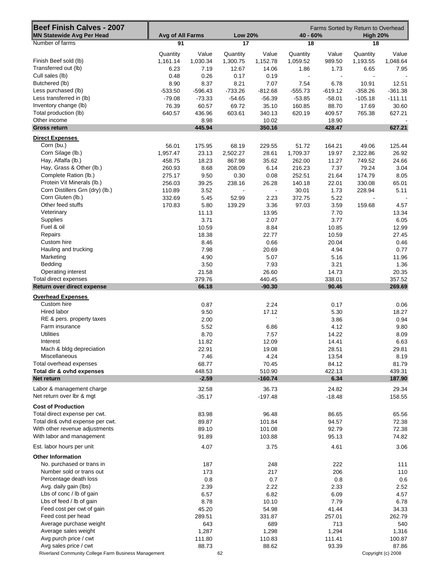| <b>Beef Finish Calves - 2007</b>                     |                  |               |                |              |                                  |               | Farms Sorted by Return to Overhead |                    |
|------------------------------------------------------|------------------|---------------|----------------|--------------|----------------------------------|---------------|------------------------------------|--------------------|
| <b>MN Statewide Avg Per Head</b>                     | Avg of All Farms |               | <b>Low 20%</b> |              | 40 - 60%                         |               | <b>High 20%</b>                    |                    |
| Number of farms                                      | 91               |               | 17             |              | 18                               |               | 18                                 |                    |
|                                                      | Quantity         | Value         | Quantity       | Value        | Quantity                         | Value         | Quantity                           | Value              |
| Finish Beef sold (lb)                                | 1,161.14         | 1,030.34      | 1,300.75       | 1,152.78     | 1,059.52                         | 989.50        | 1,193.55                           | 1,048.64           |
| Transferred out (lb)<br>Cull sales (lb)              | 6.23<br>0.48     | 7.19<br>0.26  | 12.67<br>0.17  | 14.06        | 1.86<br>$\overline{\phantom{a}}$ | 1.73          | 6.65                               | 7.95               |
| Butchered (lb)                                       | 8.90             | 8.37          | 8.21           | 0.19<br>7.07 | 7.54                             | 6.78          | 10.91                              | 12.51              |
| Less purchased (lb)                                  | $-533.50$        | $-596.43$     | $-733.26$      | $-812.68$    | $-555.73$                        | $-619.12$     | $-358.26$                          | $-361.38$          |
| Less transferred in (lb)                             | $-79.08$         | $-73.33$      | $-54.65$       | $-56.39$     | $-53.85$                         | $-58.01$      | $-105.18$                          | $-111.11$          |
| Inventory change (lb)                                | 76.39            | 60.57         | 69.72          | 35.10        | 160.85                           | 88.70         | 17.69                              | 30.60              |
| Total production (lb)                                | 640.57           | 436.96        | 603.61         | 340.13       | 620.19                           | 409.57        | 765.38                             | 627.21             |
| Other income                                         |                  | 8.98          |                | 10.02        |                                  | 18.90         |                                    |                    |
| <b>Gross return</b>                                  |                  | 445.94        |                | 350.16       |                                  | 428.47        |                                    | 627.21             |
| <b>Direct Expenses</b>                               |                  |               |                |              |                                  |               |                                    |                    |
| Corn (bu.)                                           | 56.01            | 175.95        | 68.19          | 229.55       | 51.72                            | 164.21        | 49.06                              | 125.44             |
| Corn Silage (lb.)                                    | 1,957.47         | 23.13         | 2,502.27       | 28.61        | 1,709.37                         | 19.97         | 2,322.86                           | 26.92              |
| Hay, Alfalfa (lb.)                                   | 458.75           | 18.23         | 867.98         | 35.62        | 262.00                           | 11.27         | 749.52                             | 24.66              |
| Hay, Grass & Other (lb.)                             | 260.93           | 8.68          | 208.09         | 6.14         | 216.23                           | 7.37          | 79.24                              | 3.04               |
| Complete Ration (lb.)<br>Protein Vit Minerals (lb.)  | 275.17           | 9.50          | 0.30           | 0.08         | 252.51                           | 21.64         | 174.79                             | 8.05               |
| Corn Distillers Grn (dry) (lb.)                      | 256.03<br>110.89 | 39.25<br>3.52 | 238.16         | 26.28        | 140.18<br>30.01                  | 22.01<br>1.73 | 330.08<br>228.94                   | 65.01<br>5.11      |
| Corn Gluten (lb.)                                    | 332.69           | 5.45          | 52.99          | 2.23         | 372.75                           | 5.22          |                                    |                    |
| Other feed stuffs                                    | 170.83           | 5.80          | 139.29         | 3.36         | 97.03                            | 3.59          | 159.68                             | 4.57               |
| Veterinary                                           |                  | 11.13         |                | 13.95        |                                  | 7.70          |                                    | 13.34              |
| Supplies                                             |                  | 3.71          |                | 2.07         |                                  | 3.77          |                                    | 6.05               |
| Fuel & oil                                           |                  | 10.59         |                | 8.84         |                                  | 10.85         |                                    | 12.99              |
| Repairs                                              |                  | 18.38         |                | 22.77        |                                  | 10.59         |                                    | 27.45              |
| Custom hire                                          |                  | 8.46          |                | 0.66         |                                  | 20.04         |                                    | 0.46               |
| Hauling and trucking                                 |                  | 7.98          |                | 20.69        |                                  | 4.94          |                                    | 0.77               |
| Marketing                                            |                  | 4.90          |                | 5.07         |                                  | 5.16          |                                    | 11.96              |
| Bedding                                              |                  | 3.50          |                | 7.93         |                                  | 3.21          |                                    | 1.36               |
| Operating interest                                   |                  | 21.58         |                | 26.60        |                                  | 14.73         |                                    | 20.35              |
| Total direct expenses                                |                  | 379.76        |                | 440.45       |                                  | 338.01        |                                    | 357.52             |
| Return over direct expense                           |                  | 66.18         |                | $-90.30$     |                                  | 90.46         |                                    | 269.69             |
| <b>Overhead Expenses</b>                             |                  |               |                |              |                                  |               |                                    |                    |
| Custom hire                                          |                  | 0.87          |                | 2.24         |                                  | 0.17          |                                    | 0.06               |
| Hired labor                                          |                  | 9.50          |                | 17.12        |                                  | 5.30          |                                    | 18.27              |
| RE & pers. property taxes<br>Farm insurance          |                  | 2.00          |                |              |                                  | 3.86          |                                    | 0.94               |
| <b>Utilities</b>                                     |                  | 5.52<br>8.70  |                | 6.86<br>7.57 |                                  | 4.12<br>14.22 |                                    | 9.80<br>8.09       |
| Interest                                             |                  | 11.82         |                | 12.09        |                                  | 14.41         |                                    | 6.63               |
| Mach & bldg depreciation                             |                  | 22.91         |                | 19.08        |                                  | 28.51         |                                    | 29.81              |
| Miscellaneous                                        |                  | 7.46          |                | 4.24         |                                  | 13.54         |                                    | 8.19               |
| Total overhead expenses                              |                  | 68.77         |                | 70.45        |                                  | 84.12         |                                    | 81.79              |
| Total dir & ovhd expenses                            |                  | 448.53        |                | 510.90       |                                  | 422.13        |                                    | 439.31             |
| Net return                                           |                  | $-2.59$       |                | $-160.74$    |                                  | 6.34          |                                    | 187.90             |
| Labor & management charge                            |                  | 32.58         |                | 36.73        |                                  | 24.82         |                                    | 29.34              |
| Net return over lbr & mgt                            |                  | $-35.17$      |                | $-197.48$    |                                  | $-18.48$      |                                    | 158.55             |
| <b>Cost of Production</b>                            |                  |               |                |              |                                  |               |                                    |                    |
| Total direct expense per cwt.                        |                  | 83.98         |                | 96.48        |                                  | 86.65         |                                    | 65.56              |
| Total dir& ovhd expense per cwt.                     |                  | 89.87         |                | 101.84       |                                  | 94.57         |                                    | 72.38              |
| With other revenue adjustments                       |                  | 89.10         |                | 101.08       |                                  | 92.79         |                                    | 72.38              |
| With labor and management                            |                  | 91.89         |                | 103.88       |                                  | 95.13         |                                    | 74.82              |
| Est. labor hours per unit                            |                  | 4.07          |                | 3.75         |                                  | 4.61          |                                    | 3.06               |
| <b>Other Information</b>                             |                  |               |                |              |                                  |               |                                    |                    |
| No. purchased or trans in                            |                  | 187           |                | 248          |                                  | 222           |                                    | 111                |
| Number sold or trans out                             |                  | 173           |                | 217          |                                  | 206           |                                    | 110                |
| Percentage death loss                                |                  | 0.8           |                | 0.7          |                                  | 0.8           |                                    | 0.6                |
| Avg. daily gain (lbs)                                |                  | 2.39          |                | 2.22         |                                  | 2.33          |                                    | 2.52               |
| Lbs of conc / lb of gain                             |                  | 6.57          |                | 6.82         |                                  | 6.09          |                                    | 4.57               |
| Lbs of feed / lb of gain                             |                  | 8.78          |                | 10.10        |                                  | 7.79          |                                    | 6.78               |
| Feed cost per cwt of gain                            |                  | 45.20         |                | 54.98        |                                  | 41.44         |                                    | 34.33              |
| Feed cost per head                                   |                  | 289.51        |                | 331.87       |                                  | 257.01        |                                    | 262.79             |
| Average purchase weight                              |                  | 643           |                | 689          |                                  | 713           |                                    | 540                |
| Average sales weight                                 |                  | 1,287         |                | 1,298        |                                  | 1,294         |                                    | 1,316              |
| Avg purch price / cwt                                |                  | 111.80        |                | 110.83       |                                  | 111.41        |                                    | 100.87             |
| Avg sales price / cwt                                |                  | 88.73         |                | 88.62        |                                  | 93.39         |                                    | 87.86              |
| Riverland Community College Farm Business Management |                  |               | 62             |              |                                  |               |                                    | Copyright (c) 2008 |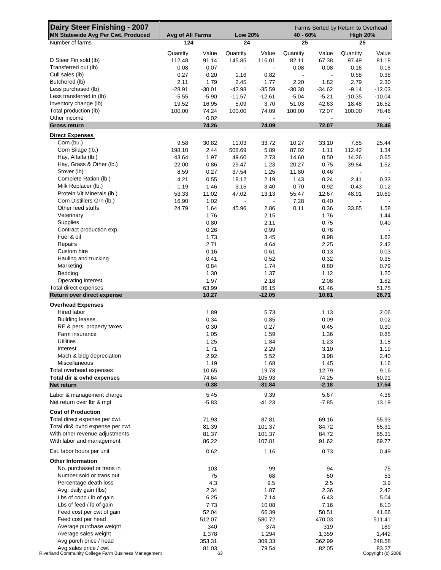| Dairy Steer Finishing - 2007<br><b>MN Statewide Avg Per Cwt. Produced</b> | Avg of All Farms<br><b>Low 20%</b> |          |                          |                | 40 - 60%                 |                | Farms Sorted by Return to Overhead<br><b>High 20%</b> |                    |  |
|---------------------------------------------------------------------------|------------------------------------|----------|--------------------------|----------------|--------------------------|----------------|-------------------------------------------------------|--------------------|--|
| Number of farms                                                           | 124                                |          | 24                       |                | 25                       |                | 25                                                    |                    |  |
|                                                                           | Quantity                           | Value    | Quantity                 | Value          | Quantity                 | Value          | Quantity                                              | Value              |  |
| D Steer Fin sold (lb)                                                     | 112.48                             | 91.14    | 145.85                   | 116.01         | 82.11                    | 67.38          | 97.49                                                 | 81.18              |  |
| Transferred out (lb)                                                      | 0.08                               | 0.07     |                          |                | 0.08                     | 0.08           | 0.16                                                  | 0.15               |  |
|                                                                           |                                    |          |                          |                |                          |                |                                                       |                    |  |
| Cull sales (lb)                                                           | 0.27                               | 0.20     | 1.16                     | 0.82           | $\overline{\phantom{a}}$ | $\blacksquare$ | 0.58                                                  | 0.38               |  |
| Butchered (lb)                                                            | 2.11                               | 1.79     | 2.45                     | 1.77           | 2.20                     | 1.82           | 2.79                                                  | 2.30               |  |
| Less purchased (lb)                                                       | $-28.91$                           | $-30.01$ | $-42.98$                 | $-35.59$       | $-30.38$                 | $-34.62$       | $-9.14$                                               | $-12.03$           |  |
| Less transferred in (lb)                                                  | $-5.55$                            | $-5.90$  | $-11.57$                 | $-12.61$       | $-5.04$                  | $-5.21$        | $-10.35$                                              | $-10.04$           |  |
| Inventory change (lb)                                                     | 19.52                              | 16.95    | 5.09                     | 3.70           | 51.03                    | 42.63          | 18.48                                                 | 16.52              |  |
| Total production (lb)                                                     | 100.00                             | 74.24    | 100.00                   | 74.09          | 100.00                   | 72.07          | 100.00                                                | 78.46              |  |
| Other income                                                              |                                    | 0.02     |                          |                |                          | $\blacksquare$ |                                                       |                    |  |
| <b>Gross return</b>                                                       |                                    | 74.26    |                          | 74.09          |                          | 72.07          |                                                       | 78.46              |  |
| <b>Direct Expenses</b>                                                    |                                    |          |                          |                |                          |                |                                                       |                    |  |
| Corn (bu.)                                                                | 9.58                               | 30.82    | 11.03                    | 33.72          | 10.27                    | 33.10          | 7.85                                                  | 25.44              |  |
| Corn Silage (lb.)                                                         | 198.10                             | 2.44     | 508.69                   | 5.89           | 87.02                    | 1.11           | 112.42                                                | 1.34               |  |
| Hay, Alfalfa (lb.)                                                        |                                    |          |                          |                |                          |                |                                                       |                    |  |
|                                                                           | 43.64                              | 1.97     | 49.60                    | 2.73           | 14.60                    | 0.50           | 14.26                                                 | 0.65               |  |
| Hay, Grass & Other (lb.)                                                  | 22.00                              | 0.86     | 29.47                    | 1.23           | 20.27                    | 0.75           | 39.84                                                 | 1.52               |  |
| Stover (lb)                                                               | 8.59                               | 0.27     | 37.54                    | 1.25           | 11.80                    | 0.46           | $\overline{\phantom{a}}$                              |                    |  |
| Complete Ration (lb.)                                                     | 4.21                               | 0.55     | 18.12                    | 2.19           | 1.43                     | 0.24           | 2.41                                                  | 0.33               |  |
| Milk Replacer (lb.)                                                       | 1.19                               | 1.46     | 3.15                     | 3.40           | 0.70                     | 0.92           | 0.43                                                  | 0.12               |  |
| Protein Vit Minerals (lb.)                                                | 53.33                              | 11.02    | 47.02                    | 13.13          | 55.47                    | 12.67          | 48.91                                                 | 10.69              |  |
| Corn Distillers Grn (lb.)                                                 |                                    |          |                          |                |                          |                | ÷,                                                    |                    |  |
|                                                                           | 16.90                              | 1.02     | $\overline{\phantom{a}}$ | $\blacksquare$ | 7.28                     | 0.40           |                                                       |                    |  |
| Other feed stuffs                                                         | 24.79                              | 1.64     | 45.96                    | 2.86           | 0.11                     | 0.36           | 33.85                                                 | 1.58               |  |
| Veterinary                                                                |                                    | 1.76     |                          | 2.15           |                          | 1.76           |                                                       | 1.44               |  |
| Supplies                                                                  |                                    | 0.80     |                          | 2.11           |                          | 0.75           |                                                       | 0.40               |  |
| Contract production exp.                                                  |                                    | 0.26     |                          | 0.99           |                          | 0.76           |                                                       |                    |  |
| Fuel & oil                                                                |                                    | 1.73     |                          | 3.45           |                          | 0.98           |                                                       | 1.62               |  |
| Repairs                                                                   |                                    | 2.71     |                          | 4.64           |                          | 2.25           |                                                       | 2.42               |  |
|                                                                           |                                    |          |                          |                |                          |                |                                                       |                    |  |
| Custom hire                                                               |                                    | 0.16     |                          | 0.61           |                          | 0.13           |                                                       | 0.03               |  |
| Hauling and trucking                                                      |                                    | 0.41     |                          | 0.52           |                          | 0.32           |                                                       | 0.35               |  |
| Marketing                                                                 |                                    | 0.84     |                          | 1.74           |                          | 0.80           |                                                       | 0.79               |  |
| Bedding                                                                   |                                    | 1.30     |                          | 1.37           |                          | 1.12           |                                                       | 1.20               |  |
| Operating interest                                                        |                                    | 1.97     |                          | 2.18           |                          | 2.08           |                                                       | 1.82               |  |
| Total direct expenses                                                     |                                    | 63.99    |                          | 86.15          |                          | 61.46          |                                                       | 51.75              |  |
| Return over direct expense                                                |                                    | 10.27    |                          | $-12.05$       |                          | 10.61          |                                                       | 26.71              |  |
| <b>Overhead Expenses</b>                                                  |                                    |          |                          |                |                          |                |                                                       |                    |  |
| Hired labor                                                               |                                    | 1.89     |                          | 5.73           |                          | 1.13           |                                                       | 2.06               |  |
|                                                                           |                                    |          |                          |                |                          |                |                                                       |                    |  |
| <b>Building leases</b>                                                    |                                    | 0.34     |                          | 0.85           |                          | 0.09           |                                                       | 0.02               |  |
| RE & pers. property taxes                                                 |                                    | 0.30     |                          | 0.27           |                          | 0.45           |                                                       | 0.30               |  |
| Farm insurance                                                            |                                    | 1.05     |                          | 1.59           |                          | 1.36           |                                                       | 0.85               |  |
| <b>Utilities</b>                                                          |                                    | 1.25     |                          | 1.84           |                          | 1.23           |                                                       | 1.18               |  |
| Interest                                                                  |                                    | 1.71     |                          | 2.29           |                          | 3.10           |                                                       | 1.19               |  |
| Mach & bldg depreciation                                                  |                                    | 2.92     |                          | 5.52           |                          | 3.98           |                                                       | 2.40               |  |
| <b>Miscellaneous</b>                                                      |                                    |          |                          |                |                          |                |                                                       |                    |  |
|                                                                           |                                    | 1.19     |                          | 1.68           |                          | 1.45           |                                                       | 1.16               |  |
| Total overhead expenses                                                   |                                    | 10.65    |                          | 19.78          |                          | 12.79          |                                                       | 9.16               |  |
| Total dir & ovhd expenses                                                 |                                    | 74.64    |                          | 105.93         |                          | 74.25          |                                                       | 60.91              |  |
| Net return                                                                |                                    | $-0.38$  |                          | $-31.84$       |                          | $-2.18$        |                                                       | 17.54              |  |
| Labor & management charge                                                 |                                    | 5.45     |                          | 9.39           |                          | 5.67           |                                                       | 4.36               |  |
| Net return over Ibr & mgt                                                 |                                    | $-5.83$  |                          | $-41.23$       |                          | $-7.85$        |                                                       | 13.19              |  |
| <b>Cost of Production</b>                                                 |                                    |          |                          |                |                          |                |                                                       |                    |  |
| Total direct expense per cwt.                                             |                                    | 71.93    |                          | 87.81          |                          | 69.16          |                                                       | 55.93              |  |
| Total dir& ovhd expense per cwt.                                          |                                    | 81.39    |                          | 101.37         |                          | 84.72          |                                                       | 65.31              |  |
| With other revenue adjustments                                            |                                    | 81.37    |                          | 101.37         |                          | 84.72          |                                                       | 65.31              |  |
| With labor and management                                                 |                                    | 86.22    |                          | 107.81         |                          | 91.62          |                                                       | 69.77              |  |
| Est. labor hours per unit                                                 |                                    | 0.62     |                          | 1.16           |                          | 0.73           |                                                       | 0.49               |  |
| <b>Other Information</b>                                                  |                                    |          |                          |                |                          |                |                                                       |                    |  |
| No. purchased or trans in                                                 |                                    | 103      |                          | 99             |                          | 94             |                                                       | 75                 |  |
| Number sold or trans out                                                  |                                    | 75       |                          | 68             |                          | 50             |                                                       | 53                 |  |
| Percentage death loss                                                     |                                    | 4.3      |                          | 9.5            |                          | 2.5            |                                                       | 3.9                |  |
|                                                                           |                                    |          |                          |                |                          |                |                                                       |                    |  |
| Avg. daily gain (lbs)                                                     |                                    | 2.34     |                          | 1.87           |                          | 2.36           |                                                       | 2.42               |  |
| Lbs of conc / lb of gain                                                  |                                    | 6.25     |                          | 7.14           |                          | 6.43           |                                                       | 5.04               |  |
| Lbs of feed / lb of gain                                                  |                                    | 7.73     |                          | 10.08          |                          | 7.16           |                                                       | 6.10               |  |
| Feed cost per cwt of gain                                                 |                                    | 52.04    |                          | 66.39          |                          | 50.51          |                                                       | 41.66              |  |
| Feed cost per head                                                        |                                    | 512.07   |                          | 580.72         |                          | 470.03         |                                                       | 511.41             |  |
|                                                                           |                                    |          |                          |                |                          |                |                                                       |                    |  |
| Average purchase weight                                                   |                                    | 340      |                          | 374            |                          | 319            |                                                       | 189                |  |
| Average sales weight                                                      |                                    | 1,378    |                          | 1,294          |                          | 1,359          |                                                       | 1,442              |  |
| Avg purch price / head                                                    |                                    | 353.31   |                          | 309.33         |                          | 362.99         |                                                       | 248.58             |  |
| Avg sales price / cwt                                                     |                                    | 81.03    |                          | 79.54          |                          | 82.05          |                                                       | 83.27              |  |
| Riverland Community College Farm Business Management                      |                                    | 63       |                          |                |                          |                |                                                       | Copyright (c) 2008 |  |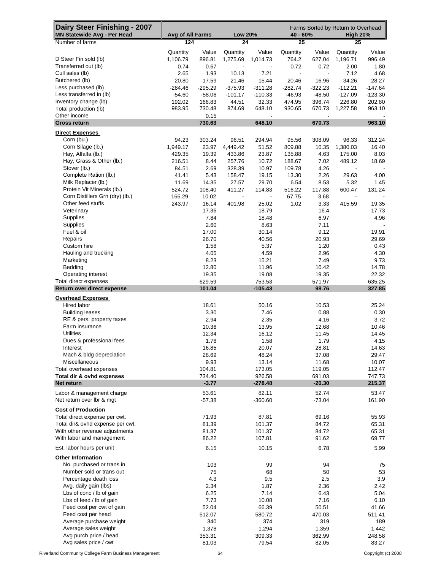| Dairy Steer Finishing - 2007<br>MN Statewide Avg - Per Head | Avg of All Farms |                 | <b>Low 20%</b>           |                          | Farms Sorted by Return to Overhead<br>40 - 60%<br><b>High 20%</b> |                          |                |                 |  |
|-------------------------------------------------------------|------------------|-----------------|--------------------------|--------------------------|-------------------------------------------------------------------|--------------------------|----------------|-----------------|--|
| Number of farms                                             | 124              |                 | 24                       |                          | 25                                                                |                          | 25             |                 |  |
|                                                             |                  |                 |                          |                          |                                                                   |                          |                |                 |  |
|                                                             | Quantity         | Value           | Quantity                 | Value                    | Quantity                                                          | Value                    | Quantity       | Value           |  |
| D Steer Fin sold (lb)                                       | 1,106.79         | 896.81          | 1,275.69                 | 1,014.73                 | 764.2                                                             | 627.04                   | 1,196.71       | 996.49          |  |
| Transferred out (lb)                                        | 0.74             | 0.67            | $\overline{\phantom{a}}$ | $\overline{\phantom{a}}$ | 0.72                                                              | 0.72                     | 2.00           | 1.80            |  |
| Cull sales (lb)                                             | 2.65             | 1.93            | 10.13                    | 7.21                     | $\blacksquare$                                                    | $\overline{\phantom{a}}$ | 7.12           | 4.68            |  |
| Butchered (lb)                                              | 20.80            | 17.59           | 21.46                    | 15.44                    | 20.46                                                             | 16.96                    | 34.26          | 28.27           |  |
| Less purchased (lb)                                         | $-284.46$        | $-295.29$       | $-375.93$                | $-311.28$                | $-282.74$                                                         | $-322.23$                | $-112.21$      | $-147.64$       |  |
| Less transferred in (lb)                                    | $-54.60$         | $-58.06$        | $-101.17$                | $-110.33$                | $-46.93$                                                          | $-48.50$                 | $-127.09$      | $-123.30$       |  |
| Inventory change (lb)                                       | 192.02           | 166.83          | 44.51                    | 32.33                    | 474.95                                                            | 396.74                   | 226.80         | 202.80          |  |
| Total production (lb)                                       | 983.95           | 730.48          | 874.69                   | 648.10                   | 930.65                                                            | 670.73                   | 1,227.58       | 963.10          |  |
| Other income                                                |                  | 0.15            |                          |                          |                                                                   |                          |                |                 |  |
| <b>Gross return</b>                                         |                  | 730.63          |                          | 648.10                   |                                                                   | 670.73                   |                | 963.10          |  |
| <b>Direct Expenses</b>                                      |                  |                 |                          |                          |                                                                   |                          |                |                 |  |
| Corn (bu.)                                                  | 94.23            | 303.24          | 96.51                    | 294.94                   | 95.56                                                             | 308.09                   | 96.33          | 312.24          |  |
| Corn Silage (lb.)                                           | 1,949.17         | 23.97           | 4,449.42                 | 51.52                    | 809.88                                                            | 10.35                    | 1,380.03       | 16.40           |  |
| Hay, Alfalfa (lb.)                                          |                  |                 |                          |                          |                                                                   |                          |                |                 |  |
|                                                             | 429.35           | 19.39           | 433.86                   | 23.87                    | 135.88                                                            | 4.63                     | 175.00         | 8.03            |  |
| Hay, Grass & Other (lb.)                                    | 216.51           | 8.44            | 257.76                   | 10.72                    | 188.67                                                            | 7.02                     | 489.12         | 18.69           |  |
| Stover (lb.)                                                | 84.51            | 2.69            | 328.39                   | 10.97                    | 109.78                                                            | 4.26                     | $\blacksquare$ |                 |  |
| Complete Ration (lb.)                                       | 41.41            | 5.43            | 158.47                   | 19.15                    | 13.30                                                             | 2.26                     | 29.63          | 4.00            |  |
| Milk Replacer (lb.)                                         | 11.69            | 14.35           | 27.57                    | 29.70                    | 6.54                                                              | 8.53                     | 5.32           | 1.45            |  |
| Protein Vit Minerals (lb.)                                  | 524.72           | 108.40          | 411.27                   | 114.83                   | 516.22                                                            | 117.88                   | 600.47         | 131.24          |  |
| Corn Distillers Grn (dry) (lb.)                             | 166.29           | 10.02           | $\blacksquare$           | $\blacksquare$           | 67.75                                                             | 3.68                     | $\blacksquare$ |                 |  |
| Other feed stuffs                                           | 243.97           | 16.14           | 401.98                   | 25.02                    | 1.02                                                              | 3.33                     | 415.59         | 19.35           |  |
| Veterinary                                                  |                  | 17.36           |                          | 18.79                    |                                                                   | 16.4                     |                | 17.73           |  |
| Supplies                                                    |                  | 7.84            |                          | 18.48                    |                                                                   | 6.97                     |                | 4.96            |  |
| <b>Supplies</b>                                             |                  | 2.60            |                          | 8.63                     |                                                                   | 7.11                     |                |                 |  |
| Fuel & oil                                                  |                  | 17.00           |                          | 30.14                    |                                                                   | 9.12                     |                | 19.91           |  |
| Repairs                                                     |                  | 26.70           |                          | 40.56                    |                                                                   | 20.93                    |                | 29.69           |  |
| Custom hire                                                 |                  | 1.58            |                          | 5.37                     |                                                                   | 1.20                     |                | 0.43            |  |
| Hauling and trucking                                        |                  | 4.05            |                          | 4.59                     |                                                                   | 2.96                     |                | 4.30            |  |
| Marketing                                                   |                  | 8.23            |                          | 15.21                    |                                                                   | 7.49                     |                | 9.73            |  |
| Bedding                                                     |                  | 12.80           |                          | 11.96                    |                                                                   | 10.42                    |                | 14.78           |  |
| Operating interest                                          |                  | 19.35           |                          | 19.08                    |                                                                   | 19.35                    |                | 22.32           |  |
| Total direct expenses                                       |                  | 629.59          |                          | 753.53                   |                                                                   | 571.97                   |                | 635.25          |  |
| Return over direct expense                                  |                  | 101.04          |                          | $-105.43$                |                                                                   | 98.76                    |                | 327.85          |  |
|                                                             |                  |                 |                          |                          |                                                                   |                          |                |                 |  |
| <b>Overhead Expenses</b>                                    |                  |                 |                          |                          |                                                                   |                          |                |                 |  |
| Hired labor                                                 |                  | 18.61           |                          | 50.16                    |                                                                   | 10.53                    |                | 25.24           |  |
| <b>Building leases</b>                                      |                  | 3.30            |                          | 7.46                     |                                                                   | 0.88                     |                | 0.30            |  |
| RE & pers. property taxes                                   |                  | 2.94            |                          | 2.35                     |                                                                   | 4.16                     |                | 3.72            |  |
| Farm insurance                                              |                  | 10.36           |                          | 13.95                    |                                                                   | 12.68                    |                | 10.46           |  |
| <b>Utilities</b>                                            |                  | 12.34           |                          | 16.12                    |                                                                   | 11.45                    |                | 14.45           |  |
| Dues & professional fees                                    |                  | 1.78            |                          | 1.58                     |                                                                   | 1.79                     |                | 4.15            |  |
| Interest                                                    |                  | 16.85           |                          | 20.07                    |                                                                   | 28.81                    |                | 14.63           |  |
| Mach & bldg depreciation                                    |                  | 28.69           |                          | 48.24                    |                                                                   | 37.08                    |                | 29.47           |  |
| Miscellaneous                                               |                  | 9.93            |                          | 13.14                    |                                                                   | 11.68                    |                | 10.07           |  |
| Total overhead expenses                                     |                  | 104.81          |                          | 173.05                   |                                                                   | 119.05                   |                | 112.47          |  |
| Total dir & ovhd expenses                                   |                  | 734.40          |                          | 926.58                   |                                                                   | 691.03                   |                | 747.73          |  |
| Net return                                                  |                  | $-3.77$         |                          | $-278.48$                |                                                                   | $-20.30$                 |                | 215.37          |  |
| Labor & management charge                                   |                  | 53.61           |                          | 82.11                    |                                                                   | 52.74                    |                | 53.47           |  |
| Net return over lbr & mgt                                   |                  |                 |                          |                          |                                                                   |                          |                | 161.90          |  |
|                                                             |                  | -57.38          |                          | $-360.60$                |                                                                   | -73.04                   |                |                 |  |
| <b>Cost of Production</b>                                   |                  |                 |                          |                          |                                                                   |                          |                |                 |  |
| Total direct expense per cwt.                               |                  | 71.93           |                          | 87.81                    |                                                                   | 69.16                    |                | 55.93           |  |
| Total dir& ovhd expense per cwt.                            |                  | 81.39           |                          | 101.37                   |                                                                   | 84.72                    |                | 65.31           |  |
| With other revenue adjustments                              |                  | 81.37           |                          | 101.37                   |                                                                   | 84.72                    |                | 65.31           |  |
| With labor and management                                   |                  | 86.22           |                          | 107.81                   |                                                                   | 91.62                    |                | 69.77           |  |
|                                                             |                  |                 |                          |                          |                                                                   |                          |                |                 |  |
| Est. labor hours per unit                                   |                  | 6.15            |                          | 10.15                    |                                                                   | 6.78                     |                | 5.99            |  |
| <b>Other Information</b>                                    |                  |                 |                          |                          |                                                                   |                          |                |                 |  |
| No. purchased or trans in                                   |                  | 103             |                          | 99                       |                                                                   | 94                       |                | 75              |  |
| Number sold or trans out                                    |                  | 75              |                          | 68                       |                                                                   | 50                       |                | 53              |  |
| Percentage death loss                                       |                  | 4.3             |                          | 9.5                      |                                                                   | 2.5                      |                | 3.9             |  |
| Avg. daily gain (lbs)                                       |                  | 2.34            |                          | 1.87                     |                                                                   | 2.36                     |                | 2.42            |  |
| Lbs of conc / lb of gain                                    |                  | 6.25            |                          | 7.14                     |                                                                   | 6.43                     |                | 5.04            |  |
| Lbs of feed / lb of gain                                    |                  | 7.73            |                          | 10.08                    |                                                                   | 7.16                     |                | 6.10            |  |
| Feed cost per cwt of gain                                   |                  | 52.04           |                          | 66.39                    |                                                                   | 50.51                    |                | 41.66           |  |
| Feed cost per head                                          |                  | 512.07          |                          | 580.72                   |                                                                   | 470.03                   |                | 511.41          |  |
| Average purchase weight                                     |                  |                 |                          | 374                      |                                                                   | 319                      |                |                 |  |
|                                                             |                  | 340             |                          |                          |                                                                   |                          |                | 189             |  |
| Average sales weight<br>Avg purch price / head              |                  | 1,378           |                          | 1,294                    |                                                                   | 1,359                    |                | 1,442           |  |
| Avg sales price / cwt                                       |                  | 353.31<br>81.03 |                          | 309.33<br>79.54          |                                                                   | 362.99<br>82.05          |                | 248.58<br>83.27 |  |
|                                                             |                  |                 |                          |                          |                                                                   |                          |                |                 |  |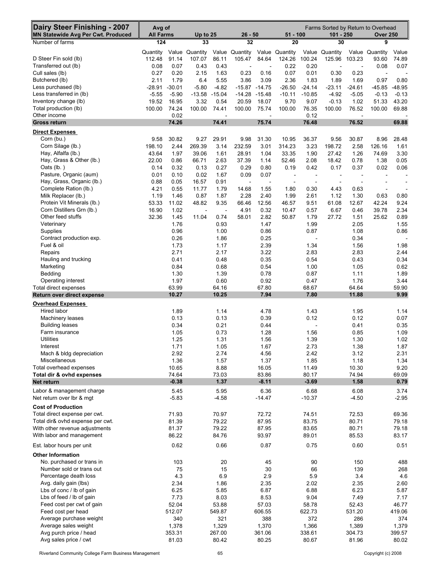| Dairy Steer Finishing - 2007              | Avg of           |          |                |                          |                  |                          | Farms Sorted by Return to Overhead |                |                          |                          |                          |                          |  |
|-------------------------------------------|------------------|----------|----------------|--------------------------|------------------|--------------------------|------------------------------------|----------------|--------------------------|--------------------------|--------------------------|--------------------------|--|
| <b>MN Statewide Avg Per Cwt. Produced</b> | <b>All Farms</b> |          | Up to $25$     |                          | $26 - 50$        |                          | $51 - 100$                         |                | $101 - 250$              |                          | <b>Over 250</b>          |                          |  |
| Number of farms                           | 124              |          | 33             |                          | 32               |                          | 20                                 |                | 30                       |                          | 9                        |                          |  |
|                                           | Quantity         |          | Value Quantity |                          | Value Quantity   |                          | Value Quantity                     |                | Value Quantity           |                          | Value Quantity           | Value                    |  |
| D Steer Fin sold (lb)                     | 112.48           | 91.14    | 107.07         | 86.11                    | 105.47           | 84.64                    | 124.26                             | 100.24         | 125.96                   | 103.23                   | 93.60                    | 74.89                    |  |
| Transferred out (lb)                      | 0.08             | 0.07     | 0.43           | 0.43                     | ÷,               | $\blacksquare$           | 0.22                               | 0.20           | $\overline{\phantom{a}}$ | $\overline{\phantom{a}}$ | 0.08                     | 0.07                     |  |
| Cull sales (lb)                           | 0.27             | 0.20     | 2.15           | 1.63                     | 0.23             | 0.16                     | 0.07                               | 0.01           | 0.30                     | 0.23                     | $\sim$                   |                          |  |
| Butchered (lb)                            | 2.11             | 1.79     | 6.4            | 5.55                     | 3.86             | 3.09                     | 2.36                               | 1.83           | 1.89                     | 1.69                     | 0.97                     | 0.80                     |  |
| Less purchased (lb)                       | -28.91           | $-30.01$ | $-5.80$        | $-4.82$                  | $-15.87 - 14.75$ |                          | $-26.50$                           | $-24.14$       | $-23.11$                 | $-24.61$                 | $-45.85$                 | $-48.95$                 |  |
| Less transferred in (lb)                  | $-5.55$          | $-5.90$  | $-13.58$       | $-15.04$                 | $-14.28$         | $-15.48$                 | $-10.11$                           | $-10.85$       | $-4.92$                  | $-5.05$                  | $-0.13$                  | $-0.13$                  |  |
| Inventory change (lb)                     | 19.52            | 16.95    | 3.32           | 0.54                     | 20.59            | 18.07                    | 9.70                               | 9.07           | $-0.13$                  | 1.02                     | 51.33                    | 43.20                    |  |
| Total production (lb)                     | 100.00           | 74.24    | 100.00         | 74.41                    | 100.00           | 75.74                    | 100.00                             | 76.35          | 100.00                   | 76.52                    | 100.00                   | 69.88                    |  |
| Other income                              |                  | 0.02     |                |                          |                  |                          |                                    | 0.12           |                          |                          |                          |                          |  |
| <b>Gross return</b>                       |                  | 74.26    |                | 74.41                    |                  | 75.74                    |                                    | 76.48          |                          | 76.52                    |                          | 69.88                    |  |
| <b>Direct Expenses</b>                    |                  |          |                |                          |                  |                          |                                    |                |                          |                          |                          |                          |  |
| Corn (bu.)                                | 9.58             | 30.82    | 9.27           | 29.91                    | 9.98             | 31.30                    | 10.95                              | 36.37          | 9.56                     | 30.87                    | 8.96                     | 28.48                    |  |
| Corn Silage (lb.)                         | 198.10           | 2.44     | 269.39         | 3.14                     | 232.59           | 3.01                     | 314.23                             | 3.23           | 198.72                   | 2.58                     | 126.16                   | 1.61                     |  |
| Hay, Alfalfa (lb.)                        | 43.64            | 1.97     | 39.06          | 1.61                     | 28.91            | 1.04                     | 33.35                              | 1.90           | 27.42                    | 1.26                     | 74.69                    | 3.30                     |  |
| Hay, Grass & Other (lb.)                  | 22.00            | 0.86     | 66.71          | 2.63                     | 37.39            | 1.14                     | 52.46                              | 2.08           | 18.42                    | 0.78                     | 1.38                     | 0.05                     |  |
| Oats (lb.)                                | 0.14             | 0.32     | 0.13           | 0.27                     | 0.29             | 0.80                     | 0.19                               | 0.42           | 0.17                     | 0.37                     | 0.02                     | 0.06                     |  |
| Pasture, Organic (aum)                    | 0.01             | 0.10     | 0.02           | 1.67                     | 0.09             | 0.07                     | ÷,                                 | ÷,             | $\overline{\phantom{a}}$ | $\overline{\phantom{a}}$ |                          |                          |  |
| Hay, Grass, Organic (lb.)                 | 0.88             | 0.05     | 16.57          | 0.91                     | $\overline{a}$   | $\overline{\phantom{a}}$ | $\overline{\phantom{a}}$           | ÷,             | $\overline{\phantom{a}}$ | $\overline{\phantom{a}}$ | $\overline{\phantom{a}}$ | $\overline{\phantom{a}}$ |  |
| Complete Ration (lb.)                     | 4.21             | 0.55     | 11.77          | 1.79                     | 14.68            | 1.55                     | 1.80                               | 0.30           | 4.43                     | 0.63                     | $\overline{\phantom{a}}$ |                          |  |
| Milk Replacer (lb.)                       | 1.19             | 1.46     | 0.87           | 1.87                     | 2.28             | 2.40                     | 1.99                               | 2.61           | 1.12                     | 1.30                     | 0.63                     | 0.80                     |  |
| Protein Vit Minerals (lb.)                | 53.33            | 11.02    | 48.82          | 9.35                     | 66.46            | 12.56                    | 46.57                              | 9.51           | 61.08                    | 12.67                    | 42.24                    | 9.24                     |  |
| Corn Distillers Grn (lb.)                 | 16.90            | 1.02     | ÷,             | $\overline{\phantom{a}}$ | 4.91             | 0.32                     | 10.47                              | 0.57           | 6.67                     | 0.46                     | 39.78                    | 2.34                     |  |
| Other feed stuffs                         | 32.36            | 1.45     | 11.04          | 0.74                     | 58.01            | 2.82                     | 50.87                              | 1.79           | 27.72                    | 1.51                     | 25.62                    | 0.89                     |  |
| Veterinary                                |                  | 1.76     |                | 0.93                     |                  | 1.47                     |                                    | 1.99           |                          | 2.05                     |                          | 1.55                     |  |
| Supplies                                  |                  | 0.96     |                | 1.00                     |                  | 0.86                     |                                    | 0.87           |                          | 1.08                     |                          | 0.86                     |  |
| Contract production exp.                  |                  | 0.26     |                | 1.86                     |                  | 0.25                     |                                    |                |                          | 0.34                     |                          |                          |  |
| Fuel & oil                                |                  | 1.73     |                | 1.17                     |                  | 2.39                     |                                    | 1.34           |                          | 1.56                     |                          | 1.98                     |  |
| Repairs                                   |                  | 2.71     |                | 2.17                     |                  | 3.22                     |                                    | 2.83           |                          | 2.83                     |                          | 2.44                     |  |
| Hauling and trucking                      |                  | 0.41     |                | 0.48                     |                  | 0.35                     |                                    | 0.54           |                          | 0.43                     |                          | 0.34                     |  |
| Marketing                                 |                  | 0.84     |                | 0.68                     |                  | 0.54                     |                                    | 1.00           |                          | 1.05                     |                          | 0.62                     |  |
| Bedding                                   |                  | 1.30     |                | 1.39                     |                  | 0.78                     |                                    | 0.87           |                          | 1.11                     |                          | 1.89                     |  |
| Operating interest                        |                  | 1.97     |                | 0.60                     |                  | 0.92                     |                                    | 0.47           |                          | 1.76                     |                          | 3.44                     |  |
| Total direct expenses                     |                  | 63.99    |                | 64.16                    |                  | 67.80                    |                                    | 68.67          |                          | 64.64                    |                          | 59.90                    |  |
| Return over direct expense                |                  | 10.27    |                | 10.25                    |                  | 7.94                     |                                    | 7.80           |                          | 11.88                    |                          | 9.99                     |  |
| <b>Overhead Expenses</b>                  |                  |          |                |                          |                  |                          |                                    |                |                          |                          |                          |                          |  |
| Hired labor                               |                  | 1.89     |                | 1.14                     |                  | 4.78                     |                                    | 1.43           |                          | 1.95                     |                          | 1.14                     |  |
| Machinery leases                          |                  | 0.13     |                | 0.13                     |                  | 0.39                     |                                    | 0.12           |                          | 0.12                     |                          | 0.07                     |  |
| <b>Building leases</b>                    |                  | 0.34     |                | 0.21                     |                  | 0.44                     |                                    | $\blacksquare$ |                          | 0.41                     |                          | 0.35                     |  |
| Farm insurance                            |                  | 1.05     |                | 0.73                     |                  | 1.28                     |                                    | 1.56           |                          | 0.85                     |                          | 1.09                     |  |
| <b>Utilities</b>                          |                  | 1.25     |                | 1.31                     |                  | 1.56                     |                                    | 1.39           |                          | 1.30                     |                          | 1.02                     |  |
| Interest                                  |                  | 1.71     |                | 1.05                     |                  | 1.67                     |                                    | 2.73           |                          | 1.38                     |                          | 1.87                     |  |
| Mach & bldg depreciation                  |                  | 2.92     |                | 2.74                     |                  | 4.56                     |                                    | 2.42           |                          | 3.12                     |                          | 2.31                     |  |
| <b>Miscellaneous</b>                      |                  | 1.36     |                | 1.57                     |                  | 1.37                     |                                    | 1.85           |                          | 1.18                     |                          | 1.34                     |  |
| Total overhead expenses                   |                  | 10.65    |                | 8.88                     |                  | 16.05                    |                                    | 11.49          |                          | 10.30                    |                          | 9.20                     |  |
| Total dir & ovhd expenses                 |                  | 74.64    |                | 73.03                    |                  | 83.86                    |                                    | 80.17          |                          | 74.94                    |                          | 69.09                    |  |
| <b>Net return</b>                         |                  | $-0.38$  |                | 1.37                     |                  | $-8.11$                  |                                    | $-3.69$        |                          | 1.58                     |                          | 0.79                     |  |
| Labor & management charge                 |                  | 5.45     |                | 5.95                     |                  | 6.36                     |                                    | 6.68           |                          | 6.08                     |                          | 3.74                     |  |
| Net return over lbr & mgt                 |                  | $-5.83$  |                | $-4.58$                  |                  | $-14.47$                 |                                    | $-10.37$       |                          | $-4.50$                  |                          | $-2.95$                  |  |
| <b>Cost of Production</b>                 |                  |          |                |                          |                  |                          |                                    |                |                          |                          |                          |                          |  |
| Total direct expense per cwt.             |                  | 71.93    |                | 70.97                    |                  | 72.72                    |                                    | 74.51          |                          | 72.53                    |                          | 69.36                    |  |
| Total dir& ovhd expense per cwt.          |                  | 81.39    |                | 79.22                    |                  | 87.95                    |                                    | 83.75          |                          | 80.71                    |                          | 79.18                    |  |
| With other revenue adjustments            |                  | 81.37    |                | 79.22                    |                  | 87.95                    |                                    | 83.65          |                          | 80.71                    |                          | 79.18                    |  |
| With labor and management                 |                  | 86.22    |                | 84.76                    |                  | 93.97                    |                                    | 89.01          |                          | 85.53                    |                          | 83.17                    |  |
|                                           |                  |          |                |                          |                  |                          |                                    |                |                          |                          |                          |                          |  |
| Est. labor hours per unit                 |                  | 0.62     |                | 0.66                     |                  | 0.87                     |                                    | 0.75           |                          | 0.60                     |                          | 0.51                     |  |
| <b>Other Information</b>                  |                  |          |                |                          |                  |                          |                                    |                |                          |                          |                          |                          |  |
| No. purchased or trans in                 |                  | 103      |                | 20                       |                  | 45                       |                                    | 90             |                          | 150                      |                          | 488                      |  |
| Number sold or trans out                  |                  | 75       |                | 15                       |                  | 30                       |                                    | 66             |                          | 139                      |                          | 268                      |  |
| Percentage death loss                     |                  | 4.3      |                | 6.9                      |                  | 2.9                      |                                    | 5.9            |                          | 3.4                      |                          | 4.6                      |  |
| Avg. daily gain (lbs)                     |                  | 2.34     |                | 1.86                     |                  | 2.35                     |                                    | 2.02           |                          | 2.35                     |                          | 2.60                     |  |
| Lbs of conc / lb of gain                  |                  | 6.25     |                | 5.85                     |                  | 6.87                     |                                    | 6.88           |                          | 6.23                     |                          | 5.87                     |  |
| Lbs of feed / lb of gain                  |                  | 7.73     |                | 8.03                     |                  | 8.53                     |                                    | 9.04           |                          | 7.49                     |                          | 7.17                     |  |
| Feed cost per cwt of gain                 |                  | 52.04    |                | 53.88                    |                  | 57.03                    |                                    | 58.78          |                          | 52.43                    |                          | 46.77                    |  |
| Feed cost per head                        |                  | 512.07   |                | 549.87                   |                  | 606.55                   |                                    | 622.73         |                          | 531.20                   |                          | 419.06                   |  |
| Average purchase weight                   |                  | 340      |                | 321                      |                  | 388                      |                                    | 372            |                          | 286                      |                          | 374                      |  |
| Average sales weight                      |                  | 1,378    |                | 1,329                    |                  | 1,370                    |                                    | 1,366          |                          | 1,389                    |                          | 1,379                    |  |
| Avg purch price / head                    |                  | 353.31   |                | 267.00                   |                  | 361.06                   |                                    | 338.61         |                          | 304.73                   |                          | 399.57                   |  |
| Avg sales price / cwt                     |                  | 81.03    |                | 80.42                    |                  | 80.25                    |                                    | 80.67          |                          | 81.96                    |                          | 80.02                    |  |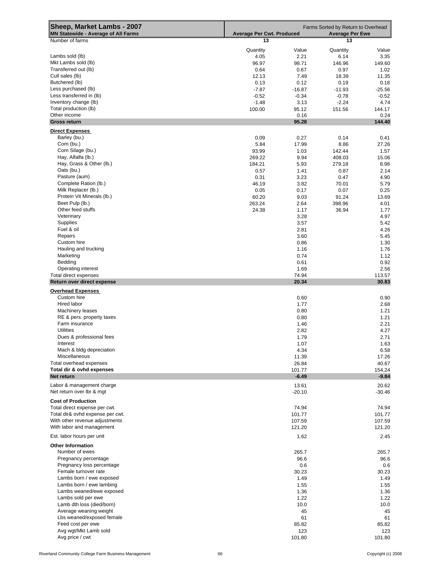| Sheep, Market Lambs - 2007<br>MN Statewide - Average of All Farms | Farms Sorted by Return to Overhead<br><b>Average Per Cwt. Produced</b><br><b>Average Per Ewe</b> |               |                    |                 |  |  |  |
|-------------------------------------------------------------------|--------------------------------------------------------------------------------------------------|---------------|--------------------|-----------------|--|--|--|
| Number of farms                                                   | 13                                                                                               |               | 13                 |                 |  |  |  |
|                                                                   | Quantity                                                                                         | Value         | Quantity           | Value           |  |  |  |
| Lambs sold (lb)                                                   | 4.05                                                                                             | 2.21          | 6.14               | 3.35            |  |  |  |
| Mkt Lambs sold (lb)                                               | 96.97                                                                                            | 98.71         | 146.96             | 149.60          |  |  |  |
| Transferred out (lb)                                              | 0.64                                                                                             | 0.67          | 0.97               | 1.02            |  |  |  |
| Cull sales (lb)                                                   | 12.13                                                                                            | 7.49          | 18.39              | 11.35           |  |  |  |
| Butchered (lb)                                                    | 0.13                                                                                             | 0.12          | 0.19               | 0.18            |  |  |  |
| Less purchased (lb)                                               | $-7.87$                                                                                          | $-16.87$      | $-11.93$           | $-25.56$        |  |  |  |
| Less transferred in (lb)<br>Inventory change (lb)                 | $-0.52$<br>$-1.48$                                                                               | $-0.34$       | $-0.78$<br>$-2.24$ | $-0.52$<br>4.74 |  |  |  |
| Total production (lb)                                             | 100.00                                                                                           | 3.13<br>95.12 | 151.56             | 144.17          |  |  |  |
| Other income                                                      |                                                                                                  | 0.16          |                    | 0.24            |  |  |  |
| Gross return                                                      |                                                                                                  | 95.28         |                    | 144.40          |  |  |  |
| <b>Direct Expenses</b>                                            |                                                                                                  |               |                    |                 |  |  |  |
| Barley (bu.)                                                      | 0.09                                                                                             | 0.27          | 0.14               | 0.41            |  |  |  |
| Corn (bu.)                                                        | 5.84                                                                                             | 17.99         | 8.86               | 27.26           |  |  |  |
| Corn Silage (bu.)                                                 | 93.99                                                                                            | 1.03          | 142.44             | 1.57            |  |  |  |
| Hay, Alfalfa (lb.)                                                | 269.22                                                                                           | 9.94          | 408.03             | 15.06           |  |  |  |
| Hay, Grass & Other (lb.)                                          | 184.21                                                                                           | 5.93          | 279.18             | 8.98            |  |  |  |
| Oats (bu.)                                                        | 0.57                                                                                             | 1.41          | 0.87               | 2.14            |  |  |  |
| Pasture (aum)                                                     | 0.31                                                                                             | 3.23          | 0.47               | 4.90            |  |  |  |
| Complete Ration (lb.)<br>Milk Replacer (lb.)                      | 46.19<br>0.05                                                                                    | 3.82          | 70.01              | 5.79            |  |  |  |
| Protein Vit Minerals (lb.)                                        | 60.20                                                                                            | 0.17<br>9.03  | 0.07<br>91.24      | 0.25<br>13.69   |  |  |  |
| Beet Pulp (lb.)                                                   | 263.24                                                                                           | 2.64          | 398.96             | 4.01            |  |  |  |
| Other feed stuffs                                                 | 24.38                                                                                            | 1.17          | 36.94              | 1.77            |  |  |  |
| Veterinary                                                        |                                                                                                  | 3.28          |                    | 4.97            |  |  |  |
| Supplies                                                          |                                                                                                  | 3.57          |                    | 5.42            |  |  |  |
| Fuel & oil                                                        |                                                                                                  | 2.81          |                    | 4.26            |  |  |  |
| Repairs                                                           |                                                                                                  | 3.60          |                    | 5.45            |  |  |  |
| Custom hire                                                       |                                                                                                  | 0.86          |                    | 1.30            |  |  |  |
| Hauling and trucking                                              |                                                                                                  | 1.16          |                    | 1.76            |  |  |  |
| Marketing                                                         |                                                                                                  | 0.74          |                    | 1.12            |  |  |  |
| Bedding<br>Operating interest                                     |                                                                                                  | 0.61          |                    | 0.92<br>2.56    |  |  |  |
| Total direct expenses                                             |                                                                                                  | 1.69<br>74.94 |                    | 113.57          |  |  |  |
| Return over direct expense                                        |                                                                                                  | 20.34         |                    | 30.83           |  |  |  |
| <b>Overhead Expenses</b>                                          |                                                                                                  |               |                    |                 |  |  |  |
| Custom hire                                                       |                                                                                                  | 0.60          |                    | 0.90            |  |  |  |
| Hired labor                                                       |                                                                                                  | 1.77          |                    | 2.68            |  |  |  |
| Machinery leases                                                  |                                                                                                  | 0.80          |                    | 1.21            |  |  |  |
| RE & pers. property taxes                                         |                                                                                                  | 0.80          |                    | 1.21            |  |  |  |
| Farm insurance                                                    |                                                                                                  | 1.46          |                    | 2.21            |  |  |  |
| Utilities                                                         |                                                                                                  | 2.82          |                    | 4.27            |  |  |  |
| Dues & professional fees                                          |                                                                                                  | 1.79          |                    | 2.71            |  |  |  |
| Interest<br>Mach & bldg depreciation                              |                                                                                                  | 1.07          |                    | 1.63            |  |  |  |
| Miscellaneous                                                     |                                                                                                  | 4.34<br>11.39 |                    | 6.58<br>17.26   |  |  |  |
| Total overhead expenses                                           |                                                                                                  | 26.84         |                    | 40.67           |  |  |  |
| Total dir & ovhd expenses                                         |                                                                                                  | 101.77        |                    | 154.24          |  |  |  |
| Net return                                                        |                                                                                                  | $-6.49$       |                    | $-9.84$         |  |  |  |
| Labor & management charge                                         |                                                                                                  | 13.61         |                    | 20.62           |  |  |  |
| Net return over lbr & mgt                                         |                                                                                                  | $-20.10$      |                    | $-30.46$        |  |  |  |
|                                                                   |                                                                                                  |               |                    |                 |  |  |  |
| <b>Cost of Production</b><br>Total direct expense per cwt.        |                                                                                                  | 74.94         |                    | 74.94           |  |  |  |
| Total dir& ovhd expense per cwt.                                  |                                                                                                  | 101.77        |                    | 101.77          |  |  |  |
| With other revenue adjustments                                    |                                                                                                  | 107.59        |                    | 107.59          |  |  |  |
| With labor and management                                         |                                                                                                  | 121.20        |                    | 121.20          |  |  |  |
| Est. labor hours per unit                                         |                                                                                                  | 1.62          |                    | 2.45            |  |  |  |
|                                                                   |                                                                                                  |               |                    |                 |  |  |  |
| <b>Other Information</b>                                          |                                                                                                  |               |                    |                 |  |  |  |
| Number of ewes                                                    |                                                                                                  | 265.7         |                    | 265.7           |  |  |  |
| Pregnancy percentage<br>Pregnancy loss percentage                 |                                                                                                  | 96.6<br>0.6   |                    | 96.6<br>0.6     |  |  |  |
| Female turnover rate                                              |                                                                                                  | 30.23         |                    | 30.23           |  |  |  |
| Lambs born / ewe exposed                                          |                                                                                                  | 1.49          |                    | 1.49            |  |  |  |
| Lambs born / ewe lambing                                          |                                                                                                  | 1.55          |                    | 1.55            |  |  |  |
| Lambs weaned/ewe exposed                                          |                                                                                                  | 1.36          |                    | 1.36            |  |  |  |
| Lambs sold per ewe                                                |                                                                                                  | 1.22          |                    | 1.22            |  |  |  |
| Lamb dth loss (died/born)                                         |                                                                                                  | 10.0          |                    | 10.0            |  |  |  |
| Average weaning weight                                            |                                                                                                  | 45            |                    | 45              |  |  |  |
| Lbs weaned/exposed female                                         |                                                                                                  | 61            |                    | 61              |  |  |  |
| Feed cost per ewe                                                 |                                                                                                  | 85.82         |                    | 85.82           |  |  |  |
| Avg wgt/Mkt Lamb sold                                             |                                                                                                  | 123           |                    | 123<br>101.80   |  |  |  |
| Avg price / cwt                                                   |                                                                                                  | 101.80        |                    |                 |  |  |  |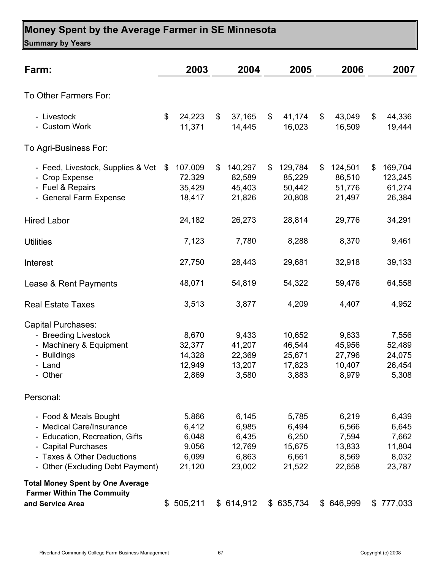#### **Money Spent by the Average Farmer in SE Minnesota Summary by Years**

| Farm:                                                                                                                                                                      | 2003                                                | 2004                                                 | 2005                                                 | 2006                                                 | 2007                                                 |
|----------------------------------------------------------------------------------------------------------------------------------------------------------------------------|-----------------------------------------------------|------------------------------------------------------|------------------------------------------------------|------------------------------------------------------|------------------------------------------------------|
| To Other Farmers For:                                                                                                                                                      |                                                     |                                                      |                                                      |                                                      |                                                      |
|                                                                                                                                                                            |                                                     |                                                      |                                                      |                                                      |                                                      |
| - Livestock<br>- Custom Work                                                                                                                                               | \$<br>24,223<br>11,371                              | \$<br>37,165<br>14,445                               | \$<br>41,174<br>16,023                               | \$<br>43,049<br>16,509                               | \$<br>44,336<br>19,444                               |
| To Agri-Business For:                                                                                                                                                      |                                                     |                                                      |                                                      |                                                      |                                                      |
| - Feed, Livestock, Supplies & Vet<br>- Crop Expense<br>- Fuel & Repairs<br>- General Farm Expense                                                                          | \$<br>107,009<br>72,329<br>35,429<br>18,417         | \$<br>140,297<br>82,589<br>45,403<br>21,826          | \$<br>129,784<br>85,229<br>50,442<br>20,808          | \$<br>124,501<br>86,510<br>51,776<br>21,497          | \$<br>169,704<br>123,245<br>61,274<br>26,384         |
| <b>Hired Labor</b>                                                                                                                                                         | 24,182                                              | 26,273                                               | 28,814                                               | 29,776                                               | 34,291                                               |
| <b>Utilities</b>                                                                                                                                                           | 7,123                                               | 7,780                                                | 8,288                                                | 8,370                                                | 9,461                                                |
| Interest                                                                                                                                                                   | 27,750                                              | 28,443                                               | 29,681                                               | 32,918                                               | 39,133                                               |
| Lease & Rent Payments                                                                                                                                                      | 48,071                                              | 54,819                                               | 54,322                                               | 59,476                                               | 64,558                                               |
| <b>Real Estate Taxes</b>                                                                                                                                                   | 3,513                                               | 3,877                                                | 4,209                                                | 4,407                                                | 4,952                                                |
| <b>Capital Purchases:</b><br>- Breeding Livestock<br>- Machinery & Equipment<br>- Buildings<br>- Land<br>- Other                                                           | 8,670<br>32,377<br>14,328<br>12,949<br>2,869        | 9,433<br>41,207<br>22,369<br>13,207<br>3,580         | 10,652<br>46,544<br>25,671<br>17,823<br>3,883        | 9,633<br>45,956<br>27,796<br>10,407<br>8,979         | 7,556<br>52,489<br>24,075<br>26,454<br>5,308         |
| Personal:                                                                                                                                                                  |                                                     |                                                      |                                                      |                                                      |                                                      |
| - Food & Meals Bought<br>- Medical Care/Insurance<br>Education, Recreation, Gifts<br>- Capital Purchases<br>- Taxes & Other Deductions<br>- Other (Excluding Debt Payment) | 5,866<br>6,412<br>6,048<br>9,056<br>6,099<br>21,120 | 6,145<br>6,985<br>6,435<br>12,769<br>6,863<br>23,002 | 5,785<br>6,494<br>6,250<br>15,675<br>6,661<br>21,522 | 6,219<br>6,566<br>7,594<br>13,833<br>8,569<br>22,658 | 6,439<br>6,645<br>7,662<br>11,804<br>8,032<br>23,787 |
| <b>Total Money Spent by One Average</b><br><b>Farmer Within The Commuity</b>                                                                                               |                                                     |                                                      |                                                      |                                                      |                                                      |
| and Service Area                                                                                                                                                           | \$505,211                                           | \$614,912                                            | \$ 635,734                                           | \$646,999                                            | \$777,033                                            |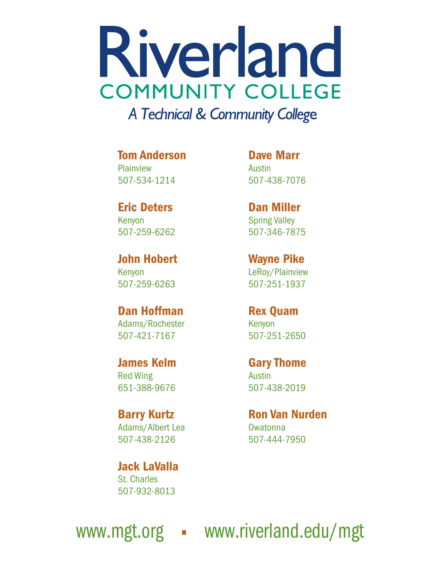# Riverland **COMMUNITY COLLEGE**

A Technical & Community College

Tom Anderson Plainview 507-534-1214

Eric Deters Kenyon 507-259-6262

John Hobert Kenyon 507-259-6263

Dan Hoffman Adams/Rochester 507-421-7167

James Kelm Red Wing 651-388-9676

Barry Kurtz Adams/Albert Lea 507-438-2126

Jack LaValla St. Charles 507-932-8013

Dave Marr Austin 507-438-7076

Dan Miller Spring Valley 507-346-7875

Wayne Pike LeRoy/Plainview 507-251-1937

Rex Quam Kenyon 507-251-2650

Gary Thome Austin 507-438-2019

Ron Van Nurden **Owatonna** 507-444-7950

www.mgt.org • www.riverland.edu/mgt